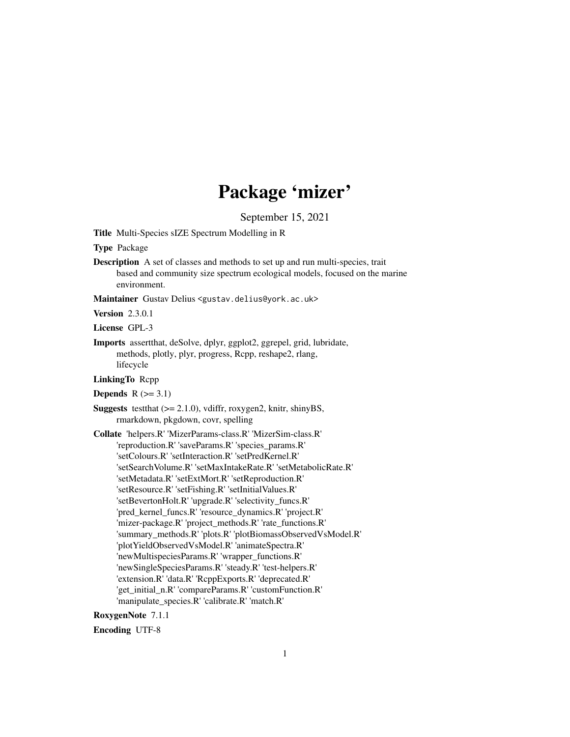# Package 'mizer'

September 15, 2021

<span id="page-0-0"></span>Title Multi-Species sIZE Spectrum Modelling in R

Type Package

Description A set of classes and methods to set up and run multi-species, trait based and community size spectrum ecological models, focused on the marine environment.

Maintainer Gustav Delius <gustav.delius@york.ac.uk>

Version 2.3.0.1

License GPL-3

Imports assertthat, deSolve, dplyr, ggplot2, ggrepel, grid, lubridate, methods, plotly, plyr, progress, Rcpp, reshape2, rlang, lifecycle

LinkingTo Rcpp

Depends  $R$  ( $>= 3.1$ )

Suggests testthat (>= 2.1.0), vdiffr, roxygen2, knitr, shinyBS, rmarkdown, pkgdown, covr, spelling

Collate 'helpers.R' 'MizerParams-class.R' 'MizerSim-class.R' 'reproduction.R' 'saveParams.R' 'species\_params.R' 'setColours.R' 'setInteraction.R' 'setPredKernel.R' 'setSearchVolume.R' 'setMaxIntakeRate.R' 'setMetabolicRate.R' 'setMetadata.R' 'setExtMort.R' 'setReproduction.R' 'setResource.R' 'setFishing.R' 'setInitialValues.R' 'setBevertonHolt.R' 'upgrade.R' 'selectivity\_funcs.R' 'pred\_kernel\_funcs.R' 'resource\_dynamics.R' 'project.R' 'mizer-package.R' 'project\_methods.R' 'rate\_functions.R' 'summary\_methods.R' 'plots.R' 'plotBiomassObservedVsModel.R' 'plotYieldObservedVsModel.R' 'animateSpectra.R' 'newMultispeciesParams.R' 'wrapper\_functions.R' 'newSingleSpeciesParams.R' 'steady.R' 'test-helpers.R' 'extension.R' 'data.R' 'RcppExports.R' 'deprecated.R' 'get\_initial\_n.R' 'compareParams.R' 'customFunction.R' 'manipulate\_species.R' 'calibrate.R' 'match.R'

RoxygenNote 7.1.1

Encoding UTF-8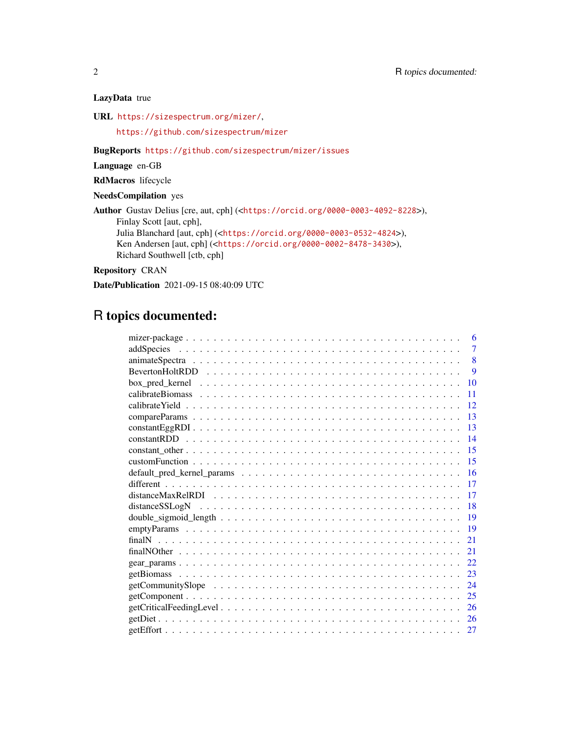# LazyData true

URL <https://sizespectrum.org/mizer/>,

<https://github.com/sizespectrum/mizer>

# BugReports <https://github.com/sizespectrum/mizer/issues>

Language en-GB

RdMacros lifecycle

NeedsCompilation yes

Author Gustav Delius [cre, aut, cph] (<<https://orcid.org/0000-0003-4092-8228>>), Finlay Scott [aut, cph], Julia Blanchard [aut, cph] (<<https://orcid.org/0000-0003-0532-4824>>), Ken Andersen [aut, cph] (<<https://orcid.org/0000-0002-8478-3430>>), Richard Southwell [ctb, cph]

# Repository CRAN

Date/Publication 2021-09-15 08:40:09 UTC

# R topics documented:

| 6                                                                                                                         |
|---------------------------------------------------------------------------------------------------------------------------|
| $\overline{7}$                                                                                                            |
| 8                                                                                                                         |
| $\mathbf{Q}$                                                                                                              |
| 10                                                                                                                        |
| 11                                                                                                                        |
| 12                                                                                                                        |
| 13                                                                                                                        |
| 13                                                                                                                        |
| 14                                                                                                                        |
| 15                                                                                                                        |
| 15                                                                                                                        |
| 16                                                                                                                        |
| 17                                                                                                                        |
| 17                                                                                                                        |
| 18                                                                                                                        |
| 19                                                                                                                        |
| 19                                                                                                                        |
| 21                                                                                                                        |
| $finalNOther \dots \dots \dots \dots \dots \dots \dots \dots \dots \dots \dots \dots \dots \dots \dots \dots \dots$<br>21 |
| 22                                                                                                                        |
| 23                                                                                                                        |
| 24                                                                                                                        |
| 25                                                                                                                        |
| 26                                                                                                                        |
| 26                                                                                                                        |
| 27                                                                                                                        |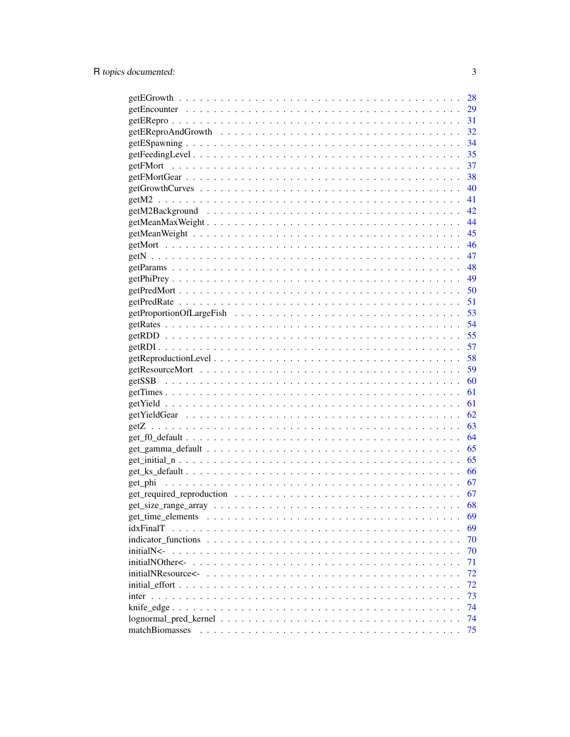|                 | 28   |
|-----------------|------|
|                 |      |
|                 | 31   |
|                 | 32   |
|                 |      |
|                 |      |
|                 |      |
|                 |      |
|                 |      |
|                 |      |
|                 |      |
|                 |      |
|                 |      |
|                 |      |
|                 |      |
|                 |      |
|                 |      |
|                 |      |
|                 | 51   |
|                 | 53   |
|                 | 54   |
|                 |      |
|                 |      |
|                 |      |
|                 |      |
|                 |      |
|                 |      |
|                 |      |
|                 |      |
|                 |      |
|                 |      |
|                 |      |
|                 |      |
|                 |      |
|                 |      |
|                 |      |
|                 |      |
|                 | - 68 |
|                 | 69   |
| idxFinalT       | 69   |
|                 | 70   |
| initialN<-      | 70   |
| initialNOther<- | 71   |
|                 | 72   |
|                 | 72   |
|                 | 73   |
|                 | 74   |
|                 | 74   |
|                 | 75   |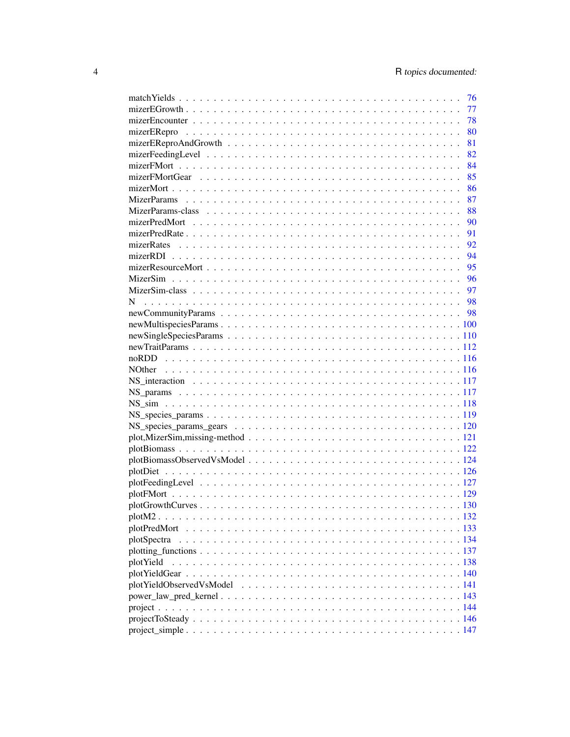|             | 76   |
|-------------|------|
|             | 77   |
|             | 78   |
| mizerERepro | 80   |
|             | 81   |
|             | 82   |
|             | 84   |
|             | 85   |
|             | 86   |
|             | 87   |
|             | 88   |
|             | 90   |
|             |      |
|             | 91   |
|             | 92   |
|             | 94   |
|             | - 95 |
|             |      |
|             |      |
| N           |      |
|             |      |
|             |      |
|             |      |
|             |      |
|             |      |
|             |      |
|             |      |
|             |      |
|             |      |
|             |      |
|             |      |
|             |      |
|             |      |
|             |      |
|             |      |
|             |      |
|             |      |
|             |      |
|             |      |
|             |      |
|             |      |
|             |      |
|             |      |
| plotYield   |      |
|             |      |
|             |      |
|             |      |
|             |      |
|             |      |
|             |      |
|             |      |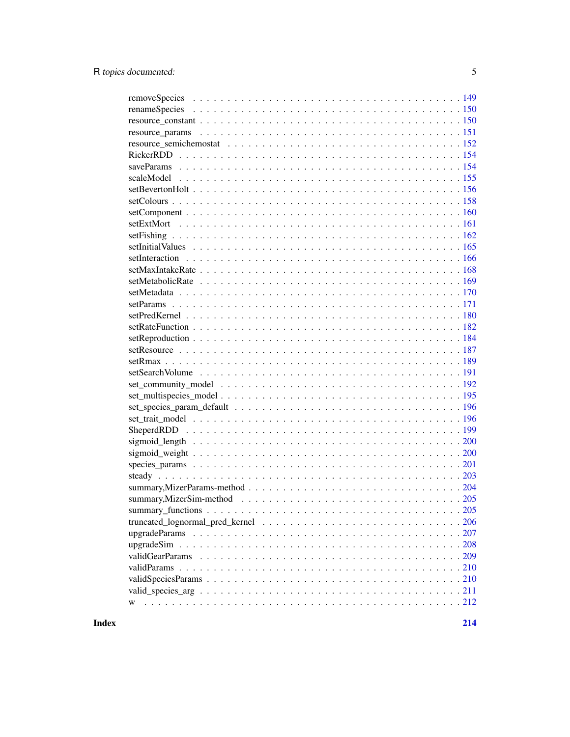| W |
|---|
|   |

**Index** [214](#page-213-0)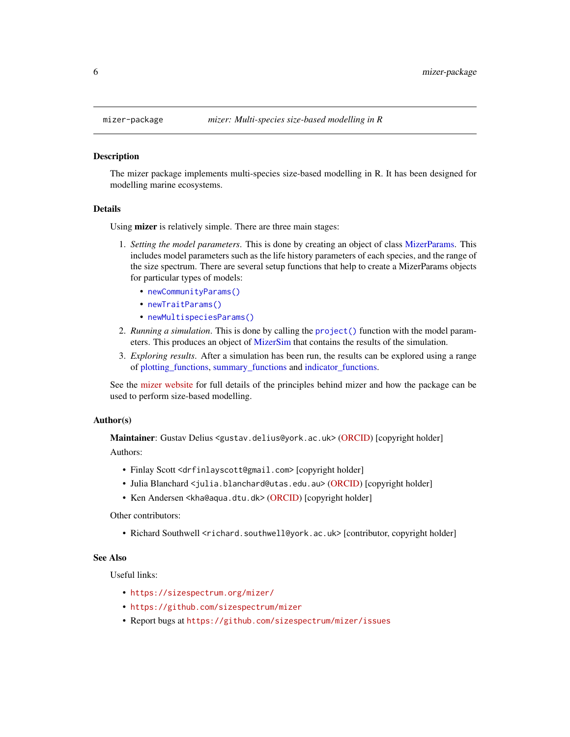<span id="page-5-0"></span>

#### **Description**

The mizer package implements multi-species size-based modelling in R. It has been designed for modelling marine ecosystems.

# Details

Using **mizer** is relatively simple. There are three main stages:

- 1. *Setting the model parameters*. This is done by creating an object of class [MizerParams.](#page-87-1) This includes model parameters such as the life history parameters of each species, and the range of the size spectrum. There are several setup functions that help to create a MizerParams objects for particular types of models:
	- [newCommunityParams\(\)](#page-97-1)
	- [newTraitParams\(\)](#page-111-1)
	- [newMultispeciesParams\(\)](#page-99-1)
- 2. *Running a simulation*. This is done by calling the [project\(\)](#page-143-1) function with the model param-eters. This produces an object of [MizerSim](#page-96-1) that contains the results of the simulation.
- 3. *Exploring results*. After a simulation has been run, the results can be explored using a range of [plotting\\_functions,](#page-136-1) [summary\\_functions](#page-204-1) and [indicator\\_functions.](#page-69-1)

See the [mizer website](https://sizespectrum.org/mizer/) for full details of the principles behind mizer and how the package can be used to perform size-based modelling.

# Author(s)

Maintainer: Gustav Delius <gustav.delius@york.ac.uk> [\(ORCID\)](https://orcid.org/0000-0003-4092-8228) [copyright holder]

Authors:

- Finlay Scott <drfinlayscott@gmail.com> [copyright holder]
- Julia Blanchard <julia.blanchard@utas.edu.au> [\(ORCID\)](https://orcid.org/0000-0003-0532-4824) [copyright holder]
- Ken Andersen <kha@aqua.dtu.dk> [\(ORCID\)](https://orcid.org/0000-0002-8478-3430) [copyright holder]

Other contributors:

• Richard Southwell <richard.southwell@york.ac.uk> [contributor, copyright holder]

# See Also

Useful links:

- <https://sizespectrum.org/mizer/>
- <https://github.com/sizespectrum/mizer>
- Report bugs at <https://github.com/sizespectrum/mizer/issues>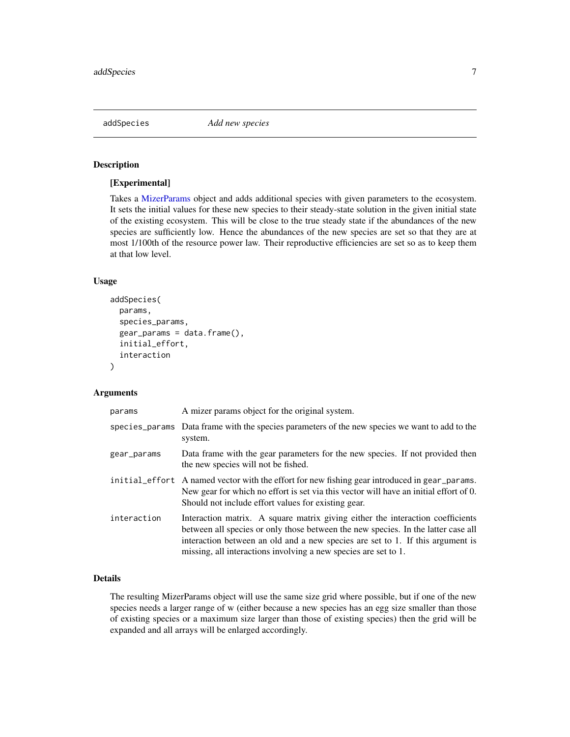<span id="page-6-0"></span>

# Description

#### [Experimental]

Takes a [MizerParams](#page-87-1) object and adds additional species with given parameters to the ecosystem. It sets the initial values for these new species to their steady-state solution in the given initial state of the existing ecosystem. This will be close to the true steady state if the abundances of the new species are sufficiently low. Hence the abundances of the new species are set so that they are at most 1/100th of the resource power law. Their reproductive efficiencies are set so as to keep them at that low level.

# Usage

```
addSpecies(
  params,
  species_params,
  gear_params = data.frame(),
  initial_effort,
  interaction
\lambda
```
#### **Arguments**

| params      | A mizer params object for the original system.                                                                                                                                                                                                                                                                           |
|-------------|--------------------------------------------------------------------------------------------------------------------------------------------------------------------------------------------------------------------------------------------------------------------------------------------------------------------------|
|             | species_params Data frame with the species parameters of the new species we want to add to the<br>system.                                                                                                                                                                                                                |
| gear_params | Data frame with the gear parameters for the new species. If not provided then<br>the new species will not be fished.                                                                                                                                                                                                     |
|             | initial_effort A named vector with the effort for new fishing gear introduced in gear_params.<br>New gear for which no effort is set via this vector will have an initial effort of 0.<br>Should not include effort values for existing gear.                                                                            |
| interaction | Interaction matrix. A square matrix giving either the interaction coefficients<br>between all species or only those between the new species. In the latter case all<br>interaction between an old and a new species are set to 1. If this argument is<br>missing, all interactions involving a new species are set to 1. |

# Details

The resulting MizerParams object will use the same size grid where possible, but if one of the new species needs a larger range of w (either because a new species has an egg size smaller than those of existing species or a maximum size larger than those of existing species) then the grid will be expanded and all arrays will be enlarged accordingly.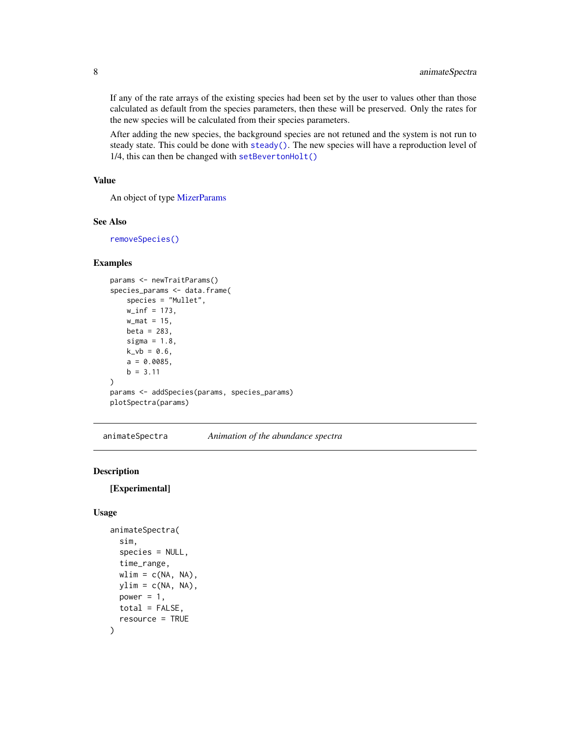<span id="page-7-0"></span>If any of the rate arrays of the existing species had been set by the user to values other than those calculated as default from the species parameters, then these will be preserved. Only the rates for the new species will be calculated from their species parameters.

After adding the new species, the background species are not retuned and the system is not run to steady state. This could be done with [steady\(\)](#page-202-1). The new species will have a reproduction level of 1/4, this can then be changed with [setBevertonHolt\(\)](#page-155-1)

# Value

An object of type [MizerParams](#page-87-1)

# See Also

[removeSpecies\(\)](#page-148-1)

#### Examples

```
params <- newTraitParams()
species_params <- data.frame(
    species = "Mullet",
   w_info = 173,
   w_matrix = 15,
   beta = 283,
    sigma = 1.8,
    k_{v} = 0.6,
    a = 0.0085,b = 3.11)
params <- addSpecies(params, species_params)
plotSpectra(params)
```
animateSpectra *Animation of the abundance spectra*

#### Description

#### [Experimental]

```
animateSpectra(
  sim,
  species = NULL,
  time_range,
 wlim = c(NA, NA),
 ylim = c(NA, NA),
 power = 1,
  total = FALSE,resource = TRUE
)
```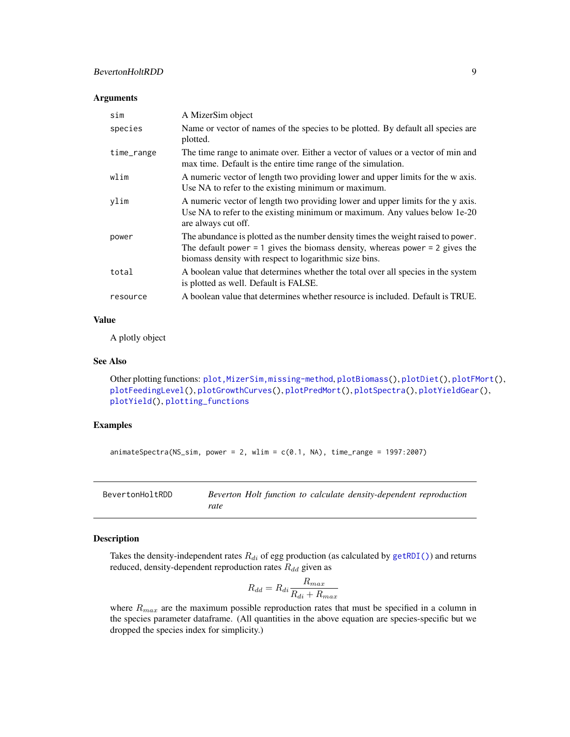# <span id="page-8-0"></span>BevertonHoltRDD 9

#### Arguments

| sim        | A MizerSim object                                                                                                                                                                                                          |
|------------|----------------------------------------------------------------------------------------------------------------------------------------------------------------------------------------------------------------------------|
| species    | Name or vector of names of the species to be plotted. By default all species are<br>plotted.                                                                                                                               |
| time_range | The time range to animate over. Either a vector of values or a vector of min and<br>max time. Default is the entire time range of the simulation.                                                                          |
| wlim       | A numeric vector of length two providing lower and upper limits for the w axis.<br>Use NA to refer to the existing minimum or maximum.                                                                                     |
| ylim       | A numeric vector of length two providing lower and upper limits for the y axis.<br>Use NA to refer to the existing minimum or maximum. Any values below 1e-20<br>are always cut off.                                       |
| power      | The abundance is plotted as the number density times the weight raised to power.<br>The default power = 1 gives the biomass density, whereas power = 2 gives the<br>biomass density with respect to logarithmic size bins. |
| total      | A boolean value that determines whether the total over all species in the system<br>is plotted as well. Default is FALSE.                                                                                                  |
| resource   | A boolean value that determines whether resource is included. Default is TRUE.                                                                                                                                             |

# Value

A plotly object

#### See Also

Other plotting functions: plot, MizerSim, missing-method, [plotBiomass\(](#page-121-1)), [plotDiet\(](#page-125-1)), [plotFMort\(](#page-128-1)), [plotFeedingLevel\(](#page-126-1)), [plotGrowthCurves\(](#page-129-1)), [plotPredMort\(](#page-132-1)), [plotSpectra\(](#page-133-1)), [plotYieldGear\(](#page-139-1)), [plotYield\(](#page-137-1)), [plotting\\_functions](#page-136-1)

# Examples

 $animalsSpectra(NS_sim, power = 2, wlim = c(0.1, NA), time_range = 1997:2007)$ 

<span id="page-8-1"></span>

| BevertonHoltRDD |      |  | Beverton Holt function to calculate density-dependent reproduction |  |
|-----------------|------|--|--------------------------------------------------------------------|--|
|                 | rate |  |                                                                    |  |

# Description

Takes the density-independent rates  $R_{di}$  of egg production (as calculated by [getRDI\(\)](#page-56-1)) and returns reduced, density-dependent reproduction rates  $R_{dd}$  given as

$$
R_{dd} = R_{di} \frac{R_{max}}{R_{di} + R_{max}}
$$

where  $R_{max}$  are the maximum possible reproduction rates that must be specified in a column in the species parameter dataframe. (All quantities in the above equation are species-specific but we dropped the species index for simplicity.)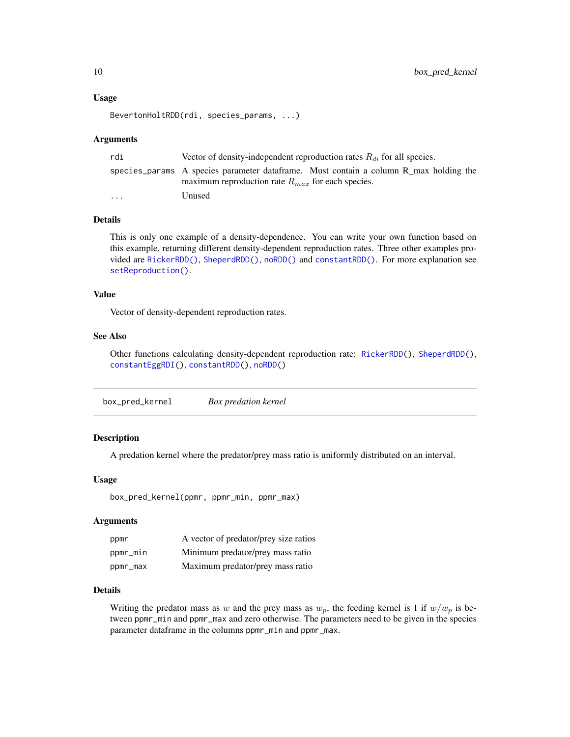#### <span id="page-9-0"></span>Usage

```
BevertonHoltRDD(rdi, species_params, ...)
```
#### Arguments

| rdi                     | Vector of density-independent reproduction rates $R_{di}$ for all species.                                                                     |
|-------------------------|------------------------------------------------------------------------------------------------------------------------------------------------|
|                         | species params A species parameter dataframe. Must contain a column R max holding the<br>maximum reproduction rate $R_{max}$ for each species. |
| $\cdot$ $\cdot$ $\cdot$ | Unused                                                                                                                                         |

# Details

This is only one example of a density-dependence. You can write your own function based on this example, returning different density-dependent reproduction rates. Three other examples provided are [RickerRDD\(\)](#page-153-1), [SheperdRDD\(\)](#page-198-1), [noRDD\(\)](#page-115-1) and [constantRDD\(\)](#page-13-1). For more explanation see [setReproduction\(\)](#page-183-1).

#### Value

Vector of density-dependent reproduction rates.

#### See Also

Other functions calculating density-dependent reproduction rate: [RickerRDD\(](#page-153-1)), [SheperdRDD\(](#page-198-1)), [constantEggRDI\(](#page-12-1)), [constantRDD\(](#page-13-1)), [noRDD\(](#page-115-1))

| <b>Box</b> predation kernel |  |
|-----------------------------|--|
|-----------------------------|--|

# Description

A predation kernel where the predator/prey mass ratio is uniformly distributed on an interval.

#### Usage

```
box_pred_kernel(ppmr, ppmr_min, ppmr_max)
```
# Arguments

| ppmr     | A vector of predator/prey size ratios |
|----------|---------------------------------------|
| ppmr_min | Minimum predator/prey mass ratio      |
| ppmr_max | Maximum predator/prey mass ratio      |

# Details

Writing the predator mass as w and the prey mass as  $w_p$ , the feeding kernel is 1 if  $w/w_p$  is between ppmr\_min and ppmr\_max and zero otherwise. The parameters need to be given in the species parameter dataframe in the columns ppmr\_min and ppmr\_max.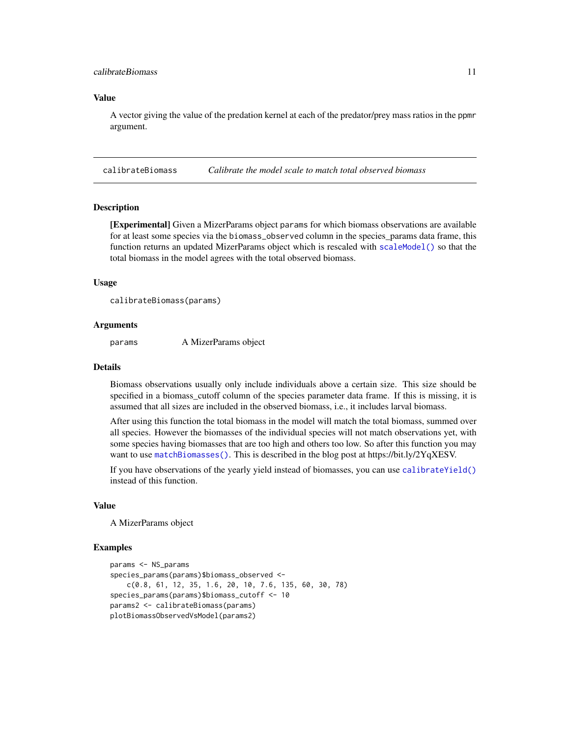# <span id="page-10-0"></span>calibrateBiomass 2003 and 2003 and 2003 and 2003 and 2003 and 2003 and 2004 and 2004 and 2004 and 2004 and 200

# Value

A vector giving the value of the predation kernel at each of the predator/prey mass ratios in the ppmr argument.

<span id="page-10-1"></span>calibrateBiomass *Calibrate the model scale to match total observed biomass*

#### Description

[Experimental] Given a MizerParams object params for which biomass observations are available for at least some species via the biomass\_observed column in the species\_params data frame, this function returns an updated MizerParams object which is rescaled with [scaleModel\(\)](#page-154-1) so that the total biomass in the model agrees with the total observed biomass.

#### Usage

```
calibrateBiomass(params)
```
#### Arguments

params A MizerParams object

#### Details

Biomass observations usually only include individuals above a certain size. This size should be specified in a biomass cutoff column of the species parameter data frame. If this is missing, it is assumed that all sizes are included in the observed biomass, i.e., it includes larval biomass.

After using this function the total biomass in the model will match the total biomass, summed over all species. However the biomasses of the individual species will not match observations yet, with some species having biomasses that are too high and others too low. So after this function you may want to use [matchBiomasses\(\)](#page-74-1). This is described in the blog post at https://bit.ly/2YqXESV.

If you have observations of the yearly yield instead of biomasses, you can use [calibrateYield\(\)](#page-11-1) instead of this function.

#### Value

A MizerParams object

# Examples

```
params <- NS_params
species_params(params)$biomass_observed <-
   c(0.8, 61, 12, 35, 1.6, 20, 10, 7.6, 135, 60, 30, 78)
species_params(params)$biomass_cutoff <- 10
params2 <- calibrateBiomass(params)
plotBiomassObservedVsModel(params2)
```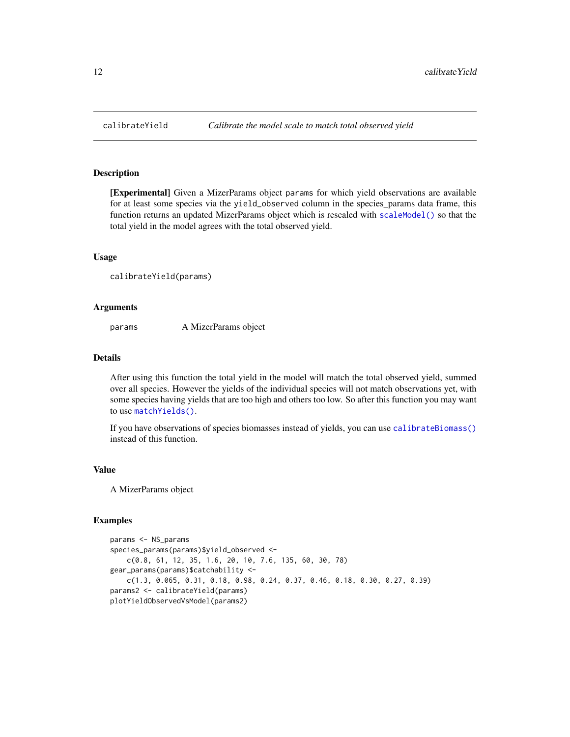# Description

[Experimental] Given a MizerParams object params for which yield observations are available for at least some species via the yield\_observed column in the species\_params data frame, this function returns an updated MizerParams object which is rescaled with [scaleModel\(\)](#page-154-1) so that the total yield in the model agrees with the total observed yield.

#### Usage

calibrateYield(params)

#### Arguments

params A MizerParams object

# Details

After using this function the total yield in the model will match the total observed yield, summed over all species. However the yields of the individual species will not match observations yet, with some species having yields that are too high and others too low. So after this function you may want to use [matchYields\(\)](#page-75-1).

If you have observations of species biomasses instead of yields, you can use [calibrateBiomass\(\)](#page-10-1) instead of this function.

# Value

A MizerParams object

#### Examples

```
params <- NS_params
species_params(params)$yield_observed <-
   c(0.8, 61, 12, 35, 1.6, 20, 10, 7.6, 135, 60, 30, 78)
gear_params(params)$catchability <-
   c(1.3, 0.065, 0.31, 0.18, 0.98, 0.24, 0.37, 0.46, 0.18, 0.30, 0.27, 0.39)
params2 <- calibrateYield(params)
plotYieldObservedVsModel(params2)
```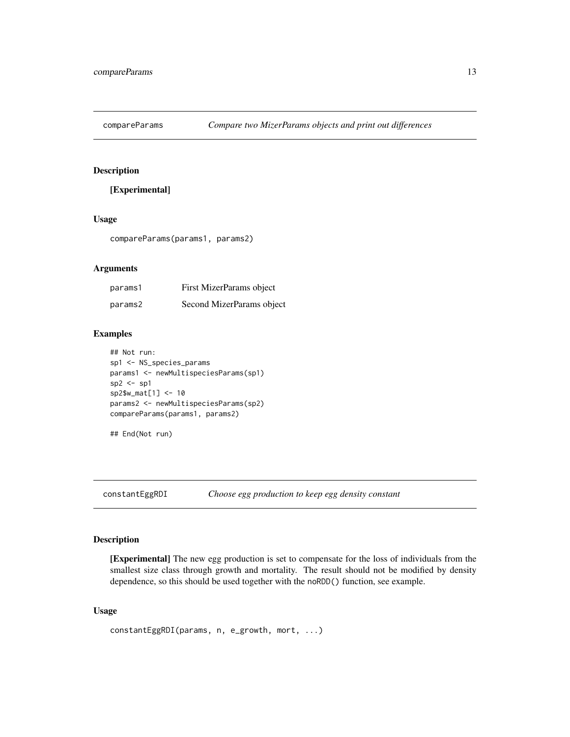<span id="page-12-0"></span>

# Description

# [Experimental]

# Usage

compareParams(params1, params2)

# Arguments

| params1 | First MizerParams object  |
|---------|---------------------------|
| params2 | Second MizerParams object |

# Examples

```
## Not run:
sp1 <- NS_species_params
params1 <- newMultispeciesParams(sp1)
sp2 \leq sp1sp2$w_mat[1] <- 10
params2 <- newMultispeciesParams(sp2)
compareParams(params1, params2)
```

```
## End(Not run)
```
<span id="page-12-1"></span>constantEggRDI *Choose egg production to keep egg density constant*

# Description

[Experimental] The new egg production is set to compensate for the loss of individuals from the smallest size class through growth and mortality. The result should not be modified by density dependence, so this should be used together with the noRDD() function, see example.

```
constantEggRDI(params, n, e_growth, mort, ...)
```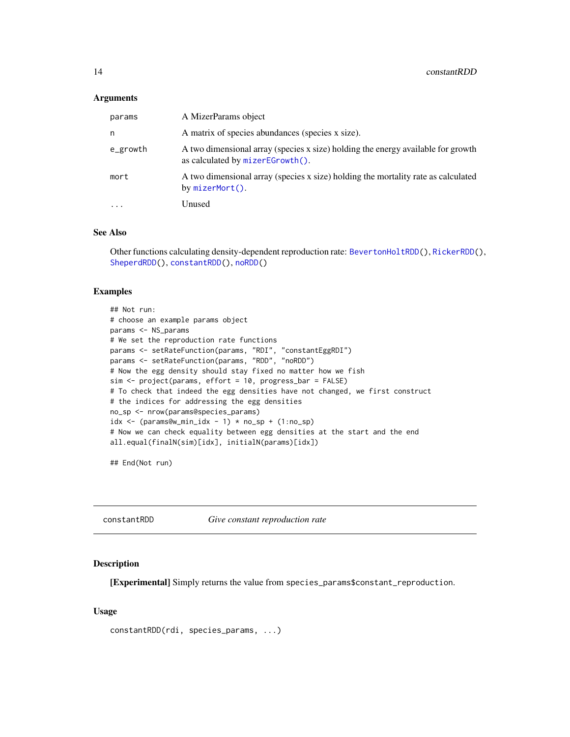#### <span id="page-13-0"></span>**Arguments**

| params   | A MizerParams object                                                                                                 |
|----------|----------------------------------------------------------------------------------------------------------------------|
| n        | A matrix of species abundances (species x size).                                                                     |
| e_growth | A two dimensional array (species x size) holding the energy available for growth<br>as calculated by mizerEGrowth(). |
| mort     | A two dimensional array (species x size) holding the mortality rate as calculated<br>by $mizerMort()$ .              |
| $\cdot$  | Unused                                                                                                               |

#### See Also

Other functions calculating density-dependent reproduction rate: [BevertonHoltRDD\(](#page-8-1)), [RickerRDD\(](#page-153-1)), [SheperdRDD\(](#page-198-1)), [constantRDD\(](#page-13-1)), [noRDD\(](#page-115-1))

# Examples

```
## Not run:
# choose an example params object
params <- NS_params
# We set the reproduction rate functions
params <- setRateFunction(params, "RDI", "constantEggRDI")
params <- setRateFunction(params, "RDD", "noRDD")
# Now the egg density should stay fixed no matter how we fish
sim <- project(params, effort = 10, progress_bar = FALSE)
# To check that indeed the egg densities have not changed, we first construct
# the indices for addressing the egg densities
no_sp <- nrow(params@species_params)
idx \leftarrow (params@w\_min\_idx - 1) * no_sp + (1:no_sp)# Now we can check equality between egg densities at the start and the end
all.equal(finalN(sim)[idx], initialN(params)[idx])
```
## End(Not run)

<span id="page-13-1"></span>constantRDD *Give constant reproduction rate*

#### Description

[Experimental] Simply returns the value from species\_params\$constant\_reproduction.

```
constantRDD(rdi, species_params, ...)
```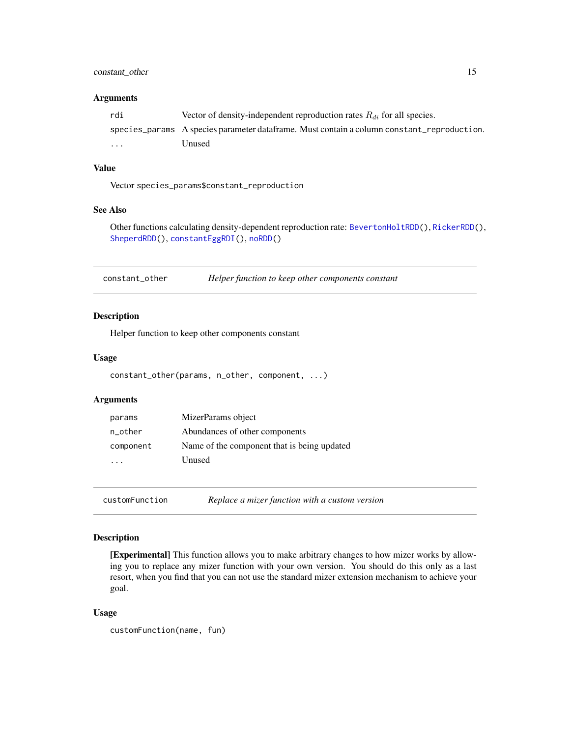# <span id="page-14-0"></span>constant\_other 15

#### **Arguments**

| rdi                 | Vector of density-independent reproduction rates $R_{di}$ for all species.                 |
|---------------------|--------------------------------------------------------------------------------------------|
|                     | species_params A species parameter dataframe. Must contain a column constant_reproduction. |
| $\cdot \cdot \cdot$ | Unused                                                                                     |

# Value

Vector species\_params\$constant\_reproduction

# See Also

Other functions calculating density-dependent reproduction rate: [BevertonHoltRDD\(](#page-8-1)), [RickerRDD\(](#page-153-1)), [SheperdRDD\(](#page-198-1)), [constantEggRDI\(](#page-12-1)), [noRDD\(](#page-115-1))

constant\_other *Helper function to keep other components constant*

# Description

Helper function to keep other components constant

# Usage

```
constant_other(params, n_other, component, ...)
```
# Arguments

| params    | MizerParams object                          |
|-----------|---------------------------------------------|
| n other   | Abundances of other components              |
| component | Name of the component that is being updated |
|           | Unused                                      |

customFunction *Replace a mizer function with a custom version*

# Description

[Experimental] This function allows you to make arbitrary changes to how mizer works by allowing you to replace any mizer function with your own version. You should do this only as a last resort, when you find that you can not use the standard mizer extension mechanism to achieve your goal.

```
customFunction(name, fun)
```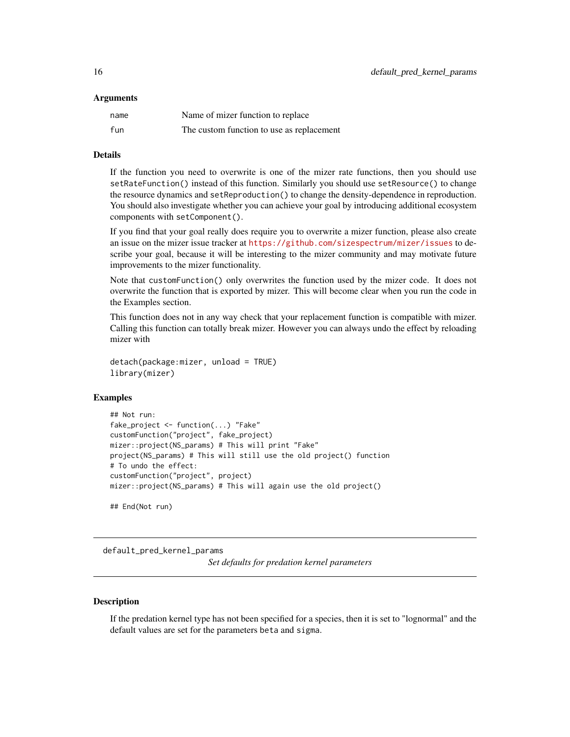#### <span id="page-15-0"></span>**Arguments**

| name | Name of mizer function to replace         |
|------|-------------------------------------------|
| fun  | The custom function to use as replacement |

#### Details

If the function you need to overwrite is one of the mizer rate functions, then you should use setRateFunction() instead of this function. Similarly you should use setResource() to change the resource dynamics and setReproduction() to change the density-dependence in reproduction. You should also investigate whether you can achieve your goal by introducing additional ecosystem components with setComponent().

If you find that your goal really does require you to overwrite a mizer function, please also create an issue on the mizer issue tracker at <https://github.com/sizespectrum/mizer/issues> to describe your goal, because it will be interesting to the mizer community and may motivate future improvements to the mizer functionality.

Note that customFunction() only overwrites the function used by the mizer code. It does not overwrite the function that is exported by mizer. This will become clear when you run the code in the Examples section.

This function does not in any way check that your replacement function is compatible with mizer. Calling this function can totally break mizer. However you can always undo the effect by reloading mizer with

```
detach(package:mizer, unload = TRUE)
library(mizer)
```
# Examples

```
## Not run:
fake_project <- function(...) "Fake"
customFunction("project", fake_project)
mizer::project(NS_params) # This will print "Fake"
project(NS_params) # This will still use the old project() function
# To undo the effect:
customFunction("project", project)
mizer::project(NS_params) # This will again use the old project()
## End(Not run)
```
default\_pred\_kernel\_params *Set defaults for predation kernel parameters*

#### **Description**

If the predation kernel type has not been specified for a species, then it is set to "lognormal" and the default values are set for the parameters beta and sigma.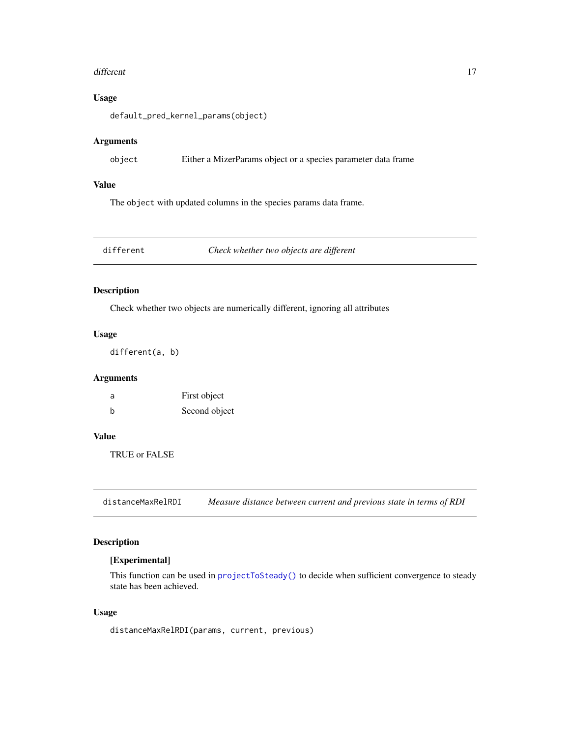#### <span id="page-16-0"></span>different and the contract of the contract of the contract of the contract of the contract of the contract of the contract of the contract of the contract of the contract of the contract of the contract of the contract of

# Usage

default\_pred\_kernel\_params(object)

# Arguments

| object | Either a MizerParams object or a species parameter data frame |  |  |
|--------|---------------------------------------------------------------|--|--|
|        |                                                               |  |  |

# Value

The object with updated columns in the species params data frame.

different *Check whether two objects are different*

# Description

Check whether two objects are numerically different, ignoring all attributes

# Usage

different(a, b)

# Arguments

| a | First object  |
|---|---------------|
| b | Second object |

# Value

TRUE or FALSE

<span id="page-16-1"></span>distanceMaxRelRDI *Measure distance between current and previous state in terms of RDI*

# Description

# [Experimental]

This function can be used in [projectToSteady\(\)](#page-145-1) to decide when sufficient convergence to steady state has been achieved.

# Usage

distanceMaxRelRDI(params, current, previous)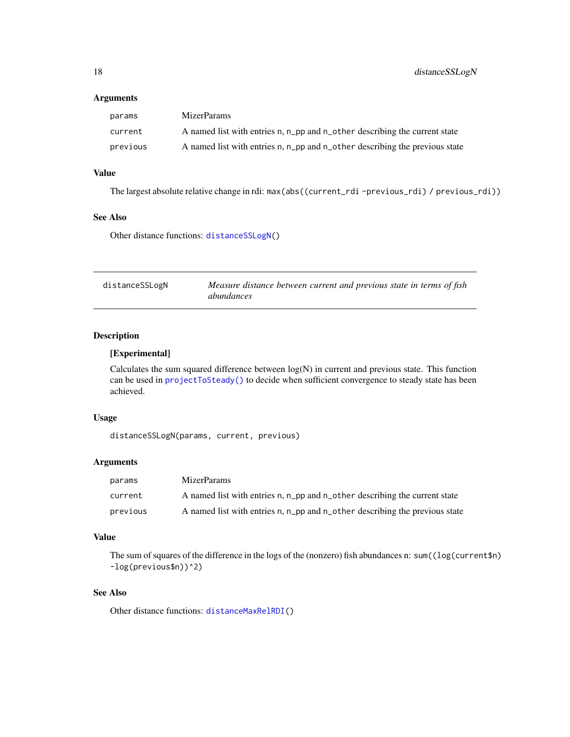# <span id="page-17-0"></span>Arguments

| params   | <b>MizerParams</b>                                                          |
|----------|-----------------------------------------------------------------------------|
| current  | A named list with entries n, n_pp and n_other describing the current state  |
| previous | A named list with entries n, n_pp and n_other describing the previous state |

# Value

The largest absolute relative change in rdi: max(abs((current\_rdi -previous\_rdi) / previous\_rdi))

# See Also

Other distance functions: [distanceSSLogN\(](#page-17-1))

<span id="page-17-1"></span>

| distanceSSLogN | Measure distance between current and previous state in terms of fish |
|----------------|----------------------------------------------------------------------|
|                | abundances                                                           |

# Description

# [Experimental]

Calculates the sum squared difference between log(N) in current and previous state. This function can be used in [projectToSteady\(\)](#page-145-1) to decide when sufficient convergence to steady state has been achieved.

# Usage

distanceSSLogN(params, current, previous)

# Arguments

| params   | <b>MizerParams</b>                                                          |
|----------|-----------------------------------------------------------------------------|
| current  | A named list with entries n, n_pp and n_other describing the current state  |
| previous | A named list with entries n, n_pp and n_other describing the previous state |

# Value

The sum of squares of the difference in the logs of the (nonzero) fish abundances n: sum((log(current\$n) -log(previous\$n))^2)

# See Also

Other distance functions: [distanceMaxRelRDI\(](#page-16-1))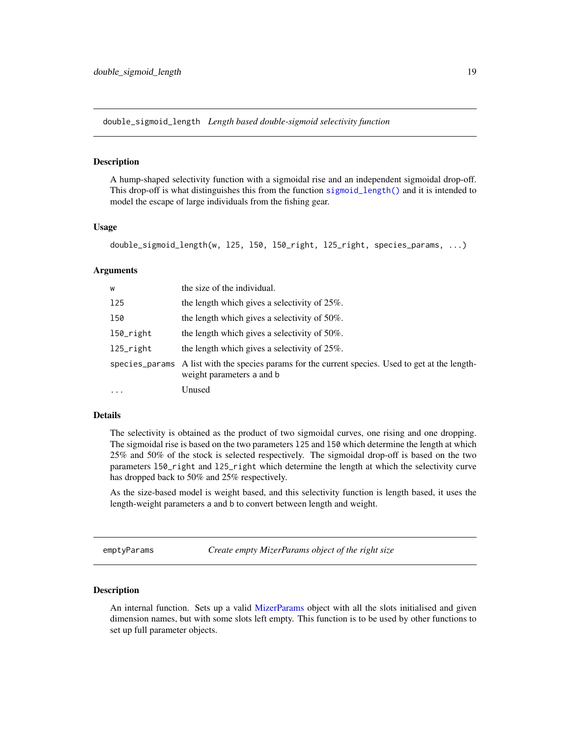<span id="page-18-0"></span>double\_sigmoid\_length *Length based double-sigmoid selectivity function*

#### Description

A hump-shaped selectivity function with a sigmoidal rise and an independent sigmoidal drop-off. This drop-off is what distinguishes this from the function [sigmoid\\_length\(\)](#page-199-1) and it is intended to model the escape of large individuals from the fishing gear.

#### Usage

double\_sigmoid\_length(w, l25, l50, l50\_right, l25\_right, species\_params, ...)

# Arguments

| W         | the size of the individual.                                                                                                    |
|-----------|--------------------------------------------------------------------------------------------------------------------------------|
| 125       | the length which gives a selectivity of $25\%$ .                                                                               |
| 150       | the length which gives a selectivity of 50%.                                                                                   |
| 150_right | the length which gives a selectivity of 50%.                                                                                   |
| 125_right | the length which gives a selectivity of 25%.                                                                                   |
|           | species_params A list with the species params for the current species. Used to get at the length-<br>weight parameters a and b |
| $\cdots$  | Unused                                                                                                                         |

#### Details

The selectivity is obtained as the product of two sigmoidal curves, one rising and one dropping. The sigmoidal rise is based on the two parameters l25 and l50 which determine the length at which 25% and 50% of the stock is selected respectively. The sigmoidal drop-off is based on the two parameters l50\_right and l25\_right which determine the length at which the selectivity curve has dropped back to 50% and 25% respectively.

As the size-based model is weight based, and this selectivity function is length based, it uses the length-weight parameters a and b to convert between length and weight.

emptyParams *Create empty MizerParams object of the right size*

# **Description**

An internal function. Sets up a valid [MizerParams](#page-87-1) object with all the slots initialised and given dimension names, but with some slots left empty. This function is to be used by other functions to set up full parameter objects.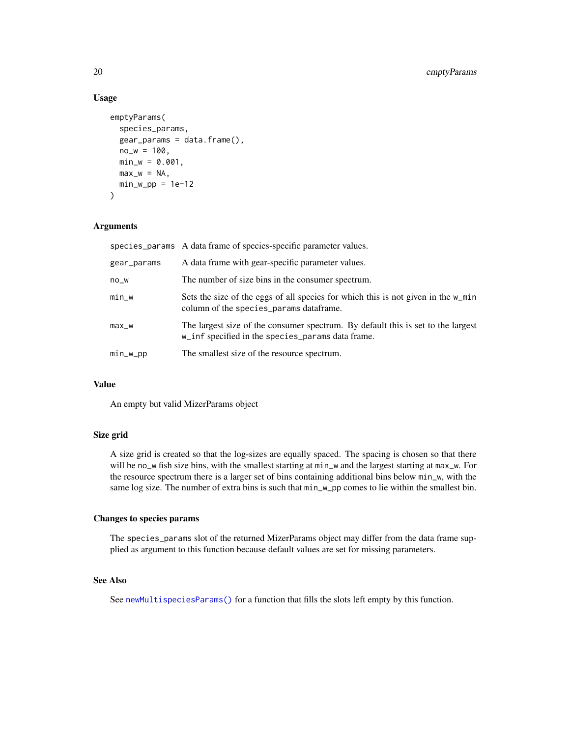# Usage

```
emptyParams(
  species_params,
  gear_params = data.frame(),
  no_w = 100,
  min_w = 0.001,
  max_w = NA,
  min_w\_pp = 1e-12\mathcal{E}
```
# Arguments

|             | species_params A data frame of species-specific parameter values.                                                                     |
|-------------|---------------------------------------------------------------------------------------------------------------------------------------|
| gear_params | A data frame with gear-specific parameter values.                                                                                     |
| $no_w$      | The number of size bins in the consumer spectrum.                                                                                     |
| $min_w$     | Sets the size of the eggs of all species for which this is not given in the w_min<br>column of the species_params dataframe.          |
| $max_w$     | The largest size of the consumer spectrum. By default this is set to the largest<br>w_inf specified in the species_params data frame. |
| $min_w\_pp$ | The smallest size of the resource spectrum.                                                                                           |

# Value

An empty but valid MizerParams object

# Size grid

A size grid is created so that the log-sizes are equally spaced. The spacing is chosen so that there will be no\_w fish size bins, with the smallest starting at min\_w and the largest starting at max\_w. For the resource spectrum there is a larger set of bins containing additional bins below min\_w, with the same log size. The number of extra bins is such that  $min_w\_pp$  comes to lie within the smallest bin.

# Changes to species params

The species\_params slot of the returned MizerParams object may differ from the data frame supplied as argument to this function because default values are set for missing parameters.

# See Also

See [newMultispeciesParams\(\)](#page-99-1) for a function that fills the slots left empty by this function.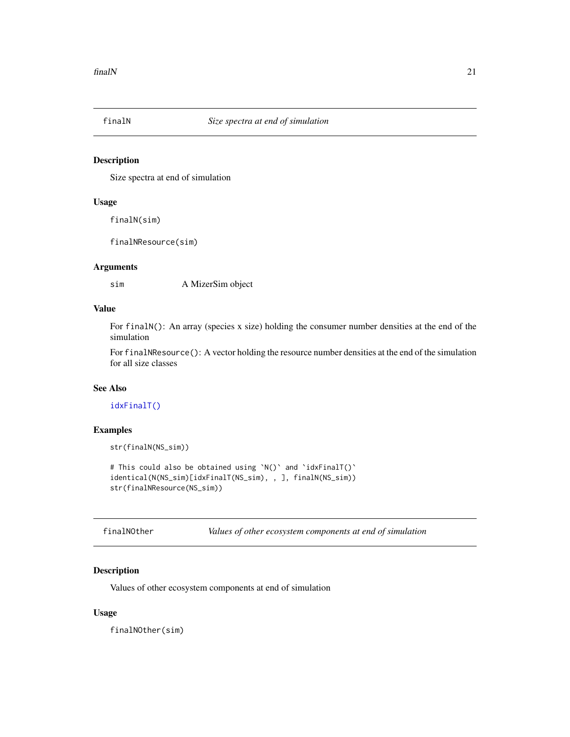<span id="page-20-0"></span>

#### Description

Size spectra at end of simulation

# Usage

finalN(sim)

finalNResource(sim)

# Arguments

sim A MizerSim object

# Value

For finalN(): An array (species x size) holding the consumer number densities at the end of the simulation

For finalNResource(): A vector holding the resource number densities at the end of the simulation for all size classes

#### See Also

[idxFinalT\(\)](#page-68-1)

# Examples

str(finalN(NS\_sim))

```
# This could also be obtained using `N()` and `idxFinalT()`
identical(N(NS_sim)[idxFinalT(NS_sim), , ], finalN(NS_sim))
str(finalNResource(NS_sim))
```
finalNOther *Values of other ecosystem components at end of simulation*

# Description

Values of other ecosystem components at end of simulation

#### Usage

finalNOther(sim)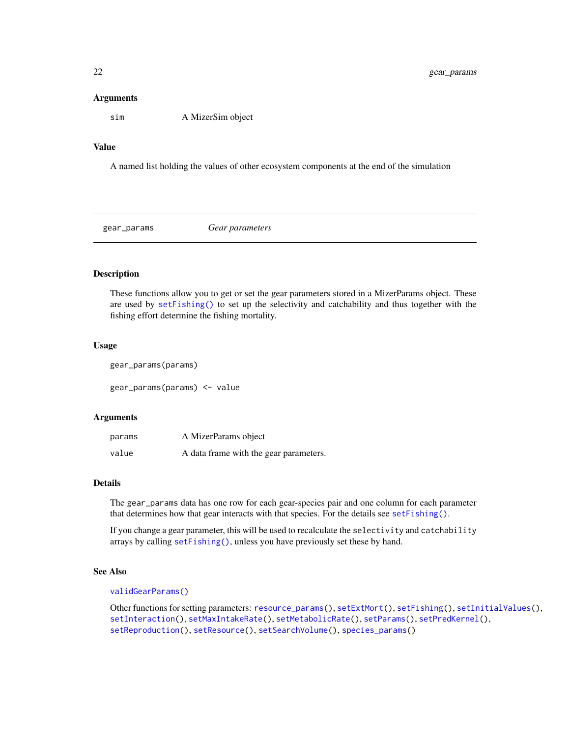#### <span id="page-21-0"></span>Arguments

sim A MizerSim object

# Value

A named list holding the values of other ecosystem components at the end of the simulation

gear\_params *Gear parameters*

# Description

These functions allow you to get or set the gear parameters stored in a MizerParams object. These are used by [setFishing\(\)](#page-161-1) to set up the selectivity and catchability and thus together with the fishing effort determine the fishing mortality.

#### Usage

gear\_params(params)

gear\_params(params) <- value

#### Arguments

| params | A MizerParams object                   |
|--------|----------------------------------------|
| value  | A data frame with the gear parameters. |

# Details

The gear\_params data has one row for each gear-species pair and one column for each parameter that determines how that gear interacts with that species. For the details see setFishing $()$ .

If you change a gear parameter, this will be used to recalculate the selectivity and catchability arrays by calling [setFishing\(\)](#page-161-1), unless you have previously set these by hand.

#### See Also

[validGearParams\(\)](#page-208-1)

Other functions for setting parameters: [resource\\_params\(](#page-150-1)), [setExtMort\(](#page-160-1)), [setFishing\(](#page-161-1)), [setInitialValues\(](#page-164-1)), [setInteraction\(](#page-165-1)), [setMaxIntakeRate\(](#page-167-1)), [setMetabolicRate\(](#page-168-1)), [setParams\(](#page-170-1)), [setPredKernel\(](#page-179-1)), [setReproduction\(](#page-183-1)), [setResource\(](#page-186-1)), [setSearchVolume\(](#page-190-1)), [species\\_params\(](#page-200-1))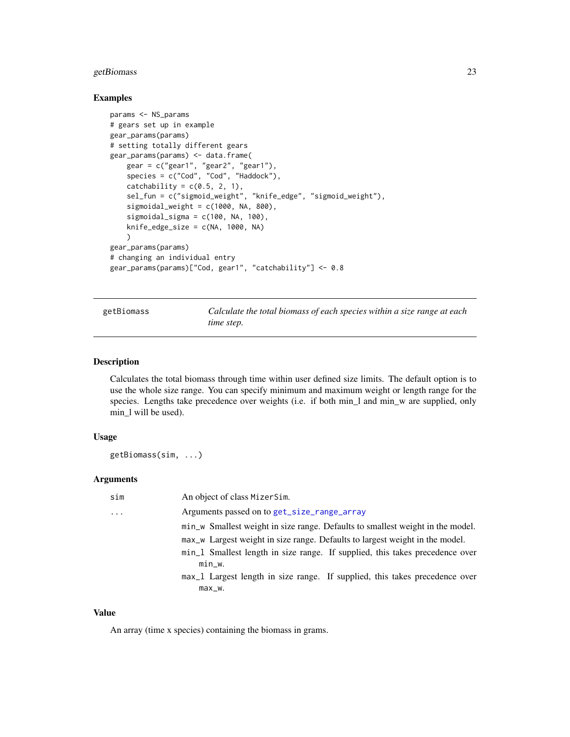# <span id="page-22-0"></span>getBiomass 23

#### Examples

```
params <- NS_params
# gears set up in example
gear_params(params)
# setting totally different gears
gear_params(params) <- data.frame(
    gear = c("gear1", "gear2", "gear1"),
    species = c("Cod", "Cod", "Haddock"),
   catchability = c(0.5, 2, 1),
    sel_fun = c("sigmoid_weight", "knife_edge", "sigmoid_weight"),
    sigmoidal_weight = c(1000, NA, 800),
    sigmoidal_sigma = c(100, NA, 100),
   knife_edge_size = c(NA, 1000, NA)
    )
gear_params(params)
# changing an individual entry
gear_params(params)["Cod, gear1", "catchability"] <- 0.8
```
<span id="page-22-1"></span>getBiomass *Calculate the total biomass of each species within a size range at each time step.*

#### Description

Calculates the total biomass through time within user defined size limits. The default option is to use the whole size range. You can specify minimum and maximum weight or length range for the species. Lengths take precedence over weights (i.e. if both min\_l and min\_w are supplied, only min 1 will be used).

#### Usage

getBiomass(sim, ...)

# Arguments

| sim | An object of class MizerSim.                                                   |
|-----|--------------------------------------------------------------------------------|
| .   | Arguments passed on to get_size_range_array                                    |
|     | min w Smallest weight in size range. Defaults to smallest weight in the model. |
|     | max_w Largest weight in size range. Defaults to largest weight in the model.   |
|     | min_1 Smallest length in size range. If supplied, this takes precedence over   |
|     | $min_w$ .                                                                      |
|     | max_1 Largest length in size range. If supplied, this takes precedence over    |
|     | $max_w$ .                                                                      |

#### Value

An array (time x species) containing the biomass in grams.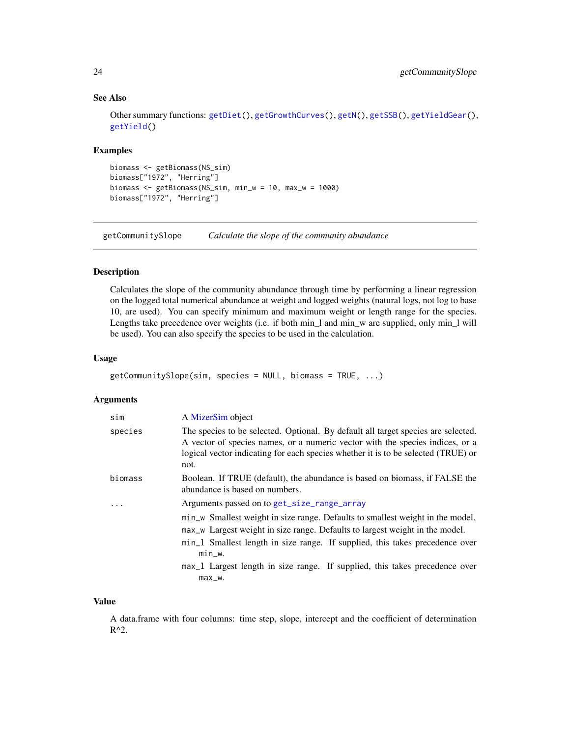# See Also

Other summary functions: [getDiet\(](#page-25-1)), [getGrowthCurves\(](#page-39-1)), [getN\(](#page-46-1)), [getSSB\(](#page-59-1)), [getYieldGear\(](#page-61-1)), [getYield\(](#page-60-1))

# Examples

```
biomass <- getBiomass(NS_sim)
biomass["1972", "Herring"]
biomass <- getBiomass(NS_sim, min_w = 10, max_w = 1000)
biomass["1972", "Herring"]
```
getCommunitySlope *Calculate the slope of the community abundance*

# Description

Calculates the slope of the community abundance through time by performing a linear regression on the logged total numerical abundance at weight and logged weights (natural logs, not log to base 10, are used). You can specify minimum and maximum weight or length range for the species. Lengths take precedence over weights (i.e. if both min\_l and min\_w are supplied, only min\_l will be used). You can also specify the species to be used in the calculation.

# Usage

```
getCommunitySlope(sim, species = NULL, biomass = TRUE, ...)
```
# Arguments

| sim     | A MizerSim object                                                                                                                                                                                                                                                                                                                                                                                    |
|---------|------------------------------------------------------------------------------------------------------------------------------------------------------------------------------------------------------------------------------------------------------------------------------------------------------------------------------------------------------------------------------------------------------|
| species | The species to be selected. Optional. By default all target species are selected.<br>A vector of species names, or a numeric vector with the species indices, or a<br>logical vector indicating for each species whether it is to be selected (TRUE) or<br>not.                                                                                                                                      |
| biomass | Boolean. If TRUE (default), the abundance is based on biomass, if FALSE the<br>abundance is based on numbers.                                                                                                                                                                                                                                                                                        |
| .       | Arguments passed on to get_size_range_array<br>min_w Smallest weight in size range. Defaults to smallest weight in the model.<br>max_w Largest weight in size range. Defaults to largest weight in the model.<br>min_1 Smallest length in size range. If supplied, this takes precedence over<br>$min_w$ .<br>max_1 Largest length in size range. If supplied, this takes precedence over<br>$max_w$ |

#### Value

A data.frame with four columns: time step, slope, intercept and the coefficient of determination R^2.

<span id="page-23-0"></span>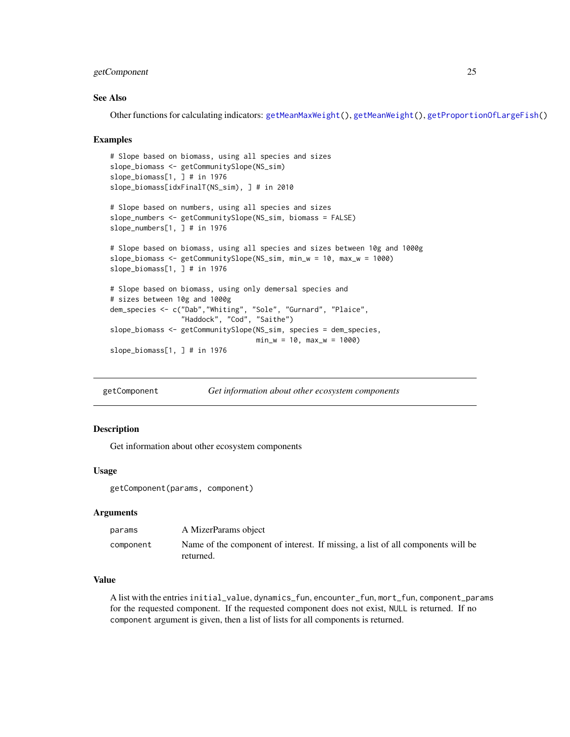# <span id="page-24-0"></span>getComponent 25

#### See Also

Other functions for calculating indicators: [getMeanMaxWeight\(](#page-43-1)), [getMeanWeight\(](#page-44-1)), [getProportionOfLargeFish\(](#page-52-1))

#### Examples

```
# Slope based on biomass, using all species and sizes
slope_biomass <- getCommunitySlope(NS_sim)
slope_biomass[1, ] # in 1976
slope_biomass[idxFinalT(NS_sim), ] # in 2010
# Slope based on numbers, using all species and sizes
slope_numbers <- getCommunitySlope(NS_sim, biomass = FALSE)
slope_numbers[1, ] # in 1976
# Slope based on biomass, using all species and sizes between 10g and 1000g
slope_biomass <- getCommunitySlope(NS_sim, min_w = 10, max_w = 1000)
slope_biomass[1, ] # in 1976
# Slope based on biomass, using only demersal species and
# sizes between 10g and 1000g
dem_species <- c("Dab","Whiting", "Sole", "Gurnard", "Plaice",
                 "Haddock", "Cod", "Saithe")
slope_biomass <- getCommunitySlope(NS_sim, species = dem_species,
                                   min_w = 10, max_w = 1000slope_biomass[1, ] # in 1976
```
getComponent *Get information about other ecosystem components*

#### Description

Get information about other ecosystem components

#### Usage

getComponent(params, component)

#### Arguments

| A MizerParams object                                                                         |
|----------------------------------------------------------------------------------------------|
| Name of the component of interest. If missing, a list of all components will be<br>returned. |
|                                                                                              |

# Value

A list with the entries initial\_value, dynamics\_fun, encounter\_fun, mort\_fun, component\_params for the requested component. If the requested component does not exist, NULL is returned. If no component argument is given, then a list of lists for all components is returned.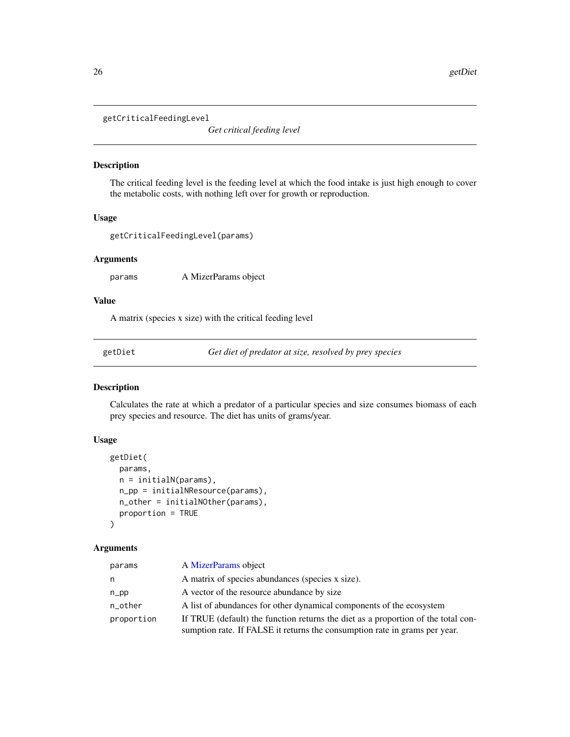# <span id="page-25-0"></span>getCriticalFeedingLevel

*Get critical feeding level*

# Description

The critical feeding level is the feeding level at which the food intake is just high enough to cover the metabolic costs, with nothing left over for growth or reproduction.

### Usage

getCriticalFeedingLevel(params)

#### Arguments

params A MizerParams object

# Value

A matrix (species x size) with the critical feeding level

<span id="page-25-1"></span>getDiet *Get diet of predator at size, resolved by prey species*

# Description

Calculates the rate at which a predator of a particular species and size consumes biomass of each prey species and resource. The diet has units of grams/year.

# Usage

```
getDiet(
 params,
  n = initialN(params),
  n_pp = initialNResource(params),
  n_other = initialNOther(params),
  proportion = TRUE
)
```
# Arguments

| params     | A MizerParams object                                                              |
|------------|-----------------------------------------------------------------------------------|
| n          | A matrix of species abundances (species x size).                                  |
| $n$ pp     | A vector of the resource abundance by size                                        |
| n_other    | A list of abundances for other dynamical components of the ecosystem              |
| proportion | If TRUE (default) the function returns the diet as a proportion of the total con- |
|            | sumption rate. If FALSE it returns the consumption rate in grams per year.        |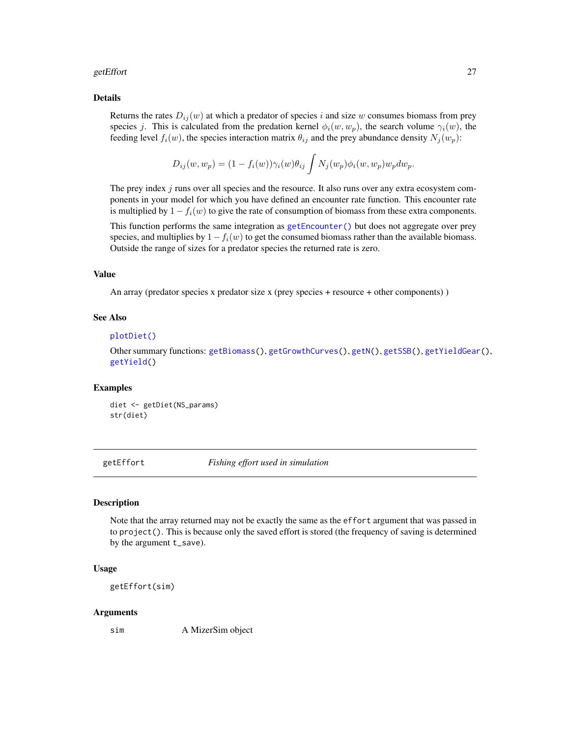#### <span id="page-26-0"></span>getEffort 27

#### Details

Returns the rates  $D_{ij}(w)$  at which a predator of species i and size w consumes biomass from prey species j. This is calculated from the predation kernel  $\phi_i(w, w_p)$ , the search volume  $\gamma_i(w)$ , the feeding level  $f_i(w)$ , the species interaction matrix  $\theta_{ij}$  and the prey abundance density  $N_i(w_p)$ :

$$
D_{ij}(w, w_p) = (1 - f_i(w))\gamma_i(w)\theta_{ij} \int N_j(w_p)\phi_i(w, w_p)w_p dw_p.
$$

The prey index  $j$  runs over all species and the resource. It also runs over any extra ecosystem components in your model for which you have defined an encounter rate function. This encounter rate is multiplied by  $1-f_i(w)$  to give the rate of consumption of biomass from these extra components.

This function performs the same integration as [getEncounter\(\)](#page-28-1) but does not aggregate over prey species, and multiplies by  $1-f_i(w)$  to get the consumed biomass rather than the available biomass. Outside the range of sizes for a predator species the returned rate is zero.

#### Value

An array (predator species x predator size x (prey species + resource + other components) )

# See Also

#### [plotDiet\(\)](#page-125-1)

Other summary functions: [getBiomass\(](#page-22-1)), [getGrowthCurves\(](#page-39-1)), [getN\(](#page-46-1)), [getSSB\(](#page-59-1)), [getYieldGear\(](#page-61-1)), [getYield\(](#page-60-1))

#### Examples

diet <- getDiet(NS\_params) str(diet)

getEffort *Fishing effort used in simulation*

#### **Description**

Note that the array returned may not be exactly the same as the effort argument that was passed in to project(). This is because only the saved effort is stored (the frequency of saving is determined by the argument t\_save).

#### Usage

getEffort(sim)

#### Arguments

sim A MizerSim object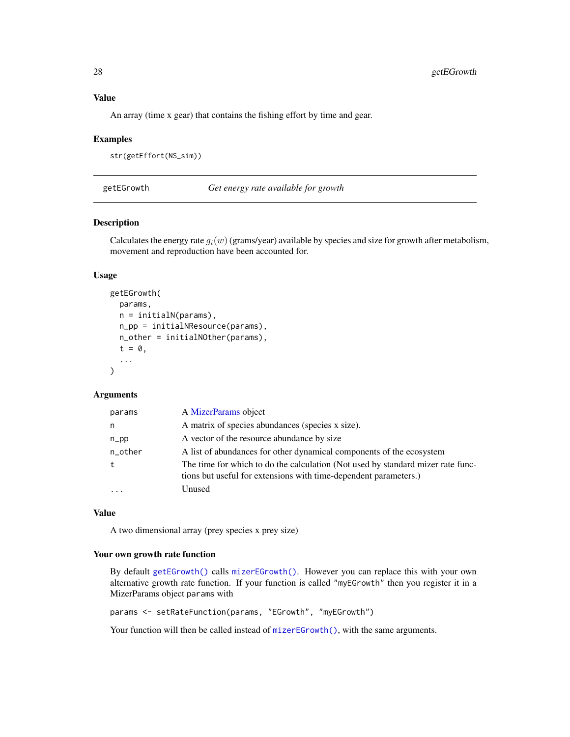#### <span id="page-27-0"></span>Value

An array (time x gear) that contains the fishing effort by time and gear.

# Examples

str(getEffort(NS\_sim))

<span id="page-27-1"></span>getEGrowth *Get energy rate available for growth*

#### Description

Calculates the energy rate  $g_i(w)$  (grams/year) available by species and size for growth after metabolism, movement and reproduction have been accounted for.

# Usage

```
getEGrowth(
  params,
 n = initialN(params),
  n_pp = initialNResource(params),
  n_other = initialNOther(params),
  t = 0,
  ...
\lambda
```
# Arguments

| params  | A MizerParams object                                                                                                                                |
|---------|-----------------------------------------------------------------------------------------------------------------------------------------------------|
| n       | A matrix of species abundances (species x size).                                                                                                    |
| $n$ _pp | A vector of the resource abundance by size                                                                                                          |
| n_other | A list of abundances for other dynamical components of the ecosystem                                                                                |
| t       | The time for which to do the calculation (Not used by standard mizer rate func-<br>tions but useful for extensions with time-dependent parameters.) |
|         | Unused                                                                                                                                              |

#### Value

A two dimensional array (prey species x prey size)

# Your own growth rate function

By default [getEGrowth\(\)](#page-27-1) calls [mizerEGrowth\(\)](#page-76-1). However you can replace this with your own alternative growth rate function. If your function is called "myEGrowth" then you register it in a MizerParams object params with

params <- setRateFunction(params, "EGrowth", "myEGrowth")

Your function will then be called instead of [mizerEGrowth\(\)](#page-76-1), with the same arguments.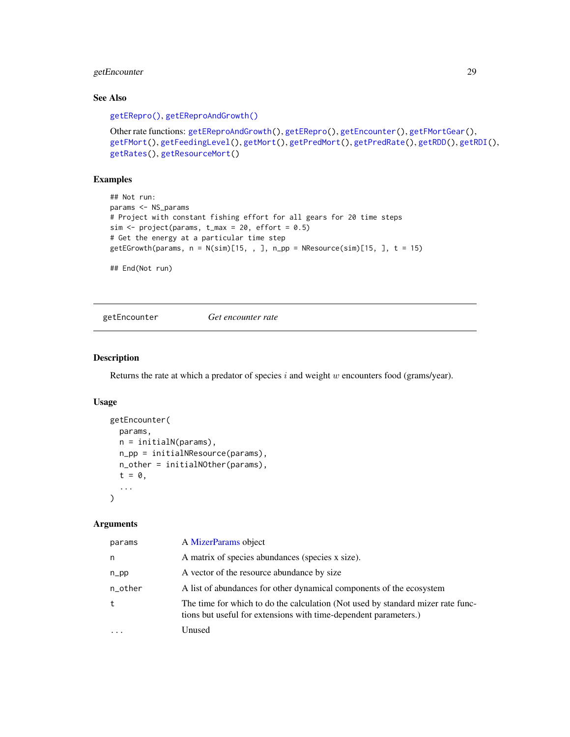# <span id="page-28-0"></span>getEncounter 29

# See Also

[getERepro\(\)](#page-30-1), [getEReproAndGrowth\(\)](#page-31-1)

```
Other rate functions: getEReproAndGrowth(), getERepro(), getEncounter(), getFMortGear(),
getFMort(), getFeedingLevel(), getMort(), getPredMort(), getPredRate(), getRDD(), getRDI(),
getRates(), getResourceMort()
```
# Examples

```
## Not run:
params <- NS_params
# Project with constant fishing effort for all gears for 20 time steps
sim \le project(params, t_max = 20, effort = 0.5)
# Get the energy at a particular time step
getEGrowth(params, n = N(sim)[15, , ], n(pp = NResource(sim)[15, ], t = 15)## End(Not run)
```
<span id="page-28-1"></span>getEncounter *Get encounter rate*

# Description

Returns the rate at which a predator of species  $i$  and weight  $w$  encounters food (grams/year).

# Usage

```
getEncounter(
 params,
 n = initialN(params),
 n_pp = initialNResource(params),
 n_other = initialNOther(params),
  t = 0,
  ...
)
```
## Arguments

| params  | A MizerParams object                                                                                                                                |
|---------|-----------------------------------------------------------------------------------------------------------------------------------------------------|
| n       | A matrix of species abundances (species x size).                                                                                                    |
| $n$ _pp | A vector of the resource abundance by size                                                                                                          |
| n_other | A list of abundances for other dynamical components of the ecosystem                                                                                |
| t       | The time for which to do the calculation (Not used by standard mizer rate func-<br>tions but useful for extensions with time-dependent parameters.) |
|         | Unused                                                                                                                                              |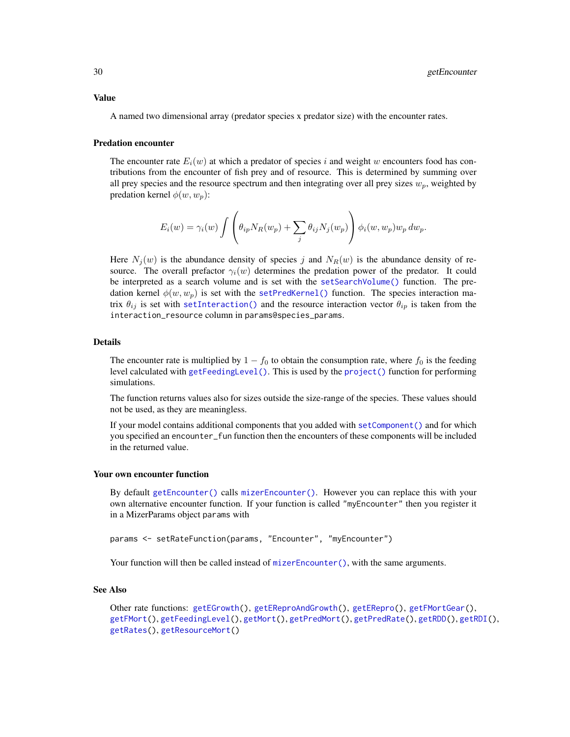#### Value

A named two dimensional array (predator species x predator size) with the encounter rates.

# Predation encounter

The encounter rate  $E_i(w)$  at which a predator of species i and weight w encounters food has contributions from the encounter of fish prey and of resource. This is determined by summing over all prey species and the resource spectrum and then integrating over all prey sizes  $w_p$ , weighted by predation kernel  $\phi(w, w_p)$ :

$$
E_i(w) = \gamma_i(w) \int \left( \theta_{ip} N_R(w_p) + \sum_j \theta_{ij} N_j(w_p) \right) \phi_i(w, w_p) w_p dw_p.
$$

Here  $N_i(w)$  is the abundance density of species j and  $N_R(w)$  is the abundance density of resource. The overall prefactor  $\gamma_i(w)$  determines the predation power of the predator. It could be interpreted as a search volume and is set with the [setSearchVolume\(\)](#page-190-1) function. The predation kernel  $\phi(w, w_p)$  is set with the [setPredKernel\(\)](#page-179-1) function. The species interaction matrix  $\theta_{ij}$  is set with [setInteraction\(\)](#page-165-1) and the resource interaction vector  $\theta_{ip}$  is taken from the interaction\_resource column in params@species\_params.

# Details

The encounter rate is multiplied by  $1 - f_0$  to obtain the consumption rate, where  $f_0$  is the feeding level calculated with [getFeedingLevel\(\)](#page-34-1). This is used by the [project\(\)](#page-143-1) function for performing simulations.

The function returns values also for sizes outside the size-range of the species. These values should not be used, as they are meaningless.

If your model contains additional components that you added with [setComponent\(\)](#page-159-1) and for which you specified an encounter\_fun function then the encounters of these components will be included in the returned value.

#### Your own encounter function

By default [getEncounter\(\)](#page-28-1) calls [mizerEncounter\(\)](#page-77-1). However you can replace this with your own alternative encounter function. If your function is called "myEncounter" then you register it in a MizerParams object params with

params <- setRateFunction(params, "Encounter", "myEncounter")

Your function will then be called instead of [mizerEncounter\(\)](#page-77-1), with the same arguments.

#### See Also

```
Other rate functions: getEGrowth(), getEReproAndGrowth(), getERepro(), getFMortGear(),
getFMort(), getFeedingLevel(), getMort(), getPredMort(), getPredRate(), getRDD(), getRDI(),
getRates(), getResourceMort()
```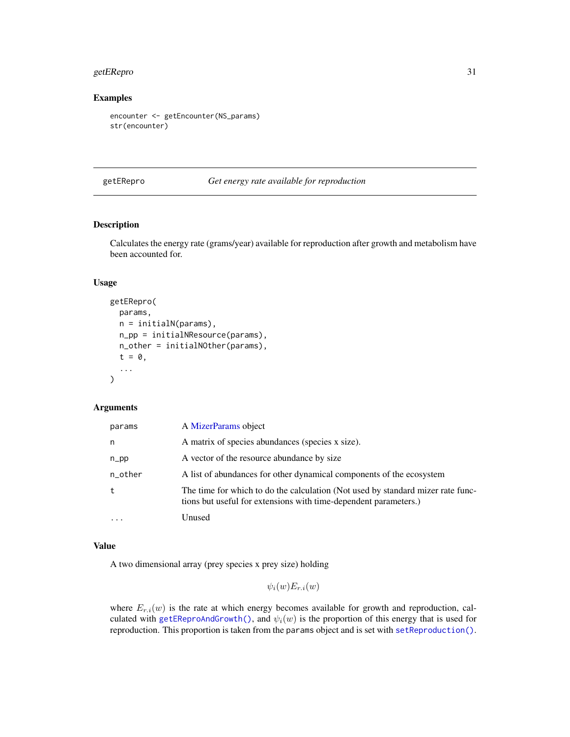# <span id="page-30-0"></span>getERepro 31

# Examples

```
encounter <- getEncounter(NS_params)
str(encounter)
```
#### <span id="page-30-1"></span>getERepro *Get energy rate available for reproduction*

# Description

Calculates the energy rate (grams/year) available for reproduction after growth and metabolism have been accounted for.

#### Usage

```
getERepro(
 params,
 n = initialN(params),
 n_pp = initialNResource(params),
  n_other = initialNOther(params),
  t = 0,
  ...
)
```
#### Arguments

| params    | A MizerParams object                                                                                                                                |
|-----------|-----------------------------------------------------------------------------------------------------------------------------------------------------|
| n         | A matrix of species abundances (species x size).                                                                                                    |
| $n$ _pp   | A vector of the resource abundance by size                                                                                                          |
| n_other   | A list of abundances for other dynamical components of the ecosystem                                                                                |
| t         | The time for which to do the calculation (Not used by standard mizer rate func-<br>tions but useful for extensions with time-dependent parameters.) |
| $\ddotsc$ | Unused                                                                                                                                              |

#### Value

A two dimensional array (prey species x prey size) holding

 $\psi_i(w)E_{r,i}(w)$ 

where  $E_{r,i}(w)$  is the rate at which energy becomes available for growth and reproduction, calculated with [getEReproAndGrowth\(\)](#page-31-1), and  $\psi_i(w)$  is the proportion of this energy that is used for reproduction. This proportion is taken from the params object and is set with [setReproduction\(\)](#page-183-1).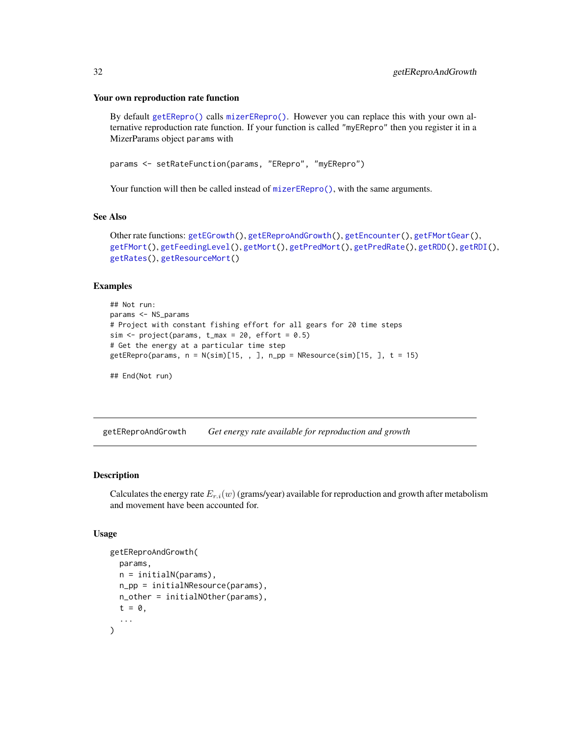#### <span id="page-31-0"></span>Your own reproduction rate function

By default [getERepro\(\)](#page-30-1) calls [mizerERepro\(\)](#page-79-1). However you can replace this with your own alternative reproduction rate function. If your function is called "myERepro" then you register it in a MizerParams object params with

params <- setRateFunction(params, "ERepro", "myERepro")

Your function will then be called instead of [mizerERepro\(\)](#page-79-1), with the same arguments.

#### See Also

```
Other rate functions: getEGrowth(), getEReproAndGrowth(), getEncounter(), getFMortGear(),
getFMort(), getFeedingLevel(), getMort(), getPredMort(), getPredRate(), getRDD(), getRDI(),
getRates(), getResourceMort()
```
#### Examples

```
## Not run:
params <- NS_params
# Project with constant fishing effort for all gears for 20 time steps
sim < project(params, t_{max} = 20, effort = 0.5)
# Get the energy at a particular time step
getERepro(params, n = N(sim)[15, , ], n(pp = NResource(sim)[15, ], t = 15)## End(Not run)
```
<span id="page-31-1"></span>getEReproAndGrowth *Get energy rate available for reproduction and growth*

# Description

Calculates the energy rate  $E_{r,i}(w)$  (grams/year) available for reproduction and growth after metabolism and movement have been accounted for.

```
getEReproAndGrowth(
 params,
  n = initialN(params),
  n_pp = initialNResource(params),
  n_other = initialNOther(params),
  t = 0,
  ...
)
```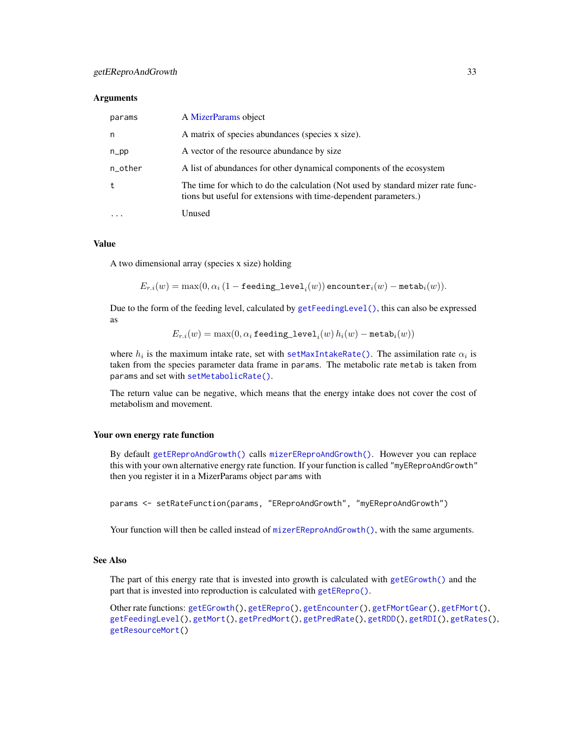#### **Arguments**

| params                  | A MizerParams object                                                                                                                                |
|-------------------------|-----------------------------------------------------------------------------------------------------------------------------------------------------|
| n                       | A matrix of species abundances (species x size).                                                                                                    |
| $n$ _pp                 | A vector of the resource abundance by size                                                                                                          |
| n_other                 | A list of abundances for other dynamical components of the ecosystem                                                                                |
| t                       | The time for which to do the calculation (Not used by standard mizer rate func-<br>tions but useful for extensions with time-dependent parameters.) |
| $\cdot$ $\cdot$ $\cdot$ | Unused                                                                                                                                              |

# Value

A two dimensional array (species x size) holding

 $E_{r.i}(w) = \max(0, \alpha_i \, (1 - \texttt{feeding\_level}_i(w))$  encounte $\mathbf{r}_i(w) - \texttt{metab}_i(w)).$ 

Due to the form of the feeding level, calculated by [getFeedingLevel\(\)](#page-34-1), this can also be expressed as

$$
E_{r.i}(w) = \max(0, \alpha_i \text{ feeding\_level}_i(w) h_i(w) - \text{meta}_i(w))
$$

where  $h_i$  is the maximum intake rate, set with [setMaxIntakeRate\(\)](#page-167-1). The assimilation rate  $\alpha_i$  is taken from the species parameter data frame in params. The metabolic rate metab is taken from params and set with [setMetabolicRate\(\)](#page-168-1).

The return value can be negative, which means that the energy intake does not cover the cost of metabolism and movement.

#### Your own energy rate function

By default [getEReproAndGrowth\(\)](#page-31-1) calls [mizerEReproAndGrowth\(\)](#page-80-1). However you can replace this with your own alternative energy rate function. If your function is called "myEReproAndGrowth" then you register it in a MizerParams object params with

```
params <- setRateFunction(params, "EReproAndGrowth", "myEReproAndGrowth")
```
Your function will then be called instead of [mizerEReproAndGrowth\(\)](#page-80-1), with the same arguments.

#### See Also

The part of this energy rate that is invested into growth is calculated with [getEGrowth\(\)](#page-27-1) and the part that is invested into reproduction is calculated with [getERepro\(\)](#page-30-1).

Other rate functions: [getEGrowth\(](#page-27-1)), [getERepro\(](#page-30-1)), [getEncounter\(](#page-28-1)), [getFMortGear\(](#page-37-1)), [getFMort\(](#page-36-1)), [getFeedingLevel\(](#page-34-1)), [getMort\(](#page-45-1)), [getPredMort\(](#page-49-1)), [getPredRate\(](#page-50-1)), [getRDD\(](#page-54-1)), [getRDI\(](#page-56-1)), [getRates\(](#page-53-1)), [getResourceMort\(](#page-58-1))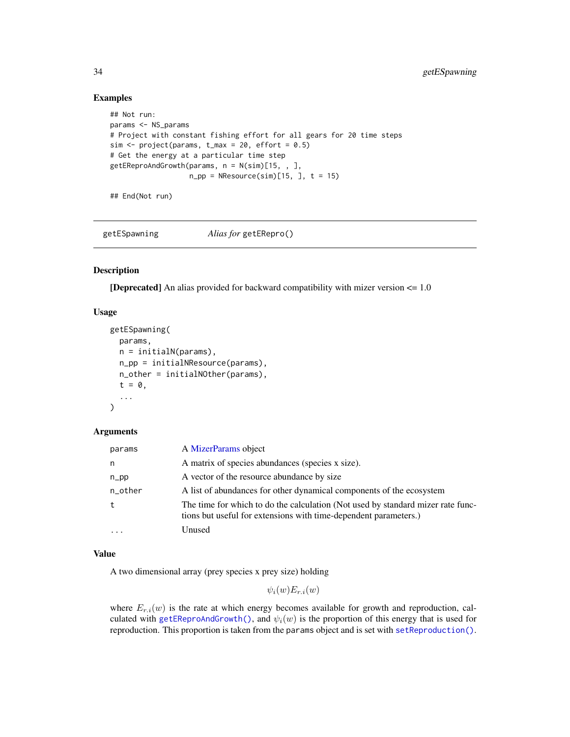# Examples

```
## Not run:
params <- NS_params
# Project with constant fishing effort for all gears for 20 time steps
sim \le- project(params, t_max = 20, effort = 0.5)
# Get the energy at a particular time step
getEReproAndGrowth(params, n = N(sim)[15, , ],
                   n\_pp = NResource(sim)[15, ], t = 15)
```
## End(Not run)

getESpawning *Alias for* getERepro()

# Description

[Deprecated] An alias provided for backward compatibility with mizer version <= 1.0

# Usage

```
getESpawning(
 params,
 n = initialN(params),
  n_pp = initialNResource(params),
 n_other = initialNOther(params),
  t = 0,
  ...
\lambda
```
## Arguments

| params  | A MizerParams object                                                                                                                                |
|---------|-----------------------------------------------------------------------------------------------------------------------------------------------------|
| n       | A matrix of species abundances (species x size).                                                                                                    |
| $n$ _pp | A vector of the resource abundance by size                                                                                                          |
| n_other | A list of abundances for other dynamical components of the ecosystem                                                                                |
| t       | The time for which to do the calculation (Not used by standard mizer rate func-<br>tions but useful for extensions with time-dependent parameters.) |
|         | Unused                                                                                                                                              |

# Value

A two dimensional array (prey species x prey size) holding

 $\psi_i(w)E_{r,i}(w)$ 

where  $E_{r,i}(w)$  is the rate at which energy becomes available for growth and reproduction, calculated with [getEReproAndGrowth\(\)](#page-31-1), and  $\psi_i(w)$  is the proportion of this energy that is used for reproduction. This proportion is taken from the params object and is set with [setReproduction\(\)](#page-183-1).

<span id="page-33-0"></span>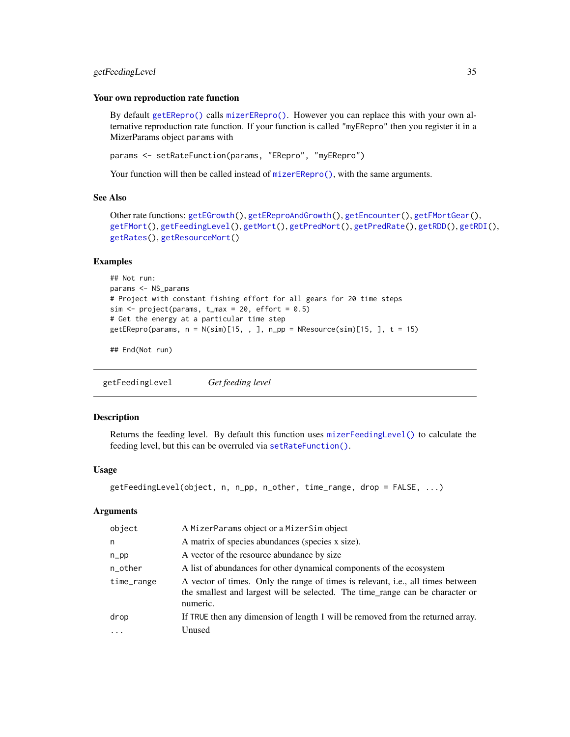# <span id="page-34-0"></span>getFeedingLevel 35

#### Your own reproduction rate function

By default [getERepro\(\)](#page-30-1) calls [mizerERepro\(\)](#page-79-1). However you can replace this with your own alternative reproduction rate function. If your function is called "myERepro" then you register it in a MizerParams object params with

```
params <- setRateFunction(params, "ERepro", "myERepro")
```
Your function will then be called instead of [mizerERepro\(\)](#page-79-1), with the same arguments.

# See Also

```
Other rate functions: getEGrowth(), getEReproAndGrowth(), getEncounter(), getFMortGear(),
getFMort(), getFeedingLevel(), getMort(), getPredMort(), getPredRate(), getRDD(), getRDI(),
getRates(), getResourceMort()
```
# Examples

```
## Not run:
params <- NS_params
# Project with constant fishing effort for all gears for 20 time steps
sim < project(params, t_{max} = 20, effort = 0.5)
# Get the energy at a particular time step
getERepro(params, n = N(sim)[15, , ], n(pp = NResource(sim)[15, ], t = 15)
```
## End(Not run)

<span id="page-34-1"></span>getFeedingLevel *Get feeding level*

#### **Description**

Returns the feeding level. By default this function uses [mizerFeedingLevel\(\)](#page-81-1) to calculate the feeding level, but this can be overruled via [setRateFunction\(\)](#page-181-1).

#### Usage

```
getFeedingLevel(object, n, n_pp, n_other, time_range, drop = FALSE, ...)
```
# Arguments

| object     | A MizerParams object or a MizerSim object                                                                                                                                    |
|------------|------------------------------------------------------------------------------------------------------------------------------------------------------------------------------|
| n          | A matrix of species abundances (species x size).                                                                                                                             |
| $n$ _pp    | A vector of the resource abundance by size                                                                                                                                   |
| n_other    | A list of abundances for other dynamical components of the ecosystem                                                                                                         |
| time_range | A vector of times. Only the range of times is relevant, i.e., all times between<br>the smallest and largest will be selected. The time_range can be character or<br>numeric. |
| drop       | If TRUE then any dimension of length 1 will be removed from the returned array.                                                                                              |
| $\cdots$   | Unused                                                                                                                                                                       |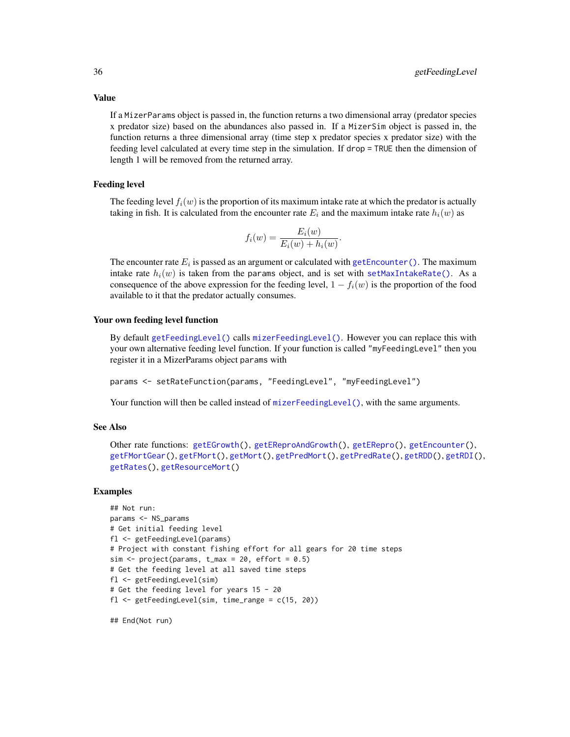If a MizerParams object is passed in, the function returns a two dimensional array (predator species x predator size) based on the abundances also passed in. If a MizerSim object is passed in, the function returns a three dimensional array (time step x predator species x predator size) with the feeding level calculated at every time step in the simulation. If drop = TRUE then the dimension of length 1 will be removed from the returned array.

### Feeding level

The feeding level  $f_i(w)$  is the proportion of its maximum intake rate at which the predator is actually taking in fish. It is calculated from the encounter rate  $E_i$  and the maximum intake rate  $h_i(w)$  as

$$
f_i(w) = \frac{E_i(w)}{E_i(w) + h_i(w)}
$$

.

The encounter rate  $E_i$  is passed as an argument or calculated with getEncounter ( ). The maximum intake rate  $h_i(w)$  is taken from the params object, and is set with [setMaxIntakeRate\(\)](#page-167-1). As a consequence of the above expression for the feeding level,  $1 - f_i(w)$  is the proportion of the food available to it that the predator actually consumes.

#### Your own feeding level function

By default [getFeedingLevel\(\)](#page-34-1) calls [mizerFeedingLevel\(\)](#page-81-1). However you can replace this with your own alternative feeding level function. If your function is called "myFeedingLevel" then you register it in a MizerParams object params with

```
params <- setRateFunction(params, "FeedingLevel", "myFeedingLevel")
```
Your function will then be called instead of [mizerFeedingLevel\(\)](#page-81-1), with the same arguments.

# See Also

```
Other rate functions: getEGrowth(), getEReproAndGrowth(), getERepro(), getEncounter(),
getFMortGear(), getFMort(), getMort(), getPredMort(), getPredRate(), getRDD(), getRDI(),
getRates(), getResourceMort()
```
# Examples

```
## Not run:
params <- NS_params
# Get initial feeding level
fl <- getFeedingLevel(params)
# Project with constant fishing effort for all gears for 20 time steps
sim < project(params, t_max = 20, effort = 0.5)
# Get the feeding level at all saved time steps
fl <- getFeedingLevel(sim)
# Get the feeding level for years 15 - 20
fl <- getFeedingLevel(sim, time_range = c(15, 20))
```
## End(Not run)

# Value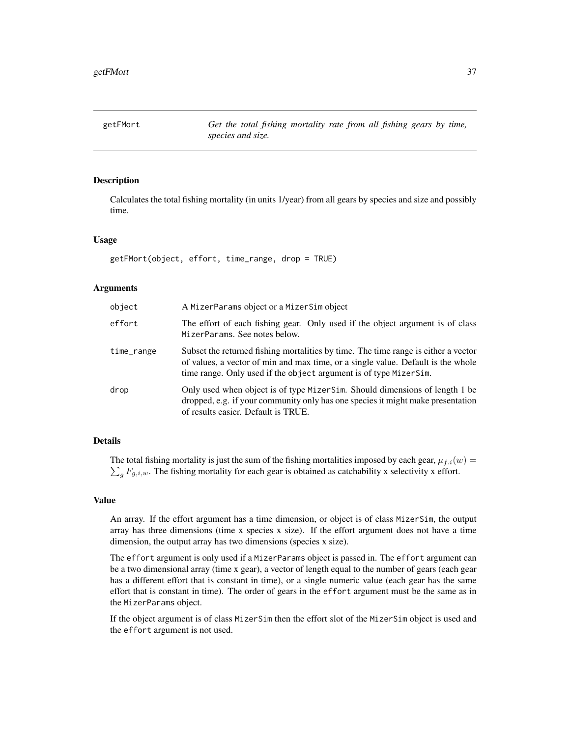<span id="page-36-0"></span>getFMort *Get the total fishing mortality rate from all fishing gears by time, species and size.*

# **Description**

Calculates the total fishing mortality (in units 1/year) from all gears by species and size and possibly time.

#### Usage

getFMort(object, effort, time\_range, drop = TRUE)

## Arguments

| object     | A MizerParams object or a MizerSim object                                                                                                                                                                                                   |
|------------|---------------------------------------------------------------------------------------------------------------------------------------------------------------------------------------------------------------------------------------------|
| effort     | The effort of each fishing gear. Only used if the object argument is of class<br>MizerParams. See notes below.                                                                                                                              |
| time_range | Subset the returned fishing mortalities by time. The time range is either a vector<br>of values, a vector of min and max time, or a single value. Default is the whole<br>time range. Only used if the object argument is of type MizerSim. |
| drop       | Only used when object is of type MizerSim. Should dimensions of length 1 be<br>dropped, e.g. if your community only has one species it might make presentation<br>of results easier. Default is TRUE.                                       |

# Details

The total fishing mortality is just the sum of the fishing mortalities imposed by each gear,  $\mu_{f,i}(w) =$  $\sum_{g} F_{g,i,w}$ . The fishing mortality for each gear is obtained as catchability x selectivity x effort.

#### Value

An array. If the effort argument has a time dimension, or object is of class MizerSim, the output array has three dimensions (time x species x size). If the effort argument does not have a time dimension, the output array has two dimensions (species x size).

The effort argument is only used if a MizerParams object is passed in. The effort argument can be a two dimensional array (time x gear), a vector of length equal to the number of gears (each gear has a different effort that is constant in time), or a single numeric value (each gear has the same effort that is constant in time). The order of gears in the effort argument must be the same as in the MizerParams object.

If the object argument is of class MizerSim then the effort slot of the MizerSim object is used and the effort argument is not used.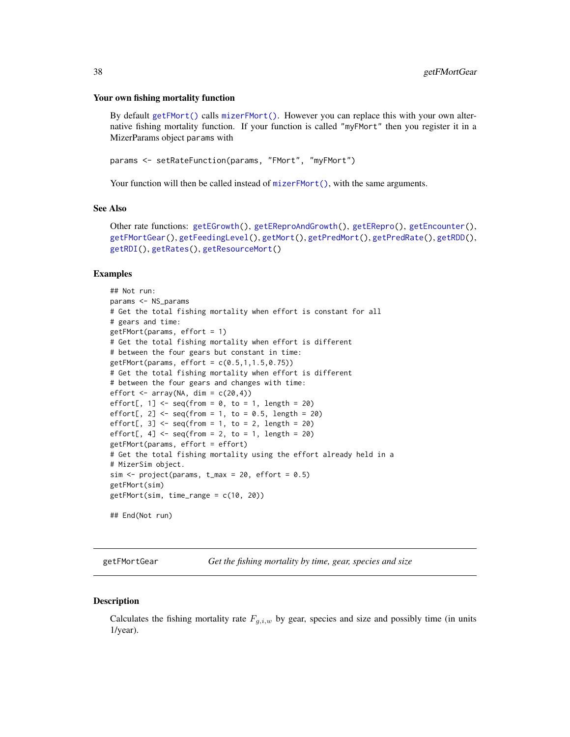#### Your own fishing mortality function

By default [getFMort\(\)](#page-36-0) calls [mizerFMort\(\)](#page-83-0). However you can replace this with your own alternative fishing mortality function. If your function is called "myFMort" then you register it in a MizerParams object params with

```
params <- setRateFunction(params, "FMort", "myFMort")
```
Your function will then be called instead of [mizerFMort\(\)](#page-83-0), with the same arguments.

#### See Also

```
Other rate functions: getEGrowth(), getEReproAndGrowth(), getERepro(), getEncounter(),
getFMortGear(), getFeedingLevel(), getMort(), getPredMort(), getPredRate(), getRDD(),
getRDI(), getRates(), getResourceMort()
```
#### Examples

```
## Not run:
params <- NS_params
# Get the total fishing mortality when effort is constant for all
# gears and time:
getFMort(params, effort = 1)
# Get the total fishing mortality when effort is different
# between the four gears but constant in time:
getFMort(params, effort = c(0.5, 1, 1.5, 0.75))# Get the total fishing mortality when effort is different
# between the four gears and changes with time:
effort \leq array(NA, dim = c(20, 4))
effort[, 1] <- seq(from = 0, to = 1, length = 20)
effort[, 2] <- seq(from = 1, to = 0.5, length = 20)
effort[, 3] <- seq(from = 1, to = 2, length = 20)
effort[, 4] <- seq(from = 2, to = 1, length = 20)
getFMort(params, effort = effort)
# Get the total fishing mortality using the effort already held in a
# MizerSim object.
sim < project(params, t_{max} = 20, effort = 0.5)
getFMort(sim)
getFMort(sim, time_range = c(10, 20))
## End(Not run)
```
<span id="page-37-0"></span>getFMortGear *Get the fishing mortality by time, gear, species and size*

#### **Description**

Calculates the fishing mortality rate  $F_{q,i,w}$  by gear, species and size and possibly time (in units 1/year).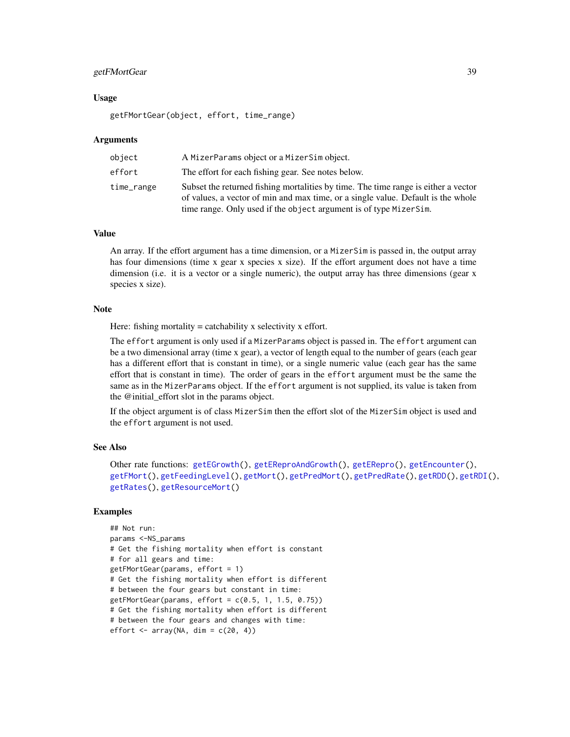# getFMortGear 39

## Usage

getFMortGear(object, effort, time\_range)

## Arguments

| object     | A MizerParams object or a MizerSim object.                                                                                                                                                                                                  |
|------------|---------------------------------------------------------------------------------------------------------------------------------------------------------------------------------------------------------------------------------------------|
| effort     | The effort for each fishing gear. See notes below.                                                                                                                                                                                          |
| time_range | Subset the returned fishing mortalities by time. The time range is either a vector<br>of values, a vector of min and max time, or a single value. Default is the whole<br>time range. Only used if the object argument is of type MizerSim. |

## Value

An array. If the effort argument has a time dimension, or a MizerSim is passed in, the output array has four dimensions (time x gear x species x size). If the effort argument does not have a time dimension (i.e. it is a vector or a single numeric), the output array has three dimensions (gear x species x size).

#### Note

Here: fishing mortality = catchability x selectivity x effort.

The effort argument is only used if a MizerParams object is passed in. The effort argument can be a two dimensional array (time x gear), a vector of length equal to the number of gears (each gear has a different effort that is constant in time), or a single numeric value (each gear has the same effort that is constant in time). The order of gears in the effort argument must be the same the same as in the MizerParams object. If the effort argument is not supplied, its value is taken from the @initial\_effort slot in the params object.

If the object argument is of class MizerSim then the effort slot of the MizerSim object is used and the effort argument is not used.

## See Also

```
Other rate functions: getEGrowth(), getEReproAndGrowth(), getERepro(), getEncounter(),
getFMort(), getFeedingLevel(), getMort(), getPredMort(), getPredRate(), getRDD(), getRDI(),
getRates(), getResourceMort()
```
## Examples

```
## Not run:
params <-NS_params
# Get the fishing mortality when effort is constant
# for all gears and time:
getFMortGear(params, effort = 1)
# Get the fishing mortality when effort is different
# between the four gears but constant in time:
getFMortGear(params, effort = c(0.5, 1, 1.5, 0.75))# Get the fishing mortality when effort is different
# between the four gears and changes with time:
effort \leq array(NA, dim = c(20, 4))
```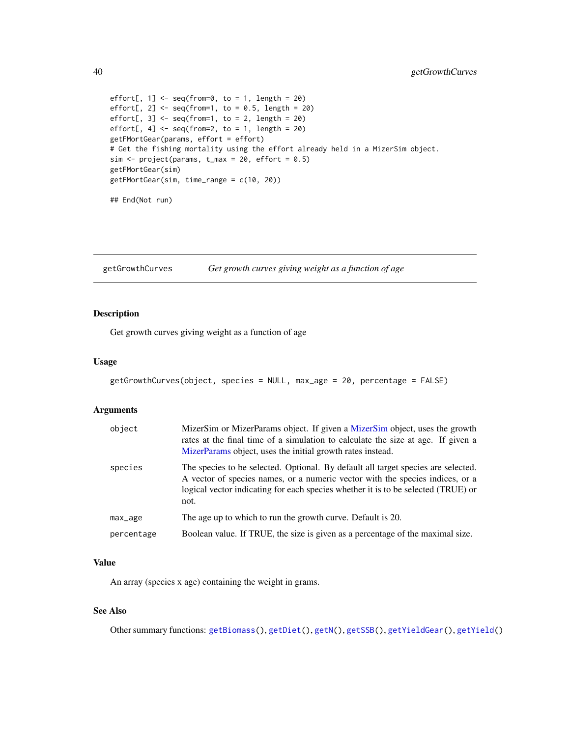```
effort[, 1] <- seq(from=0, to = 1, length = 20)
effort[, 2] <- seq(from=1, to = 0.5, length = 20)
effort[, 3] <- seq(from=1, to = 2, length = 20)
effort[, 4] <- seq(from=2, to = 1, length = 20)
getFMortGear(params, effort = effort)
# Get the fishing mortality using the effort already held in a MizerSim object.
sim \le project(params, t_max = 20, effort = 0.5)
getFMortGear(sim)
getFMortGear(sim, time_range = c(10, 20))
## End(Not run)
```
<span id="page-39-0"></span>getGrowthCurves *Get growth curves giving weight as a function of age*

#### Description

Get growth curves giving weight as a function of age

## Usage

```
getGrowthCurves(object, species = NULL, max_age = 20, percentage = FALSE)
```
## Arguments

| object     | MizerSim or MizerParams object. If given a MizerSim object, uses the growth<br>rates at the final time of a simulation to calculate the size at age. If given a<br>MizerParams object, uses the initial growth rates instead.                                   |
|------------|-----------------------------------------------------------------------------------------------------------------------------------------------------------------------------------------------------------------------------------------------------------------|
| species    | The species to be selected. Optional. By default all target species are selected.<br>A vector of species names, or a numeric vector with the species indices, or a<br>logical vector indicating for each species whether it is to be selected (TRUE) or<br>not. |
| max_age    | The age up to which to run the growth curve. Default is 20.                                                                                                                                                                                                     |
| percentage | Boolean value. If TRUE, the size is given as a percentage of the maximal size.                                                                                                                                                                                  |

# Value

An array (species x age) containing the weight in grams.

## See Also

Other summary functions: [getBiomass\(](#page-22-0)), [getDiet\(](#page-25-0)), [getN\(](#page-46-0)), [getSSB\(](#page-59-0)), [getYieldGear\(](#page-61-0)), [getYield\(](#page-60-0))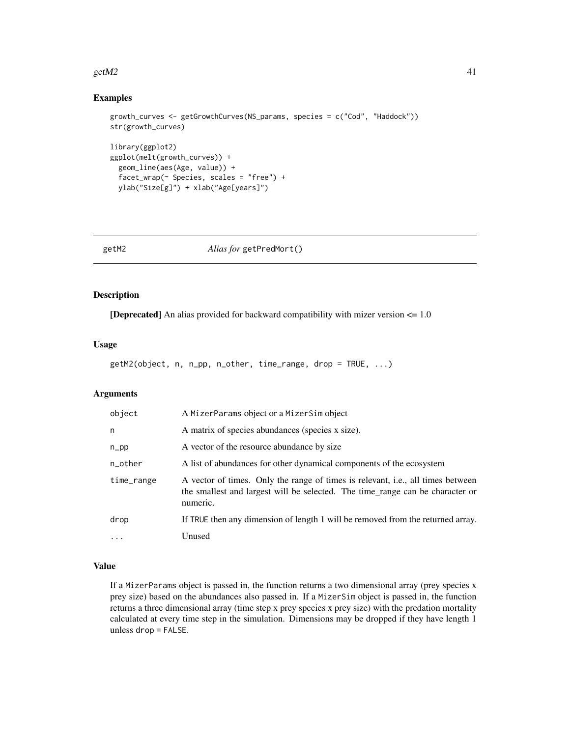## getM2  $41$

## Examples

```
growth_curves <- getGrowthCurves(NS_params, species = c("Cod", "Haddock"))
str(growth_curves)
library(ggplot2)
ggplot(melt(growth_curves)) +
  geom_line(aes(Age, value)) +
  facet_wrap(~ Species, scales = "free") +
  ylab("Size[g]") + xlab("Age[years]")
```

| getM2 |
|-------|
|-------|

#### Alias for getPredMort()

# Description

[Deprecated] An alias provided for backward compatibility with mizer version <= 1.0

## Usage

```
getM2(object, n, n_pp, n_other, time_range, drop = TRUE, ...)
```
# Arguments

| object     | A MizerParams object or a MizerSim object                                                                                                                                    |
|------------|------------------------------------------------------------------------------------------------------------------------------------------------------------------------------|
| n          | A matrix of species abundances (species x size).                                                                                                                             |
| $n$ _pp    | A vector of the resource abundance by size                                                                                                                                   |
| n_other    | A list of abundances for other dynamical components of the ecosystem                                                                                                         |
| time_range | A vector of times. Only the range of times is relevant, i.e., all times between<br>the smallest and largest will be selected. The time_range can be character or<br>numeric. |
| drop       | If TRUE then any dimension of length 1 will be removed from the returned array.                                                                                              |
| $\ddotsc$  | Unused                                                                                                                                                                       |

#### Value

If a MizerParams object is passed in, the function returns a two dimensional array (prey species x prey size) based on the abundances also passed in. If a MizerSim object is passed in, the function returns a three dimensional array (time step x prey species x prey size) with the predation mortality calculated at every time step in the simulation. Dimensions may be dropped if they have length 1 unless drop = FALSE.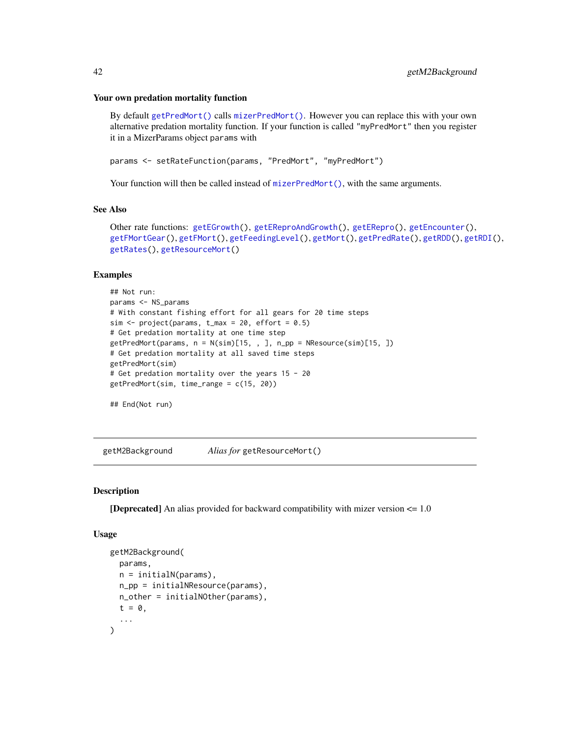#### Your own predation mortality function

By default [getPredMort\(\)](#page-49-0) calls [mizerPredMort\(\)](#page-89-0). However you can replace this with your own alternative predation mortality function. If your function is called "myPredMort" then you register it in a MizerParams object params with

params <- setRateFunction(params, "PredMort", "myPredMort")

Your function will then be called instead of [mizerPredMort\(\)](#page-89-0), with the same arguments.

# See Also

```
Other rate functions: getEGrowth(), getEReproAndGrowth(), getERepro(), getEncounter(),
getFMortGear(), getFMort(), getFeedingLevel(), getMort(), getPredRate(), getRDD(), getRDI(),
getRates(), getResourceMort()
```
## Examples

```
## Not run:
params <- NS_params
# With constant fishing effort for all gears for 20 time steps
sim \le project(params, t_max = 20, effort = 0.5)
# Get predation mortality at one time step
getPredMort(params, n = N(sim)[15, , ], n_pp = NResource(sim)[15, ])
# Get predation mortality at all saved time steps
getPredMort(sim)
# Get predation mortality over the years 15 - 20
getPredMort(sim, time_range = c(15, 20))
```
## End(Not run)

getM2Background *Alias for* getResourceMort()

#### Description

**[Deprecated]** An alias provided for backward compatibility with mizer version  $\leq 1.0$ 

## Usage

```
getM2Background(
 params,
  n = initialN(params),
 n_pp = initialNResource(params),
  n_other = initialNOther(params),
  t = 0,
  ...
)
```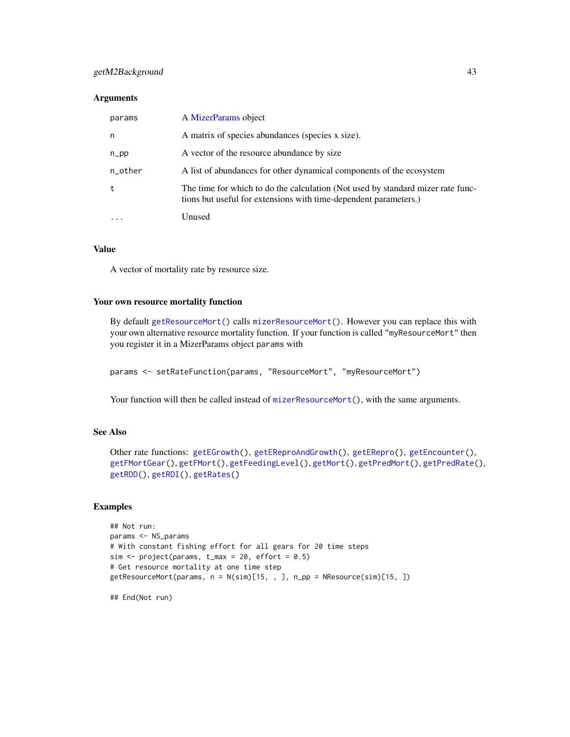# getM2Background 43

## **Arguments**

| params  | A MizerParams object                                                                                                                                |
|---------|-----------------------------------------------------------------------------------------------------------------------------------------------------|
| n       | A matrix of species abundances (species x size).                                                                                                    |
| $n$ pp  | A vector of the resource abundance by size                                                                                                          |
| n_other | A list of abundances for other dynamical components of the ecosystem                                                                                |
| t       | The time for which to do the calculation (Not used by standard mizer rate func-<br>tions but useful for extensions with time-dependent parameters.) |
| .       | Unused                                                                                                                                              |

## Value

A vector of mortality rate by resource size.

# Your own resource mortality function

By default [getResourceMort\(\)](#page-58-0) calls [mizerResourceMort\(\)](#page-94-0). However you can replace this with your own alternative resource mortality function. If your function is called "myResourceMort" then you register it in a MizerParams object params with

params <- setRateFunction(params, "ResourceMort", "myResourceMort")

Your function will then be called instead of [mizerResourceMort\(\)](#page-94-0), with the same arguments.

## See Also

```
Other rate functions: getEGrowth(), getEReproAndGrowth(), getERepro(), getEncounter(),
getFMortGear(), getFMort(), getFeedingLevel(), getMort(), getPredMort(), getPredRate(),
getRDD(), getRDI(), getRates()
```
# Examples

```
## Not run:
params <- NS_params
# With constant fishing effort for all gears for 20 time steps
sim \le project(params, t_max = 20, effort = 0.5)
# Get resource mortality at one time step
getResourceMort(params, n = N(sim)[15, , ], n_pp = NResource(sim)[15, ])
```
## End(Not run)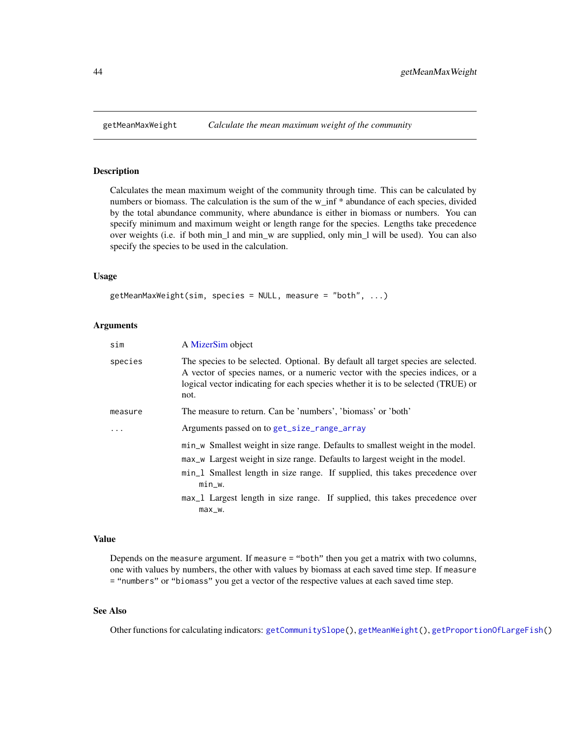<span id="page-43-0"></span>

## Description

Calculates the mean maximum weight of the community through time. This can be calculated by numbers or biomass. The calculation is the sum of the w\_inf \* abundance of each species, divided by the total abundance community, where abundance is either in biomass or numbers. You can specify minimum and maximum weight or length range for the species. Lengths take precedence over weights (i.e. if both min\_l and min\_w are supplied, only min\_l will be used). You can also specify the species to be used in the calculation.

## Usage

```
getMeanMaxWeight(sim, species = NULL, measure = "both", ...)
```
#### Arguments

| sim     | A MizerSim object                                                                                                                                                                                                                                               |  |
|---------|-----------------------------------------------------------------------------------------------------------------------------------------------------------------------------------------------------------------------------------------------------------------|--|
| species | The species to be selected. Optional. By default all target species are selected.<br>A vector of species names, or a numeric vector with the species indices, or a<br>logical vector indicating for each species whether it is to be selected (TRUE) or<br>not. |  |
| measure | The measure to return. Can be 'numbers', 'biomass' or 'both'                                                                                                                                                                                                    |  |
| $\cdot$ | Arguments passed on to get_size_range_array                                                                                                                                                                                                                     |  |
|         | min_w Smallest weight in size range. Defaults to smallest weight in the model.<br>max_w Largest weight in size range. Defaults to largest weight in the model.<br>min_1 Smallest length in size range. If supplied, this takes precedence over<br>$min_w$ .     |  |
|         | max_1 Largest length in size range. If supplied, this takes precedence over<br>$max_w$ .                                                                                                                                                                        |  |

#### Value

Depends on the measure argument. If measure = "both" then you get a matrix with two columns, one with values by numbers, the other with values by biomass at each saved time step. If measure = "numbers" or "biomass" you get a vector of the respective values at each saved time step.

## See Also

Other functions for calculating indicators: [getCommunitySlope\(](#page-23-0)), [getMeanWeight\(](#page-44-0)), [getProportionOfLargeFish\(](#page-52-0))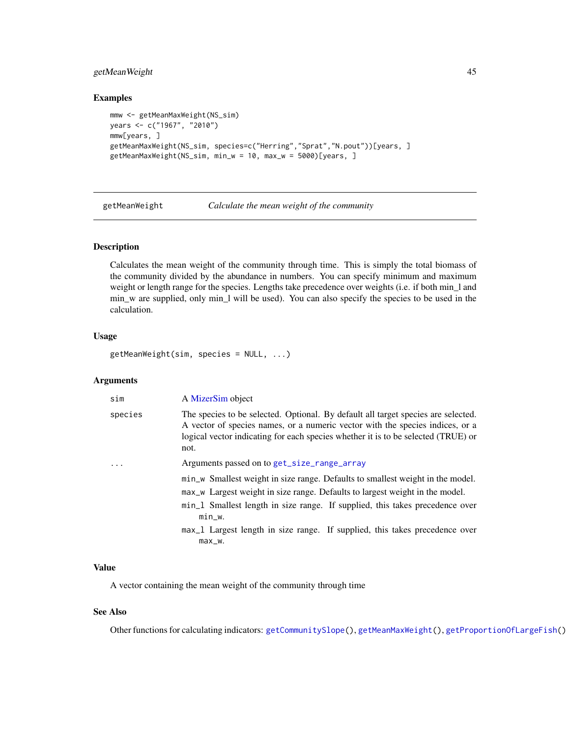# getMeanWeight 45

## Examples

```
mmw <- getMeanMaxWeight(NS_sim)
years <- c("1967", "2010")
mmw[years, ]
getMeanMaxWeight(NS_sim, species=c("Herring","Sprat","N.pout"))[years, ]
getMeanMaxWeight(NS_sim, min_w = 10, max_w = 5000)[years, ]
```
<span id="page-44-0"></span>getMeanWeight *Calculate the mean weight of the community*

## Description

Calculates the mean weight of the community through time. This is simply the total biomass of the community divided by the abundance in numbers. You can specify minimum and maximum weight or length range for the species. Lengths take precedence over weights (i.e. if both min\_l and min\_w are supplied, only min\_l will be used). You can also specify the species to be used in the calculation.

#### Usage

getMeanWeight(sim, species = NULL, ...)

## Arguments

| sim       | A MizerSim object                                                                                                                                                                                                                                                       |
|-----------|-------------------------------------------------------------------------------------------------------------------------------------------------------------------------------------------------------------------------------------------------------------------------|
| species   | The species to be selected. Optional. By default all target species are selected.<br>A vector of species names, or a numeric vector with the species indices, or a<br>logical vector indicating for each species whether it is to be selected (TRUE) or<br>not.         |
| $\ddotsc$ | Arguments passed on to get_size_range_array                                                                                                                                                                                                                             |
|           | min_w Smallest weight in size range. Defaults to smallest weight in the model.<br>max_w Largest weight in size range. Defaults to largest weight in the model.<br>min <sub>-1</sub> Smallest length in size range. If supplied, this takes precedence over<br>$min_w$ . |
|           | max <sub>-1</sub> Largest length in size range. If supplied, this takes precedence over<br>$max_w$ .                                                                                                                                                                    |

# Value

A vector containing the mean weight of the community through time

## See Also

Other functions for calculating indicators: [getCommunitySlope\(](#page-23-0)), [getMeanMaxWeight\(](#page-43-0)), [getProportionOfLargeFish\(](#page-52-0))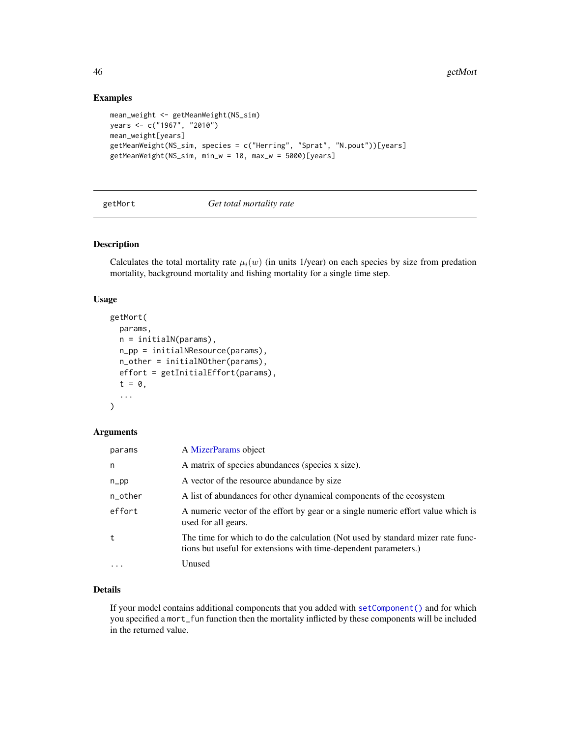## Examples

```
mean_weight <- getMeanWeight(NS_sim)
years <- c("1967", "2010")
mean_weight[years]
getMeanWeight(NS_sim, species = c("Herring", "Sprat", "N.pout"))[years]
getMeanWeight(NS_sim, min_w = 10, max_w = 5000)[years]
```
<span id="page-45-0"></span>

| getMort |  |  |
|---------|--|--|
|---------|--|--|

#### **Get total mortality rate**

# Description

Calculates the total mortality rate  $\mu_i(w)$  (in units 1/year) on each species by size from predation mortality, background mortality and fishing mortality for a single time step.

#### Usage

```
getMort(
  params,
 n = initialN(params),
 n_pp = initialNResource(params),
  n_other = initialNOther(params),
  effort = getInitialEffort(params),
  t = 0,
  ...
\mathcal{L}
```
#### Arguments

| params    | A MizerParams object                                                                                                                                |
|-----------|-----------------------------------------------------------------------------------------------------------------------------------------------------|
| n         | A matrix of species abundances (species x size).                                                                                                    |
| $n$ _pp   | A vector of the resource abundance by size                                                                                                          |
| n_other   | A list of abundances for other dynamical components of the ecosystem                                                                                |
| effort    | A numeric vector of the effort by gear or a single numeric effort value which is<br>used for all gears.                                             |
| t         | The time for which to do the calculation (Not used by standard mizer rate func-<br>tions but useful for extensions with time-dependent parameters.) |
| $\ddotsc$ | Unused                                                                                                                                              |

# Details

If your model contains additional components that you added with [setComponent\(\)](#page-159-0) and for which you specified a mort\_fun function then the mortality inflicted by these components will be included in the returned value.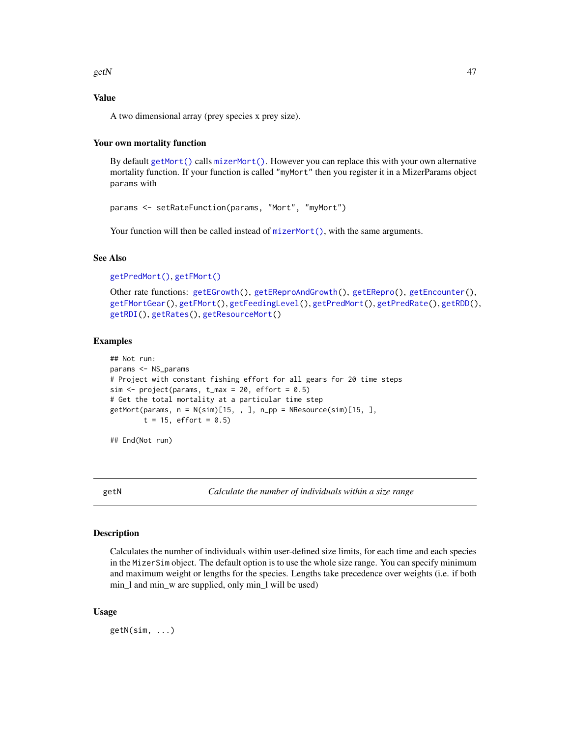getN  $47$ 

## Value

A two dimensional array (prey species x prey size).

# Your own mortality function

By default [getMort\(\)](#page-45-0) calls [mizerMort\(\)](#page-85-0). However you can replace this with your own alternative mortality function. If your function is called "myMort" then you register it in a MizerParams object params with

```
params <- setRateFunction(params, "Mort", "myMort")
```
Your function will then be called instead of [mizerMort\(\)](#page-85-0), with the same arguments.

# See Also

[getPredMort\(\)](#page-49-0), [getFMort\(\)](#page-36-0)

```
Other rate functions: getEGrowth(), getEReproAndGrowth(), getERepro(), getEncounter(),
getFMortGear(), getFMort(), getFeedingLevel(), getPredMort(), getPredRate(), getRDD(),
getRDI(), getRates(), getResourceMort()
```
## Examples

```
## Not run:
params <- NS_params
# Project with constant fishing effort for all gears for 20 time steps
sim < project(params, t_{max} = 20, effort = 0.5)
# Get the total mortality at a particular time step
getMort(params, n = N(sim)[15, , ], n(pp = NResource(sim)[15, ],t = 15, effort = 0.5)
```
## End(Not run)

<span id="page-46-0"></span>getN *Calculate the number of individuals within a size range*

#### Description

Calculates the number of individuals within user-defined size limits, for each time and each species in the MizerSim object. The default option is to use the whole size range. You can specify minimum and maximum weight or lengths for the species. Lengths take precedence over weights (i.e. if both min 1 and min w are supplied, only min 1 will be used)

#### Usage

getN(sim, ...)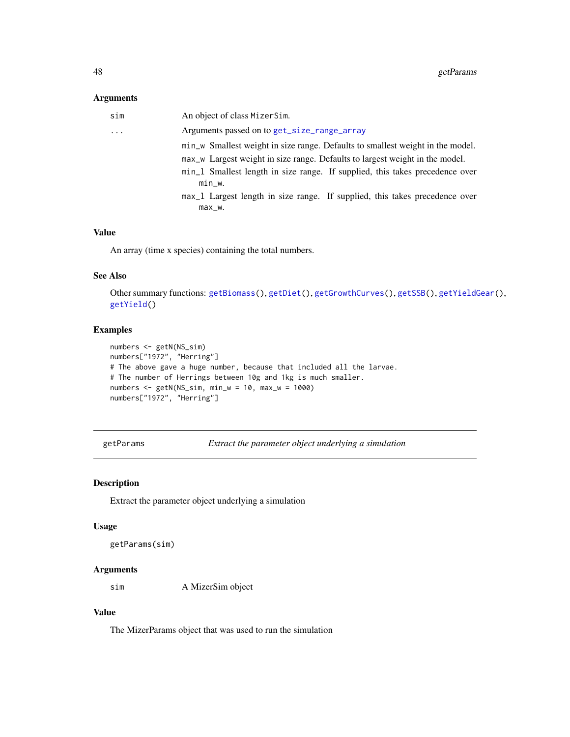#### Arguments

| sim      | An object of class MizerSim.                                                              |
|----------|-------------------------------------------------------------------------------------------|
| $\cdots$ | Arguments passed on to get_size_range_array                                               |
|          | min_w Smallest weight in size range. Defaults to smallest weight in the model.            |
|          | max_w Largest weight in size range. Defaults to largest weight in the model.              |
|          | min_1 Smallest length in size range. If supplied, this takes precedence over<br>$min_w$ . |
|          | max_1 Largest length in size range. If supplied, this takes precedence over<br>$max_w$ .  |
|          |                                                                                           |

#### Value

An array (time x species) containing the total numbers.

## See Also

Other summary functions: [getBiomass\(](#page-22-0)), [getDiet\(](#page-25-0)), [getGrowthCurves\(](#page-39-0)), [getSSB\(](#page-59-0)), [getYieldGear\(](#page-61-0)), [getYield\(](#page-60-0))

# Examples

```
numbers <- getN(NS_sim)
numbers["1972", "Herring"]
# The above gave a huge number, because that included all the larvae.
# The number of Herrings between 10g and 1kg is much smaller.
numbers \le getN(NS_sim, min_w = 10, max_w = 1000)
numbers["1972", "Herring"]
```
getParams *Extract the parameter object underlying a simulation*

#### Description

Extract the parameter object underlying a simulation

## Usage

getParams(sim)

## Arguments

sim A MizerSim object

# Value

The MizerParams object that was used to run the simulation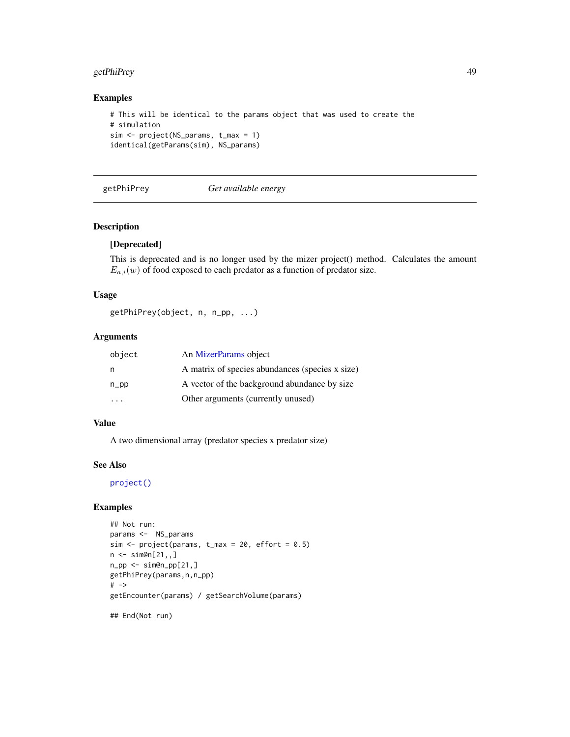# getPhiPrey 49

# Examples

```
# This will be identical to the params object that was used to create the
# simulation
sim <- project(NS_params, t_max = 1)
identical(getParams(sim), NS_params)
```
getPhiPrey *Get available energy*

# Description

# [Deprecated]

This is deprecated and is no longer used by the mizer project() method. Calculates the amount  $E_{a,i}(w)$  of food exposed to each predator as a function of predator size.

# Usage

getPhiPrey(object, n, n\_pp, ...)

# Arguments

| object  | An MizerParams object                           |
|---------|-------------------------------------------------|
| n.      | A matrix of species abundances (species x size) |
| $n$ _pp | A vector of the background abundance by size    |
| .       | Other arguments (currently unused)              |

## Value

A two dimensional array (predator species x predator size)

# See Also

[project\(\)](#page-143-0)

# Examples

```
## Not run:
params <- NS_params
sim < project(params, t_{max} = 20, effort = 0.5)
n \leq -\sin\theta n[21, 1]n_pp \leq sim@n_pp[21,]
getPhiPrey(params,n,n_pp)
# ->
getEncounter(params) / getSearchVolume(params)
```
## End(Not run)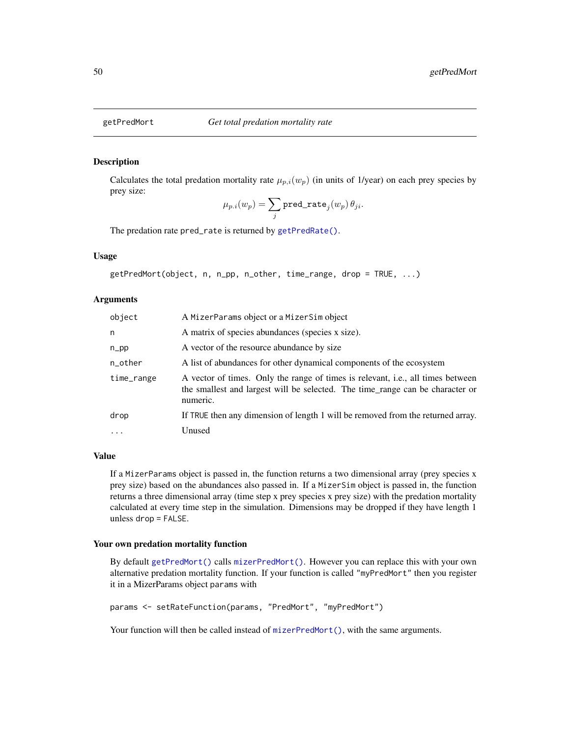<span id="page-49-0"></span>

# Description

Calculates the total predation mortality rate  $\mu_{p,i}(w_p)$  (in units of 1/year) on each prey species by prey size:

$$
\mu_{p.i}(w_p) = \sum_j \mathtt{pred\_rate}_j(w_p)\,\theta_{ji}.
$$

The predation rate pred\_rate is returned by [getPredRate\(\)](#page-50-0).

## Usage

getPredMort(object, n, n\_pp, n\_other, time\_range, drop = TRUE, ...)

## Arguments

| object     | A MizerParams object or a MizerSim object                                                                                                                                    |
|------------|------------------------------------------------------------------------------------------------------------------------------------------------------------------------------|
| n          | A matrix of species abundances (species x size).                                                                                                                             |
| $n$ _pp    | A vector of the resource abundance by size                                                                                                                                   |
| n_other    | A list of abundances for other dynamical components of the ecosystem                                                                                                         |
| time_range | A vector of times. Only the range of times is relevant, i.e., all times between<br>the smallest and largest will be selected. The time_range can be character or<br>numeric. |
| drop       | If TRUE then any dimension of length 1 will be removed from the returned array.                                                                                              |
| $\ddotsc$  | Unused                                                                                                                                                                       |

## Value

If a MizerParams object is passed in, the function returns a two dimensional array (prey species x prey size) based on the abundances also passed in. If a MizerSim object is passed in, the function returns a three dimensional array (time step x prey species x prey size) with the predation mortality calculated at every time step in the simulation. Dimensions may be dropped if they have length 1 unless drop = FALSE.

#### Your own predation mortality function

By default [getPredMort\(\)](#page-49-0) calls [mizerPredMort\(\)](#page-89-0). However you can replace this with your own alternative predation mortality function. If your function is called "myPredMort" then you register it in a MizerParams object params with

```
params <- setRateFunction(params, "PredMort", "myPredMort")
```
Your function will then be called instead of [mizerPredMort\(\)](#page-89-0), with the same arguments.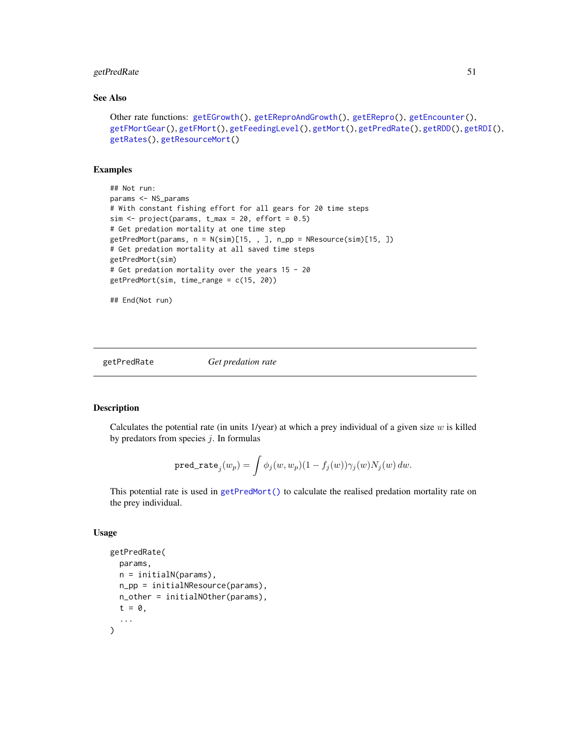# getPredRate 51

# See Also

```
Other rate functions: getEGrowth(), getEReproAndGrowth(), getERepro(), getEncounter(),
getFMortGear(), getFMort(), getFeedingLevel(), getMort(), getPredRate(), getRDD(), getRDI(),
getRates(), getResourceMort()
```
# Examples

```
## Not run:
params <- NS_params
# With constant fishing effort for all gears for 20 time steps
sim < project(params, t_{max} = 20, effort = 0.5)
# Get predation mortality at one time step
getPredMort(params, n = N(sim)[15, , ], n_pp = NResource(sim)[15, ])
# Get predation mortality at all saved time steps
getPredMort(sim)
# Get predation mortality over the years 15 - 20
getPredMort(sim, time_range = c(15, 20))
```
## End(Not run)

<span id="page-50-0"></span>getPredRate *Get predation rate*

## Description

Calculates the potential rate (in units  $1$ /year) at which a prey individual of a given size w is killed by predators from species  $j$ . In formulas

$$
\mathtt{pred\_rate}_j(w_p) = \int \phi_j(w,w_p) (1-f_j(w)) \gamma_j(w) N_j(w) \, dw.
$$

This potential rate is used in [getPredMort\(\)](#page-49-0) to calculate the realised predation mortality rate on the prey individual.

## Usage

```
getPredRate(
 params,
  n = initialN(params),
 n_pp = initialNResource(params),
  n_other = initialNOther(params),
  t = 0,
  ...
)
```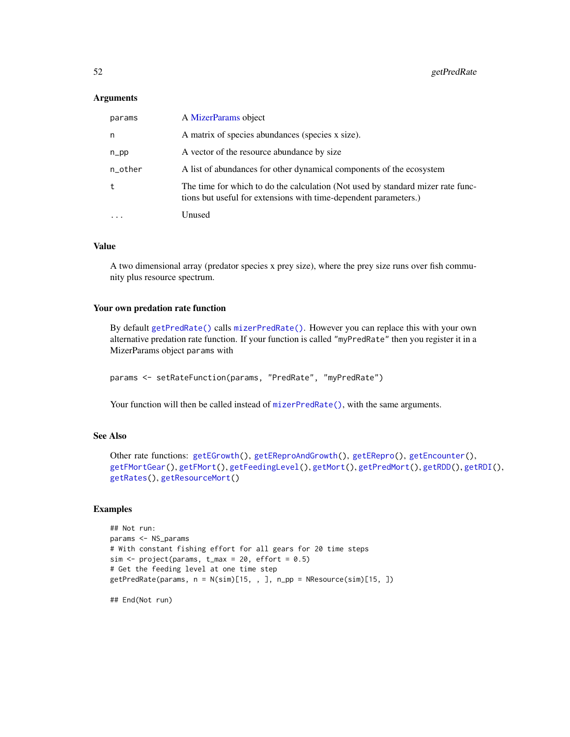## **Arguments**

| params  | A MizerParams object                                                                                                                                |
|---------|-----------------------------------------------------------------------------------------------------------------------------------------------------|
| n       | A matrix of species abundances (species x size).                                                                                                    |
| $n$ _pp | A vector of the resource abundance by size                                                                                                          |
| n_other | A list of abundances for other dynamical components of the ecosystem                                                                                |
| t       | The time for which to do the calculation (Not used by standard mizer rate func-<br>tions but useful for extensions with time-dependent parameters.) |
|         | Unused                                                                                                                                              |

# Value

A two dimensional array (predator species x prey size), where the prey size runs over fish community plus resource spectrum.

# Your own predation rate function

By default [getPredRate\(\)](#page-50-0) calls [mizerPredRate\(\)](#page-90-0). However you can replace this with your own alternative predation rate function. If your function is called "myPredRate" then you register it in a MizerParams object params with

```
params <- setRateFunction(params, "PredRate", "myPredRate")
```
Your function will then be called instead of [mizerPredRate\(\)](#page-90-0), with the same arguments.

# See Also

```
Other rate functions: getEGrowth(), getEReproAndGrowth(), getERepro(), getEncounter(),
getFMortGear(), getFMort(), getFeedingLevel(), getMort(), getPredMort(), getRDD(), getRDI(),
getRates(), getResourceMort()
```
## Examples

```
## Not run:
params <- NS_params
# With constant fishing effort for all gears for 20 time steps
sim \le project(params, t_max = 20, effort = 0.5)
# Get the feeding level at one time step
getPredRate(params, n = N(sim)[15, , ], n_pp = NResource(sim)[15, ])
```
## End(Not run)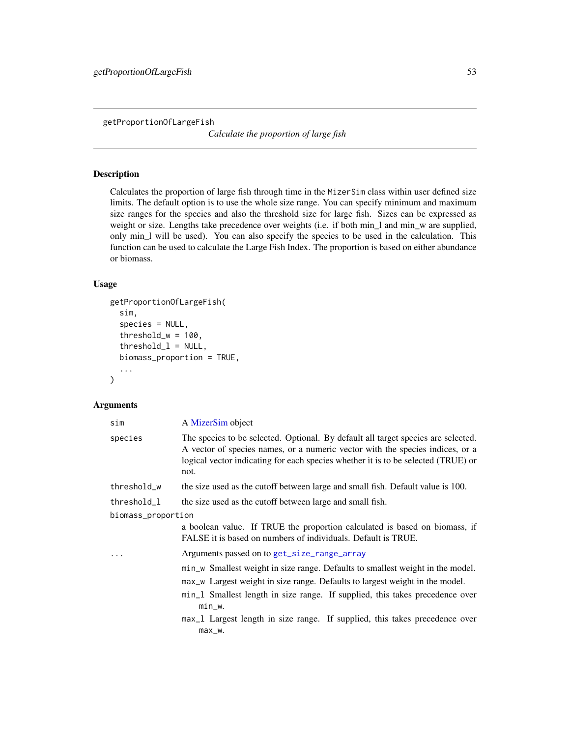<span id="page-52-0"></span>getProportionOfLargeFish

*Calculate the proportion of large fish*

# Description

Calculates the proportion of large fish through time in the MizerSim class within user defined size limits. The default option is to use the whole size range. You can specify minimum and maximum size ranges for the species and also the threshold size for large fish. Sizes can be expressed as weight or size. Lengths take precedence over weights (i.e. if both min\_l and min\_w are supplied, only min\_l will be used). You can also specify the species to be used in the calculation. This function can be used to calculate the Large Fish Index. The proportion is based on either abundance or biomass.

# Usage

```
getProportionOfLargeFish(
  sim,
  species = NULL,
  threshold_w = 100,
  threshold_l = NULL,biomass_proportion = TRUE,
  ...
)
```
# Arguments

| sim                | A MizerSim object                                                                                                                                                                                                                                                                                                                                    |
|--------------------|------------------------------------------------------------------------------------------------------------------------------------------------------------------------------------------------------------------------------------------------------------------------------------------------------------------------------------------------------|
| species            | The species to be selected. Optional. By default all target species are selected.<br>A vector of species names, or a numeric vector with the species indices, or a<br>logical vector indicating for each species whether it is to be selected (TRUE) or<br>not.                                                                                      |
| threshold_w        | the size used as the cutoff between large and small fish. Default value is 100.                                                                                                                                                                                                                                                                      |
| threshold_l        | the size used as the cutoff between large and small fish.                                                                                                                                                                                                                                                                                            |
| biomass_proportion |                                                                                                                                                                                                                                                                                                                                                      |
|                    | a boolean value. If TRUE the proportion calculated is based on biomass, if<br>FALSE it is based on numbers of individuals. Default is TRUE.                                                                                                                                                                                                          |
|                    | Arguments passed on to get_size_range_array                                                                                                                                                                                                                                                                                                          |
|                    | min_w Smallest weight in size range. Defaults to smallest weight in the model.<br>max_w Largest weight in size range. Defaults to largest weight in the model.<br>min_1 Smallest length in size range. If supplied, this takes precedence over<br>min_w.<br>max_1 Largest length in size range. If supplied, this takes precedence over<br>$max_w$ . |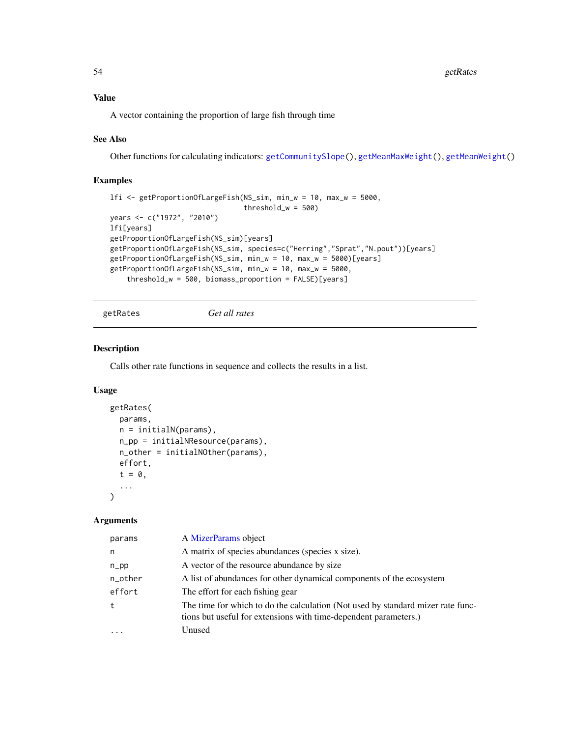A vector containing the proportion of large fish through time

#### See Also

Other functions for calculating indicators: [getCommunitySlope\(](#page-23-0)), [getMeanMaxWeight\(](#page-43-0)), [getMeanWeight\(](#page-44-0))

# Examples

```
lfi <- getProportionOfLargeFish(NS_sim, min_w = 10, max_w = 5000,
                                threshold_w = 500years <- c("1972", "2010")
lfi[years]
getProportionOfLargeFish(NS_sim)[years]
getProportionOfLargeFish(NS_sim, species=c("Herring","Sprat","N.pout"))[years]
getProportionOfLargeFish(NS_sim, min_w = 10, max_w = 5000)[years]
getProportionOfLargeFish(NS_sim, min_w = 10, max_w = 5000,
    threshold_w = 500, biomass_proportion = FALSE)[years]
```

```
getRates Get all rates
```
# Description

Calls other rate functions in sequence and collects the results in a list.

#### Usage

```
getRates(
 params,
 n = initialN(params),
 n_pp = initialNResource(params),
  n_other = initialNOther(params),
 effort,
  t = 0,
  ...
)
```
# Arguments

| params  | A MizerParams object                                                                                                                                |
|---------|-----------------------------------------------------------------------------------------------------------------------------------------------------|
| n       | A matrix of species abundances (species x size).                                                                                                    |
| $n$ _pp | A vector of the resource abundance by size                                                                                                          |
| n_other | A list of abundances for other dynamical components of the ecosystem                                                                                |
| effort  | The effort for each fishing gear                                                                                                                    |
| t       | The time for which to do the calculation (Not used by standard mizer rate func-<br>tions but useful for extensions with time-dependent parameters.) |
|         | Unused                                                                                                                                              |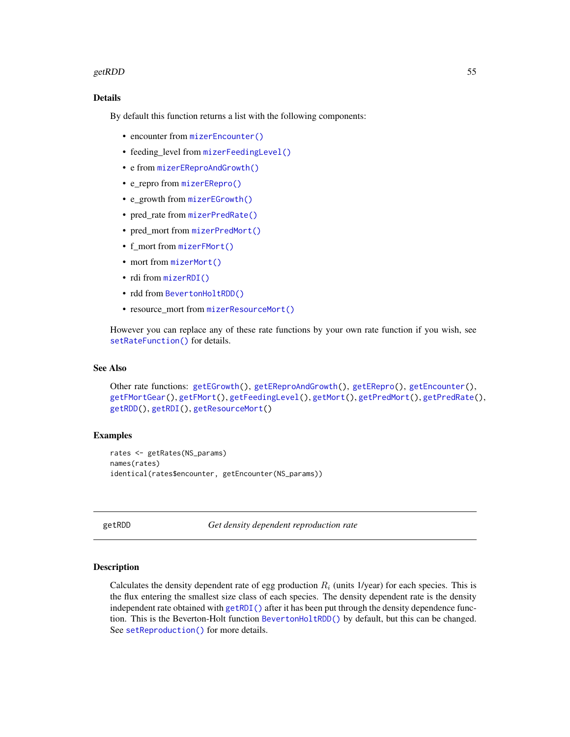## getRDD 55

# Details

By default this function returns a list with the following components:

- encounter from [mizerEncounter\(\)](#page-77-0)
- feeding level from [mizerFeedingLevel\(\)](#page-81-0)
- e from [mizerEReproAndGrowth\(\)](#page-80-0)
- e\_repro from [mizerERepro\(\)](#page-79-0)
- e\_growth from [mizerEGrowth\(\)](#page-76-0)
- pred\_rate from [mizerPredRate\(\)](#page-90-0)
- pred\_mort from [mizerPredMort\(\)](#page-89-0)
- f\_mort from [mizerFMort\(\)](#page-83-0)
- mort from [mizerMort\(\)](#page-85-0)
- rdi from [mizerRDI\(\)](#page-93-0)
- rdd from [BevertonHoltRDD\(\)](#page-8-0)
- resource\_mort from [mizerResourceMort\(\)](#page-94-0)

However you can replace any of these rate functions by your own rate function if you wish, see [setRateFunction\(\)](#page-181-0) for details.

# See Also

```
Other rate functions: getEGrowth(), getEReproAndGrowth(), getERepro(), getEncounter(),
getFMortGear(), getFMort(), getFeedingLevel(), getMort(), getPredMort(), getPredRate(),
getRDD(), getRDI(), getResourceMort()
```
## Examples

```
rates <- getRates(NS_params)
names(rates)
identical(rates$encounter, getEncounter(NS_params))
```
<span id="page-54-0"></span>getRDD *Get density dependent reproduction rate*

#### Description

Calculates the density dependent rate of egg production  $R_i$  (units 1/year) for each species. This is the flux entering the smallest size class of each species. The density dependent rate is the density independent rate obtained with [getRDI\(\)](#page-56-0) after it has been put through the density dependence function. This is the Beverton-Holt function [BevertonHoltRDD\(\)](#page-8-0) by default, but this can be changed. See [setReproduction\(\)](#page-183-0) for more details.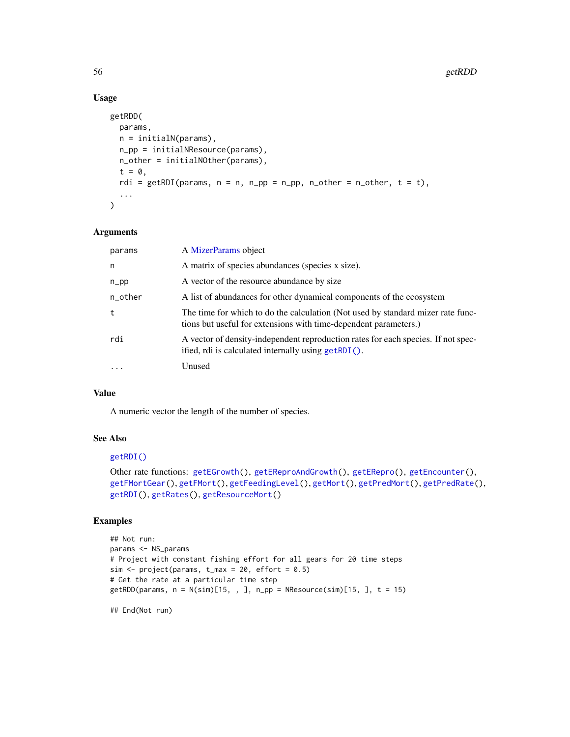# Usage

```
getRDD(
  params,
 n = initialN(params),
 n_pp = initialNResource(params),
 n_other = initialNOther(params),
  t = 0,
 rdi = getRDI(params, n = n, n_p = n_p, n_other = n_other, t = t),
  ...
\mathcal{E}
```
# Arguments

| params    | A MizerParams object                                                                                                                                |
|-----------|-----------------------------------------------------------------------------------------------------------------------------------------------------|
| n         | A matrix of species abundances (species x size).                                                                                                    |
| $n$ _pp   | A vector of the resource abundance by size                                                                                                          |
| n_other   | A list of abundances for other dynamical components of the ecosystem                                                                                |
| t         | The time for which to do the calculation (Not used by standard mizer rate func-<br>tions but useful for extensions with time-dependent parameters.) |
| rdi       | A vector of density-independent reproduction rates for each species. If not spec-<br>ified, rdi is calculated internally using getRDI().            |
| $\ddotsc$ | Unused                                                                                                                                              |

# Value

A numeric vector the length of the number of species.

# See Also

# [getRDI\(\)](#page-56-0)

```
Other rate functions: getEGrowth(), getEReproAndGrowth(), getERepro(), getEncounter(),
getFMortGear(), getFMort(), getFeedingLevel(), getMort(), getPredMort(), getPredRate(),
getRDI(), getRates(), getResourceMort()
```
# Examples

```
## Not run:
params <- NS_params
# Project with constant fishing effort for all gears for 20 time steps
sim < project(params, t_max = 20, effort = 0.5)
# Get the rate at a particular time step
getRDD(params, n = N(sim)[15, , ], n(pp = NResource(sim)[15, ], t = 15)
```
## End(Not run)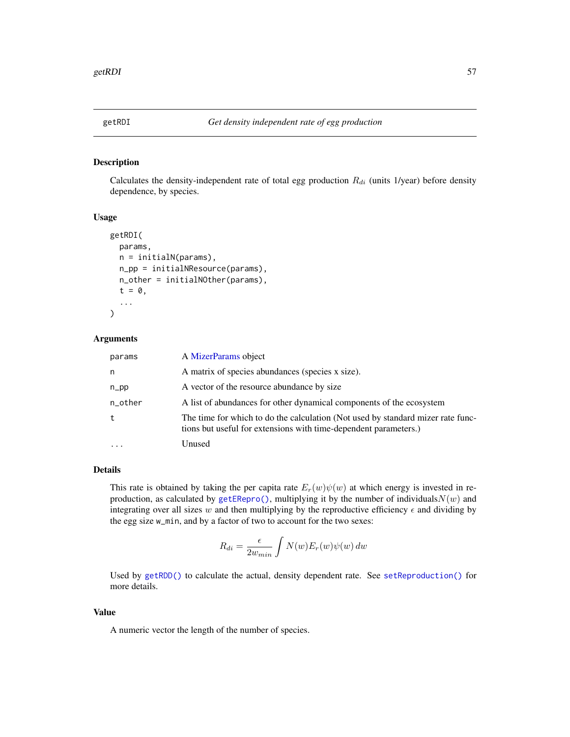<span id="page-56-0"></span>

# Description

Calculates the density-independent rate of total egg production  $R_{di}$  (units 1/year) before density dependence, by species.

## Usage

```
getRDI(
 params,
  n = initialN(params),
  n_pp = initialNResource(params),
  n_other = initialNOther(params),
  t = 0,
  ...
)
```
## Arguments

| params  | A MizerParams object                                                                                                                                |
|---------|-----------------------------------------------------------------------------------------------------------------------------------------------------|
| n       | A matrix of species abundances (species x size).                                                                                                    |
| $n$ _pp | A vector of the resource abundance by size                                                                                                          |
| n_other | A list of abundances for other dynamical components of the ecosystem                                                                                |
| t       | The time for which to do the calculation (Not used by standard mizer rate func-<br>tions but useful for extensions with time-dependent parameters.) |
|         | Unused                                                                                                                                              |

# Details

This rate is obtained by taking the per capita rate  $E_r(w)\psi(w)$  at which energy is invested in reproduction, as calculated by [getERepro\(\)](#page-30-0), multiplying it by the number of individuals $N(w)$  and integrating over all sizes w and then multiplying by the reproductive efficiency  $\epsilon$  and dividing by the egg size w\_min, and by a factor of two to account for the two sexes:

$$
R_{di} = \frac{\epsilon}{2w_{min}} \int N(w) E_r(w) \psi(w) \, dw
$$

Used by [getRDD\(\)](#page-54-0) to calculate the actual, density dependent rate. See [setReproduction\(\)](#page-183-0) for more details.

# Value

A numeric vector the length of the number of species.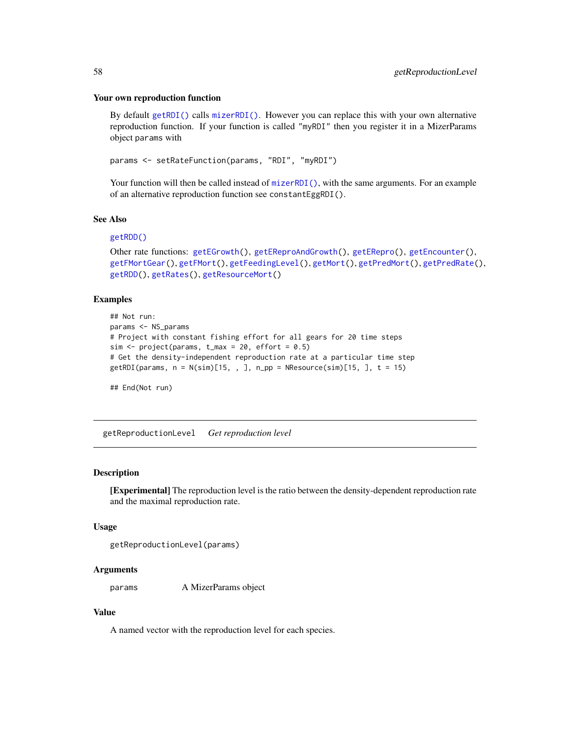#### Your own reproduction function

By default [getRDI\(\)](#page-56-0) calls [mizerRDI\(\)](#page-93-0). However you can replace this with your own alternative reproduction function. If your function is called "myRDI" then you register it in a MizerParams object params with

params <- setRateFunction(params, "RDI", "myRDI")

Your function will then be called instead of [mizerRDI\(\)](#page-93-0), with the same arguments. For an example of an alternative reproduction function see constantEggRDI().

# See Also

# [getRDD\(\)](#page-54-0)

```
Other rate functions: getEGrowth(), getEReproAndGrowth(), getERepro(), getEncounter(),
getFMortGear(), getFMort(), getFeedingLevel(), getMort(), getPredMort(), getPredRate(),
getRDD(), getRates(), getResourceMort()
```
## Examples

```
## Not run:
params <- NS_params
# Project with constant fishing effort for all gears for 20 time steps
sim \le project(params, t_max = 20, effort = 0.5)
# Get the density-independent reproduction rate at a particular time step
getRDI(params, n = N(sim)[15, , ], n(pp = NResource(sim)[15, ], t = 15)
```
## End(Not run)

getReproductionLevel *Get reproduction level*

#### **Description**

[Experimental] The reproduction level is the ratio between the density-dependent reproduction rate and the maximal reproduction rate.

#### Usage

```
getReproductionLevel(params)
```
## Arguments

params A MizerParams object

## Value

A named vector with the reproduction level for each species.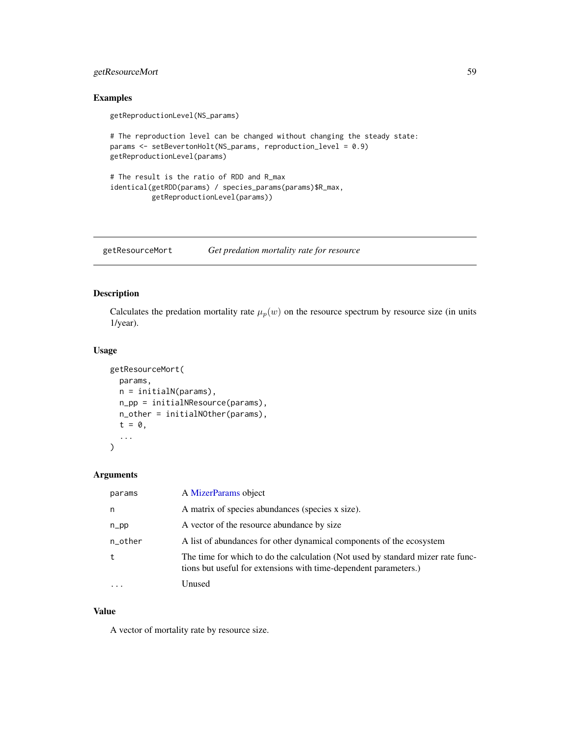# getResourceMort 59

# Examples

getReproductionLevel(NS\_params)

```
# The reproduction level can be changed without changing the steady state:
params <- setBevertonHolt(NS_params, reproduction_level = 0.9)
getReproductionLevel(params)
```

```
# The result is the ratio of RDD and R_max
identical(getRDD(params) / species_params(params)$R_max,
         getReproductionLevel(params))
```
<span id="page-58-0"></span>getResourceMort *Get predation mortality rate for resource*

# Description

Calculates the predation mortality rate  $\mu_p(w)$  on the resource spectrum by resource size (in units 1/year).

#### Usage

```
getResourceMort(
 params,
 n = initialN(params),
 n_pp = initialNResource(params),
 n_other = initialNOther(params),
  t = 0,
  ...
)
```
# Arguments

| params  | A MizerParams object                                                                                                                                |
|---------|-----------------------------------------------------------------------------------------------------------------------------------------------------|
| n       | A matrix of species abundances (species x size).                                                                                                    |
| $n$ _pp | A vector of the resource abundance by size                                                                                                          |
| n_other | A list of abundances for other dynamical components of the ecosystem                                                                                |
|         | The time for which to do the calculation (Not used by standard mizer rate func-<br>tions but useful for extensions with time-dependent parameters.) |
| .       | Unused                                                                                                                                              |

#### Value

A vector of mortality rate by resource size.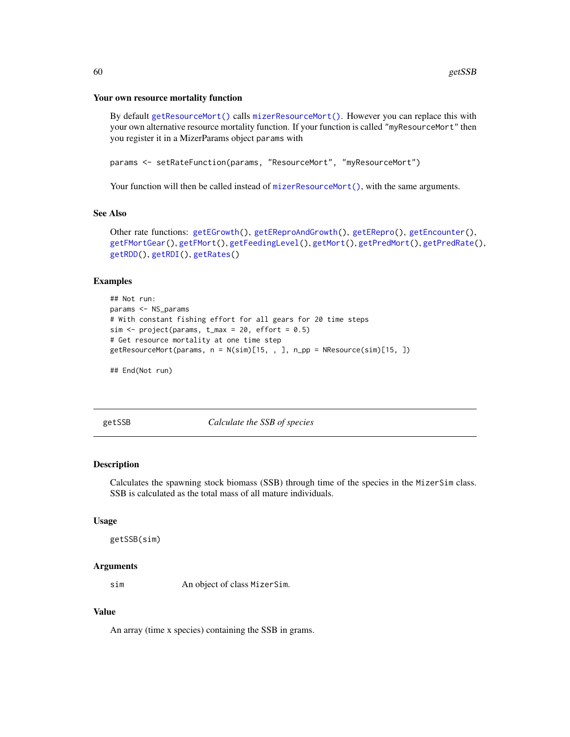#### Your own resource mortality function

By default [getResourceMort\(\)](#page-58-0) calls [mizerResourceMort\(\)](#page-94-0). However you can replace this with your own alternative resource mortality function. If your function is called "myResourceMort" then you register it in a MizerParams object params with

params <- setRateFunction(params, "ResourceMort", "myResourceMort")

Your function will then be called instead of [mizerResourceMort\(\)](#page-94-0), with the same arguments.

## See Also

```
Other rate functions: getEGrowth(), getEReproAndGrowth(), getERepro(), getEncounter(),
getFMortGear(), getFMort(), getFeedingLevel(), getMort(), getPredMort(), getPredRate(),
getRDD(), getRDI(), getRates()
```
# Examples

```
## Not run:
params <- NS_params
# With constant fishing effort for all gears for 20 time steps
sim \le project(params, t_max = 20, effort = 0.5)
# Get resource mortality at one time step
getResourceMort(params, n = N(sim)[15, , ], n_pp = NResource(sim)[15, ])
```
## End(Not run)

<span id="page-59-0"></span>getSSB *Calculate the SSB of species*

#### Description

Calculates the spawning stock biomass (SSB) through time of the species in the MizerSim class. SSB is calculated as the total mass of all mature individuals.

## Usage

getSSB(sim)

#### Arguments

sim An object of class MizerSim.

## Value

An array (time x species) containing the SSB in grams.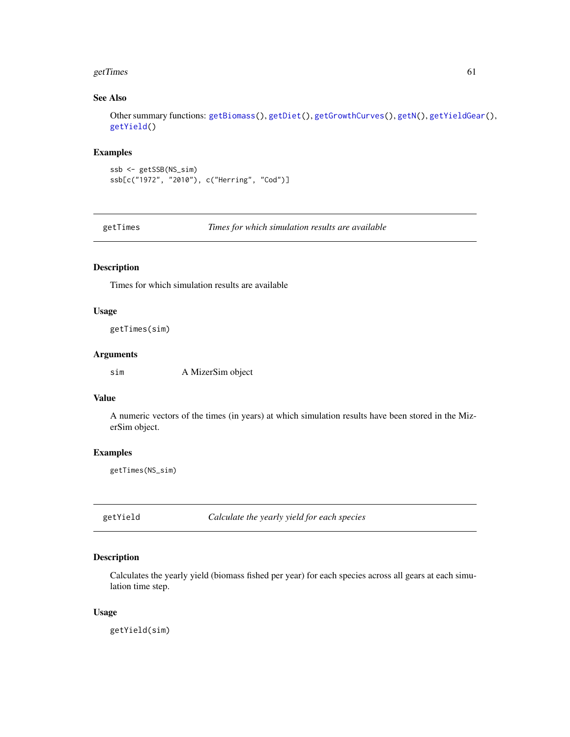#### getTimes 61

# See Also

Other summary functions: [getBiomass\(](#page-22-0)), [getDiet\(](#page-25-0)), [getGrowthCurves\(](#page-39-0)), [getN\(](#page-46-0)), [getYieldGear\(](#page-61-0)), [getYield\(](#page-60-0))

# Examples

```
ssb <- getSSB(NS_sim)
ssb[c("1972", "2010"), c("Herring", "Cod")]
```
getTimes *Times for which simulation results are available*

# Description

Times for which simulation results are available

## Usage

getTimes(sim)

# Arguments

sim A MizerSim object

## Value

A numeric vectors of the times (in years) at which simulation results have been stored in the MizerSim object.

# Examples

getTimes(NS\_sim)

<span id="page-60-0"></span>getYield *Calculate the yearly yield for each species*

# Description

Calculates the yearly yield (biomass fished per year) for each species across all gears at each simulation time step.

#### Usage

getYield(sim)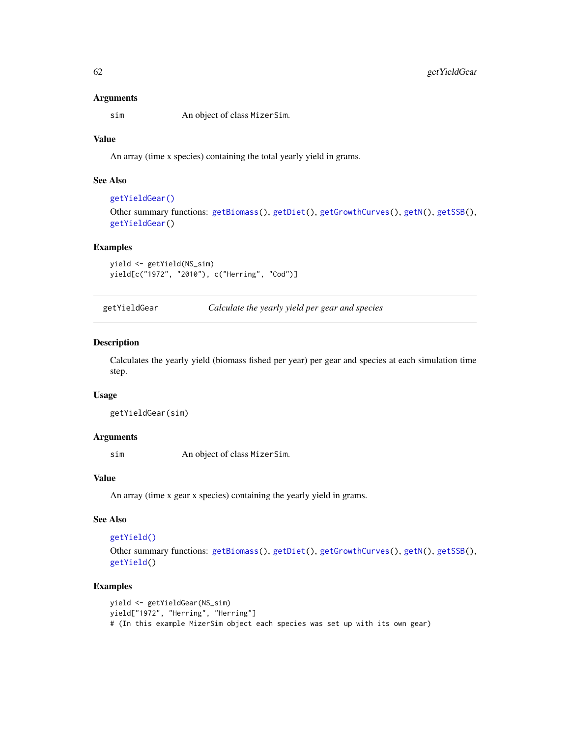#### Arguments

sim An object of class MizerSim.

# Value

An array (time x species) containing the total yearly yield in grams.

# See Also

```
getYieldGear()
Other summary functions: getBiomass(), getDiet(), getGrowthCurves(), getN(), getSSB(),
getYieldGear()
```
#### Examples

```
yield <- getYield(NS_sim)
yield[c("1972", "2010"), c("Herring", "Cod")]
```
<span id="page-61-0"></span>getYieldGear *Calculate the yearly yield per gear and species*

# Description

Calculates the yearly yield (biomass fished per year) per gear and species at each simulation time step.

#### Usage

```
getYieldGear(sim)
```
## Arguments

sim An object of class MizerSim.

# Value

An array (time x gear x species) containing the yearly yield in grams.

# See Also

# [getYield\(\)](#page-60-0)

```
Other summary functions: getBiomass(), getDiet(), getGrowthCurves(), getN(), getSSB(),
getYield()
```
# Examples

```
yield <- getYieldGear(NS_sim)
yield["1972", "Herring", "Herring"]
# (In this example MizerSim object each species was set up with its own gear)
```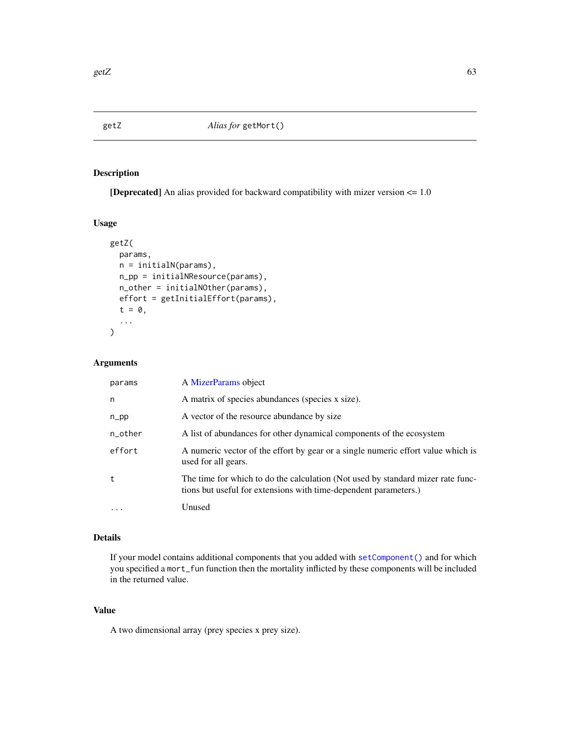# Description

[Deprecated] An alias provided for backward compatibility with mizer version <= 1.0

## Usage

```
getZ(
 params,
 n = initialN(params),
 n_pp = initialNResource(params),
 n_other = initialNOther(params),
 effort = getInitialEffort(params),
  t = 0,
  ...
)
```
# Arguments

| params   | A MizerParams object                                                                                                                                |
|----------|-----------------------------------------------------------------------------------------------------------------------------------------------------|
| n        | A matrix of species abundances (species x size).                                                                                                    |
| $n$ _pp  | A vector of the resource abundance by size                                                                                                          |
| n_other  | A list of abundances for other dynamical components of the ecosystem                                                                                |
| effort   | A numeric vector of the effort by gear or a single numeric effort value which is<br>used for all gears.                                             |
| t        | The time for which to do the calculation (Not used by standard mizer rate func-<br>tions but useful for extensions with time-dependent parameters.) |
| $\cdots$ | Unused                                                                                                                                              |

# Details

If your model contains additional components that you added with [setComponent\(\)](#page-159-0) and for which you specified a mort\_fun function then the mortality inflicted by these components will be included in the returned value.

# Value

A two dimensional array (prey species x prey size).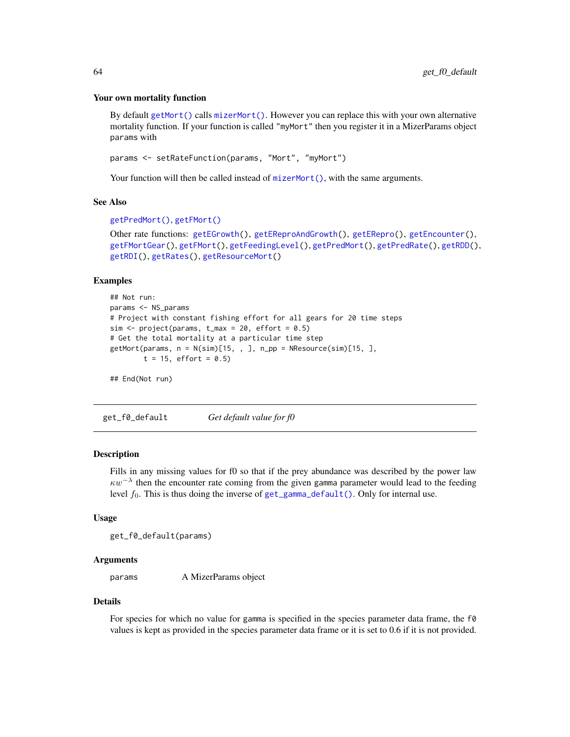#### Your own mortality function

By default [getMort\(\)](#page-45-0) calls  $mizerMort()$ . However you can replace this with your own alternative mortality function. If your function is called "myMort" then you register it in a MizerParams object params with

```
params <- setRateFunction(params, "Mort", "myMort")
```
Your function will then be called instead of [mizerMort\(\)](#page-85-0), with the same arguments.

## See Also

```
getPredMort(), getFMort()
```

```
Other rate functions: getEGrowth(), getEReproAndGrowth(), getERepro(), getEncounter(),
getFMortGear(), getFMort(), getFeedingLevel(), getPredMort(), getPredRate(), getRDD(),
getRDI(), getRates(), getResourceMort()
```
# Examples

```
## Not run:
params <- NS_params
# Project with constant fishing effort for all gears for 20 time steps
sim < project(params, t_{max} = 20, effort = 0.5)
# Get the total mortality at a particular time step
getMort(params, n = N(sim)[15, , ], n_pp = NResource(sim)[15, ],
        t = 15, effort = 0.5)
```

```
## End(Not run)
```
<span id="page-63-0"></span>get\_f0\_default *Get default value for f0*

## **Description**

Fills in any missing values for f0 so that if the prey abundance was described by the power law  $\kappa w^{-\lambda}$  then the encounter rate coming from the given gamma parameter would lead to the feeding level  $f_0$ . This is thus doing the inverse of [get\\_gamma\\_default\(\)](#page-64-0). Only for internal use.

#### Usage

```
get_f0_default(params)
```
#### Arguments

params A MizerParams object

#### Details

For species for which no value for gamma is specified in the species parameter data frame, the  $f\ddot{\theta}$ values is kept as provided in the species parameter data frame or it is set to 0.6 if it is not provided.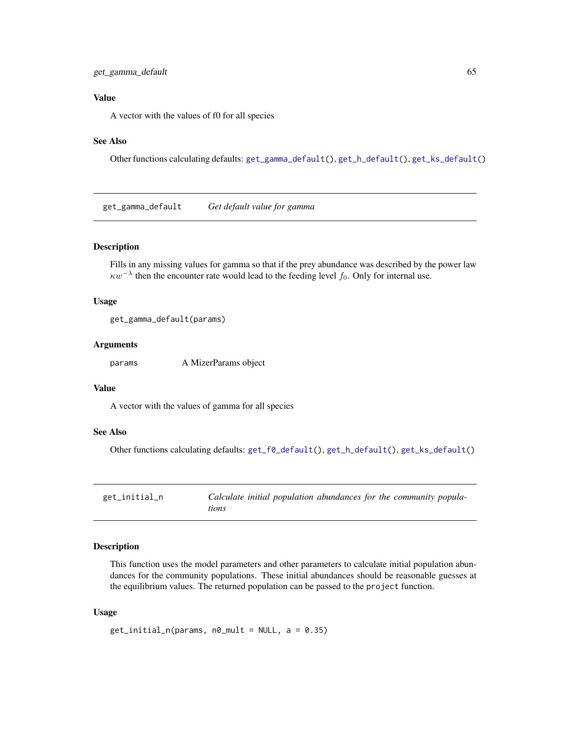# Value

A vector with the values of f0 for all species

# See Also

Other functions calculating defaults: [get\\_gamma\\_default\(](#page-64-0)), [get\\_h\\_default\(](#page-0-0)), [get\\_ks\\_default\(](#page-65-0))

<span id="page-64-0"></span>get\_gamma\_default *Get default value for gamma*

# Description

Fills in any missing values for gamma so that if the prey abundance was described by the power law  $\kappa w^{-\lambda}$  then the encounter rate would lead to the feeding level  $f_0$ . Only for internal use.

#### Usage

get\_gamma\_default(params)

## Arguments

params A MizerParams object

# Value

A vector with the values of gamma for all species

#### See Also

Other functions calculating defaults: [get\\_f0\\_default\(](#page-63-0)), [get\\_h\\_default\(](#page-0-0)), [get\\_ks\\_default\(](#page-65-0))

get\_initial\_n *Calculate initial population abundances for the community populations*

#### Description

This function uses the model parameters and other parameters to calculate initial population abundances for the community populations. These initial abundances should be reasonable guesses at the equilibrium values. The returned population can be passed to the project function.

## Usage

```
get_initial_n(params, n0_mult = NULL, a = 0.35)
```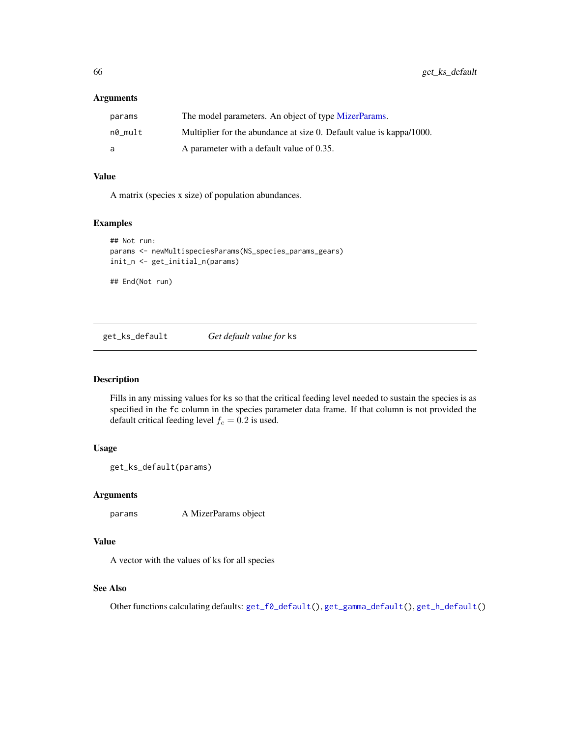## Arguments

| params  | The model parameters. An object of type MizerParams.                 |
|---------|----------------------------------------------------------------------|
| n0_mult | Multiplier for the abundance at size 0. Default value is kappa/1000. |
| a       | A parameter with a default value of 0.35.                            |

## Value

A matrix (species x size) of population abundances.

### Examples

```
## Not run:
params <- newMultispeciesParams(NS_species_params_gears)
init_n <- get_initial_n(params)
## End(Not run)
```
<span id="page-65-0"></span>get\_ks\_default *Get default value for* ks

# Description

Fills in any missing values for ks so that the critical feeding level needed to sustain the species is as specified in the fc column in the species parameter data frame. If that column is not provided the default critical feeding level  $f_c = 0.2$  is used.

# Usage

```
get_ks_default(params)
```
## Arguments

params A MizerParams object

# Value

A vector with the values of ks for all species

# See Also

Other functions calculating defaults: [get\\_f0\\_default\(](#page-63-0)), [get\\_gamma\\_default\(](#page-64-0)), [get\\_h\\_default\(](#page-0-0))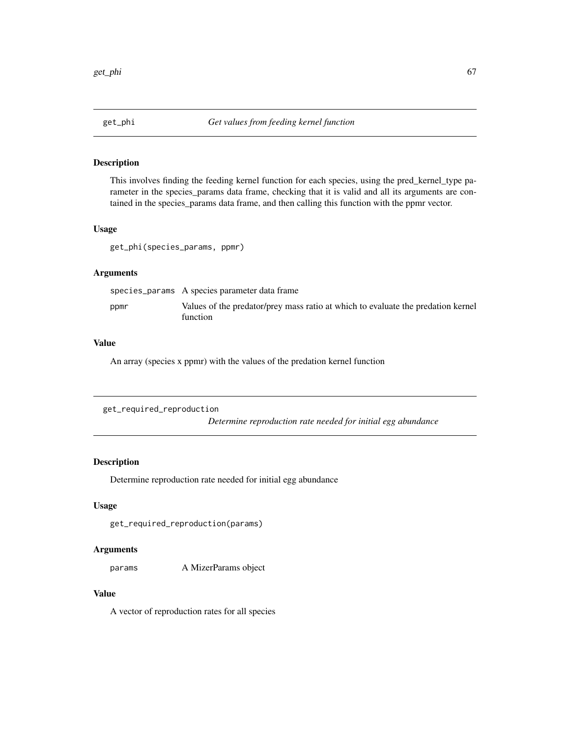# Description

This involves finding the feeding kernel function for each species, using the pred\_kernel\_type parameter in the species\_params data frame, checking that it is valid and all its arguments are contained in the species\_params data frame, and then calling this function with the ppmr vector.

#### Usage

get\_phi(species\_params, ppmr)

# Arguments

|      | species_params A species parameter data frame                                                |
|------|----------------------------------------------------------------------------------------------|
| ppmr | Values of the predator/prey mass ratio at which to evaluate the predation kernel<br>function |

# Value

An array (species x ppmr) with the values of the predation kernel function

```
get_required_reproduction
```
*Determine reproduction rate needed for initial egg abundance*

# Description

Determine reproduction rate needed for initial egg abundance

# Usage

get\_required\_reproduction(params)

#### Arguments

params A MizerParams object

# Value

A vector of reproduction rates for all species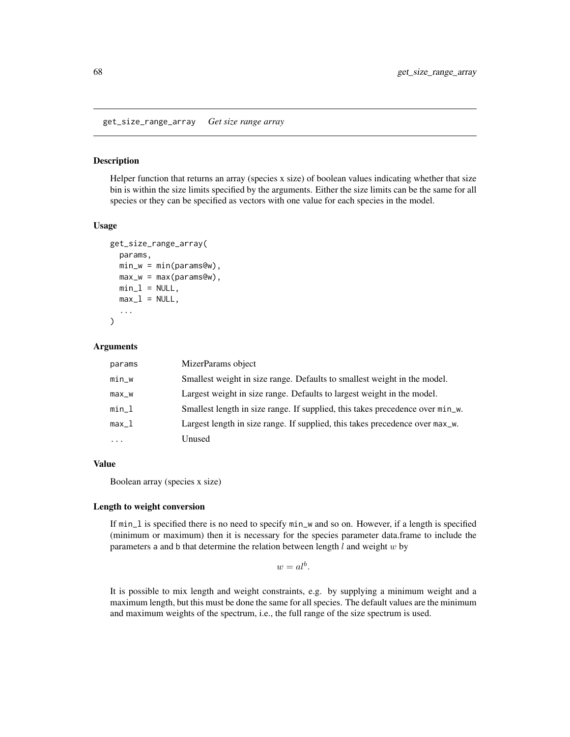<span id="page-67-0"></span>get\_size\_range\_array *Get size range array*

#### Description

Helper function that returns an array (species x size) of boolean values indicating whether that size bin is within the size limits specified by the arguments. Either the size limits can be the same for all species or they can be specified as vectors with one value for each species in the model.

#### Usage

```
get_size_range_array(
  params,
  min_w = min(params@w),
 max_w = max(params@w),
 min_l = NULL,max_l = NULL,...
)
```
## Arguments

| params   | MizerParams object                                                              |
|----------|---------------------------------------------------------------------------------|
| $min_w$  | Smallest weight in size range. Defaults to smallest weight in the model.        |
| $max_w$  | Largest weight in size range. Defaults to largest weight in the model.          |
| $min_1$  | Smallest length in size range. If supplied, this takes precedence over min_w.   |
| $max_l$  | Largest length in size range. If supplied, this takes precedence over $max_w$ . |
| $\cdots$ | Unused                                                                          |

## Value

Boolean array (species x size)

## Length to weight conversion

If min\_l is specified there is no need to specify min\_w and so on. However, if a length is specified (minimum or maximum) then it is necessary for the species parameter data.frame to include the parameters a and b that determine the relation between length  $l$  and weight  $w$  by

 $w = a l^b$ .

It is possible to mix length and weight constraints, e.g. by supplying a minimum weight and a maximum length, but this must be done the same for all species. The default values are the minimum and maximum weights of the spectrum, i.e., the full range of the size spectrum is used.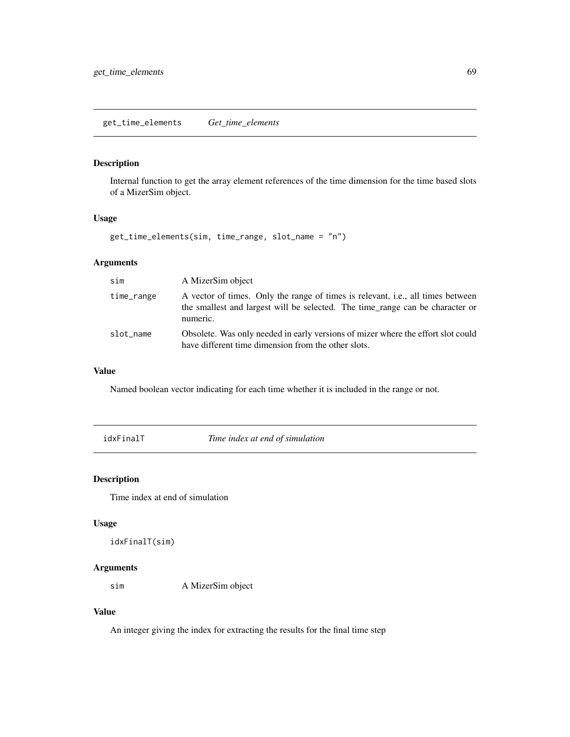# Description

Internal function to get the array element references of the time dimension for the time based slots of a MizerSim object.

## Usage

get\_time\_elements(sim, time\_range, slot\_name = "n")

# Arguments

| sim        | A MizerSim object                                                                                                                                                            |
|------------|------------------------------------------------------------------------------------------------------------------------------------------------------------------------------|
| time_range | A vector of times. Only the range of times is relevant, i.e., all times between<br>the smallest and largest will be selected. The time_range can be character or<br>numeric. |
| slot_name  | Obsolete. Was only needed in early versions of mizer where the effort slot could<br>have different time dimension from the other slots.                                      |

# Value

Named boolean vector indicating for each time whether it is included in the range or not.

idxFinalT *Time index at end of simulation*

# Description

Time index at end of simulation

## Usage

```
idxFinalT(sim)
```
# Arguments

sim A MizerSim object

## Value

An integer giving the index for extracting the results for the final time step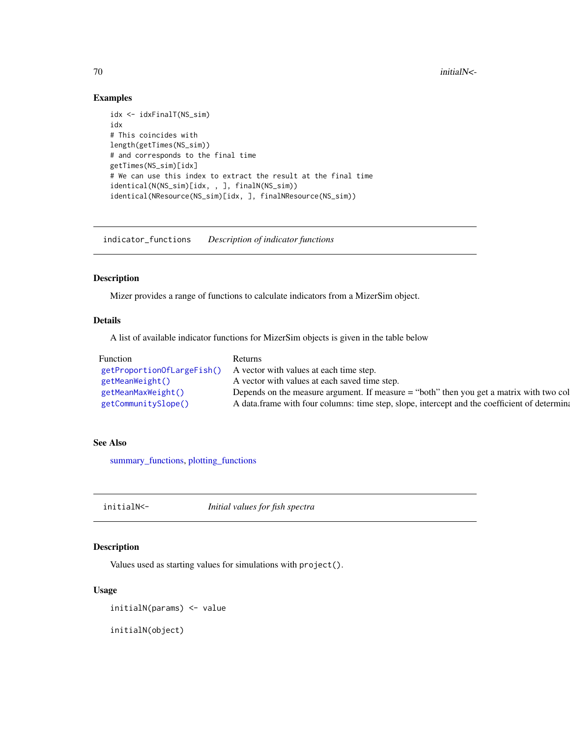70 initialN<-

# Examples

```
idx <- idxFinalT(NS_sim)
idx
# This coincides with
length(getTimes(NS_sim))
# and corresponds to the final time
getTimes(NS_sim)[idx]
# We can use this index to extract the result at the final time
identical(N(NS_sim)[idx, , ], finalN(NS_sim))
identical(NResource(NS_sim)[idx, ], finalNResource(NS_sim))
```
indicator\_functions *Description of indicator functions*

# Description

Mizer provides a range of functions to calculate indicators from a MizerSim object.

# Details

A list of available indicator functions for MizerSim objects is given in the table below

| <b>Function</b>     |                                                                                                |
|---------------------|------------------------------------------------------------------------------------------------|
|                     | getProportionOfLargeFish() A vector with values at each time step.                             |
| getMeanWeight()     | A vector with values at each saved time step.                                                  |
| getMeanMaxWeight()  | Depends on the measure argument. If measure = "both" then you get a matrix with two col        |
| getCommunitySlope() | A data frame with four columns: time step, slope, intercept and the coefficient of determinary |

# See Also

[summary\\_functions,](#page-204-0) [plotting\\_functions](#page-136-0)

initialN<- *Initial values for fish spectra*

# Description

Values used as starting values for simulations with project().

# Usage

initialN(params) <- value

initialN(object)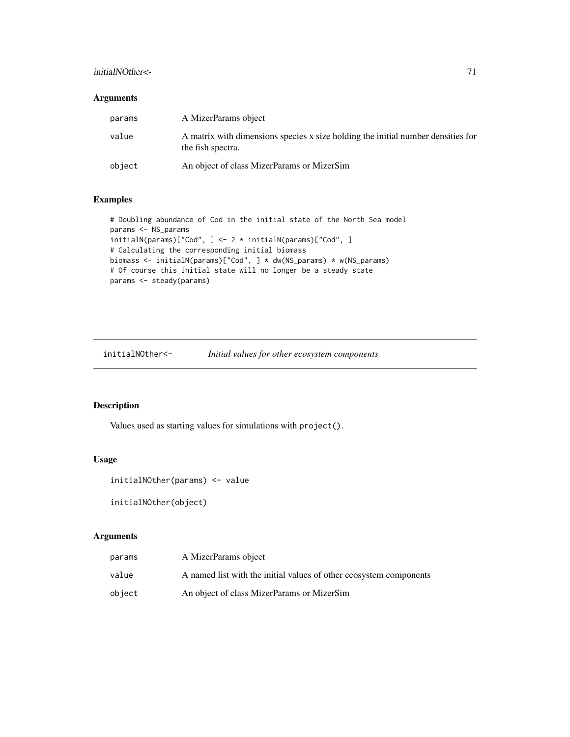# initialNOther<- 71

# Arguments

| params | A MizerParams object                                                                                  |
|--------|-------------------------------------------------------------------------------------------------------|
| value  | A matrix with dimensions species x size holding the initial number densities for<br>the fish spectra. |
| object | An object of class MizerParams or MizerSim                                                            |

# Examples

```
# Doubling abundance of Cod in the initial state of the North Sea model
params <- NS_params
initialN(params)["Cod", ] <- 2 * initialN(params)["Cod", ]
# Calculating the corresponding initial biomass
biomass <- initialN(params)["Cod", ] * dw(NS_params) * w(NS_params)
# Of course this initial state will no longer be a steady state
params <- steady(params)
```
initialNOther<- *Initial values for other ecosystem components*

# Description

Values used as starting values for simulations with project().

# Usage

initialNOther(params) <- value

initialNOther(object)

# Arguments

| params | A MizerParams object                                               |
|--------|--------------------------------------------------------------------|
| value  | A named list with the initial values of other ecosystem components |
| object | An object of class MizerParams or MizerSim                         |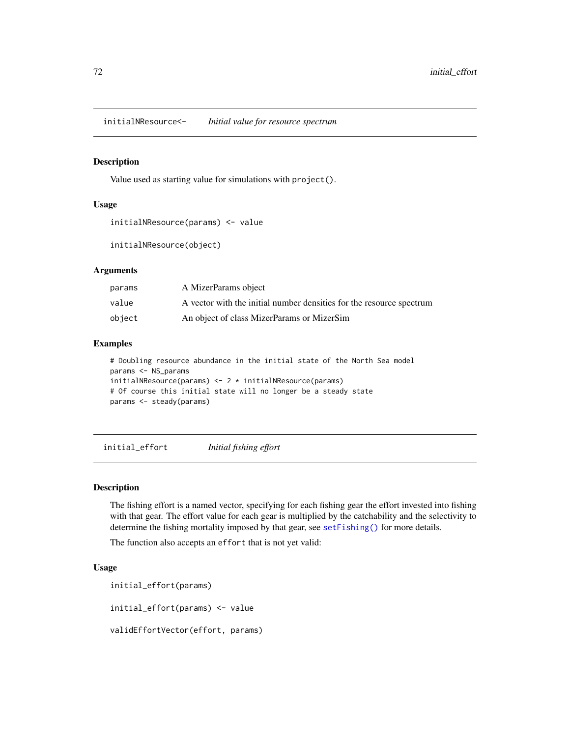initialNResource<- *Initial value for resource spectrum*

## Description

Value used as starting value for simulations with project().

# Usage

```
initialNResource(params) <- value
```
initialNResource(object)

## Arguments

| params | A MizerParams object                                                 |
|--------|----------------------------------------------------------------------|
| value  | A vector with the initial number densities for the resource spectrum |
| object | An object of class MizerParams or MizerSim                           |

# Examples

```
# Doubling resource abundance in the initial state of the North Sea model
params <- NS_params
initialNResource(params) <- 2 * initialNResource(params)
# Of course this initial state will no longer be a steady state
params <- steady(params)
```
initial\_effort *Initial fishing effort*

# Description

The fishing effort is a named vector, specifying for each fishing gear the effort invested into fishing with that gear. The effort value for each gear is multiplied by the catchability and the selectivity to determine the fishing mortality imposed by that gear, see [setFishing\(\)](#page-161-0) for more details.

The function also accepts an effort that is not yet valid:

# Usage

```
initial_effort(params)
initial_effort(params) <- value
validEffortVector(effort, params)
```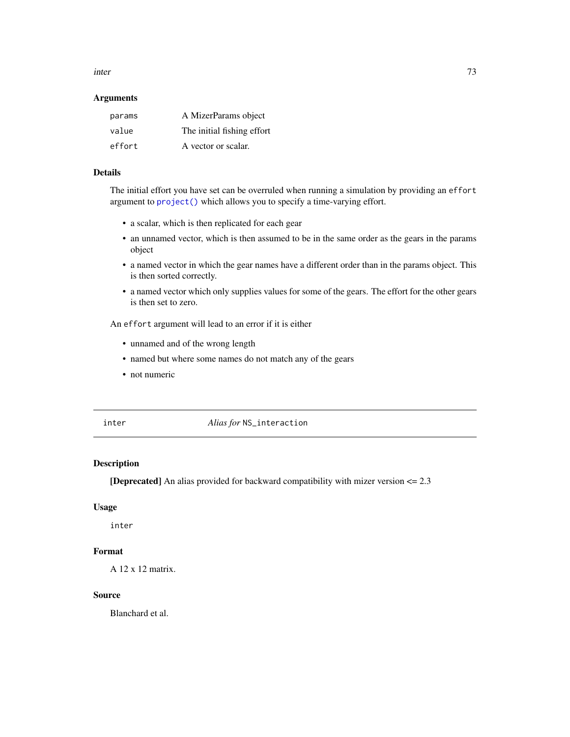inter 73

## **Arguments**

| params | A MizerParams object       |
|--------|----------------------------|
| value  | The initial fishing effort |
| effort | A vector or scalar.        |

## Details

The initial effort you have set can be overruled when running a simulation by providing an effort argument to [project\(\)](#page-143-0) which allows you to specify a time-varying effort.

- a scalar, which is then replicated for each gear
- an unnamed vector, which is then assumed to be in the same order as the gears in the params object
- a named vector in which the gear names have a different order than in the params object. This is then sorted correctly.
- a named vector which only supplies values for some of the gears. The effort for the other gears is then set to zero.

An effort argument will lead to an error if it is either

- unnamed and of the wrong length
- named but where some names do not match any of the gears
- not numeric

inter *Alias for* NS\_interaction

# Description

[Deprecated] An alias provided for backward compatibility with mizer version  $\leq$  2.3

# Usage

inter

# Format

A 12 x 12 matrix.

# Source

Blanchard et al.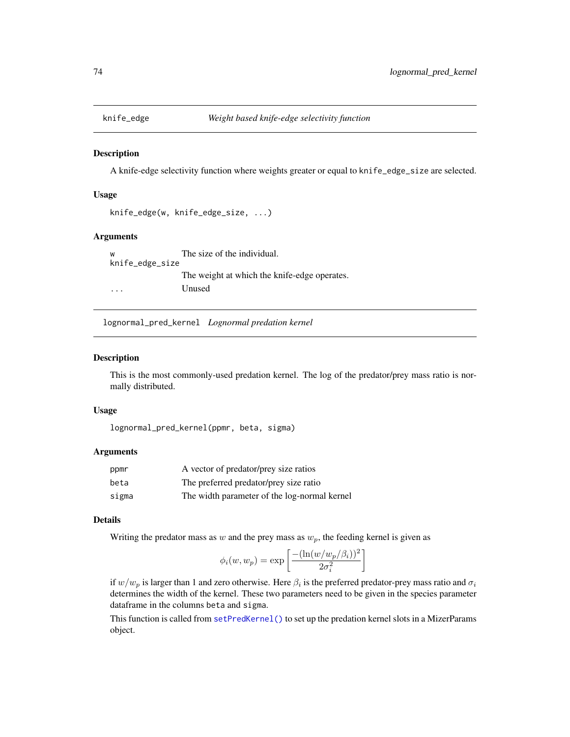## Description

A knife-edge selectivity function where weights greater or equal to knife\_edge\_size are selected.

# Usage

```
knife_edge(w, knife_edge_size, ...)
```
# Arguments

w The size of the individual. knife\_edge\_size The weight at which the knife-edge operates. ... Unused

<span id="page-73-0"></span>lognormal\_pred\_kernel *Lognormal predation kernel*

## Description

This is the most commonly-used predation kernel. The log of the predator/prey mass ratio is normally distributed.

## Usage

```
lognormal_pred_kernel(ppmr, beta, sigma)
```
#### Arguments

| ppmr  | A vector of predator/prey size ratios        |
|-------|----------------------------------------------|
| beta  | The preferred predator/prey size ratio       |
| sigma | The width parameter of the log-normal kernel |

## Details

Writing the predator mass as  $w$  and the prey mass as  $w_p$ , the feeding kernel is given as

$$
\phi_i(w, w_p) = \exp\left[\frac{-(\ln(w/w_p/\beta_i))^2}{2\sigma_i^2}\right]
$$

if  $w/w_p$  is larger than 1 and zero otherwise. Here  $\beta_i$  is the preferred predator-prey mass ratio and  $\sigma_i$ determines the width of the kernel. These two parameters need to be given in the species parameter dataframe in the columns beta and sigma.

This function is called from [setPredKernel\(\)](#page-179-0) to set up the predation kernel slots in a MizerParams object.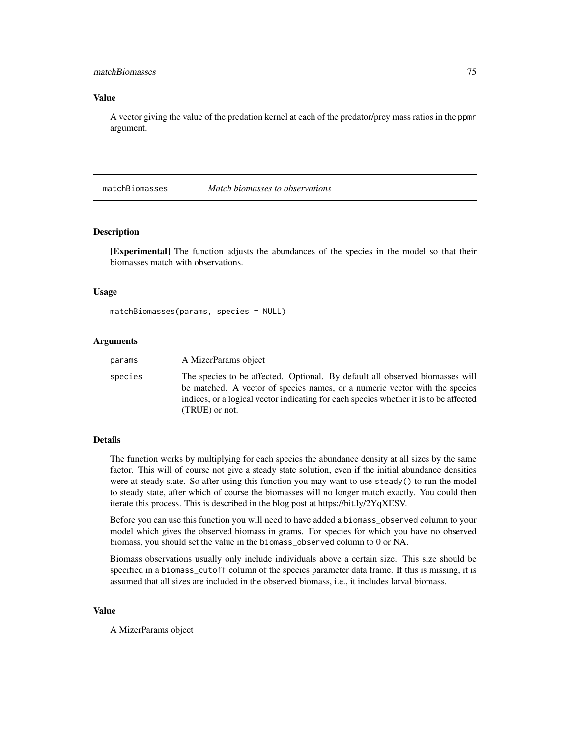## matchBiomasses 75

## Value

A vector giving the value of the predation kernel at each of the predator/prey mass ratios in the ppmr argument.

matchBiomasses *Match biomasses to observations*

## Description

[Experimental] The function adjusts the abundances of the species in the model so that their biomasses match with observations.

## Usage

```
matchBiomasses(params, species = NULL)
```
#### Arguments

| params  | A MizerParams object                                                                                                                                                                                                                                                     |
|---------|--------------------------------------------------------------------------------------------------------------------------------------------------------------------------------------------------------------------------------------------------------------------------|
| species | The species to be affected. Optional. By default all observed biomasses will<br>be matched. A vector of species names, or a numeric vector with the species<br>indices, or a logical vector indicating for each species whether it is to be affected<br>$(TRUE)$ or not. |

# Details

The function works by multiplying for each species the abundance density at all sizes by the same factor. This will of course not give a steady state solution, even if the initial abundance densities were at steady state. So after using this function you may want to use steady() to run the model to steady state, after which of course the biomasses will no longer match exactly. You could then iterate this process. This is described in the blog post at https://bit.ly/2YqXESV.

Before you can use this function you will need to have added a biomass\_observed column to your model which gives the observed biomass in grams. For species for which you have no observed biomass, you should set the value in the biomass\_observed column to 0 or NA.

Biomass observations usually only include individuals above a certain size. This size should be specified in a biomass\_cutoff column of the species parameter data frame. If this is missing, it is assumed that all sizes are included in the observed biomass, i.e., it includes larval biomass.

#### Value

A MizerParams object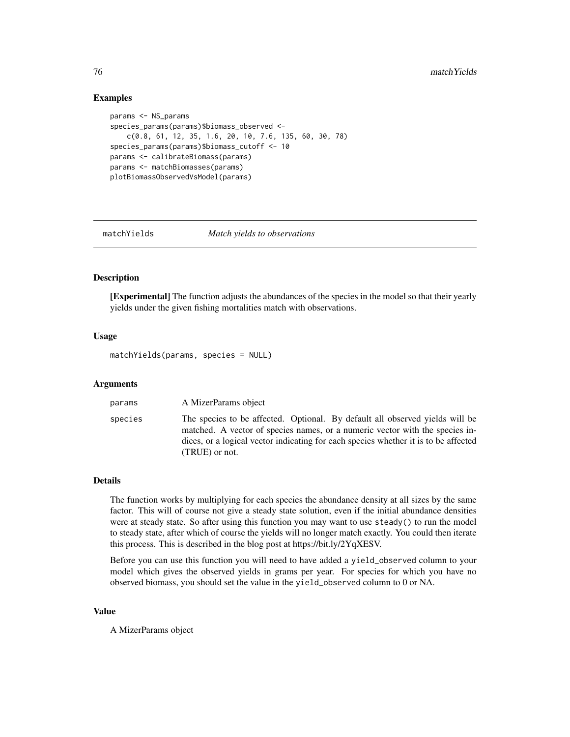## Examples

```
params <- NS_params
species_params(params)$biomass_observed <-
    c(0.8, 61, 12, 35, 1.6, 20, 10, 7.6, 135, 60, 30, 78)
species_params(params)$biomass_cutoff <- 10
params <- calibrateBiomass(params)
params <- matchBiomasses(params)
plotBiomassObservedVsModel(params)
```
matchYields *Match yields to observations*

## Description

[Experimental] The function adjusts the abundances of the species in the model so that their yearly yields under the given fishing mortalities match with observations.

## Usage

matchYields(params, species = NULL)

## Arguments

params A MizerParams object

species The species to be affected. Optional. By default all observed yields will be matched. A vector of species names, or a numeric vector with the species indices, or a logical vector indicating for each species whether it is to be affected (TRUE) or not.

## Details

The function works by multiplying for each species the abundance density at all sizes by the same factor. This will of course not give a steady state solution, even if the initial abundance densities were at steady state. So after using this function you may want to use steady() to run the model to steady state, after which of course the yields will no longer match exactly. You could then iterate this process. This is described in the blog post at https://bit.ly/2YqXESV.

Before you can use this function you will need to have added a yield\_observed column to your model which gives the observed yields in grams per year. For species for which you have no observed biomass, you should set the value in the yield\_observed column to 0 or NA.

#### Value

A MizerParams object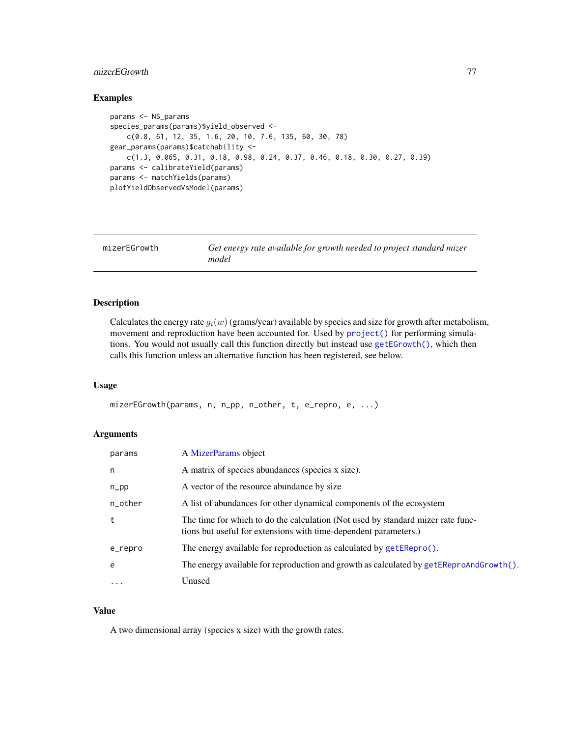# mizerEGrowth 77

## Examples

```
params <- NS_params
species_params(params)$yield_observed <-
    c(0.8, 61, 12, 35, 1.6, 20, 10, 7.6, 135, 60, 30, 78)
gear_params(params)$catchability <-
   c(1.3, 0.065, 0.31, 0.18, 0.98, 0.24, 0.37, 0.46, 0.18, 0.30, 0.27, 0.39)
params <- calibrateYield(params)
params <- matchYields(params)
plotYieldObservedVsModel(params)
```
<span id="page-76-0"></span>

| mizerEGrowth | Get energy rate available for growth needed to project standard mizer |
|--------------|-----------------------------------------------------------------------|
|              | model                                                                 |

# Description

Calculates the energy rate  $g_i(w)$  (grams/year) available by species and size for growth after metabolism, movement and reproduction have been accounted for. Used by [project\(\)](#page-143-0) for performing simulations. You would not usually call this function directly but instead use [getEGrowth\(\)](#page-27-0), which then calls this function unless an alternative function has been registered, see below.

### Usage

```
mizerEGrowth(params, n, n_pp, n_other, t, e_repro, e, ...)
```
## Arguments

| params   | A MizerParams object                                                                                                                                |
|----------|-----------------------------------------------------------------------------------------------------------------------------------------------------|
| n        | A matrix of species abundances (species x size).                                                                                                    |
| $n$ _pp  | A vector of the resource abundance by size                                                                                                          |
| n_other  | A list of abundances for other dynamical components of the ecosystem                                                                                |
| t        | The time for which to do the calculation (Not used by standard mizer rate func-<br>tions but useful for extensions with time-dependent parameters.) |
| e_repro  | The energy available for reproduction as calculated by getERepro().                                                                                 |
| e        | The energy available for reproduction and growth as calculated by getEReproAndGrowth().                                                             |
| $\cdots$ | Unused                                                                                                                                              |

#### Value

A two dimensional array (species x size) with the growth rates.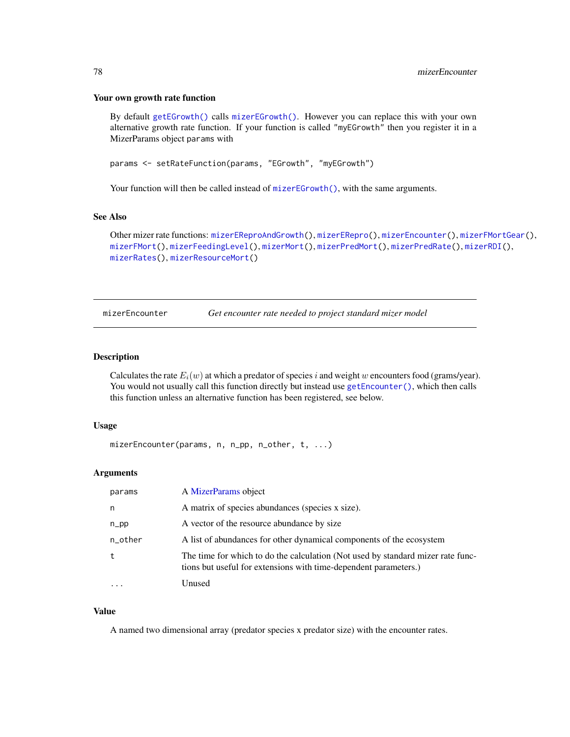#### Your own growth rate function

By default [getEGrowth\(\)](#page-27-0) calls [mizerEGrowth\(\)](#page-76-0). However you can replace this with your own alternative growth rate function. If your function is called "myEGrowth" then you register it in a MizerParams object params with

params <- setRateFunction(params, "EGrowth", "myEGrowth")

Your function will then be called instead of [mizerEGrowth\(\)](#page-76-0), with the same arguments.

## See Also

Other mizer rate functions: [mizerEReproAndGrowth\(](#page-80-0)), [mizerERepro\(](#page-79-0)), [mizerEncounter\(](#page-77-0)), [mizerFMortGear\(](#page-84-0)), [mizerFMort\(](#page-83-0)), [mizerFeedingLevel\(](#page-81-0)), [mizerMort\(](#page-85-0)), [mizerPredMort\(](#page-89-0)), [mizerPredRate\(](#page-90-0)), [mizerRDI\(](#page-93-0)), [mizerRates\(](#page-91-0)), [mizerResourceMort\(](#page-94-0))

<span id="page-77-0"></span>mizerEncounter *Get encounter rate needed to project standard mizer model*

## Description

Calculates the rate  $E_i(w)$  at which a predator of species i and weight w encounters food (grams/year). You would not usually call this function directly but instead use [getEncounter\(\)](#page-28-0), which then calls this function unless an alternative function has been registered, see below.

#### Usage

mizerEncounter(params, n, n\_pp, n\_other, t, ...)

#### Arguments

| params                  | A MizerParams object                                                                                                                                |
|-------------------------|-----------------------------------------------------------------------------------------------------------------------------------------------------|
| n                       | A matrix of species abundances (species x size).                                                                                                    |
| $n$ _pp                 | A vector of the resource abundance by size                                                                                                          |
| n_other                 | A list of abundances for other dynamical components of the ecosystem                                                                                |
| t                       | The time for which to do the calculation (Not used by standard mizer rate func-<br>tions but useful for extensions with time-dependent parameters.) |
| $\cdot$ $\cdot$ $\cdot$ | Unused                                                                                                                                              |

#### Value

A named two dimensional array (predator species x predator size) with the encounter rates.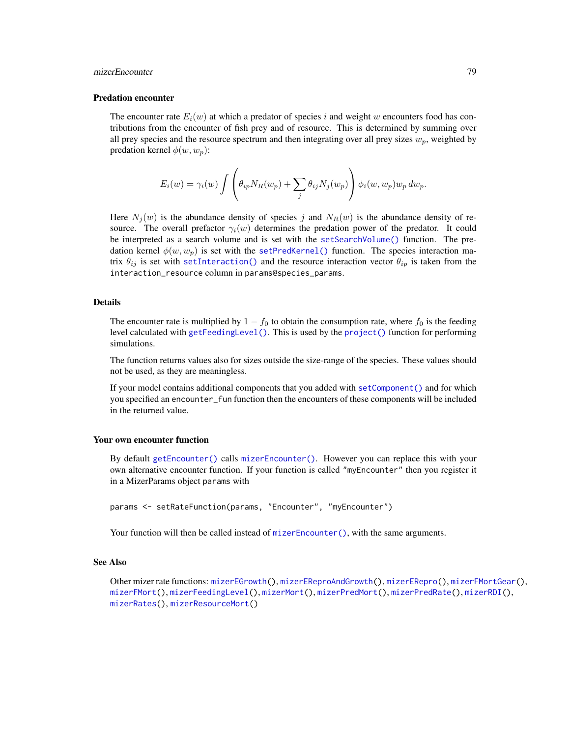#### mizerEncounter 79

#### Predation encounter

The encounter rate  $E_i(w)$  at which a predator of species i and weight w encounters food has contributions from the encounter of fish prey and of resource. This is determined by summing over all prey species and the resource spectrum and then integrating over all prey sizes  $w_p$ , weighted by predation kernel  $\phi(w, w_p)$ :

$$
E_i(w) = \gamma_i(w) \int \left( \theta_{ip} N_R(w_p) + \sum_j \theta_{ij} N_j(w_p) \right) \phi_i(w, w_p) w_p dw_p.
$$

Here  $N_i(w)$  is the abundance density of species j and  $N_R(w)$  is the abundance density of resource. The overall prefactor  $\gamma_i(w)$  determines the predation power of the predator. It could be interpreted as a search volume and is set with the [setSearchVolume\(\)](#page-190-0) function. The predation kernel  $\phi(w, w_p)$  is set with the [setPredKernel\(\)](#page-179-0) function. The species interaction matrix  $\theta_{ij}$  is set with [setInteraction\(\)](#page-165-0) and the resource interaction vector  $\theta_{ip}$  is taken from the interaction\_resource column in params@species\_params.

## Details

The encounter rate is multiplied by  $1 - f_0$  to obtain the consumption rate, where  $f_0$  is the feeding level calculated with [getFeedingLevel\(\)](#page-34-0). This is used by the [project\(\)](#page-143-0) function for performing simulations.

The function returns values also for sizes outside the size-range of the species. These values should not be used, as they are meaningless.

If your model contains additional components that you added with [setComponent\(\)](#page-159-0) and for which you specified an encounter\_fun function then the encounters of these components will be included in the returned value.

#### Your own encounter function

By default [getEncounter\(\)](#page-28-0) calls [mizerEncounter\(\)](#page-77-0). However you can replace this with your own alternative encounter function. If your function is called "myEncounter" then you register it in a MizerParams object params with

params <- setRateFunction(params, "Encounter", "myEncounter")

Your function will then be called instead of [mizerEncounter\(\)](#page-77-0), with the same arguments.

#### See Also

Other mizer rate functions: [mizerEGrowth\(](#page-76-0)), [mizerEReproAndGrowth\(](#page-80-0)), [mizerERepro\(](#page-79-0)), [mizerFMortGear\(](#page-84-0)), [mizerFMort\(](#page-83-0)), [mizerFeedingLevel\(](#page-81-0)), [mizerMort\(](#page-85-0)), [mizerPredMort\(](#page-89-0)), [mizerPredRate\(](#page-90-0)), [mizerRDI\(](#page-93-0)), [mizerRates\(](#page-91-0)), [mizerResourceMort\(](#page-94-0))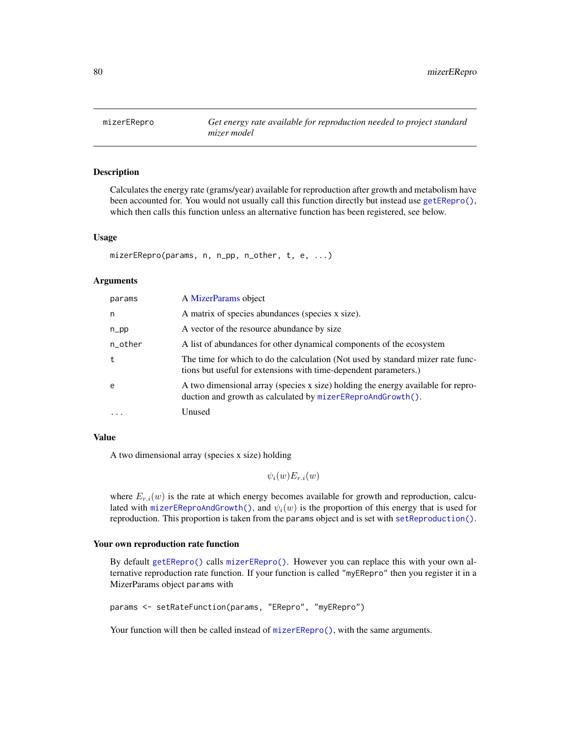<span id="page-79-0"></span>mizerERepro *Get energy rate available for reproduction needed to project standard mizer model*

## Description

Calculates the energy rate (grams/year) available for reproduction after growth and metabolism have been accounted for. You would not usually call this function directly but instead use [getERepro\(\)](#page-30-0), which then calls this function unless an alternative function has been registered, see below.

#### Usage

```
mizerERepro(params, n, n_pp, n_other, t, e, ...)
```
## Arguments

| params    | A MizerParams object                                                                                                                                |
|-----------|-----------------------------------------------------------------------------------------------------------------------------------------------------|
| n         | A matrix of species abundances (species x size).                                                                                                    |
| $n$ _pp   | A vector of the resource abundance by size                                                                                                          |
| n_other   | A list of abundances for other dynamical components of the ecosystem                                                                                |
| t         | The time for which to do the calculation (Not used by standard mizer rate func-<br>tions but useful for extensions with time-dependent parameters.) |
| e         | A two dimensional array (species x size) holding the energy available for repro-<br>duction and growth as calculated by mizerEReproAndGrowth().     |
| $\ddotsc$ | Unused                                                                                                                                              |

## Value

A two dimensional array (species x size) holding

 $\psi_i(w) E_{r,i}(w)$ 

where  $E_{r,i}(w)$  is the rate at which energy becomes available for growth and reproduction, calculated with [mizerEReproAndGrowth\(\)](#page-80-0), and  $\psi_i(w)$  is the proportion of this energy that is used for reproduction. This proportion is taken from the params object and is set with [setReproduction\(\)](#page-183-0).

#### Your own reproduction rate function

By default [getERepro\(\)](#page-30-0) calls [mizerERepro\(\)](#page-79-0). However you can replace this with your own alternative reproduction rate function. If your function is called "myERepro" then you register it in a MizerParams object params with

```
params <- setRateFunction(params, "ERepro", "myERepro")
```
Your function will then be called instead of [mizerERepro\(\)](#page-79-0), with the same arguments.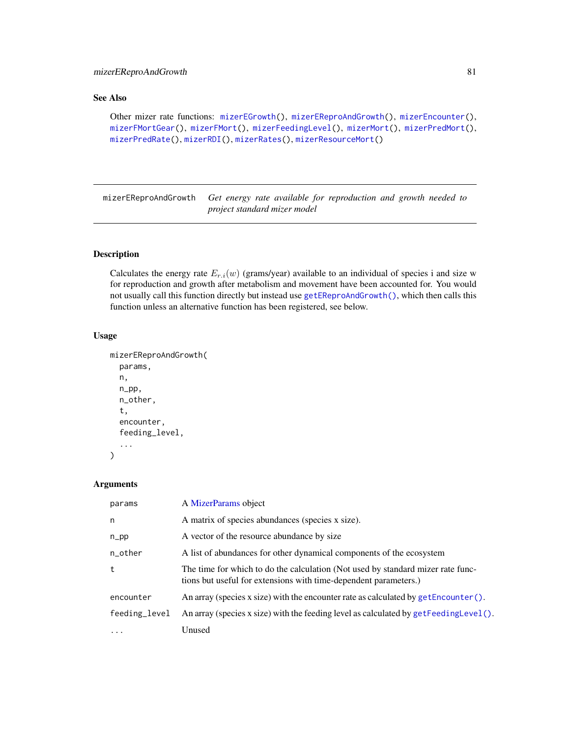## See Also

```
Other mizer rate functions: mizerEGrowth(), mizerEReproAndGrowth(), mizerEncounter(),
mizerFMortGear(), mizerFMort(), mizerFeedingLevel(), mizerMort(), mizerPredMort(),
mizerPredRate(), mizerRDI(), mizerRates(), mizerResourceMort()
```
<span id="page-80-0"></span>mizerEReproAndGrowth *Get energy rate available for reproduction and growth needed to project standard mizer model*

## Description

Calculates the energy rate  $E_{r,i}(w)$  (grams/year) available to an individual of species i and size w for reproduction and growth after metabolism and movement have been accounted for. You would not usually call this function directly but instead use [getEReproAndGrowth\(\)](#page-31-0), which then calls this function unless an alternative function has been registered, see below.

## Usage

```
mizerEReproAndGrowth(
  params,
  n,
  n_pp,
  n_other,
  t,
  encounter,
  feeding_level,
  ...
)
```
## Arguments

| params        | A MizerParams object                                                                                                                                |
|---------------|-----------------------------------------------------------------------------------------------------------------------------------------------------|
| n             | A matrix of species abundances (species x size).                                                                                                    |
| $n$ _pp       | A vector of the resource abundance by size                                                                                                          |
| n_other       | A list of abundances for other dynamical components of the ecosystem                                                                                |
| t             | The time for which to do the calculation (Not used by standard mizer rate func-<br>tions but useful for extensions with time-dependent parameters.) |
| encounter     | An array (species x size) with the encounter rate as calculated by $getEncoder()$ .                                                                 |
| feeding_level | An array (species x size) with the feeding level as calculated by $getFeedingLevel()$ .                                                             |
| $\ddotsc$     | Unused                                                                                                                                              |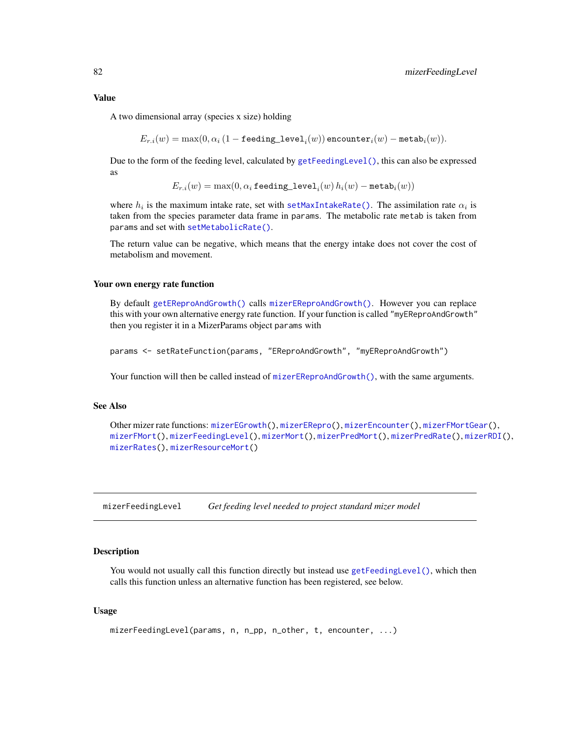#### Value

A two dimensional array (species x size) holding

 $E_{r.i}(w) = \max(0, \alpha_i \, (1 - \texttt{feedback}_i(w))$  encounter $_i(w) - \texttt{metab}_i(w)).$ 

Due to the form of the feeding level, calculated by [getFeedingLevel\(\)](#page-34-0), this can also be expressed as

 $E_{r.i}(w) = \max(0, \alpha_i$  feeding\_level $_i(w)\, h_i(w)$  – metab $_i(w))$ 

where  $h_i$  is the maximum intake rate, set with [setMaxIntakeRate\(\)](#page-167-0). The assimilation rate  $\alpha_i$  is taken from the species parameter data frame in params. The metabolic rate metab is taken from params and set with [setMetabolicRate\(\)](#page-168-0).

The return value can be negative, which means that the energy intake does not cover the cost of metabolism and movement.

#### Your own energy rate function

By default [getEReproAndGrowth\(\)](#page-31-0) calls [mizerEReproAndGrowth\(\)](#page-80-0). However you can replace this with your own alternative energy rate function. If your function is called "myEReproAndGrowth" then you register it in a MizerParams object params with

```
params <- setRateFunction(params, "EReproAndGrowth", "myEReproAndGrowth")
```
Your function will then be called instead of [mizerEReproAndGrowth\(\)](#page-80-0), with the same arguments.

## See Also

```
Other mizer rate functions: mizerEGrowth(), mizerERepro(), mizerEncounter(), mizerFMortGear(),
mizerFMort(), mizerFeedingLevel(), mizerMort(), mizerPredMort(), mizerPredRate(), mizerRDI(),
mizerRates(), mizerResourceMort()
```
<span id="page-81-0"></span>mizerFeedingLevel *Get feeding level needed to project standard mizer model*

## Description

You would not usually call this function directly but instead use [getFeedingLevel\(\)](#page-34-0), which then calls this function unless an alternative function has been registered, see below.

#### Usage

```
mizerFeedingLevel(params, n, n_pp, n_other, t, encounter, ...)
```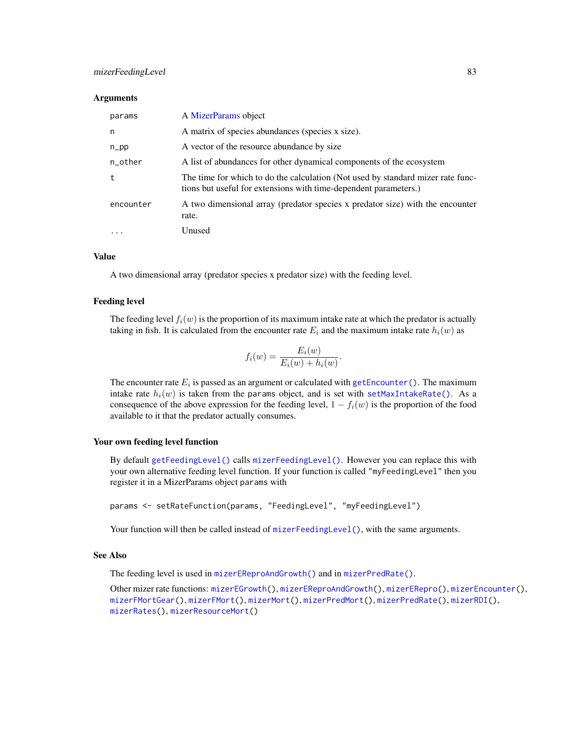# mizerFeedingLevel 83

#### **Arguments**

| params    | A MizerParams object                                                                                                                                |
|-----------|-----------------------------------------------------------------------------------------------------------------------------------------------------|
| n         | A matrix of species abundances (species x size).                                                                                                    |
| $n$ _pp   | A vector of the resource abundance by size                                                                                                          |
| n_other   | A list of abundances for other dynamical components of the ecosystem                                                                                |
| t         | The time for which to do the calculation (Not used by standard mizer rate func-<br>tions but useful for extensions with time-dependent parameters.) |
| encounter | A two dimensional array (predator species x predator size) with the encounter<br>rate.                                                              |
| .         | Unused                                                                                                                                              |

# Value

A two dimensional array (predator species x predator size) with the feeding level.

## Feeding level

The feeding level  $f_i(w)$  is the proportion of its maximum intake rate at which the predator is actually taking in fish. It is calculated from the encounter rate  $E_i$  and the maximum intake rate  $h_i(w)$  as

$$
f_i(w) = \frac{E_i(w)}{E_i(w) + h_i(w)}
$$

.

The encounter rate  $E_i$  is passed as an argument or calculated with getEncounter ( ). The maximum intake rate  $h_i(w)$  is taken from the params object, and is set with [setMaxIntakeRate\(\)](#page-167-0). As a consequence of the above expression for the feeding level,  $1 - f_i(w)$  is the proportion of the food available to it that the predator actually consumes.

#### Your own feeding level function

By default [getFeedingLevel\(\)](#page-34-0) calls [mizerFeedingLevel\(\)](#page-81-0). However you can replace this with your own alternative feeding level function. If your function is called "myFeedingLevel" then you register it in a MizerParams object params with

params <- setRateFunction(params, "FeedingLevel", "myFeedingLevel")

Your function will then be called instead of [mizerFeedingLevel\(\)](#page-81-0), with the same arguments.

#### See Also

The feeding level is used in [mizerEReproAndGrowth\(\)](#page-80-0) and in [mizerPredRate\(\)](#page-90-0).

```
Other mizer rate functions: mizerEGrowth(), mizerEReproAndGrowth(), mizerERepro(), mizerEncounter(),
mizerFMortGear(), mizerFMort(), mizerMort(), mizerPredMort(), mizerPredRate(), mizerRDI(),
mizerRates(), mizerResourceMort()
```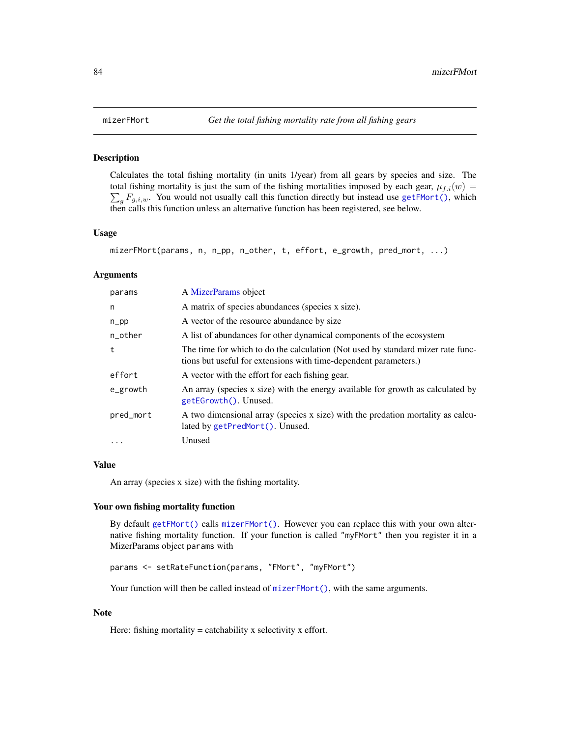<span id="page-83-0"></span>

## Description

Calculates the total fishing mortality (in units 1/year) from all gears by species and size. The  $\sum_{g} F_{g,i,w}$ . You would not usually call this function directly but instead use [getFMort\(\)](#page-36-0), which total fishing mortality is just the sum of the fishing mortalities imposed by each gear,  $\mu_{f,i}(w)$  = then calls this function unless an alternative function has been registered, see below.

#### Usage

```
mizerFMort(params, n, n_pp, n_other, t, effort, e_growth, pred_mort, ...)
```
#### Arguments

| params    | A MizerParams object                                                                                                                                |
|-----------|-----------------------------------------------------------------------------------------------------------------------------------------------------|
| n         | A matrix of species abundances (species x size).                                                                                                    |
| $n$ _pp   | A vector of the resource abundance by size                                                                                                          |
| n_other   | A list of abundances for other dynamical components of the ecosystem                                                                                |
| t         | The time for which to do the calculation (Not used by standard mizer rate func-<br>tions but useful for extensions with time-dependent parameters.) |
| effort    | A vector with the effort for each fishing gear.                                                                                                     |
| e_growth  | An array (species x size) with the energy available for growth as calculated by<br>getEGrowth(). Unused.                                            |
| pred_mort | A two dimensional array (species x size) with the predation mortality as calcu-<br>lated by getPredMort(). Unused.                                  |
| $\cdots$  | Unused                                                                                                                                              |

## Value

An array (species x size) with the fishing mortality.

## Your own fishing mortality function

By default [getFMort\(\)](#page-36-0) calls [mizerFMort\(\)](#page-83-0). However you can replace this with your own alternative fishing mortality function. If your function is called "myFMort" then you register it in a MizerParams object params with

```
params <- setRateFunction(params, "FMort", "myFMort")
```
Your function will then be called instead of [mizerFMort\(\)](#page-83-0), with the same arguments.

## Note

Here: fishing mortality = catchability  $x$  selectivity  $x$  effort.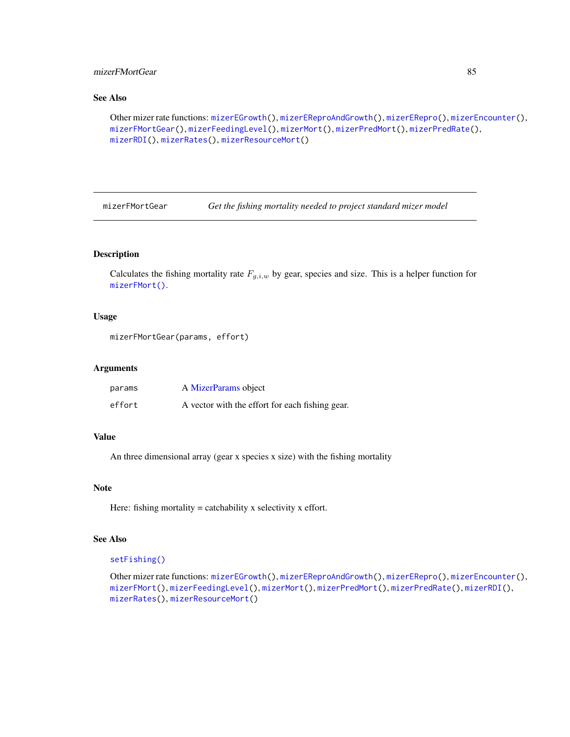# mizerFMortGear 85

## See Also

```
Other mizer rate functions: mizerEGrowth(), mizerEReproAndGrowth(), mizerERepro(), mizerEncounter(),
mizerFMortGear(), mizerFeedingLevel(), mizerMort(), mizerPredMort(), mizerPredRate(),
mizerRDI(), mizerRates(), mizerResourceMort()
```
<span id="page-84-0"></span>mizerFMortGear *Get the fishing mortality needed to project standard mizer model*

# Description

Calculates the fishing mortality rate  $F_{g,i,w}$  by gear, species and size. This is a helper function for [mizerFMort\(\)](#page-83-0).

## Usage

```
mizerFMortGear(params, effort)
```
## Arguments

| params | A MizerParams object                            |
|--------|-------------------------------------------------|
| effort | A vector with the effort for each fishing gear. |

## Value

An three dimensional array (gear x species x size) with the fishing mortality

#### Note

Here: fishing mortality = catchability  $x$  selectivity  $x$  effort.

## See Also

## [setFishing\(\)](#page-161-0)

```
Other mizer rate functions: mizerEGrowth(), mizerEReproAndGrowth(), mizerERepro(), mizerEncounter(),
mizerFMort(), mizerFeedingLevel(), mizerMort(), mizerPredMort(), mizerPredRate(), mizerRDI(),
mizerRates(), mizerResourceMort()
```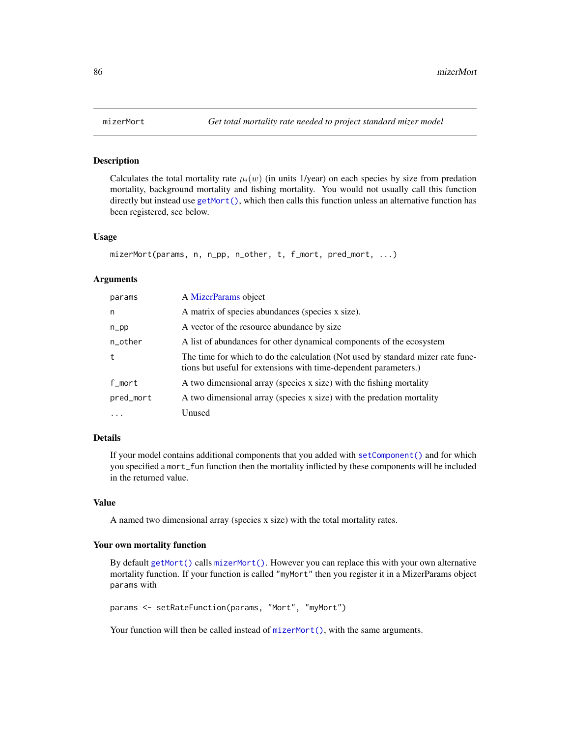## Description

Calculates the total mortality rate  $\mu_i(w)$  (in units 1/year) on each species by size from predation mortality, background mortality and fishing mortality. You would not usually call this function directly but instead use  $getMort()$ , which then calls this function unless an alternative function has been registered, see below.

## Usage

```
mizerMort(params, n, n_pp, n_other, t, f_mort, pred_mort, ...)
```
#### Arguments

| params    | A MizerParams object                                                                                                                                |
|-----------|-----------------------------------------------------------------------------------------------------------------------------------------------------|
| n         | A matrix of species abundances (species x size).                                                                                                    |
| $n$ _pp   | A vector of the resource abundance by size                                                                                                          |
| n_other   | A list of abundances for other dynamical components of the ecosystem                                                                                |
| t         | The time for which to do the calculation (Not used by standard mizer rate func-<br>tions but useful for extensions with time-dependent parameters.) |
| f_mort    | A two dimensional array (species x size) with the fishing mortality                                                                                 |
| pred_mort | A two dimensional array (species x size) with the predation mortality                                                                               |
| $\ddotsc$ | Unused                                                                                                                                              |

# Details

If your model contains additional components that you added with [setComponent\(\)](#page-159-0) and for which you specified a mort\_fun function then the mortality inflicted by these components will be included in the returned value.

#### Value

A named two dimensional array (species x size) with the total mortality rates.

#### Your own mortality function

By default [getMort\(\)](#page-45-0) calls [mizerMort\(\)](#page-85-0). However you can replace this with your own alternative mortality function. If your function is called "myMort" then you register it in a MizerParams object params with

params <- setRateFunction(params, "Mort", "myMort")

Your function will then be called instead of [mizerMort\(\)](#page-85-0), with the same arguments.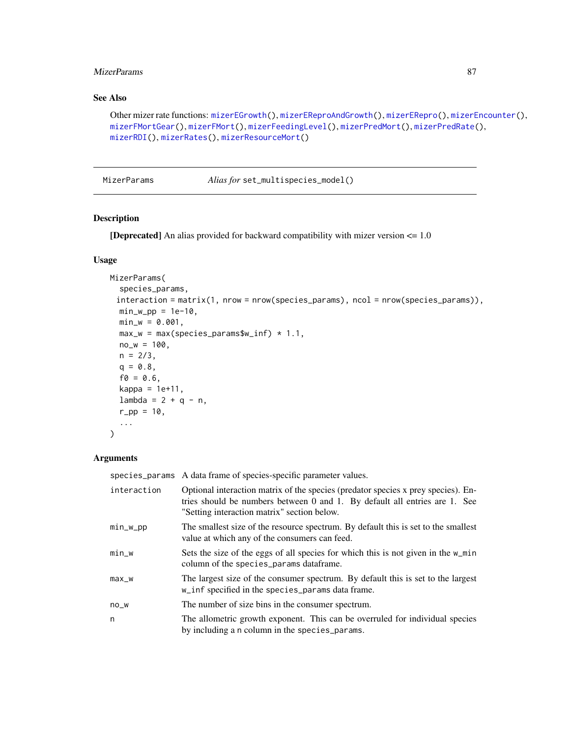## MizerParams 87

# See Also

```
Other mizer rate functions: mizerEGrowth(), mizerEReproAndGrowth(), mizerERepro(), mizerEncounter(),
mizerFMortGear(), mizerFMort(), mizerFeedingLevel(), mizerPredMort(), mizerPredRate(),
mizerRDI(), mizerRates(), mizerResourceMort()
```

```
MizerParams Alias for set_multispecies_model()
```
# Description

[Deprecated] An alias provided for backward compatibility with mizer version  $\leq 1.0$ 

# Usage

```
MizerParams(
  species_params,
 interaction = matrix(1, nrow = nrow(species_params), ncol = nrow(species_params)),
 min_w\_pp = 1e-10,
 min_w = 0.001,max_w = max(species_params\w_inf) * 1.1,
 no_w = 100,n = 2/3,
  q = 0.8,
  f0 = 0.6,
 kappa = 1e+11,
  lambda = 2 + q - n,
  r_{p} = 10,
  ...
)
```
## Arguments

|             | species_params A data frame of species-specific parameter values.                                                                                                                                              |
|-------------|----------------------------------------------------------------------------------------------------------------------------------------------------------------------------------------------------------------|
| interaction | Optional interaction matrix of the species (predator species x prey species). En-<br>tries should be numbers between 0 and 1. By default all entries are 1. See<br>"Setting interaction matrix" section below. |
| $min_w$     | The smallest size of the resource spectrum. By default this is set to the smallest<br>value at which any of the consumers can feed.                                                                            |
| $min_w$     | Sets the size of the eggs of all species for which this is not given in the w_min<br>column of the species_params dataframe.                                                                                   |
| $max_w$     | The largest size of the consumer spectrum. By default this is set to the largest<br>w_inf specified in the species_params data frame.                                                                          |
| $no_w$      | The number of size bins in the consumer spectrum.                                                                                                                                                              |
| n           | The allometric growth exponent. This can be overruled for individual species<br>by including a n column in the species_params.                                                                                 |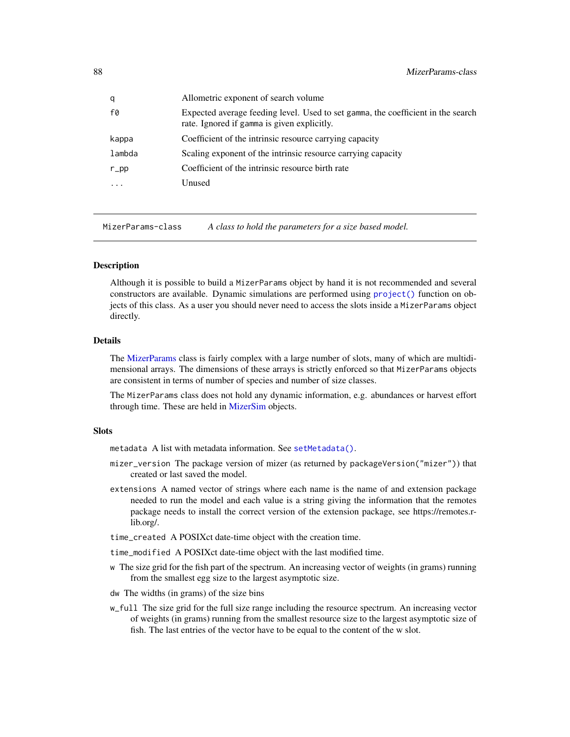| q       | Allometric exponent of search volume.                                                                                           |
|---------|---------------------------------------------------------------------------------------------------------------------------------|
| f0      | Expected average feeding level. Used to set gamma, the coefficient in the search<br>rate. Ignored if gamma is given explicitly. |
| kappa   | Coefficient of the intrinsic resource carrying capacity                                                                         |
| lambda  | Scaling exponent of the intrinsic resource carrying capacity                                                                    |
| $r$ _pp | Coefficient of the intrinsic resource birth rate                                                                                |
|         | Unused                                                                                                                          |
|         |                                                                                                                                 |

<span id="page-87-0"></span>MizerParams-class *A class to hold the parameters for a size based model.*

# Description

Although it is possible to build a MizerParams object by hand it is not recommended and several constructors are available. Dynamic simulations are performed using [project\(\)](#page-143-0) function on objects of this class. As a user you should never need to access the slots inside a MizerParams object directly.

## Details

The [MizerParams](#page-87-0) class is fairly complex with a large number of slots, many of which are multidimensional arrays. The dimensions of these arrays is strictly enforced so that MizerParams objects are consistent in terms of number of species and number of size classes.

The MizerParams class does not hold any dynamic information, e.g. abundances or harvest effort through time. These are held in [MizerSim](#page-96-0) objects.

## **Slots**

metadata A list with metadata information. See [setMetadata\(\)](#page-169-0).

- mizer\_version The package version of mizer (as returned by packageVersion("mizer")) that created or last saved the model.
- extensions A named vector of strings where each name is the name of and extension package needed to run the model and each value is a string giving the information that the remotes package needs to install the correct version of the extension package, see https://remotes.rlib.org/.
- time\_created A POSIXct date-time object with the creation time.
- time\_modified A POSIXct date-time object with the last modified time.
- w The size grid for the fish part of the spectrum. An increasing vector of weights (in grams) running from the smallest egg size to the largest asymptotic size.
- dw The widths (in grams) of the size bins
- w\_full The size grid for the full size range including the resource spectrum. An increasing vector of weights (in grams) running from the smallest resource size to the largest asymptotic size of fish. The last entries of the vector have to be equal to the content of the w slot.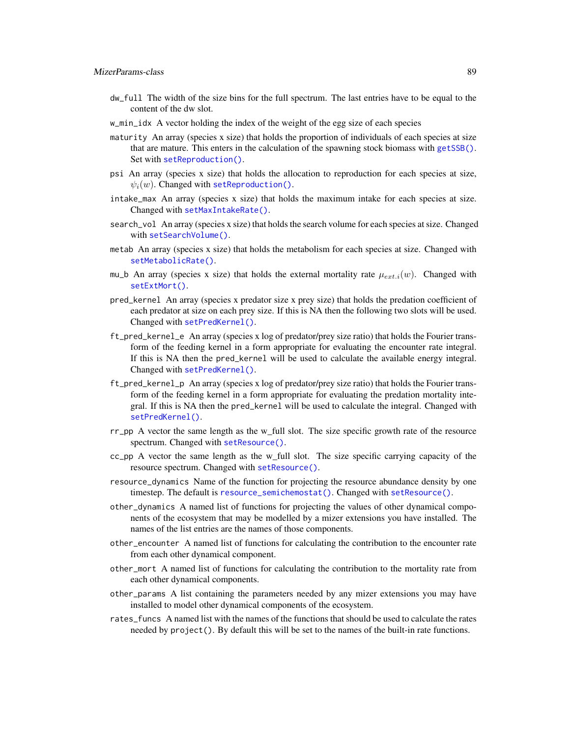- dw\_full The width of the size bins for the full spectrum. The last entries have to be equal to the content of the dw slot.
- w\_min\_idx A vector holding the index of the weight of the egg size of each species
- maturity An array (species x size) that holds the proportion of individuals of each species at size that are mature. This enters in the calculation of the spawning stock biomass with [getSSB\(\)](#page-59-0). Set with [setReproduction\(\)](#page-183-0).
- psi An array (species x size) that holds the allocation to reproduction for each species at size,  $\psi_i(w)$ . Changed with [setReproduction\(\)](#page-183-0).
- intake\_max An array (species x size) that holds the maximum intake for each species at size. Changed with [setMaxIntakeRate\(\)](#page-167-0).
- search\_vol An array (species x size) that holds the search volume for each species at size. Changed with [setSearchVolume\(\)](#page-190-0).
- metab An array (species x size) that holds the metabolism for each species at size. Changed with [setMetabolicRate\(\)](#page-168-0).
- mu\_b An array (species x size) that holds the external mortality rate  $\mu_{ext,i}(w)$ . Changed with [setExtMort\(\)](#page-160-0).
- pred\_kernel An array (species x predator size x prey size) that holds the predation coefficient of each predator at size on each prey size. If this is NA then the following two slots will be used. Changed with [setPredKernel\(\)](#page-179-0).
- ft\_pred\_kernel\_e An array (species x log of predator/prey size ratio) that holds the Fourier transform of the feeding kernel in a form appropriate for evaluating the encounter rate integral. If this is NA then the pred\_kernel will be used to calculate the available energy integral. Changed with [setPredKernel\(\)](#page-179-0).
- ft\_pred\_kernel\_p An array (species x log of predator/prey size ratio) that holds the Fourier transform of the feeding kernel in a form appropriate for evaluating the predation mortality integral. If this is NA then the pred\_kernel will be used to calculate the integral. Changed with [setPredKernel\(\)](#page-179-0).
- rr\_pp A vector the same length as the w\_full slot. The size specific growth rate of the resource spectrum. Changed with [setResource\(\)](#page-186-0).
- cc\_pp A vector the same length as the w\_full slot. The size specific carrying capacity of the resource spectrum. Changed with [setResource\(\)](#page-186-0).
- resource\_dynamics Name of the function for projecting the resource abundance density by one timestep. The default is [resource\\_semichemostat\(\)](#page-151-0). Changed with [setResource\(\)](#page-186-0).
- other\_dynamics A named list of functions for projecting the values of other dynamical components of the ecosystem that may be modelled by a mizer extensions you have installed. The names of the list entries are the names of those components.
- other\_encounter A named list of functions for calculating the contribution to the encounter rate from each other dynamical component.
- other\_mort A named list of functions for calculating the contribution to the mortality rate from each other dynamical components.
- other\_params A list containing the parameters needed by any mizer extensions you may have installed to model other dynamical components of the ecosystem.
- rates\_funcs A named list with the names of the functions that should be used to calculate the rates needed by project(). By default this will be set to the names of the built-in rate functions.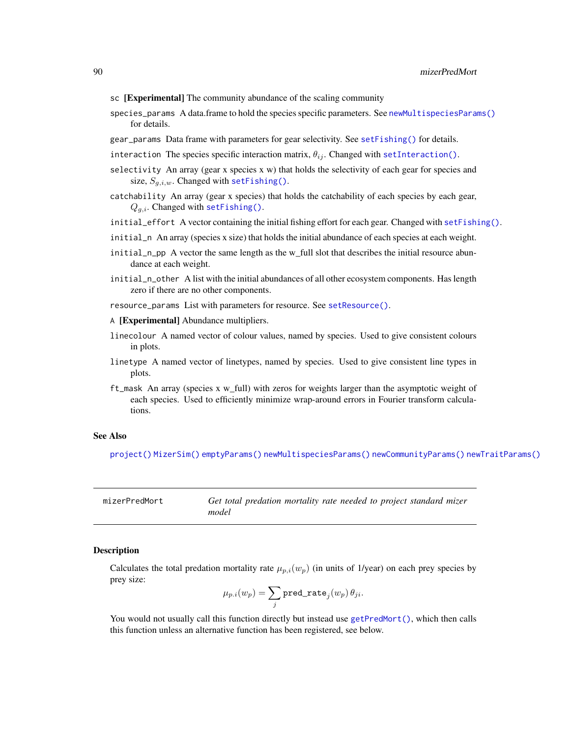- sc [Experimental] The community abundance of the scaling community
- species\_params A data.frame to hold the species specific parameters. See [newMultispeciesParams\(\)](#page-99-0) for details.
- gear\_params Data frame with parameters for gear selectivity. See [setFishing\(\)](#page-161-0) for details.
- interaction The species specific interaction matrix,  $\theta_{ij}$ . Changed with [setInteraction\(\)](#page-165-0).
- selectivity An array (gear x species x w) that holds the selectivity of each gear for species and size,  $S_{q,i,w}$ . Changed with [setFishing\(\)](#page-161-0).
- catchability An array (gear x species) that holds the catchability of each species by each gear,  $Q_{g,i}$ . Changed with [setFishing\(\)](#page-161-0).
- initial\_effort A vector containing the initial fishing effort for each gear. Changed with [setFishing\(\)](#page-161-0).
- initial\_n An array (species x size) that holds the initial abundance of each species at each weight.
- initial\_n\_pp A vector the same length as the w full slot that describes the initial resource abundance at each weight.
- initial\_n\_other A list with the initial abundances of all other ecosystem components. Has length zero if there are no other components.
- resource\_params List with parameters for resource. See [setResource\(\)](#page-186-0).
- A [Experimental] Abundance multipliers.
- linecolour A named vector of colour values, named by species. Used to give consistent colours in plots.
- linetype A named vector of linetypes, named by species. Used to give consistent line types in plots.
- ft\_mask An array (species x w\_full) with zeros for weights larger than the asymptotic weight of each species. Used to efficiently minimize wrap-around errors in Fourier transform calculations.

## See Also

[project\(\)](#page-143-0) [MizerSim\(\)](#page-95-0) [emptyParams\(\)](#page-18-0) [newMultispeciesParams\(\)](#page-99-0) [newCommunityParams\(\)](#page-97-0) [newTraitParams\(\)](#page-111-0)

<span id="page-89-0"></span>

| mizerPredMort | Get total predation mortality rate needed to project standard mizer |
|---------------|---------------------------------------------------------------------|
|               | model                                                               |

## **Description**

Calculates the total predation mortality rate  $\mu_{p,i}(w_p)$  (in units of 1/year) on each prey species by prey size:

$$
\mu_{p.i}(w_p) = \sum_j \mathtt{pred\_rate}_j(w_p)\,\theta_{ji}.
$$

You would not usually call this function directly but instead use [getPredMort\(\)](#page-49-0), which then calls this function unless an alternative function has been registered, see below.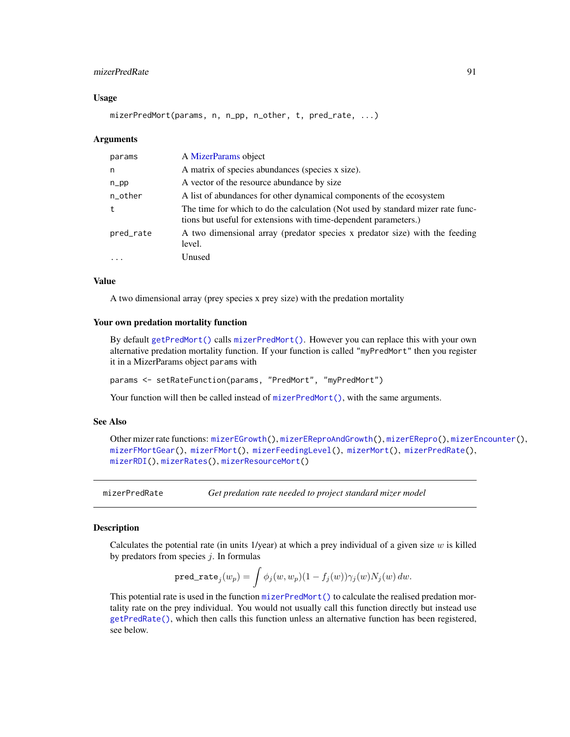## mizerPredRate 91

## Usage

mizerPredMort(params, n, n\_pp, n\_other, t, pred\_rate, ...)

#### Arguments

| params    | A MizerParams object                                                                                                                                |
|-----------|-----------------------------------------------------------------------------------------------------------------------------------------------------|
| n         | A matrix of species abundances (species x size).                                                                                                    |
| $n$ _pp   | A vector of the resource abundance by size                                                                                                          |
| n_other   | A list of abundances for other dynamical components of the ecosystem                                                                                |
| t         | The time for which to do the calculation (Not used by standard mizer rate func-<br>tions but useful for extensions with time-dependent parameters.) |
| pred_rate | A two dimensional array (predator species x predator size) with the feeding<br>level.                                                               |
| $\cdot$   | Unused                                                                                                                                              |

## Value

A two dimensional array (prey species x prey size) with the predation mortality

## Your own predation mortality function

By default [getPredMort\(\)](#page-49-0) calls [mizerPredMort\(\)](#page-89-0). However you can replace this with your own alternative predation mortality function. If your function is called "myPredMort" then you register it in a MizerParams object params with

params <- setRateFunction(params, "PredMort", "myPredMort")

Your function will then be called instead of [mizerPredMort\(\)](#page-89-0), with the same arguments.

## See Also

Other mizer rate functions: [mizerEGrowth\(](#page-76-0)), [mizerEReproAndGrowth\(](#page-80-0)), [mizerERepro\(](#page-79-0)), [mizerEncounter\(](#page-77-0)), [mizerFMortGear\(](#page-84-0)), [mizerFMort\(](#page-83-0)), [mizerFeedingLevel\(](#page-81-0)), [mizerMort\(](#page-85-0)), [mizerPredRate\(](#page-90-0)), [mizerRDI\(](#page-93-0)), [mizerRates\(](#page-91-0)), [mizerResourceMort\(](#page-94-0))

<span id="page-90-0"></span>

mizerPredRate *Get predation rate needed to project standard mizer model*

## Description

Calculates the potential rate (in units  $1$ /year) at which a prey individual of a given size w is killed by predators from species  $j$ . In formulas

$$
\mathtt{pred\_rate}_j(w_p) = \int \phi_j(w, w_p) (1 - f_j(w)) \gamma_j(w) N_j(w) \, dw.
$$

This potential rate is used in the function [mizerPredMort\(\)](#page-89-0) to calculate the realised predation mortality rate on the prey individual. You would not usually call this function directly but instead use [getPredRate\(\)](#page-50-0), which then calls this function unless an alternative function has been registered, see below.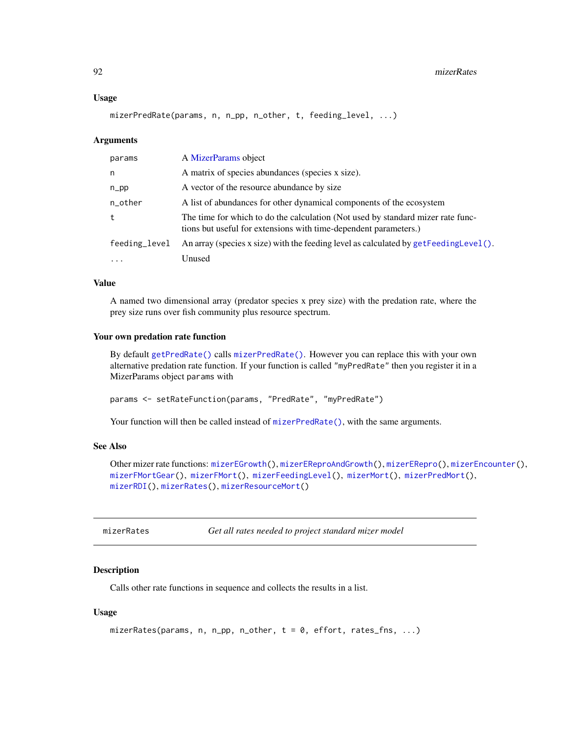## Usage

mizerPredRate(params, n, n\_pp, n\_other, t, feeding\_level, ...)

#### Arguments

| params        | A MizerParams object                                                                                                                                |
|---------------|-----------------------------------------------------------------------------------------------------------------------------------------------------|
| n             | A matrix of species abundances (species x size).                                                                                                    |
| $n$ _pp       | A vector of the resource abundance by size                                                                                                          |
| n_other       | A list of abundances for other dynamical components of the ecosystem                                                                                |
| t             | The time for which to do the calculation (Not used by standard mizer rate func-<br>tions but useful for extensions with time-dependent parameters.) |
| feeding_level | An array (species x size) with the feeding level as calculated by $getFeedingLevel()$ .                                                             |
| $\ddotsc$     | Unused                                                                                                                                              |

# Value

A named two dimensional array (predator species x prey size) with the predation rate, where the prey size runs over fish community plus resource spectrum.

## Your own predation rate function

By default [getPredRate\(\)](#page-50-0) calls [mizerPredRate\(\)](#page-90-0). However you can replace this with your own alternative predation rate function. If your function is called "myPredRate" then you register it in a MizerParams object params with

params <- setRateFunction(params, "PredRate", "myPredRate")

Your function will then be called instead of [mizerPredRate\(\)](#page-90-0), with the same arguments.

## See Also

Other mizer rate functions: [mizerEGrowth\(](#page-76-0)), [mizerEReproAndGrowth\(](#page-80-0)), [mizerERepro\(](#page-79-0)), [mizerEncounter\(](#page-77-0)), [mizerFMortGear\(](#page-84-0)), [mizerFMort\(](#page-83-0)), [mizerFeedingLevel\(](#page-81-0)), [mizerMort\(](#page-85-0)), [mizerPredMort\(](#page-89-0)), [mizerRDI\(](#page-93-0)), [mizerRates\(](#page-91-0)), [mizerResourceMort\(](#page-94-0))

<span id="page-91-0"></span>mizerRates *Get all rates needed to project standard mizer model*

## Description

Calls other rate functions in sequence and collects the results in a list.

#### Usage

```
mizerRates(params, n, n_pp, n_other, t = 0, effort, rates_fns, ...)
```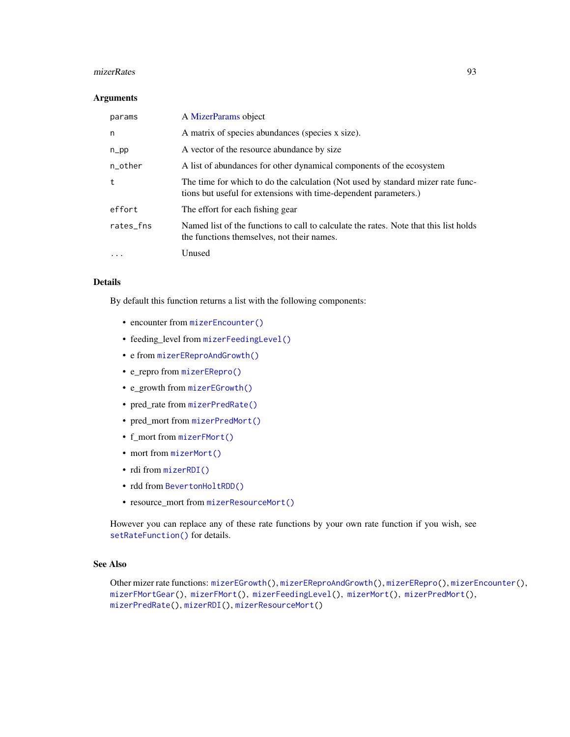#### mizerRates 93

#### Arguments

| params    | A MizerParams object                                                                                                                                |
|-----------|-----------------------------------------------------------------------------------------------------------------------------------------------------|
| n         | A matrix of species abundances (species x size).                                                                                                    |
| $n$ _pp   | A vector of the resource abundance by size                                                                                                          |
| n_other   | A list of abundances for other dynamical components of the ecosystem                                                                                |
| t         | The time for which to do the calculation (Not used by standard mizer rate func-<br>tions but useful for extensions with time-dependent parameters.) |
| effort    | The effort for each fishing gear                                                                                                                    |
| rates_fns | Named list of the functions to call to calculate the rates. Note that this list holds<br>the functions themselves, not their names.                 |
|           | Unused                                                                                                                                              |

# Details

By default this function returns a list with the following components:

- encounter from [mizerEncounter\(\)](#page-77-0)
- feeding\_level from [mizerFeedingLevel\(\)](#page-81-0)
- e from [mizerEReproAndGrowth\(\)](#page-80-0)
- e\_repro from [mizerERepro\(\)](#page-79-0)
- e\_growth from [mizerEGrowth\(\)](#page-76-0)
- pred\_rate from [mizerPredRate\(\)](#page-90-0)
- pred\_mort from [mizerPredMort\(\)](#page-89-0)
- f\_mort from [mizerFMort\(\)](#page-83-0)
- mort from [mizerMort\(\)](#page-85-0)
- rdi from [mizerRDI\(\)](#page-93-0)
- rdd from [BevertonHoltRDD\(\)](#page-8-0)
- resource\_mort from [mizerResourceMort\(\)](#page-94-0)

However you can replace any of these rate functions by your own rate function if you wish, see [setRateFunction\(\)](#page-181-0) for details.

# See Also

Other mizer rate functions: [mizerEGrowth\(](#page-76-0)), [mizerEReproAndGrowth\(](#page-80-0)), [mizerERepro\(](#page-79-0)), [mizerEncounter\(](#page-77-0)), [mizerFMortGear\(](#page-84-0)), [mizerFMort\(](#page-83-0)), [mizerFeedingLevel\(](#page-81-0)), [mizerMort\(](#page-85-0)), [mizerPredMort\(](#page-89-0)), [mizerPredRate\(](#page-90-0)), [mizerRDI\(](#page-93-0)), [mizerResourceMort\(](#page-94-0))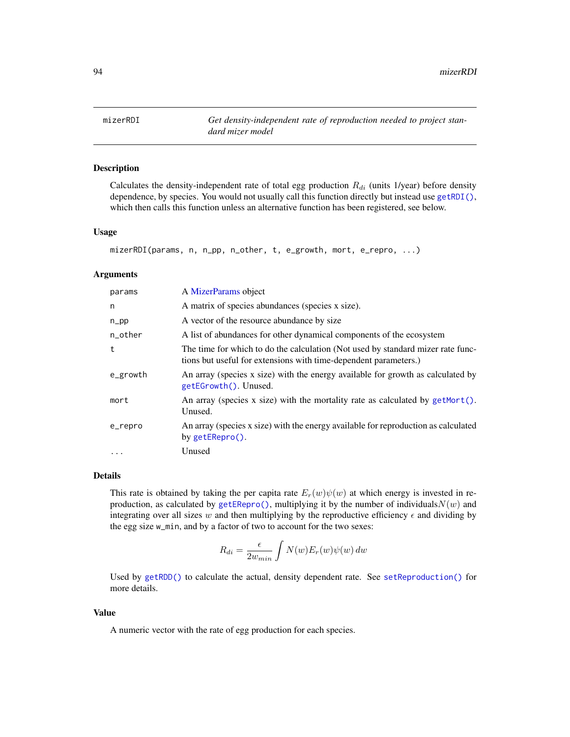<span id="page-93-0"></span>mizerRDI *Get density-independent rate of reproduction needed to project standard mizer model*

# Description

Calculates the density-independent rate of total egg production  $R_{di}$  (units 1/year) before density dependence, by species. You would not usually call this function directly but instead use [getRDI\(\)](#page-56-0), which then calls this function unless an alternative function has been registered, see below.

## Usage

```
mizerRDI(params, n, n_pp, n_other, t, e_growth, mort, e_repro, ...)
```
#### Arguments

| params   | A MizerParams object                                                                                                                                |
|----------|-----------------------------------------------------------------------------------------------------------------------------------------------------|
| n        | A matrix of species abundances (species x size).                                                                                                    |
| $n$ _pp  | A vector of the resource abundance by size                                                                                                          |
| n_other  | A list of abundances for other dynamical components of the ecosystem                                                                                |
| t        | The time for which to do the calculation (Not used by standard mizer rate func-<br>tions but useful for extensions with time-dependent parameters.) |
| e_growth | An array (species x size) with the energy available for growth as calculated by<br>getEGrowth(). Unused.                                            |
| mort     | An array (species x size) with the mortality rate as calculated by $getMort()$ .<br>Unused.                                                         |
| e_repro  | An array (species x size) with the energy available for reproduction as calculated<br>by $getERepro()$ .                                            |
| $\cdots$ | Unused                                                                                                                                              |

## Details

This rate is obtained by taking the per capita rate  $E_r(w)\psi(w)$  at which energy is invested in reproduction, as calculated by [getERepro\(\)](#page-30-0), multiplying it by the number of individuals $N(w)$  and integrating over all sizes w and then multiplying by the reproductive efficiency  $\epsilon$  and dividing by the egg size w\_min, and by a factor of two to account for the two sexes:

$$
R_{di} = \frac{\epsilon}{2w_{min}} \int N(w) E_r(w) \psi(w) \, dw
$$

Used by [getRDD\(\)](#page-54-0) to calculate the actual, density dependent rate. See [setReproduction\(\)](#page-183-0) for more details.

#### Value

A numeric vector with the rate of egg production for each species.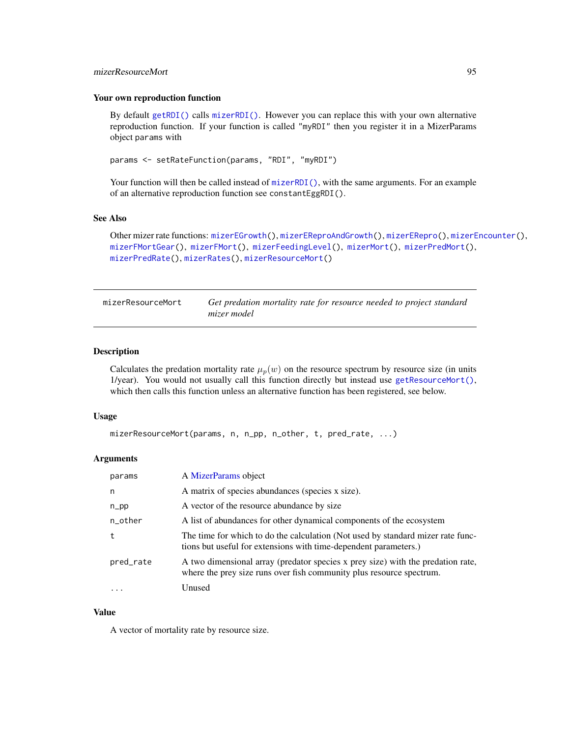## mizerResourceMort 95

## Your own reproduction function

By default [getRDI\(\)](#page-56-0) calls [mizerRDI\(\)](#page-93-0). However you can replace this with your own alternative reproduction function. If your function is called "myRDI" then you register it in a MizerParams object params with

params <- setRateFunction(params, "RDI", "myRDI")

Your function will then be called instead of [mizerRDI\(\)](#page-93-0), with the same arguments. For an example of an alternative reproduction function see constantEggRDI().

## See Also

Other mizer rate functions: [mizerEGrowth\(](#page-76-0)), [mizerEReproAndGrowth\(](#page-80-0)), [mizerERepro\(](#page-79-0)), [mizerEncounter\(](#page-77-0)), [mizerFMortGear\(](#page-84-0)), [mizerFMort\(](#page-83-0)), [mizerFeedingLevel\(](#page-81-0)), [mizerMort\(](#page-85-0)), [mizerPredMort\(](#page-89-0)), [mizerPredRate\(](#page-90-0)), [mizerRates\(](#page-91-0)), [mizerResourceMort\(](#page-94-0))

<span id="page-94-0"></span>

| mizerResourceMort | Get predation mortality rate for resource needed to project standard |
|-------------------|----------------------------------------------------------------------|
|                   | mizer model                                                          |

## Description

Calculates the predation mortality rate  $\mu_p(w)$  on the resource spectrum by resource size (in units 1/year). You would not usually call this function directly but instead use [getResourceMort\(\)](#page-58-0), which then calls this function unless an alternative function has been registered, see below.

#### Usage

```
mizerResourceMort(params, n, n_pp, n_other, t, pred_rate, ...)
```
## Arguments

| params    | A MizerParams object                                                                                                                                    |
|-----------|---------------------------------------------------------------------------------------------------------------------------------------------------------|
| n         | A matrix of species abundances (species x size).                                                                                                        |
| $n$ _pp   | A vector of the resource abundance by size                                                                                                              |
| n_other   | A list of abundances for other dynamical components of the ecosystem                                                                                    |
|           | The time for which to do the calculation (Not used by standard mizer rate func-<br>tions but useful for extensions with time-dependent parameters.)     |
| pred_rate | A two dimensional array (predator species x prey size) with the predation rate,<br>where the prey size runs over fish community plus resource spectrum. |
| $\cdots$  | Unused                                                                                                                                                  |

#### Value

A vector of mortality rate by resource size.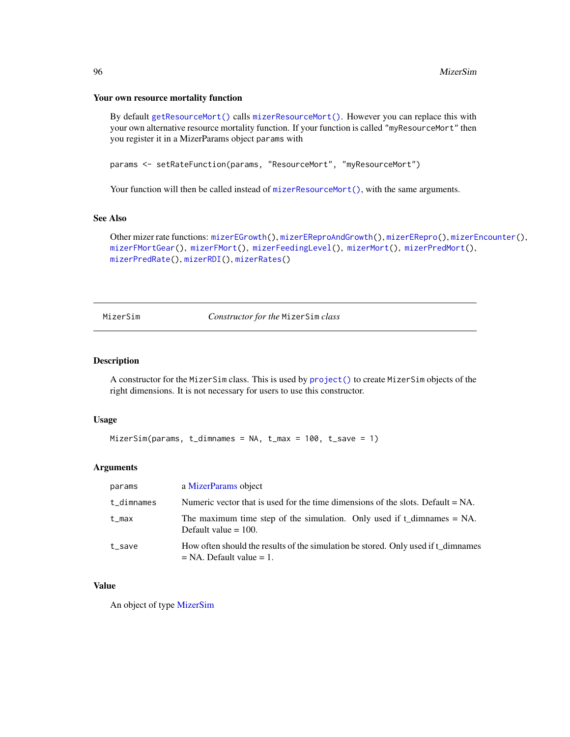#### Your own resource mortality function

By default [getResourceMort\(\)](#page-58-0) calls [mizerResourceMort\(\)](#page-94-0). However you can replace this with your own alternative resource mortality function. If your function is called "myResourceMort" then you register it in a MizerParams object params with

params <- setRateFunction(params, "ResourceMort", "myResourceMort")

Your function will then be called instead of [mizerResourceMort\(\)](#page-94-0), with the same arguments.

### See Also

Other mizer rate functions: [mizerEGrowth\(](#page-76-0)), [mizerEReproAndGrowth\(](#page-80-0)), [mizerERepro\(](#page-79-0)), [mizerEncounter\(](#page-77-0)), [mizerFMortGear\(](#page-84-0)), [mizerFMort\(](#page-83-0)), [mizerFeedingLevel\(](#page-81-0)), [mizerMort\(](#page-85-0)), [mizerPredMort\(](#page-89-0)), [mizerPredRate\(](#page-90-0)), [mizerRDI\(](#page-93-0)), [mizerRates\(](#page-91-0))

<span id="page-95-0"></span>MizerSim *Constructor for the* MizerSim *class*

## Description

A constructor for the MizerSim class. This is used by [project\(\)](#page-143-0) to create MizerSim objects of the right dimensions. It is not necessary for users to use this constructor.

#### Usage

```
MizerSim(params, t_ddimnames = NA, t_mmax = 100, t_ssave = 1)
```
## Arguments

| params     | a MizerParams object                                                                                              |
|------------|-------------------------------------------------------------------------------------------------------------------|
| t_dimnames | Numeric vector that is used for the time dimensions of the slots. Default $= NA$ .                                |
| t_max      | The maximum time step of the simulation. Only used if $t_d$ dimnames = NA.<br>Default value $= 100$ .             |
| t_save     | How often should the results of the simulation be stored. Only used if t_dimnames<br>$= NA.$ Default value $= 1.$ |

## Value

An object of type [MizerSim](#page-96-0)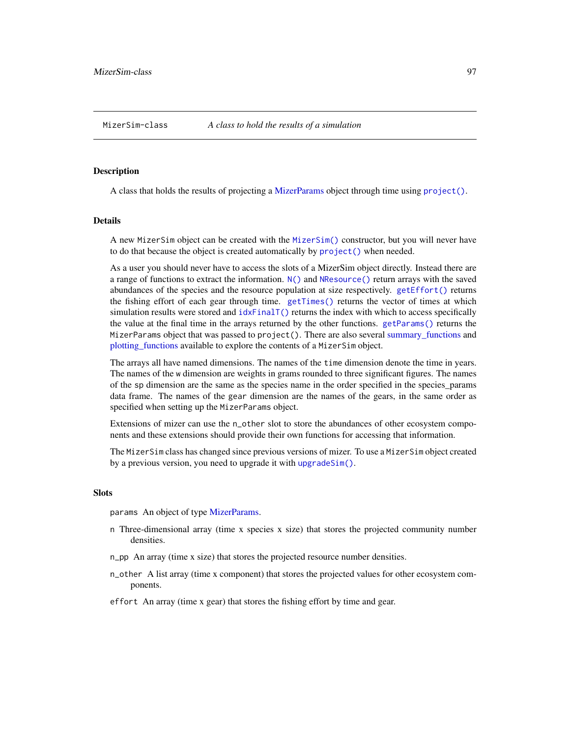## <span id="page-96-0"></span>**Description**

A class that holds the results of projecting a [MizerParams](#page-87-0) object through time using [project\(\)](#page-143-0).

#### Details

A new MizerSim object can be created with the [MizerSim\(\)](#page-95-0) constructor, but you will never have to do that because the object is created automatically by [project\(\)](#page-143-0) when needed.

As a user you should never have to access the slots of a MizerSim object directly. Instead there are a range of functions to extract the information. [N\(\)](#page-97-1) and [NResource\(\)](#page-97-2) return arrays with the saved abundances of the species and the resource population at size respectively. [getEffort\(\)](#page-26-0) returns the fishing effort of each gear through time. [getTimes\(\)](#page-60-0) returns the vector of times at which simulation results were stored and  $idxFinalT()$  returns the index with which to access specifically the value at the final time in the arrays returned by the other functions. [getParams\(\)](#page-47-0) returns the MizerParams object that was passed to project(). There are also several [summary\\_functions](#page-204-0) and [plotting\\_functions](#page-136-0) available to explore the contents of a MizerSim object.

The arrays all have named dimensions. The names of the time dimension denote the time in years. The names of the w dimension are weights in grams rounded to three significant figures. The names of the sp dimension are the same as the species name in the order specified in the species\_params data frame. The names of the gear dimension are the names of the gears, in the same order as specified when setting up the MizerParams object.

Extensions of mizer can use the n\_other slot to store the abundances of other ecosystem components and these extensions should provide their own functions for accessing that information.

The MizerSim class has changed since previous versions of mizer. To use a MizerSim object created by a previous version, you need to upgrade it with [upgradeSim\(\)](#page-207-0).

## **Slots**

params An object of type [MizerParams.](#page-87-0)

- n Three-dimensional array (time x species x size) that stores the projected community number densities.
- n\_pp An array (time x size) that stores the projected resource number densities.
- n\_other A list array (time x component) that stores the projected values for other ecosystem components.
- effort An array (time x gear) that stores the fishing effort by time and gear.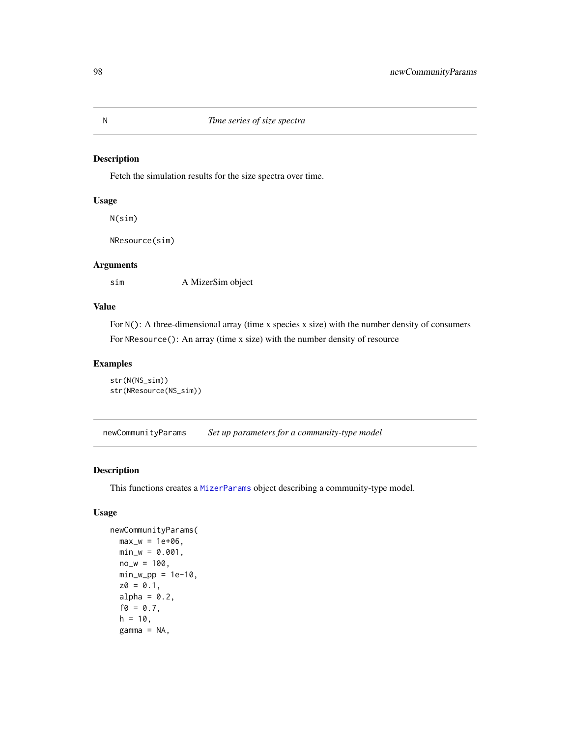# <span id="page-97-2"></span><span id="page-97-1"></span>Description

Fetch the simulation results for the size spectra over time.

## Usage

N(sim)

NResource(sim)

## Arguments

sim A MizerSim object

# Value

For N(): A three-dimensional array (time x species x size) with the number density of consumers For NResource(): An array (time x size) with the number density of resource

# Examples

```
str(N(NS_sim))
str(NResource(NS_sim))
```
<span id="page-97-0"></span>newCommunityParams *Set up parameters for a community-type model*

# Description

This functions creates a [MizerParams](#page-87-0) object describing a community-type model.

## Usage

```
newCommunityParams(
  max_w = 1e+06,
 min_w = 0.001,
 no_w = 100,min_w\_p = 1e-10,
  z0 = 0.1,
  alpha = 0.2,
  f0 = 0.7,
  h = 10,
  gamma = NA,
```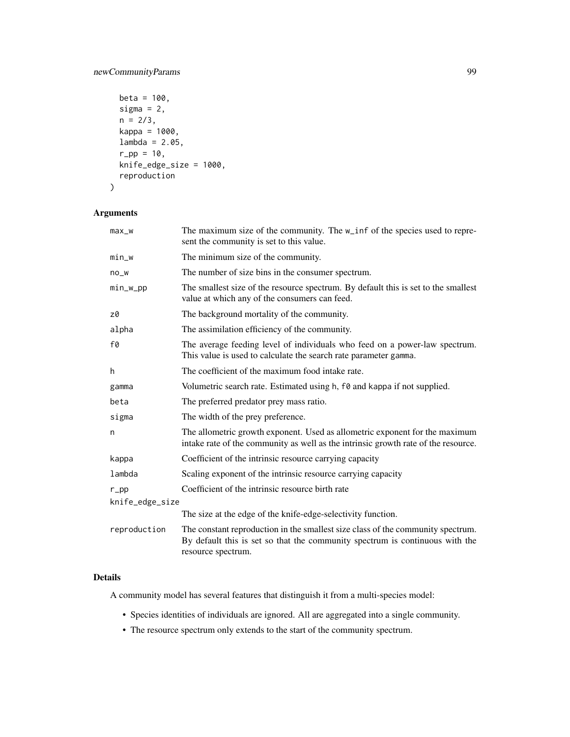# newCommunityParams 99

```
beta = 100,
sigma = 2,
n = 2/3,
kappa = 1000,
lambda = 2.05,
r_{p} = 10,
knife_edge_size = 1000,
reproduction
```

```
)
```
# Arguments

| $max_w$         | The maximum size of the community. The w_inf of the species used to repre-<br>sent the community is set to this value.                                                                |
|-----------------|---------------------------------------------------------------------------------------------------------------------------------------------------------------------------------------|
| min_w           | The minimum size of the community.                                                                                                                                                    |
| $no_w$          | The number of size bins in the consumer spectrum.                                                                                                                                     |
| min_w_pp        | The smallest size of the resource spectrum. By default this is set to the smallest<br>value at which any of the consumers can feed.                                                   |
| z0              | The background mortality of the community.                                                                                                                                            |
| alpha           | The assimilation efficiency of the community.                                                                                                                                         |
| f0              | The average feeding level of individuals who feed on a power-law spectrum.<br>This value is used to calculate the search rate parameter gamma.                                        |
| h               | The coefficient of the maximum food intake rate.                                                                                                                                      |
| gamma           | Volumetric search rate. Estimated using h, f0 and kappa if not supplied.                                                                                                              |
| beta            | The preferred predator prey mass ratio.                                                                                                                                               |
| sigma           | The width of the prey preference.                                                                                                                                                     |
| n               | The allometric growth exponent. Used as allometric exponent for the maximum<br>intake rate of the community as well as the intrinsic growth rate of the resource.                     |
| kappa           | Coefficient of the intrinsic resource carrying capacity                                                                                                                               |
| lambda          | Scaling exponent of the intrinsic resource carrying capacity                                                                                                                          |
| $r$ _pp         | Coefficient of the intrinsic resource birth rate                                                                                                                                      |
| knife_edge_size |                                                                                                                                                                                       |
|                 | The size at the edge of the knife-edge-selectivity function.                                                                                                                          |
| reproduction    | The constant reproduction in the smallest size class of the community spectrum.<br>By default this is set so that the community spectrum is continuous with the<br>resource spectrum. |

# Details

A community model has several features that distinguish it from a multi-species model:

- Species identities of individuals are ignored. All are aggregated into a single community.
- The resource spectrum only extends to the start of the community spectrum.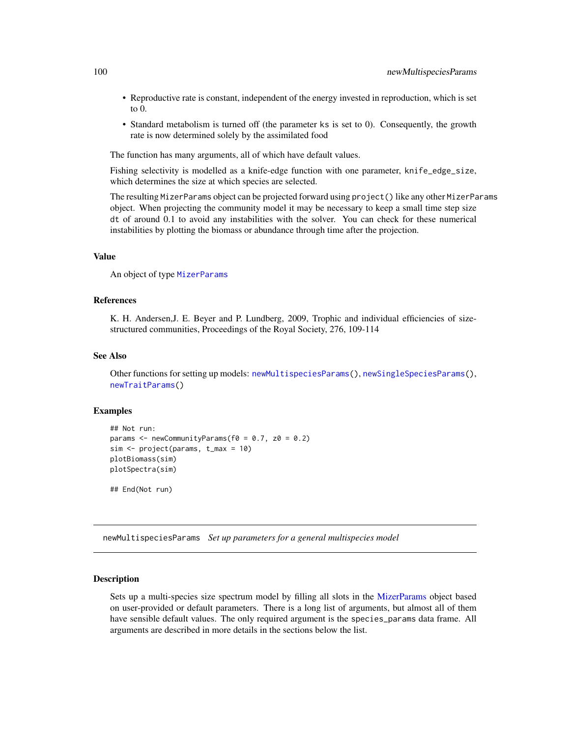- Reproductive rate is constant, independent of the energy invested in reproduction, which is set to 0.
- Standard metabolism is turned off (the parameter ks is set to 0). Consequently, the growth rate is now determined solely by the assimilated food

The function has many arguments, all of which have default values.

Fishing selectivity is modelled as a knife-edge function with one parameter, knife\_edge\_size, which determines the size at which species are selected.

The resulting MizerParams object can be projected forward using project() like any other MizerParams object. When projecting the community model it may be necessary to keep a small time step size dt of around 0.1 to avoid any instabilities with the solver. You can check for these numerical instabilities by plotting the biomass or abundance through time after the projection.

# Value

An object of type [MizerParams](#page-87-0)

## References

K. H. Andersen,J. E. Beyer and P. Lundberg, 2009, Trophic and individual efficiencies of sizestructured communities, Proceedings of the Royal Society, 276, 109-114

#### See Also

Other functions for setting up models: [newMultispeciesParams\(](#page-99-0)), [newSingleSpeciesParams\(](#page-109-0)), [newTraitParams\(](#page-111-0))

## Examples

```
## Not run:
params \leq newCommunityParams(f0 = 0.7, z0 = 0.2)
sim <- project(params, t_max = 10)
plotBiomass(sim)
plotSpectra(sim)
## End(Not run)
```
<span id="page-99-0"></span>newMultispeciesParams *Set up parameters for a general multispecies model*

## Description

Sets up a multi-species size spectrum model by filling all slots in the [MizerParams](#page-87-0) object based on user-provided or default parameters. There is a long list of arguments, but almost all of them have sensible default values. The only required argument is the species\_params data frame. All arguments are described in more details in the sections below the list.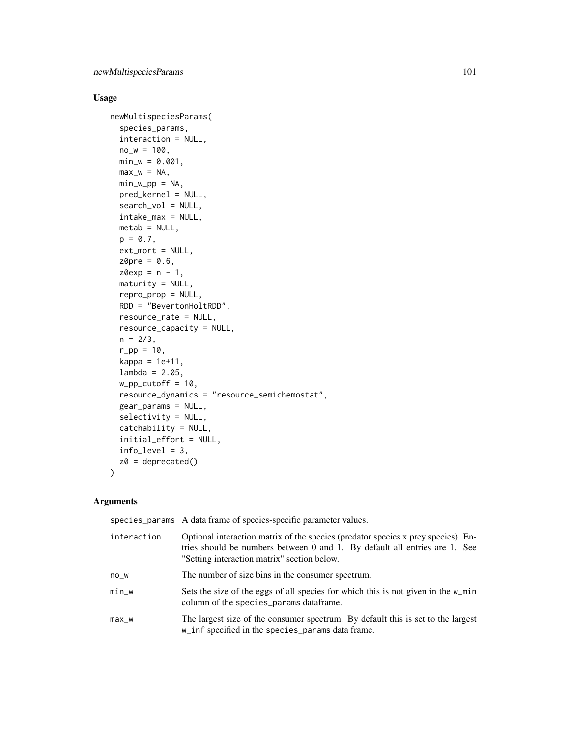# Usage

```
newMultispeciesParams(
  species_params,
  interaction = NULL,
 no_w = 100,
 min_w = 0.001,max_w = NA,
 min_w\_pp = NA,
 pred_kernel = NULL,
  search_vol = NULL,
  intake_max = NULL,
 metab = NULL,p = 0.7,
  ext_mort = NULL,z^{\theta}pre = 0.6,
  z0exp = n - 1,
 matrix = NULL,repro_prop = NULL,
 RDD = "BevertonHoltRDD",
  resource_rate = NULL,
  resource_capacity = NULL,
  n = 2/3,
  r_{p} = 10,
  kappa = 1e+11,
  lambda = 2.05,
  w\_pp\_cutoff = 10,
  resource_dynamics = "resource_semichemostat",
 gear_params = NULL,
  selectivity = NULL,
  catchability = NULL,
  initial_effort = NULL,
  info\_level = 3,
  z0 = deprecated()
)
```
# Arguments

|             | species_params A data frame of species-specific parameter values.                                                                                                                                              |
|-------------|----------------------------------------------------------------------------------------------------------------------------------------------------------------------------------------------------------------|
| interaction | Optional interaction matrix of the species (predator species x prey species). En-<br>tries should be numbers between 0 and 1. By default all entries are 1. See<br>"Setting interaction matrix" section below. |
| $NO_W$      | The number of size bins in the consumer spectrum.                                                                                                                                                              |
| $min_w$     | Sets the size of the eggs of all species for which this is not given in the w_min<br>column of the species_params dataframe.                                                                                   |
| $max_w$     | The largest size of the consumer spectrum. By default this is set to the largest<br>w_inf specified in the species_params data frame.                                                                          |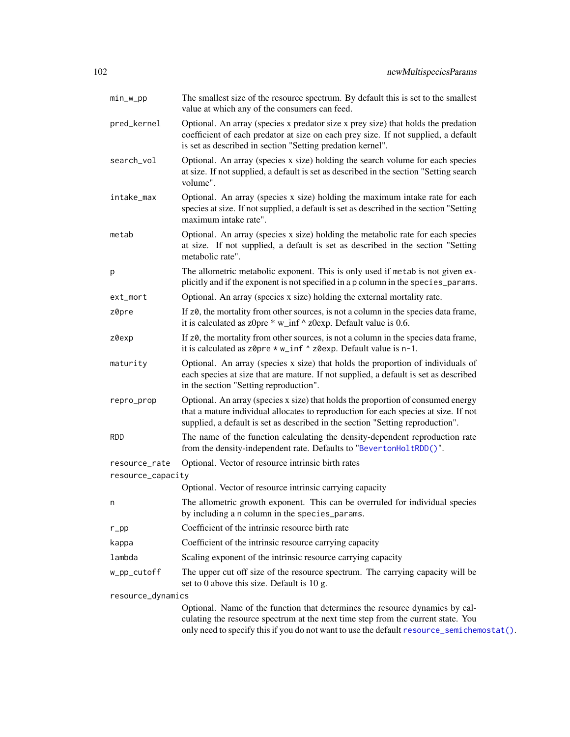| min_w_pp           | The smallest size of the resource spectrum. By default this is set to the smallest<br>value at which any of the consumers can feed.                                                                                                                           |
|--------------------|---------------------------------------------------------------------------------------------------------------------------------------------------------------------------------------------------------------------------------------------------------------|
| pred_kernel        | Optional. An array (species x predator size x prey size) that holds the predation<br>coefficient of each predator at size on each prey size. If not supplied, a default<br>is set as described in section "Setting predation kernel".                         |
| search_vol         | Optional. An array (species x size) holding the search volume for each species<br>at size. If not supplied, a default is set as described in the section "Setting search<br>volume".                                                                          |
| intake_max         | Optional. An array (species x size) holding the maximum intake rate for each<br>species at size. If not supplied, a default is set as described in the section "Setting<br>maximum intake rate".                                                              |
| metab              | Optional. An array (species x size) holding the metabolic rate for each species<br>at size. If not supplied, a default is set as described in the section "Setting<br>metabolic rate".                                                                        |
| р                  | The allometric metabolic exponent. This is only used if metab is not given ex-<br>plicitly and if the exponent is not specified in a p column in the species_params.                                                                                          |
| ext_mort           | Optional. An array (species x size) holding the external mortality rate.                                                                                                                                                                                      |
| z0pre              | If z0, the mortality from other sources, is not a column in the species data frame,<br>it is calculated as z0pre $*$ w_inf $\land$ z0exp. Default value is 0.6.                                                                                               |
| z0exp              | If z0, the mortality from other sources, is not a column in the species data frame,<br>it is calculated as $z^{\theta}$ pre * w_inf ^ z0exp. Default value is n-1.                                                                                            |
| maturity           | Optional. An array (species x size) that holds the proportion of individuals of<br>each species at size that are mature. If not supplied, a default is set as described<br>in the section "Setting reproduction".                                             |
| repro_prop         | Optional. An array (species x size) that holds the proportion of consumed energy<br>that a mature individual allocates to reproduction for each species at size. If not<br>supplied, a default is set as described in the section "Setting reproduction".     |
| <b>RDD</b>         | The name of the function calculating the density-dependent reproduction rate<br>from the density-independent rate. Defaults to "BevertonHoltRDD()".                                                                                                           |
| resource_rate      | Optional. Vector of resource intrinsic birth rates                                                                                                                                                                                                            |
| resource_capacity  |                                                                                                                                                                                                                                                               |
|                    | Optional. Vector of resource intrinsic carrying capacity                                                                                                                                                                                                      |
| n                  | The allometric growth exponent. This can be overruled for individual species<br>by including a n column in the species_params.                                                                                                                                |
| $r$ <sub>-pp</sub> | Coefficient of the intrinsic resource birth rate                                                                                                                                                                                                              |
| kappa              | Coefficient of the intrinsic resource carrying capacity                                                                                                                                                                                                       |
| lambda             | Scaling exponent of the intrinsic resource carrying capacity                                                                                                                                                                                                  |
| w_pp_cutoff        | The upper cut off size of the resource spectrum. The carrying capacity will be<br>set to 0 above this size. Default is 10 g.                                                                                                                                  |
| resource_dynamics  |                                                                                                                                                                                                                                                               |
|                    | Optional. Name of the function that determines the resource dynamics by cal-<br>culating the resource spectrum at the next time step from the current state. You<br>only need to specify this if you do not want to use the default resource_semichemostat(). |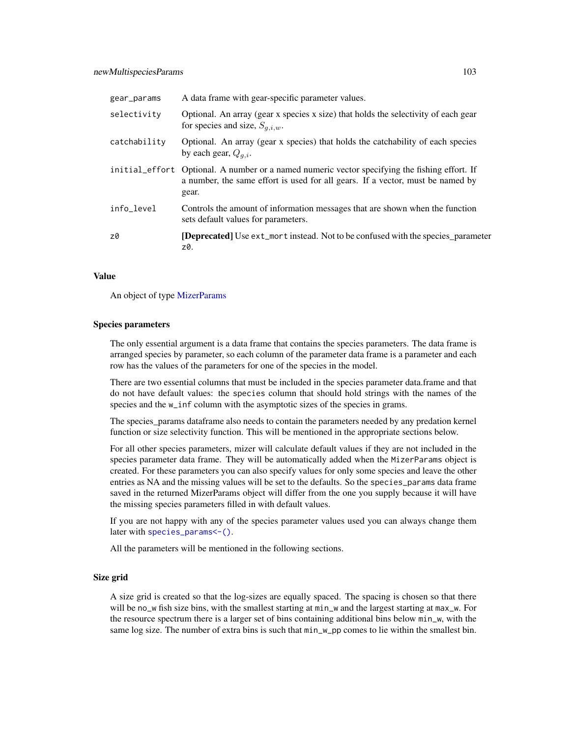| gear_params  | A data frame with gear-specific parameter values.                                                                                                                                        |
|--------------|------------------------------------------------------------------------------------------------------------------------------------------------------------------------------------------|
| selectivity  | Optional. An array (gear x species x size) that holds the selectivity of each gear<br>for species and size, $S_{a,i,w}$ .                                                                |
| catchability | Optional. An array (gear x species) that holds the catchability of each species<br>by each gear, $Q_{a,i}$ .                                                                             |
|              | initial_effort Optional. A number or a named numeric vector specifying the fishing effort. If<br>a number, the same effort is used for all gears. If a vector, must be named by<br>gear. |
| info_level   | Controls the amount of information messages that are shown when the function<br>sets default values for parameters.                                                                      |
| z0           | <b>[Deprecated]</b> Use ext_mort instead. Not to be confused with the species_parameter<br>z0.                                                                                           |

## Value

An object of type [MizerParams](#page-87-0)

#### Species parameters

The only essential argument is a data frame that contains the species parameters. The data frame is arranged species by parameter, so each column of the parameter data frame is a parameter and each row has the values of the parameters for one of the species in the model.

There are two essential columns that must be included in the species parameter data.frame and that do not have default values: the species column that should hold strings with the names of the species and the w\_inf column with the asymptotic sizes of the species in grams.

The species\_params dataframe also needs to contain the parameters needed by any predation kernel function or size selectivity function. This will be mentioned in the appropriate sections below.

For all other species parameters, mizer will calculate default values if they are not included in the species parameter data frame. They will be automatically added when the MizerParams object is created. For these parameters you can also specify values for only some species and leave the other entries as NA and the missing values will be set to the defaults. So the species\_params data frame saved in the returned MizerParams object will differ from the one you supply because it will have the missing species parameters filled in with default values.

If you are not happy with any of the species parameter values used you can always change them later with [species\\_params<-\(\)](#page-200-0).

All the parameters will be mentioned in the following sections.

## Size grid

A size grid is created so that the log-sizes are equally spaced. The spacing is chosen so that there will be no\_w fish size bins, with the smallest starting at min\_w and the largest starting at max\_w. For the resource spectrum there is a larger set of bins containing additional bins below min\_w, with the same log size. The number of extra bins is such that  $min_w\_pp$  comes to lie within the smallest bin.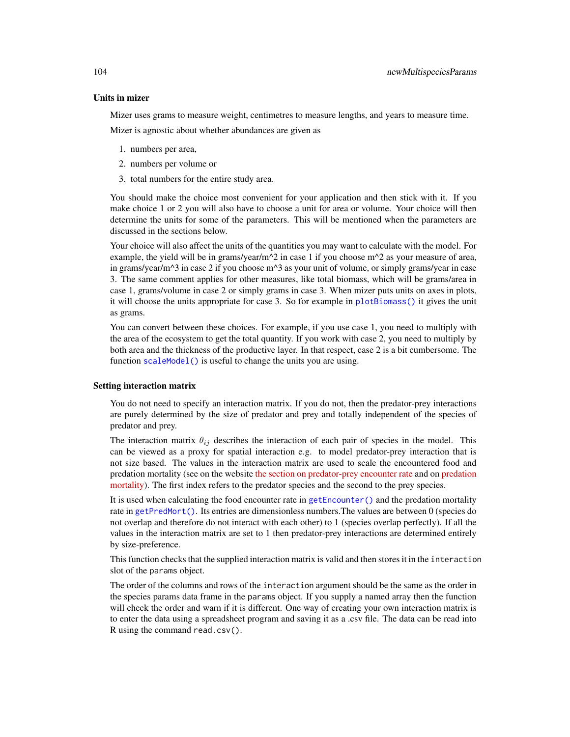## Units in mizer

Mizer uses grams to measure weight, centimetres to measure lengths, and years to measure time.

Mizer is agnostic about whether abundances are given as

- 1. numbers per area,
- 2. numbers per volume or
- 3. total numbers for the entire study area.

You should make the choice most convenient for your application and then stick with it. If you make choice 1 or 2 you will also have to choose a unit for area or volume. Your choice will then determine the units for some of the parameters. This will be mentioned when the parameters are discussed in the sections below.

Your choice will also affect the units of the quantities you may want to calculate with the model. For example, the yield will be in grams/year/m<sup> $\wedge$ </sup> 2 in case 1 if you choose m $\wedge$ 2 as your measure of area, in grams/year/m^3 in case 2 if you choose m^3 as your unit of volume, or simply grams/year in case 3. The same comment applies for other measures, like total biomass, which will be grams/area in case 1, grams/volume in case 2 or simply grams in case 3. When mizer puts units on axes in plots, it will choose the units appropriate for case 3. So for example in [plotBiomass\(\)](#page-121-0) it gives the unit as grams.

You can convert between these choices. For example, if you use case 1, you need to multiply with the area of the ecosystem to get the total quantity. If you work with case 2, you need to multiply by both area and the thickness of the productive layer. In that respect, case 2 is a bit cumbersome. The function [scaleModel\(\)](#page-154-0) is useful to change the units you are using.

## Setting interaction matrix

You do not need to specify an interaction matrix. If you do not, then the predator-prey interactions are purely determined by the size of predator and prey and totally independent of the species of predator and prey.

The interaction matrix  $\theta_{ij}$  describes the interaction of each pair of species in the model. This can be viewed as a proxy for spatial interaction e.g. to model predator-prey interaction that is not size based. The values in the interaction matrix are used to scale the encountered food and predation mortality (see on the website [the section on predator-prey encounter rate](https://sizespectrum.org/mizer/articles/model_description.html#sec:pref) and on [predation](https://sizespectrum.org/mizer/articles/model_description.html#mortality) [mortality\)](https://sizespectrum.org/mizer/articles/model_description.html#mortality). The first index refers to the predator species and the second to the prey species.

It is used when calculating the food encounter rate in [getEncounter\(\)](#page-28-0) and the predation mortality rate in [getPredMort\(\)](#page-49-0). Its entries are dimensionless numbers.The values are between 0 (species do not overlap and therefore do not interact with each other) to 1 (species overlap perfectly). If all the values in the interaction matrix are set to 1 then predator-prey interactions are determined entirely by size-preference.

This function checks that the supplied interaction matrix is valid and then stores it in the interaction slot of the params object.

The order of the columns and rows of the interaction argument should be the same as the order in the species params data frame in the params object. If you supply a named array then the function will check the order and warn if it is different. One way of creating your own interaction matrix is to enter the data using a spreadsheet program and saving it as a .csv file. The data can be read into R using the command read.csv().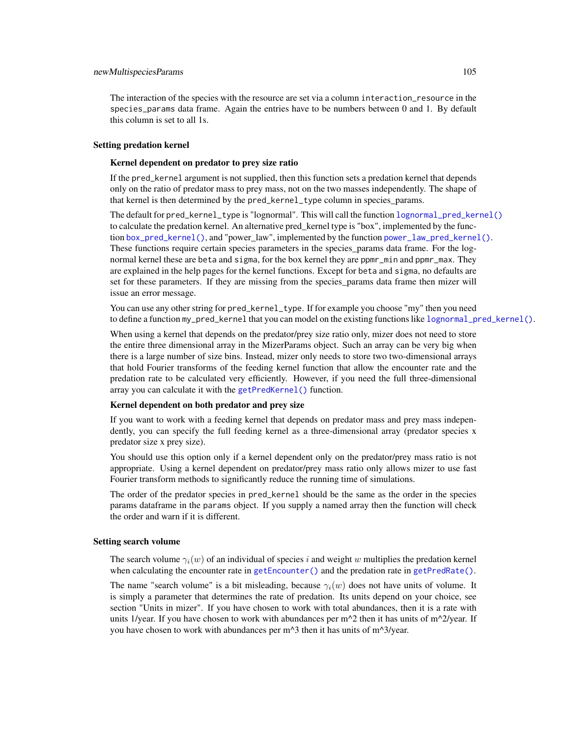# newMultispeciesParams 105

The interaction of the species with the resource are set via a column interaction\_resource in the species\_params data frame. Again the entries have to be numbers between 0 and 1. By default this column is set to all 1s.

## Setting predation kernel

## Kernel dependent on predator to prey size ratio

If the pred\_kernel argument is not supplied, then this function sets a predation kernel that depends only on the ratio of predator mass to prey mass, not on the two masses independently. The shape of that kernel is then determined by the pred\_kernel\_type column in species\_params.

The default for pred\_kernel\_type is "lognormal". This will call the function [lognormal\\_pred\\_kernel\(\)](#page-73-0) to calculate the predation kernel. An alternative pred\_kernel type is "box", implemented by the function [box\\_pred\\_kernel\(\)](#page-9-0), and "power\_law", implemented by the function [power\\_law\\_pred\\_kernel\(\)](#page-142-0). These functions require certain species parameters in the species\_params data frame. For the lognormal kernel these are beta and sigma, for the box kernel they are ppmr\_min and ppmr\_max. They are explained in the help pages for the kernel functions. Except for beta and sigma, no defaults are set for these parameters. If they are missing from the species\_params data frame then mizer will issue an error message.

You can use any other string for pred\_kernel\_type. If for example you choose "my" then you need to define a function my\_pred\_kernel that you can model on the existing functions like [lognormal\\_pred\\_kernel\(\)](#page-73-0).

When using a kernel that depends on the predator/prey size ratio only, mizer does not need to store the entire three dimensional array in the MizerParams object. Such an array can be very big when there is a large number of size bins. Instead, mizer only needs to store two two-dimensional arrays that hold Fourier transforms of the feeding kernel function that allow the encounter rate and the predation rate to be calculated very efficiently. However, if you need the full three-dimensional array you can calculate it with the [getPredKernel\(\)](#page-179-1) function.

## Kernel dependent on both predator and prey size

If you want to work with a feeding kernel that depends on predator mass and prey mass independently, you can specify the full feeding kernel as a three-dimensional array (predator species x predator size x prey size).

You should use this option only if a kernel dependent only on the predator/prey mass ratio is not appropriate. Using a kernel dependent on predator/prey mass ratio only allows mizer to use fast Fourier transform methods to significantly reduce the running time of simulations.

The order of the predator species in pred\_kernel should be the same as the order in the species params dataframe in the params object. If you supply a named array then the function will check the order and warn if it is different.

#### Setting search volume

The search volume  $\gamma_i(w)$  of an individual of species i and weight w multiplies the predation kernel when calculating the encounter rate in [getEncounter\(\)](#page-28-0) and the predation rate in [getPredRate\(\)](#page-50-0).

The name "search volume" is a bit misleading, because  $\gamma_i(w)$  does not have units of volume. It is simply a parameter that determines the rate of predation. Its units depend on your choice, see section "Units in mizer". If you have chosen to work with total abundances, then it is a rate with units 1/year. If you have chosen to work with abundances per  $m^2$  then it has units of  $m^2$ /year. If you have chosen to work with abundances per m^3 then it has units of m^3/year.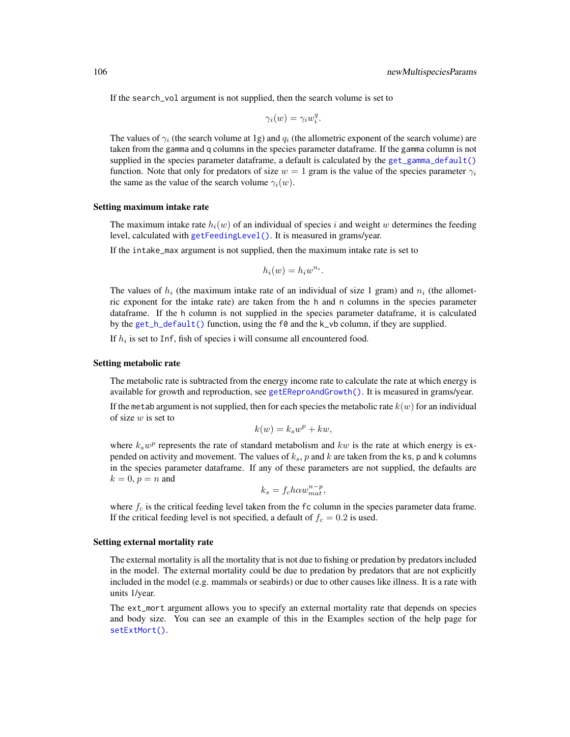If the search\_vol argument is not supplied, then the search volume is set to

$$
\gamma_i(w) = \gamma_i w_i^q.
$$

The values of  $\gamma_i$  (the search volume at 1g) and  $q_i$  (the allometric exponent of the search volume) are taken from the gamma and q columns in the species parameter dataframe. If the gamma column is not supplied in the species parameter dataframe, a default is calculated by the [get\\_gamma\\_default\(\)](#page-64-0) function. Note that only for predators of size  $w = 1$  gram is the value of the species parameter  $\gamma_i$ the same as the value of the search volume  $\gamma_i(w)$ .

## Setting maximum intake rate

The maximum intake rate  $h_i(w)$  of an individual of species i and weight w determines the feeding level, calculated with [getFeedingLevel\(\)](#page-34-0). It is measured in grams/year.

If the intake\_max argument is not supplied, then the maximum intake rate is set to

$$
h_i(w) = h_i w^{n_i}.
$$

The values of  $h_i$  (the maximum intake rate of an individual of size 1 gram) and  $n_i$  (the allometric exponent for the intake rate) are taken from the h and n columns in the species parameter dataframe. If the h column is not supplied in the species parameter dataframe, it is calculated by the [get\\_h\\_default\(\)](#page-0-0) function, using the f0 and the k\_vb column, if they are supplied.

If  $h_i$  is set to Inf, fish of species i will consume all encountered food.

## Setting metabolic rate

The metabolic rate is subtracted from the energy income rate to calculate the rate at which energy is available for growth and reproduction, see [getEReproAndGrowth\(\)](#page-31-0). It is measured in grams/year.

If the metab argument is not supplied, then for each species the metabolic rate  $k(w)$  for an individual of size  $w$  is set to

$$
k(w) = k_s w^p + kw,
$$

where  $k_s w^p$  represents the rate of standard metabolism and  $kw$  is the rate at which energy is expended on activity and movement. The values of  $k_s$ , p and k are taken from the ks, p and k columns in the species parameter dataframe. If any of these parameters are not supplied, the defaults are  $k = 0$ ,  $p = n$  and

$$
k_s = f_c h \alpha w_{mat}^{n-p},
$$

where  $f_c$  is the critical feeding level taken from the fc column in the species parameter data frame. If the critical feeding level is not specified, a default of  $f_c = 0.2$  is used.

#### Setting external mortality rate

The external mortality is all the mortality that is not due to fishing or predation by predators included in the model. The external mortality could be due to predation by predators that are not explicitly included in the model (e.g. mammals or seabirds) or due to other causes like illness. It is a rate with units 1/year.

The ext\_mort argument allows you to specify an external mortality rate that depends on species and body size. You can see an example of this in the Examples section of the help page for [setExtMort\(\)](#page-160-0).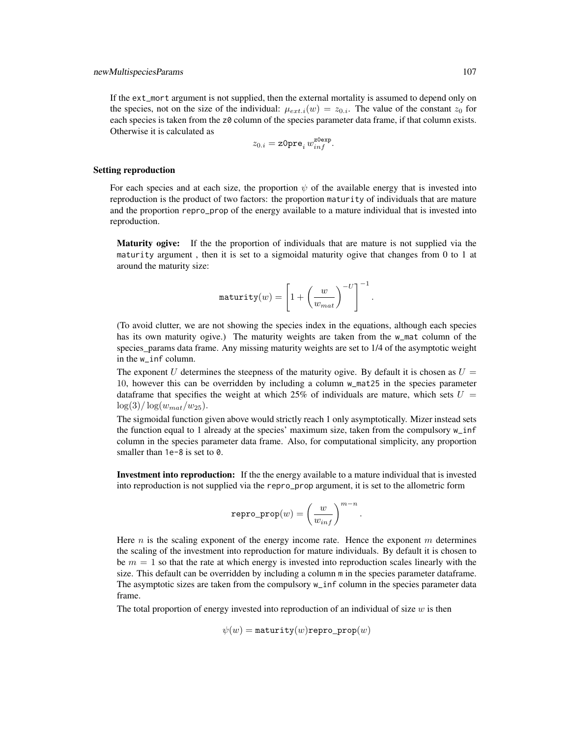If the ext\_mort argument is not supplied, then the external mortality is assumed to depend only on the species, not on the size of the individual:  $\mu_{ext,i}(w) = z_{0,i}$ . The value of the constant  $z_0$  for each species is taken from the z0 column of the species parameter data frame, if that column exists. Otherwise it is calculated as

$$
z_{0.i} = \texttt{z0pre}_i\, w_{inf}^{\texttt{z0exp}}.
$$

#### Setting reproduction

For each species and at each size, the proportion  $\psi$  of the available energy that is invested into reproduction is the product of two factors: the proportion maturity of individuals that are mature and the proportion repro\_prop of the energy available to a mature individual that is invested into reproduction.

Maturity ogive: If the the proportion of individuals that are mature is not supplied via the maturity argument , then it is set to a sigmoidal maturity ogive that changes from 0 to 1 at around the maturity size:

$$
\texttt{maturity}(w) = \left[1 + \left(\frac{w}{w_{mat}}\right)^{-U}\right]^{-1}.
$$

(To avoid clutter, we are not showing the species index in the equations, although each species has its own maturity ogive.) The maturity weights are taken from the w\_mat column of the species\_params data frame. Any missing maturity weights are set to 1/4 of the asymptotic weight in the w\_inf column.

The exponent U determines the steepness of the maturity ogive. By default it is chosen as  $U =$ 10, however this can be overridden by including a column w\_mat25 in the species parameter dataframe that specifies the weight at which 25% of individuals are mature, which sets  $U =$  $\log(3)/\log(w_{mat}/w_{25}).$ 

The sigmoidal function given above would strictly reach 1 only asymptotically. Mizer instead sets the function equal to 1 already at the species' maximum size, taken from the compulsory w\_inf column in the species parameter data frame. Also, for computational simplicity, any proportion smaller than 1e-8 is set to 0.

Investment into reproduction: If the the energy available to a mature individual that is invested into reproduction is not supplied via the repro\_prop argument, it is set to the allometric form

$$
\texttt{repro\_prop}(w) = \left(\frac{w}{w_{inf}}\right)^{m-n}
$$

.

Here  $n$  is the scaling exponent of the energy income rate. Hence the exponent  $m$  determines the scaling of the investment into reproduction for mature individuals. By default it is chosen to be  $m = 1$  so that the rate at which energy is invested into reproduction scales linearly with the size. This default can be overridden by including a column m in the species parameter dataframe. The asymptotic sizes are taken from the compulsory w\_inf column in the species parameter data frame.

The total proportion of energy invested into reproduction of an individual of size  $w$  is then

$$
\psi(w) = \mathtt{maturity}(w) \mathtt{repro\_prop}(w)
$$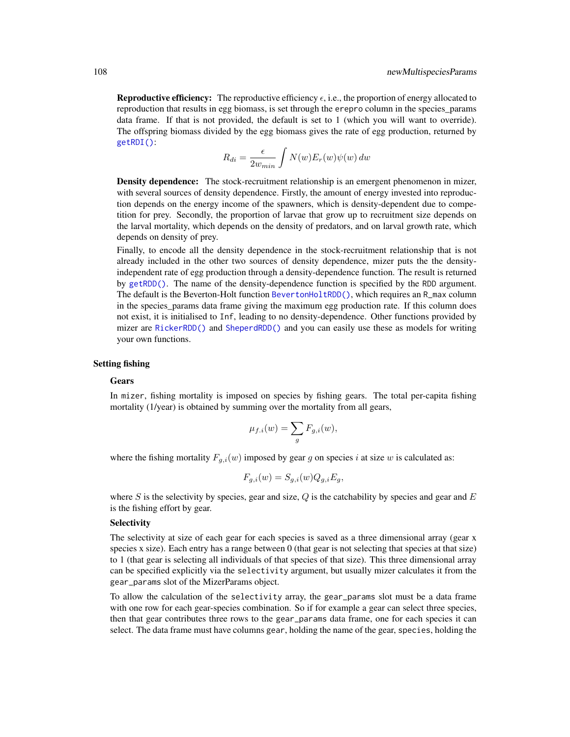**Reproductive efficiency:** The reproductive efficiency  $\epsilon$ , i.e., the proportion of energy allocated to reproduction that results in egg biomass, is set through the erepro column in the species\_params data frame. If that is not provided, the default is set to 1 (which you will want to override). The offspring biomass divided by the egg biomass gives the rate of egg production, returned by [getRDI\(\)](#page-56-0):

$$
R_{di} = \frac{\epsilon}{2w_{min}} \int N(w) E_r(w) \psi(w) \, dw
$$

Density dependence: The stock-recruitment relationship is an emergent phenomenon in mizer, with several sources of density dependence. Firstly, the amount of energy invested into reproduction depends on the energy income of the spawners, which is density-dependent due to competition for prey. Secondly, the proportion of larvae that grow up to recruitment size depends on the larval mortality, which depends on the density of predators, and on larval growth rate, which depends on density of prey.

Finally, to encode all the density dependence in the stock-recruitment relationship that is not already included in the other two sources of density dependence, mizer puts the the densityindependent rate of egg production through a density-dependence function. The result is returned by [getRDD\(\)](#page-54-0). The name of the density-dependence function is specified by the RDD argument. The default is the Beverton-Holt function [BevertonHoltRDD\(\)](#page-8-0), which requires an R\_max column in the species\_params data frame giving the maximum egg production rate. If this column does not exist, it is initialised to Inf, leading to no density-dependence. Other functions provided by mizer are [RickerRDD\(\)](#page-153-0) and [SheperdRDD\(\)](#page-198-0) and you can easily use these as models for writing your own functions.

#### Setting fishing

## **Gears**

In mizer, fishing mortality is imposed on species by fishing gears. The total per-capita fishing mortality (1/year) is obtained by summing over the mortality from all gears,

$$
\mu_{f.i}(w) = \sum_{g} F_{g,i}(w),
$$

where the fishing mortality  $F_{g,i}(w)$  imposed by gear g on species i at size w is calculated as:

$$
F_{g,i}(w) = S_{g,i}(w) Q_{g,i} E_g,
$$

where  $S$  is the selectivity by species, gear and size,  $Q$  is the catchability by species and gear and  $E$ is the fishing effort by gear.

## **Selectivity**

The selectivity at size of each gear for each species is saved as a three dimensional array (gear x species x size). Each entry has a range between 0 (that gear is not selecting that species at that size) to 1 (that gear is selecting all individuals of that species of that size). This three dimensional array can be specified explicitly via the selectivity argument, but usually mizer calculates it from the gear\_params slot of the MizerParams object.

To allow the calculation of the selectivity array, the gear\_params slot must be a data frame with one row for each gear-species combination. So if for example a gear can select three species, then that gear contributes three rows to the gear\_params data frame, one for each species it can select. The data frame must have columns gear, holding the name of the gear, species, holding the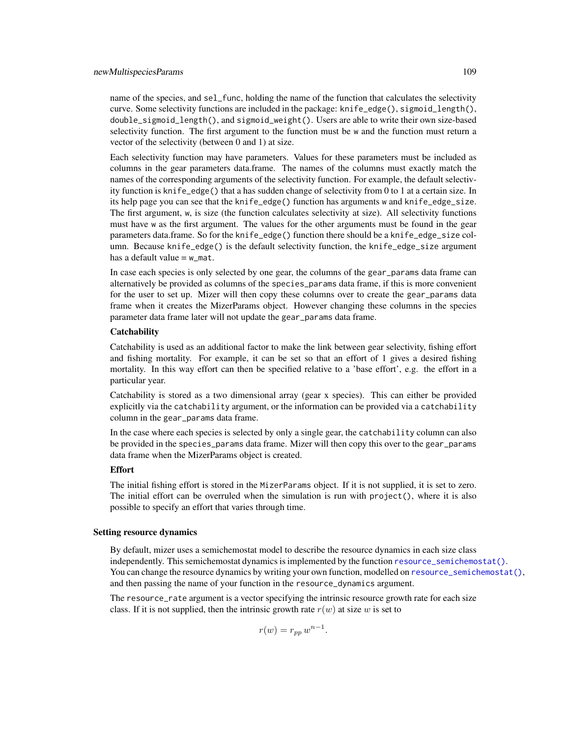## newMultispeciesParams 109

name of the species, and sel\_func, holding the name of the function that calculates the selectivity curve. Some selectivity functions are included in the package: knife\_edge(), sigmoid\_length(), double\_sigmoid\_length(), and sigmoid\_weight(). Users are able to write their own size-based selectivity function. The first argument to the function must be w and the function must return a vector of the selectivity (between 0 and 1) at size.

Each selectivity function may have parameters. Values for these parameters must be included as columns in the gear parameters data.frame. The names of the columns must exactly match the names of the corresponding arguments of the selectivity function. For example, the default selectivity function is knife\_edge() that a has sudden change of selectivity from 0 to 1 at a certain size. In its help page you can see that the knife\_edge() function has arguments w and knife\_edge\_size. The first argument, w, is size (the function calculates selectivity at size). All selectivity functions must have w as the first argument. The values for the other arguments must be found in the gear parameters data.frame. So for the knife\_edge() function there should be a knife\_edge\_size column. Because knife\_edge() is the default selectivity function, the knife\_edge\_size argument has a default value = w\_mat.

In case each species is only selected by one gear, the columns of the gear\_params data frame can alternatively be provided as columns of the species\_params data frame, if this is more convenient for the user to set up. Mizer will then copy these columns over to create the gear\_params data frame when it creates the MizerParams object. However changing these columns in the species parameter data frame later will not update the gear\_params data frame.

### **Catchability**

Catchability is used as an additional factor to make the link between gear selectivity, fishing effort and fishing mortality. For example, it can be set so that an effort of 1 gives a desired fishing mortality. In this way effort can then be specified relative to a 'base effort', e.g. the effort in a particular year.

Catchability is stored as a two dimensional array (gear x species). This can either be provided explicitly via the catchability argument, or the information can be provided via a catchability column in the gear\_params data frame.

In the case where each species is selected by only a single gear, the catchability column can also be provided in the species\_params data frame. Mizer will then copy this over to the gear\_params data frame when the MizerParams object is created.

### **Effort**

The initial fishing effort is stored in the MizerParams object. If it is not supplied, it is set to zero. The initial effort can be overruled when the simulation is run with  $project()$ , where it is also possible to specify an effort that varies through time.

#### Setting resource dynamics

By default, mizer uses a semichemostat model to describe the resource dynamics in each size class independently. This semichemostat dynamics is implemented by the function [resource\\_semichemostat\(\)](#page-151-0). You can change the resource dynamics by writing your own function, modelled on [resource\\_semichemostat\(\)](#page-151-0), and then passing the name of your function in the resource\_dynamics argument.

The resource\_rate argument is a vector specifying the intrinsic resource growth rate for each size class. If it is not supplied, then the intrinsic growth rate  $r(w)$  at size w is set to

$$
r(w) = r_{pp} w^{n-1}.
$$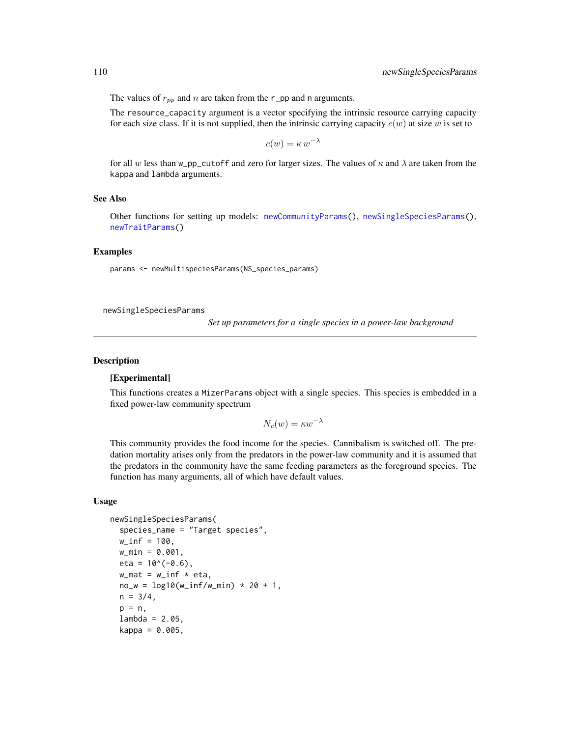The values of  $r_{pp}$  and n are taken from the r\_pp and n arguments.

The resource\_capacity argument is a vector specifying the intrinsic resource carrying capacity for each size class. If it is not supplied, then the intrinsic carrying capacity  $c(w)$  at size w is set to

$$
c(w) = \kappa w^{-\lambda}
$$

for all w less than w\_pp\_cutoff and zero for larger sizes. The values of  $\kappa$  and  $\lambda$  are taken from the kappa and lambda arguments.

### See Also

Other functions for setting up models: [newCommunityParams\(](#page-97-0)), [newSingleSpeciesParams\(](#page-109-0)), [newTraitParams\(](#page-111-0))

#### Examples

params <- newMultispeciesParams(NS\_species\_params)

<span id="page-109-0"></span>newSingleSpeciesParams

*Set up parameters for a single species in a power-law background*

#### Description

### [Experimental]

This functions creates a MizerParams object with a single species. This species is embedded in a fixed power-law community spectrum

$$
N_c(w) = \kappa w^{-\lambda}
$$

This community provides the food income for the species. Cannibalism is switched off. The predation mortality arises only from the predators in the power-law community and it is assumed that the predators in the community have the same feeding parameters as the foreground species. The function has many arguments, all of which have default values.

```
newSingleSpeciesParams(
  species_name = "Target species",
  w_info = 100,w_{\text{min}} = 0.001,
  eta = 10^*(-0.6),
  w_matrix = w_info * eta,
  no_w = log10(w_inf/w=min) * 20 + 1,n = 3/4,
  p = n,
  lambda = 2.05,
  kappa = 0.005,
```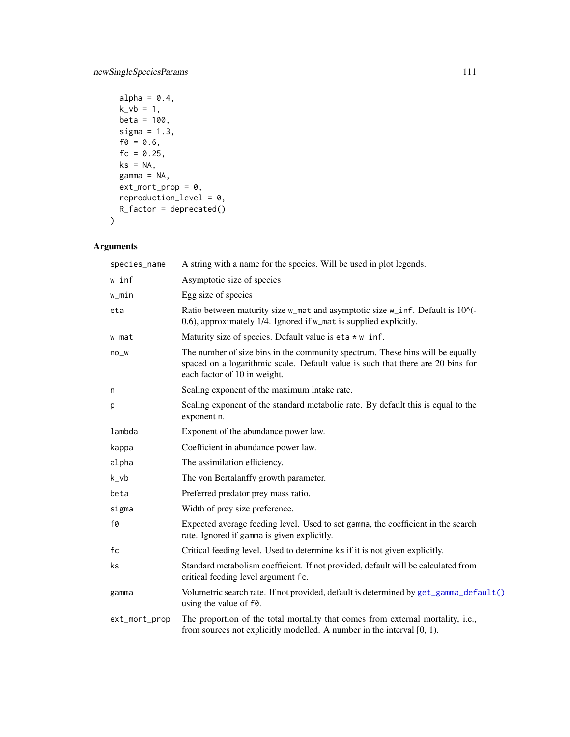```
alpha = 0.4,
 k_v = 1,
 beta = 100,
 sigma = 1.3,
 f0 = 0.6,
 fc = 0.25,
 ks = NA,gamma = NA,
 ext_mort\_prop = 0,
 reproduction_level = 0,
 R_factor = deprecated()
\mathcal{L}
```
# Arguments

| species_name  | A string with a name for the species. Will be used in plot legends.                                                                                                                              |
|---------------|--------------------------------------------------------------------------------------------------------------------------------------------------------------------------------------------------|
| w_inf         | Asymptotic size of species                                                                                                                                                                       |
| w_min         | Egg size of species                                                                                                                                                                              |
| eta           | Ratio between maturity size w_mat and asymptotic size w_inf. Default is 10^(-<br>0.6), approximately 1/4. Ignored if w_mat is supplied explicitly.                                               |
| w_mat         | Maturity size of species. Default value is $eta * w_inf$ .                                                                                                                                       |
| $no_w$        | The number of size bins in the community spectrum. These bins will be equally<br>spaced on a logarithmic scale. Default value is such that there are 20 bins for<br>each factor of 10 in weight. |
| n             | Scaling exponent of the maximum intake rate.                                                                                                                                                     |
| p             | Scaling exponent of the standard metabolic rate. By default this is equal to the<br>exponent n.                                                                                                  |
| lambda        | Exponent of the abundance power law.                                                                                                                                                             |
| kappa         | Coefficient in abundance power law.                                                                                                                                                              |
| alpha         | The assimilation efficiency.                                                                                                                                                                     |
| $k_v$         | The von Bertalanffy growth parameter.                                                                                                                                                            |
| beta          | Preferred predator prey mass ratio.                                                                                                                                                              |
| sigma         | Width of prey size preference.                                                                                                                                                                   |
| f0            | Expected average feeding level. Used to set gamma, the coefficient in the search<br>rate. Ignored if gamma is given explicitly.                                                                  |
| fc            | Critical feeding level. Used to determine ks if it is not given explicitly.                                                                                                                      |
| ks.           | Standard metabolism coefficient. If not provided, default will be calculated from<br>critical feeding level argument fc.                                                                         |
| gamma         | Volumetric search rate. If not provided, default is determined by get_gamma_default()<br>using the value of f0.                                                                                  |
| ext_mort_prop | The proportion of the total mortality that comes from external mortality, i.e.,<br>from sources not explicitly modelled. A number in the interval $[0, 1)$ .                                     |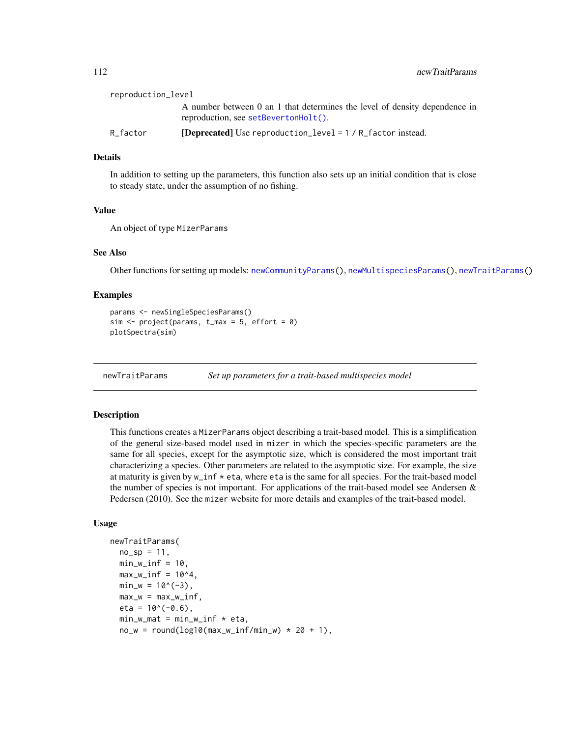| reproduction_level |                                                                                                                    |
|--------------------|--------------------------------------------------------------------------------------------------------------------|
|                    | A number between 0 an 1 that determines the level of density dependence in<br>reproduction, see setBevertonHolt(). |
| R factor           | <b>[Deprecated]</b> Use reproduction_level = $1 / R$ factor instead.                                               |

### Details

In addition to setting up the parameters, this function also sets up an initial condition that is close to steady state, under the assumption of no fishing.

#### Value

An object of type MizerParams

#### See Also

Other functions for setting up models: [newCommunityParams\(](#page-97-0)), [newMultispeciesParams\(](#page-99-0)), [newTraitParams\(](#page-111-0))

## Examples

```
params <- newSingleSpeciesParams()
sim < project(params, t_max = 5, effort = 0)
plotSpectra(sim)
```
<span id="page-111-0"></span>newTraitParams *Set up parameters for a trait-based multispecies model*

## Description

This functions creates a MizerParams object describing a trait-based model. This is a simplification of the general size-based model used in mizer in which the species-specific parameters are the same for all species, except for the asymptotic size, which is considered the most important trait characterizing a species. Other parameters are related to the asymptotic size. For example, the size at maturity is given by  $w\_inf \times$  eta, where eta is the same for all species. For the trait-based model the number of species is not important. For applications of the trait-based model see Andersen  $\&$ Pedersen (2010). See the mizer website for more details and examples of the trait-based model.

```
newTraitParams(
  no_sp = 11,min_w\_inf = 10,
  max_w_inf = 10^4,
  min_w = 10^(-3),
  max_w = max_w\_inf,
  eta = 10^*(-0.6),
  min_w_matrix = min_w_info * eta,no_w = round(log10(max_w_inf/min_w) * 20 + 1),
```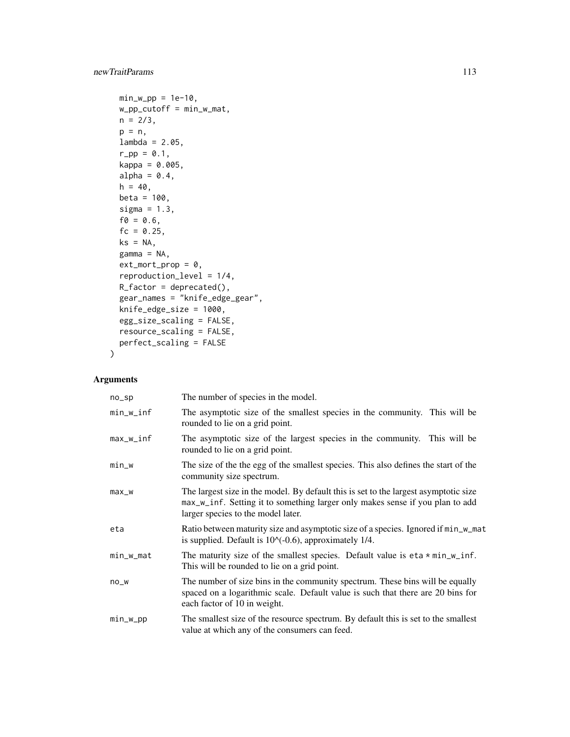```
min_w\_pp = 1e-10,
 w_pp_cutoff = min_w_mat,
 n = 2/3,
 p = n,
 lambda = 2.05,
 r_{p} = 0.1,
 kappa = 0.005,
 alpha = 0.4,
 h = 40,beta = 100,
 sigma = 1.3,
 f0 = 0.6,
 fc = 0.25,
 ks = NA,
 gamma = NA,
 ext_mort\_prop = 0,
 reproduction_level = 1/4,
 R_factor = deprecated(),
 gear_names = "knife_edge_gear",
 knife_edge_size = 1000,
 egg_size_scaling = FALSE,
 resource_scaling = FALSE,
 perfect_scaling = FALSE
\mathcal{L}
```
# Arguments

| $no$ _sp  | The number of species in the model.                                                                                                                                                                         |
|-----------|-------------------------------------------------------------------------------------------------------------------------------------------------------------------------------------------------------------|
| min_w_inf | The asymptotic size of the smallest species in the community. This will be<br>rounded to lie on a grid point.                                                                                               |
| max_w_inf | The asymptotic size of the largest species in the community. This will be<br>rounded to lie on a grid point.                                                                                                |
| $min_w$   | The size of the the egg of the smallest species. This also defines the start of the<br>community size spectrum.                                                                                             |
| $max_w$   | The largest size in the model. By default this is set to the largest asymptotic size<br>max_w_inf. Setting it to something larger only makes sense if you plan to add<br>larger species to the model later. |
| eta       | Ratio between maturity size and asymptotic size of a species. Ignored if min_w_mat<br>is supplied. Default is $10^{\circ}(-0.6)$ , approximately 1/4.                                                       |
| min_w_mat | The maturity size of the smallest species. Default value is $eta * min_w_inf$ .<br>This will be rounded to lie on a grid point.                                                                             |
| $no_w$    | The number of size bins in the community spectrum. These bins will be equally<br>spaced on a logarithmic scale. Default value is such that there are 20 bins for<br>each factor of 10 in weight.            |
| $min_w$   | The smallest size of the resource spectrum. By default this is set to the smallest<br>value at which any of the consumers can feed.                                                                         |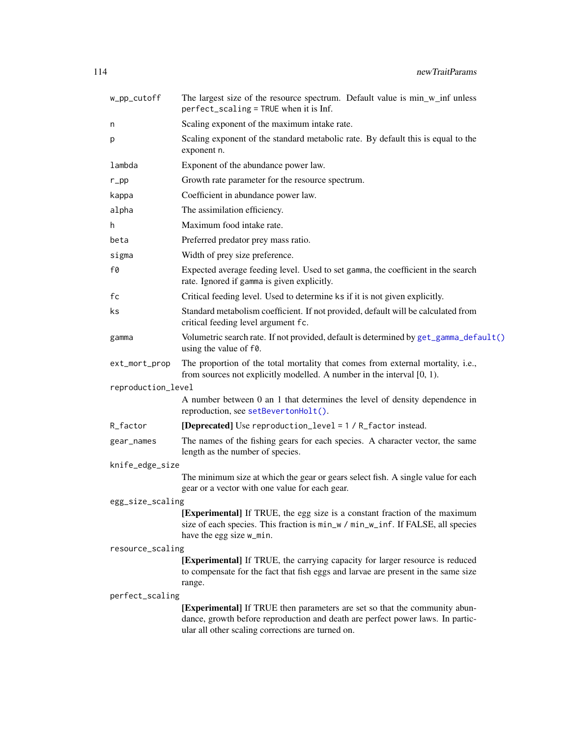| w_pp_cutoff        | The largest size of the resource spectrum. Default value is min_w_inf unless<br>perfect_scaling = TRUE when it is Inf.                                                                                            |
|--------------------|-------------------------------------------------------------------------------------------------------------------------------------------------------------------------------------------------------------------|
| n                  | Scaling exponent of the maximum intake rate.                                                                                                                                                                      |
| p                  | Scaling exponent of the standard metabolic rate. By default this is equal to the<br>exponent n.                                                                                                                   |
| lambda             | Exponent of the abundance power law.                                                                                                                                                                              |
| $r$ _pp            | Growth rate parameter for the resource spectrum.                                                                                                                                                                  |
| kappa              | Coefficient in abundance power law.                                                                                                                                                                               |
| alpha              | The assimilation efficiency.                                                                                                                                                                                      |
| h                  | Maximum food intake rate.                                                                                                                                                                                         |
| beta               | Preferred predator prey mass ratio.                                                                                                                                                                               |
| sigma              | Width of prey size preference.                                                                                                                                                                                    |
| f0                 | Expected average feeding level. Used to set gamma, the coefficient in the search<br>rate. Ignored if gamma is given explicitly.                                                                                   |
| fc                 | Critical feeding level. Used to determine ks if it is not given explicitly.                                                                                                                                       |
| ks                 | Standard metabolism coefficient. If not provided, default will be calculated from<br>critical feeding level argument fc.                                                                                          |
| gamma              | Volumetric search rate. If not provided, default is determined by get_gamma_default()<br>using the value of f0.                                                                                                   |
| ext_mort_prop      | The proportion of the total mortality that comes from external mortality, i.e.,<br>from sources not explicitly modelled. A number in the interval $[0, 1)$ .                                                      |
| reproduction_level |                                                                                                                                                                                                                   |
|                    | A number between 0 an 1 that determines the level of density dependence in<br>reproduction, see setBevertonHolt().                                                                                                |
| R_factor           | [Deprecated] Use reproduction_level = 1 / R_factor instead.                                                                                                                                                       |
| gear_names         | The names of the fishing gears for each species. A character vector, the same<br>length as the number of species.                                                                                                 |
| knife_edge_size    |                                                                                                                                                                                                                   |
|                    | The minimum size at which the gear or gears select fish. A single value for each<br>gear or a vector with one value for each gear.                                                                                |
| egg_size_scaling   |                                                                                                                                                                                                                   |
|                    | [Experimental] If TRUE, the egg size is a constant fraction of the maximum<br>size of each species. This fraction is $min_w / min_w$ _inf. If FALSE, all species<br>have the egg size w_min.                      |
| resource_scaling   |                                                                                                                                                                                                                   |
|                    | [Experimental] If TRUE, the carrying capacity for larger resource is reduced<br>to compensate for the fact that fish eggs and larvae are present in the same size<br>range.                                       |
| perfect_scaling    |                                                                                                                                                                                                                   |
|                    | [Experimental] If TRUE then parameters are set so that the community abun-<br>dance, growth before reproduction and death are perfect power laws. In partic-<br>ular all other scaling corrections are turned on. |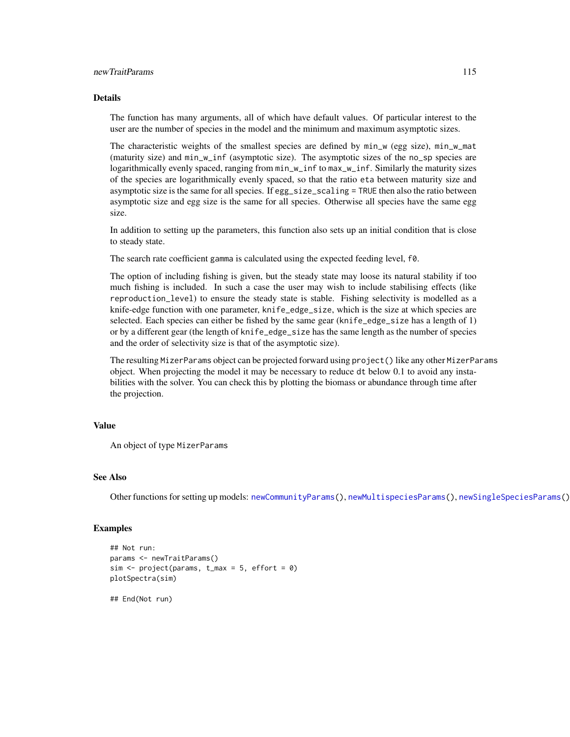#### Details

The function has many arguments, all of which have default values. Of particular interest to the user are the number of species in the model and the minimum and maximum asymptotic sizes.

The characteristic weights of the smallest species are defined by min\_w (egg size), min\_w\_mat (maturity size) and min\_w\_inf (asymptotic size). The asymptotic sizes of the no\_sp species are logarithmically evenly spaced, ranging from min\_w\_inf to max\_w\_inf. Similarly the maturity sizes of the species are logarithmically evenly spaced, so that the ratio eta between maturity size and asymptotic size is the same for all species. If egg\_size\_scaling = TRUE then also the ratio between asymptotic size and egg size is the same for all species. Otherwise all species have the same egg size.

In addition to setting up the parameters, this function also sets up an initial condition that is close to steady state.

The search rate coefficient gamma is calculated using the expected feeding level, f0.

The option of including fishing is given, but the steady state may loose its natural stability if too much fishing is included. In such a case the user may wish to include stabilising effects (like reproduction\_level) to ensure the steady state is stable. Fishing selectivity is modelled as a knife-edge function with one parameter, knife\_edge\_size, which is the size at which species are selected. Each species can either be fished by the same gear (knife\_edge\_size has a length of 1) or by a different gear (the length of knife\_edge\_size has the same length as the number of species and the order of selectivity size is that of the asymptotic size).

The resulting MizerParams object can be projected forward using project() like any other MizerParams object. When projecting the model it may be necessary to reduce dt below 0.1 to avoid any instabilities with the solver. You can check this by plotting the biomass or abundance through time after the projection.

### Value

An object of type MizerParams

## See Also

Other functions for setting up models: [newCommunityParams\(](#page-97-0)), [newMultispeciesParams\(](#page-99-0)), [newSingleSpeciesParams\(](#page-109-0))

### Examples

```
## Not run:
params <- newTraitParams()
sim < project(params, t_max = 5, effort = 0)
plotSpectra(sim)
## End(Not run)
```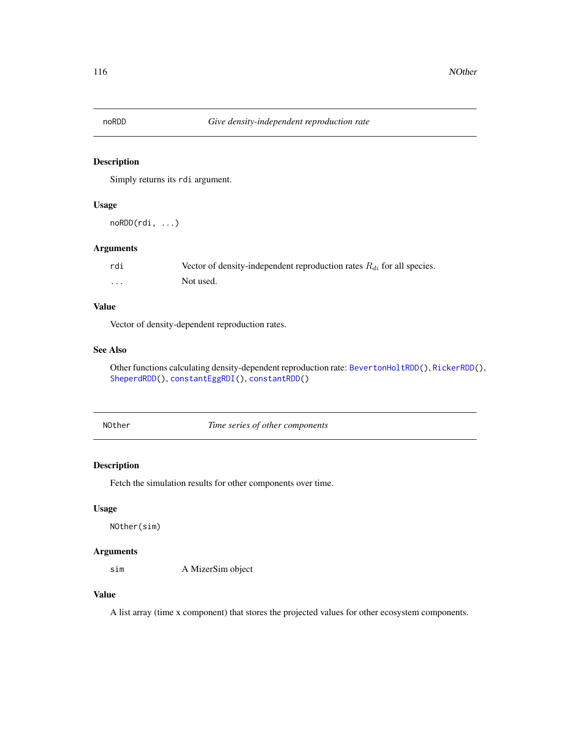## Description

Simply returns its rdi argument.

## Usage

noRDD(rdi, ...)

### Arguments

| rdi     | Vector of density-independent reproduction rates $R_{di}$ for all species. |
|---------|----------------------------------------------------------------------------|
| $\cdot$ | Not used.                                                                  |

## Value

Vector of density-dependent reproduction rates.

## See Also

Other functions calculating density-dependent reproduction rate: [BevertonHoltRDD\(](#page-8-0)), [RickerRDD\(](#page-153-0)), [SheperdRDD\(](#page-198-0)), [constantEggRDI\(](#page-12-0)), [constantRDD\(](#page-13-0))

NOther *Time series of other components*

## Description

Fetch the simulation results for other components over time.

### Usage

NOther(sim)

## Arguments

sim A MizerSim object

## Value

A list array (time x component) that stores the projected values for other ecosystem components.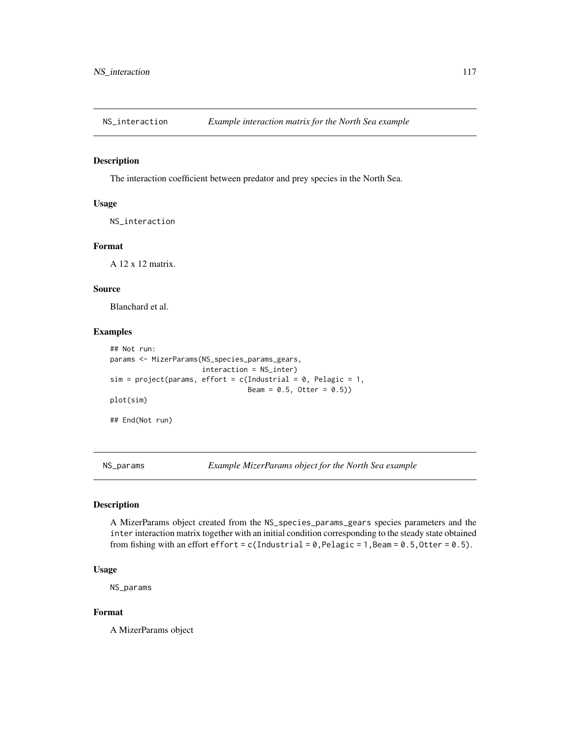### Description

The interaction coefficient between predator and prey species in the North Sea.

### Usage

NS\_interaction

### Format

A 12 x 12 matrix.

### Source

Blanchard et al.

## Examples

```
## Not run:
params <- MizerParams(NS_species_params_gears,
                     interaction = NS_inter)
sim = project(params, effort = c(Industrial = 0, Pelagic = 1,Bean = 0.5, Other = 0.5)plot(sim)
## End(Not run)
```
<span id="page-116-0"></span>NS\_params *Example MizerParams object for the North Sea example*

### Description

A MizerParams object created from the NS\_species\_params\_gears species parameters and the inter interaction matrix together with an initial condition corresponding to the steady state obtained from fishing with an effort effort = c(Industrial =  $0,$  Pelagic = 1, Beam =  $0.5,$  Otter =  $0.5$ ).

### Usage

NS\_params

## Format

A MizerParams object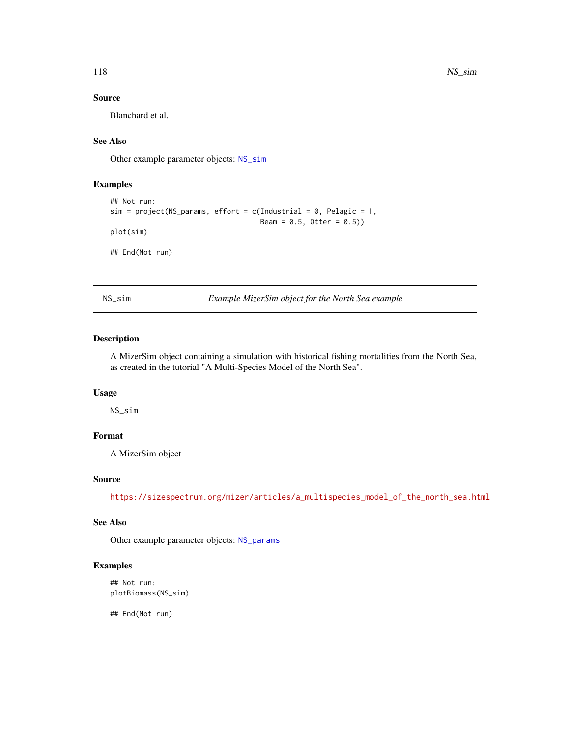## Source

Blanchard et al.

## See Also

Other example parameter objects: [NS\\_sim](#page-117-0)

## Examples

```
## Not run:
sim = project(NS_parameters, effort = c(Industrial = 0, Pelagic = 1,Beam = 0.5, Otter = 0.5)
plot(sim)
## End(Not run)
```
<span id="page-117-0"></span>NS\_sim *Example MizerSim object for the North Sea example*

## Description

A MizerSim object containing a simulation with historical fishing mortalities from the North Sea, as created in the tutorial "A Multi-Species Model of the North Sea".

## Usage

NS\_sim

# Format

A MizerSim object

#### Source

[https://sizespectrum.org/mizer/articles/a\\_multispecies\\_model\\_of\\_the\\_north\\_sea.html](https://sizespectrum.org/mizer/articles/a_multispecies_model_of_the_north_sea.html)

## See Also

Other example parameter objects: [NS\\_params](#page-116-0)

## Examples

```
## Not run:
plotBiomass(NS_sim)
```
## End(Not run)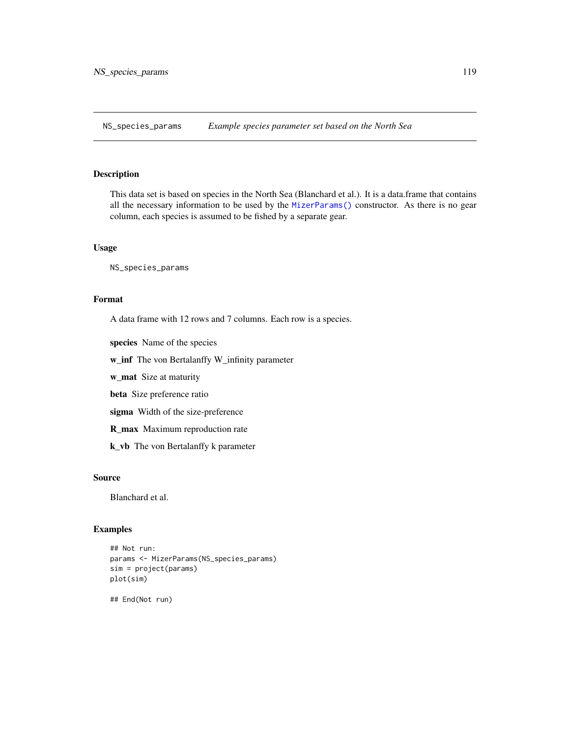NS\_species\_params *Example species parameter set based on the North Sea*

## Description

This data set is based on species in the North Sea (Blanchard et al.). It is a data.frame that contains all the necessary information to be used by the [MizerParams\(\)](#page-86-0) constructor. As there is no gear column, each species is assumed to be fished by a separate gear.

#### Usage

NS\_species\_params

## Format

A data frame with 12 rows and 7 columns. Each row is a species.

species Name of the species

w\_inf The von Bertalanffy W\_infinity parameter

w\_mat Size at maturity

beta Size preference ratio

sigma Width of the size-preference

R\_max Maximum reproduction rate

k\_vb The von Bertalanffy k parameter

## Source

Blanchard et al.

## Examples

```
## Not run:
params <- MizerParams(NS_species_params)
sim = project(params)
plot(sim)
```
## End(Not run)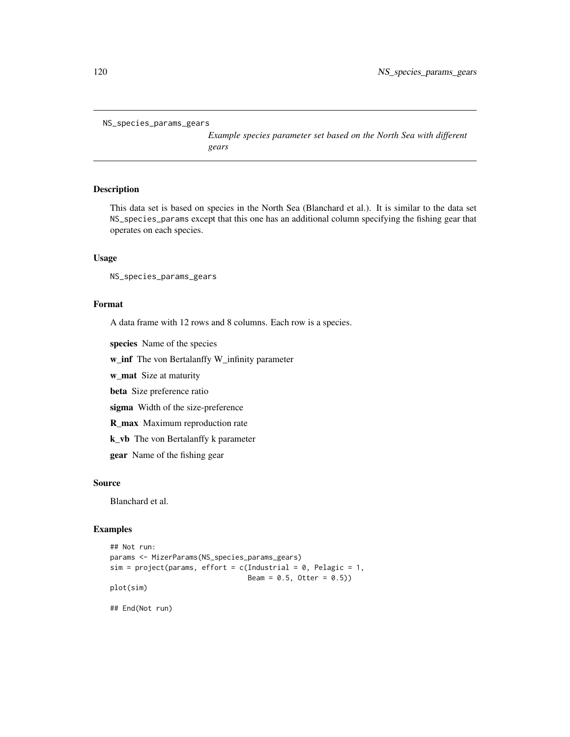```
NS_species_params_gears
```
*Example species parameter set based on the North Sea with different gears*

### Description

This data set is based on species in the North Sea (Blanchard et al.). It is similar to the data set NS\_species\_params except that this one has an additional column specifying the fishing gear that operates on each species.

### Usage

NS\_species\_params\_gears

## Format

A data frame with 12 rows and 8 columns. Each row is a species.

species Name of the species

w\_inf The von Bertalanffy W\_infinity parameter

w\_mat Size at maturity

beta Size preference ratio

sigma Width of the size-preference

R\_max Maximum reproduction rate

k\_vb The von Bertalanffy k parameter

gear Name of the fishing gear

### Source

Blanchard et al.

### Examples

```
## Not run:
params <- MizerParams(NS_species_params_gears)
sim = project(params, effort = c(Industrial = 0, Pelagic = 1,Bean = 0.5, Other = 0.5)plot(sim)
```
## End(Not run)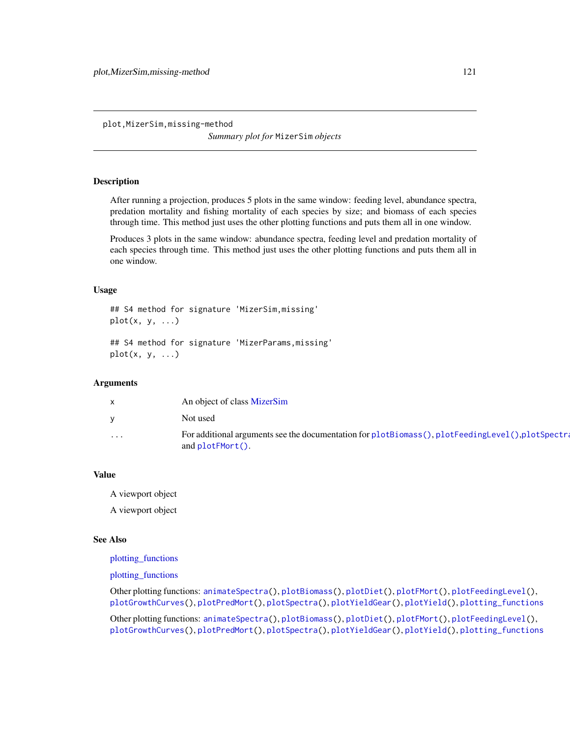plot,MizerSim,missing-method

*Summary plot for* MizerSim *objects*

### Description

After running a projection, produces 5 plots in the same window: feeding level, abundance spectra, predation mortality and fishing mortality of each species by size; and biomass of each species through time. This method just uses the other plotting functions and puts them all in one window.

Produces 3 plots in the same window: abundance spectra, feeding level and predation mortality of each species through time. This method just uses the other plotting functions and puts them all in one window.

### Usage

```
## S4 method for signature 'MizerSim,missing'
plot(x, y, \ldots)## S4 method for signature 'MizerParams,missing'
```

```
plot(x, y, ...)
```
#### Arguments

|          | An object of class MizerSim                                                                                              |
|----------|--------------------------------------------------------------------------------------------------------------------------|
|          | Not used                                                                                                                 |
| $\cdots$ | For additional arguments see the documentation for plotBiomass(), plotFeedingLevel(), plotSpectra<br>and $plotFMort()$ . |

## Value

A viewport object

A viewport object

#### See Also

[plotting\\_functions](#page-136-0)

[plotting\\_functions](#page-136-0)

Other plotting functions: [animateSpectra\(](#page-7-0)), [plotBiomass\(](#page-121-0)), [plotDiet\(](#page-125-0)), [plotFMort\(](#page-128-0)), [plotFeedingLevel\(](#page-126-0)), [plotGrowthCurves\(](#page-129-0)), [plotPredMort\(](#page-132-0)), [plotSpectra\(](#page-133-0)), [plotYieldGear\(](#page-139-0)), [plotYield\(](#page-137-0)), [plotting\\_functions](#page-136-0)

Other plotting functions: [animateSpectra\(](#page-7-0)), [plotBiomass\(](#page-121-0)), [plotDiet\(](#page-125-0)), [plotFMort\(](#page-128-0)), [plotFeedingLevel\(](#page-126-0)), [plotGrowthCurves\(](#page-129-0)), [plotPredMort\(](#page-132-0)), [plotSpectra\(](#page-133-0)), [plotYieldGear\(](#page-139-0)), [plotYield\(](#page-137-0)), [plotting\\_functions](#page-136-0)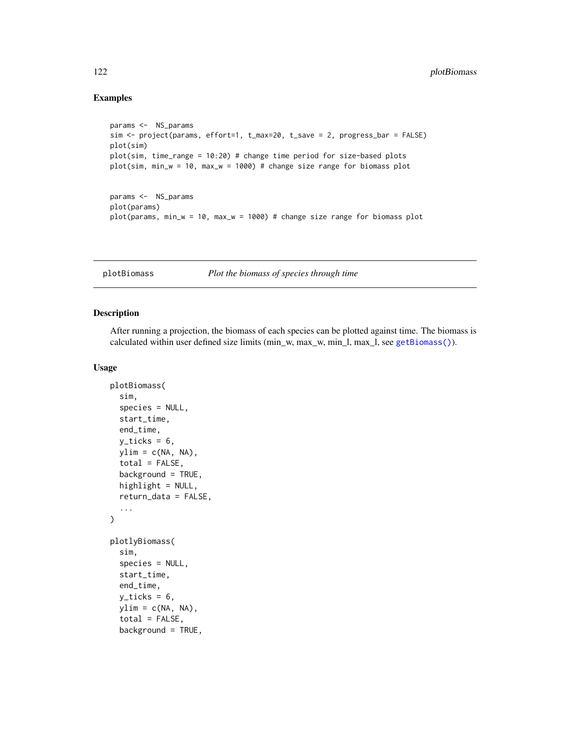## Examples

```
params <- NS_params
sim <- project(params, effort=1, t_max=20, t_save = 2, progress_bar = FALSE)
plot(sim)
plot(sim, time_range = 10:20) # change time period for size-based plots
plot(sim, min_w = 10, max_w = 1000) # change size range for biomass plot
params <- NS_params
plot(params)
plot(params, min_w = 10, max_w = 1000) # change size range for biomass plot
```
<span id="page-121-0"></span>plotBiomass *Plot the biomass of species through time*

### Description

After running a projection, the biomass of each species can be plotted against time. The biomass is calculated within user defined size limits (min\_w, max\_w, min\_l, max\_l, see [getBiomass\(\)](#page-22-0)).

```
plotBiomass(
  sim,
  species = NULL,
  start_time,
  end_time,
  y\_ticks = 6,
  ylim = c(NA, NA),
  total = FALSE,background = TRUE,
  highlight = NULL,
  return_data = FALSE,
  ...
)
plotlyBiomass(
  sim,
  species = NULL,
  start_time,
  end_time,
  y\_ticks = 6,
  ylim = c(NA, NA),
  total = FALSE,background = TRUE,
```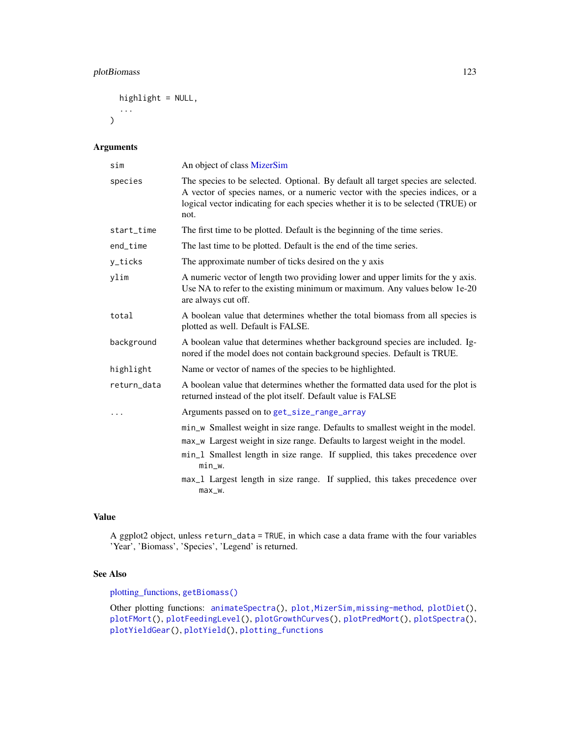```
highlight = NULL,
   ...
\mathcal{L}
```
### Arguments

| sim         | An object of class MizerSim                                                                                                                                                                                                                                                                                                                          |
|-------------|------------------------------------------------------------------------------------------------------------------------------------------------------------------------------------------------------------------------------------------------------------------------------------------------------------------------------------------------------|
| species     | The species to be selected. Optional. By default all target species are selected.<br>A vector of species names, or a numeric vector with the species indices, or a<br>logical vector indicating for each species whether it is to be selected (TRUE) or<br>not.                                                                                      |
| start_time  | The first time to be plotted. Default is the beginning of the time series.                                                                                                                                                                                                                                                                           |
| end_time    | The last time to be plotted. Default is the end of the time series.                                                                                                                                                                                                                                                                                  |
| y_ticks     | The approximate number of ticks desired on the y axis                                                                                                                                                                                                                                                                                                |
| ylim        | A numeric vector of length two providing lower and upper limits for the y axis.<br>Use NA to refer to the existing minimum or maximum. Any values below 1e-20<br>are always cut off.                                                                                                                                                                 |
| total       | A boolean value that determines whether the total biomass from all species is<br>plotted as well. Default is FALSE.                                                                                                                                                                                                                                  |
| background  | A boolean value that determines whether background species are included. Ig-<br>nored if the model does not contain background species. Default is TRUE.                                                                                                                                                                                             |
| highlight   | Name or vector of names of the species to be highlighted.                                                                                                                                                                                                                                                                                            |
| return_data | A boolean value that determines whether the formatted data used for the plot is<br>returned instead of the plot itself. Default value is FALSE                                                                                                                                                                                                       |
| .           | Arguments passed on to get_size_range_array                                                                                                                                                                                                                                                                                                          |
|             | min_w Smallest weight in size range. Defaults to smallest weight in the model.<br>max_w Largest weight in size range. Defaults to largest weight in the model.<br>min_1 Smallest length in size range. If supplied, this takes precedence over<br>min_w.<br>max_1 Largest length in size range. If supplied, this takes precedence over<br>$max_w$ . |

## Value

A ggplot2 object, unless return\_data = TRUE, in which case a data frame with the four variables 'Year', 'Biomass', 'Species', 'Legend' is returned.

# See Also

[plotting\\_functions,](#page-136-0) [getBiomass\(\)](#page-22-0)

Other plotting functions: [animateSpectra\(](#page-7-0)), [plot,MizerSim,missing-method](#page-0-0), [plotDiet\(](#page-125-0)), [plotFMort\(](#page-128-0)), [plotFeedingLevel\(](#page-126-0)), [plotGrowthCurves\(](#page-129-0)), [plotPredMort\(](#page-132-0)), [plotSpectra\(](#page-133-0)), [plotYieldGear\(](#page-139-0)), [plotYield\(](#page-137-0)), [plotting\\_functions](#page-136-0)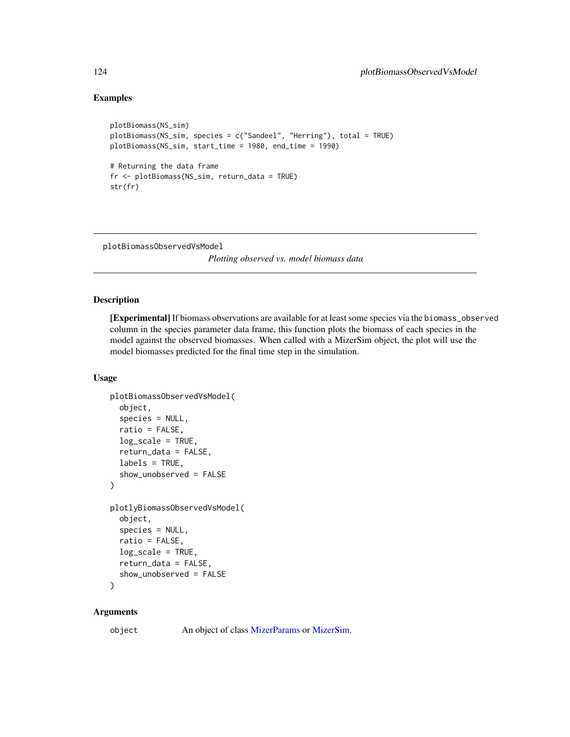## Examples

```
plotBiomass(NS_sim)
plotBiomass(NS_sim, species = c("Sandeel", "Herring"), total = TRUE)
plotBiomass(NS_sim, start_time = 1980, end_time = 1990)
# Returning the data frame
fr <- plotBiomass(NS_sim, return_data = TRUE)
str(fr)
```
plotBiomassObservedVsModel

*Plotting observed vs. model biomass data*

## Description

[Experimental] If biomass observations are available for at least some species via the biomass\_observed column in the species parameter data frame, this function plots the biomass of each species in the model against the observed biomasses. When called with a MizerSim object, the plot will use the model biomasses predicted for the final time step in the simulation.

#### Usage

```
plotBiomassObservedVsModel(
  object,
  species = NULL,
  ratio = FALSE,
  log_scale = TRUE,
  return_data = FALSE,
  labels = TRUE,show_unobserved = FALSE
)
plotlyBiomassObservedVsModel(
  object,
  species = NULL,
  ratio = FALSE,
  log_scale = TRUE,
  return_data = FALSE,
  show_unobserved = FALSE
)
```
#### Arguments

object An object of class [MizerParams](#page-87-0) or [MizerSim.](#page-96-0)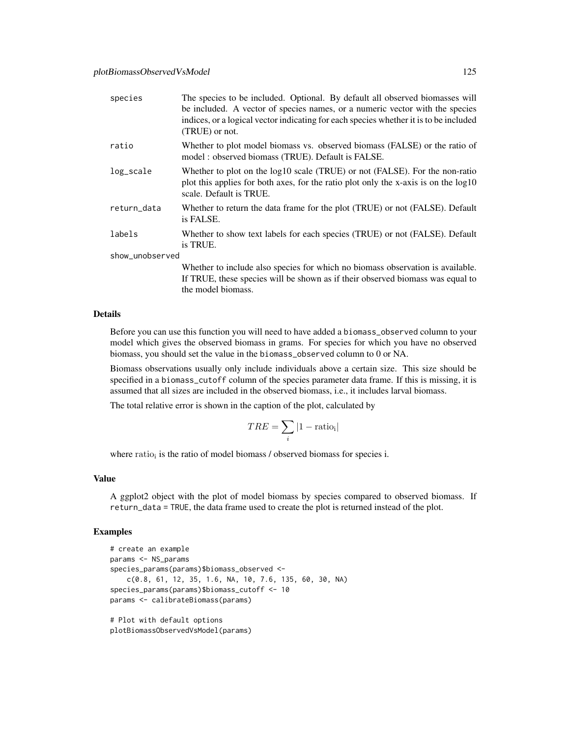| species         | The species to be included. Optional. By default all observed biomasses will<br>be included. A vector of species names, or a numeric vector with the species<br>indices, or a logical vector indicating for each species whether it is to be included<br>(TRUE) or not. |
|-----------------|-------------------------------------------------------------------------------------------------------------------------------------------------------------------------------------------------------------------------------------------------------------------------|
| ratio           | Whether to plot model biomass vs. observed biomass (FALSE) or the ratio of<br>model: observed biomass (TRUE). Default is FALSE.                                                                                                                                         |
| log_scale       | Whether to plot on the log10 scale (TRUE) or not (FALSE). For the non-ratio<br>plot this applies for both axes, for the ratio plot only the x-axis is on the log10<br>scale. Default is TRUE.                                                                           |
| return_data     | Whether to return the data frame for the plot (TRUE) or not (FALSE). Default<br>is FALSE.                                                                                                                                                                               |
| labels          | Whether to show text labels for each species (TRUE) or not (FALSE). Default<br>is TRUE.                                                                                                                                                                                 |
| show_unobserved |                                                                                                                                                                                                                                                                         |
|                 | Whether to include also species for which no biomass observation is available.<br>If TRUE, these species will be shown as if their observed biomass was equal to                                                                                                        |

#### Details

Before you can use this function you will need to have added a biomass\_observed column to your model which gives the observed biomass in grams. For species for which you have no observed biomass, you should set the value in the biomass\_observed column to 0 or NA.

Biomass observations usually only include individuals above a certain size. This size should be specified in a biomass\_cutoff column of the species parameter data frame. If this is missing, it is assumed that all sizes are included in the observed biomass, i.e., it includes larval biomass.

The total relative error is shown in the caption of the plot, calculated by

the model biomass.

$$
TRE = \sum_{i} |1 - \text{ratio}_{i}|
$$

where  $ratio_i$  is the ratio of model biomass / observed biomass for species i.

#### Value

A ggplot2 object with the plot of model biomass by species compared to observed biomass. If return\_data = TRUE, the data frame used to create the plot is returned instead of the plot.

#### Examples

```
# create an example
params <- NS_params
species_params(params)$biomass_observed <-
   c(0.8, 61, 12, 35, 1.6, NA, 10, 7.6, 135, 60, 30, NA)
species_params(params)$biomass_cutoff <- 10
params <- calibrateBiomass(params)
# Plot with default options
plotBiomassObservedVsModel(params)
```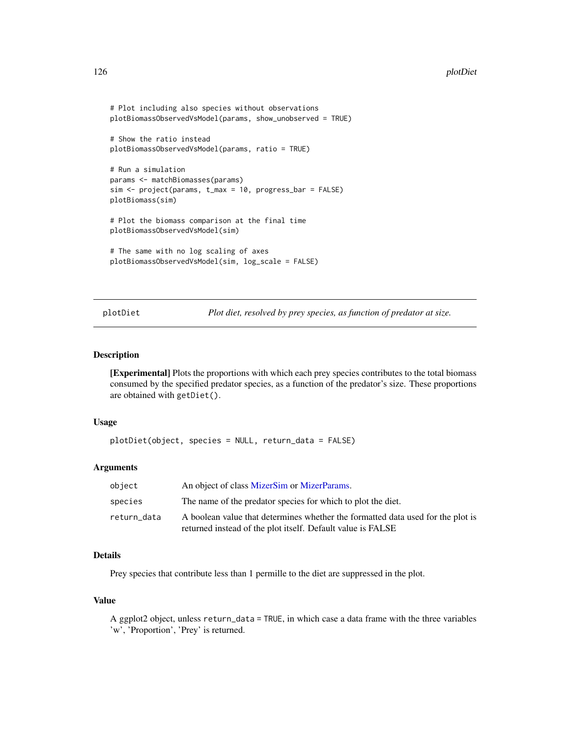```
# Plot including also species without observations
plotBiomassObservedVsModel(params, show_unobserved = TRUE)
# Show the ratio instead
plotBiomassObservedVsModel(params, ratio = TRUE)
# Run a simulation
params <- matchBiomasses(params)
sim <- project(params, t_max = 10, progress_bar = FALSE)
plotBiomass(sim)
# Plot the biomass comparison at the final time
plotBiomassObservedVsModel(sim)
# The same with no log scaling of axes
plotBiomassObservedVsModel(sim, log_scale = FALSE)
```
<span id="page-125-0"></span>plotDiet *Plot diet, resolved by prey species, as function of predator at size.*

#### Description

[Experimental] Plots the proportions with which each prey species contributes to the total biomass consumed by the specified predator species, as a function of the predator's size. These proportions are obtained with getDiet().

#### Usage

```
plotDiet(object, species = NULL, return_data = FALSE)
```
#### Arguments

| object      | An object of class MizerSim or MizerParams.                                                                                                    |
|-------------|------------------------------------------------------------------------------------------------------------------------------------------------|
| species     | The name of the predator species for which to plot the diet.                                                                                   |
| return data | A boolean value that determines whether the formatted data used for the plot is<br>returned instead of the plot itself. Default value is FALSE |

### Details

Prey species that contribute less than 1 permille to the diet are suppressed in the plot.

## Value

A ggplot2 object, unless return\_data = TRUE, in which case a data frame with the three variables 'w', 'Proportion', 'Prey' is returned.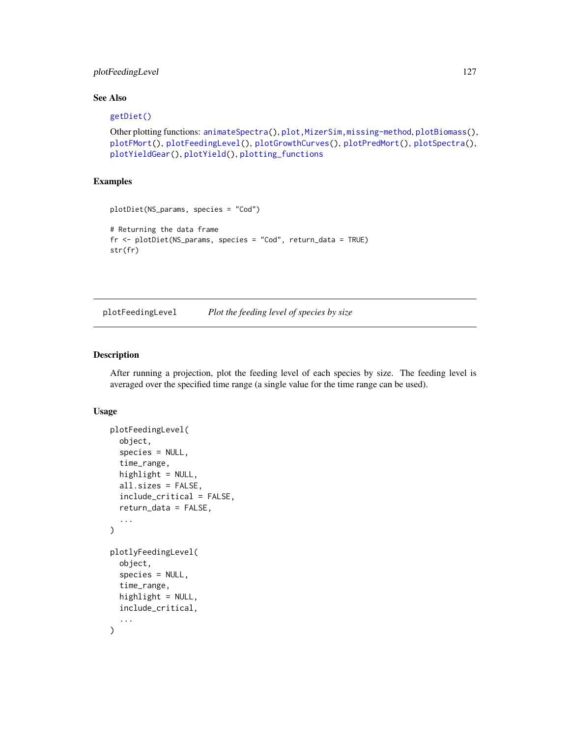## plotFeedingLevel 127

## See Also

## [getDiet\(\)](#page-25-0)

```
animateSpectra(plotBiomass(),
plotFMort(), plotFeedingLevel(), plotGrowthCurves(), plotPredMort(), plotSpectra(),
plotYieldGear(), plotYield(), plotting_functions
```
## Examples

```
plotDiet(NS_params, species = "Cod")
# Returning the data frame
fr <- plotDiet(NS_params, species = "Cod", return_data = TRUE)
str(fr)
```
<span id="page-126-0"></span>

| plotFeedingLevel | Plot the feeding level of species by size |  |
|------------------|-------------------------------------------|--|
|                  |                                           |  |

### Description

After running a projection, plot the feeding level of each species by size. The feeding level is averaged over the specified time range (a single value for the time range can be used).

```
plotFeedingLevel(
  object,
  species = NULL,
  time_range,
  highlight = NULL,
  all.sizes = FALSE,
  include_critical = FALSE,
  return_data = FALSE,
  ...
)
plotlyFeedingLevel(
  object,
  species = NULL,
  time_range,
  highlight = NULL,
  include_critical,
  ...
)
```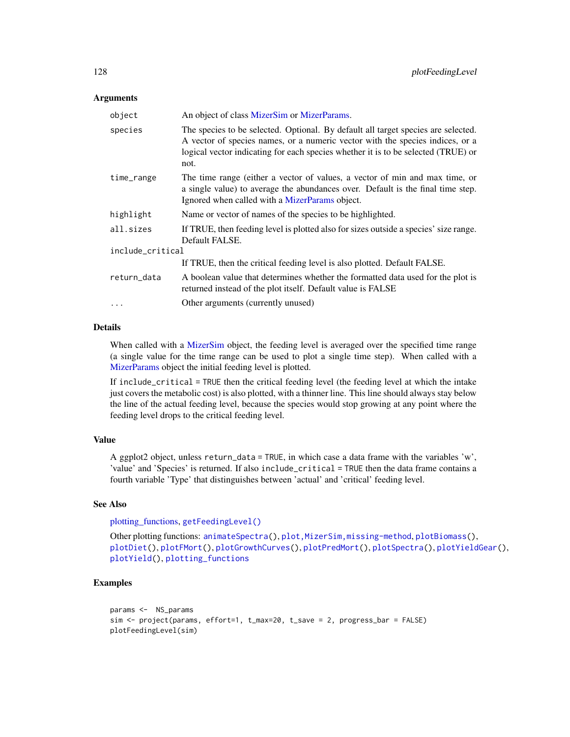### Arguments

| object           | An object of class MizerSim or MizerParams.                                                                                                                                                                                                                     |  |
|------------------|-----------------------------------------------------------------------------------------------------------------------------------------------------------------------------------------------------------------------------------------------------------------|--|
| species          | The species to be selected. Optional. By default all target species are selected.<br>A vector of species names, or a numeric vector with the species indices, or a<br>logical vector indicating for each species whether it is to be selected (TRUE) or<br>not. |  |
| time_range       | The time range (either a vector of values, a vector of min and max time, or<br>a single value) to average the abundances over. Default is the final time step.<br>Ignored when called with a MizerParams object.                                                |  |
| highlight        | Name or vector of names of the species to be highlighted.                                                                                                                                                                                                       |  |
| all.sizes        | If TRUE, then feeding level is plotted also for sizes outside a species' size range.<br>Default FALSE.                                                                                                                                                          |  |
| include_critical |                                                                                                                                                                                                                                                                 |  |
|                  | If TRUE, then the critical feeding level is also plotted. Default FALSE.                                                                                                                                                                                        |  |
| return_data      | A boolean value that determines whether the formatted data used for the plot is<br>returned instead of the plot itself. Default value is FALSE                                                                                                                  |  |
| $\ddots$         | Other arguments (currently unused)                                                                                                                                                                                                                              |  |

## Details

When called with a [MizerSim](#page-96-0) object, the feeding level is averaged over the specified time range (a single value for the time range can be used to plot a single time step). When called with a [MizerParams](#page-87-0) object the initial feeding level is plotted.

If include\_critical = TRUE then the critical feeding level (the feeding level at which the intake just covers the metabolic cost) is also plotted, with a thinner line. This line should always stay below the line of the actual feeding level, because the species would stop growing at any point where the feeding level drops to the critical feeding level.

## Value

A ggplot2 object, unless return\_data = TRUE, in which case a data frame with the variables 'w', 'value' and 'Species' is returned. If also include\_critical = TRUE then the data frame contains a fourth variable 'Type' that distinguishes between 'actual' and 'critical' feeding level.

## See Also

[plotting\\_functions,](#page-136-0) [getFeedingLevel\(\)](#page-34-0)

```
Other plotting functions: animateSpectra(), plot,MizerSim,missing-method, plotBiomass(),
plotDiet(), plotFMort(), plotGrowthCurves(), plotPredMort(), plotSpectra(), plotYieldGear(),
plotYield(), plotting_functions
```
### Examples

```
params <- NS_params
sim <- project(params, effort=1, t_max=20, t_save = 2, progress_bar = FALSE)
plotFeedingLevel(sim)
```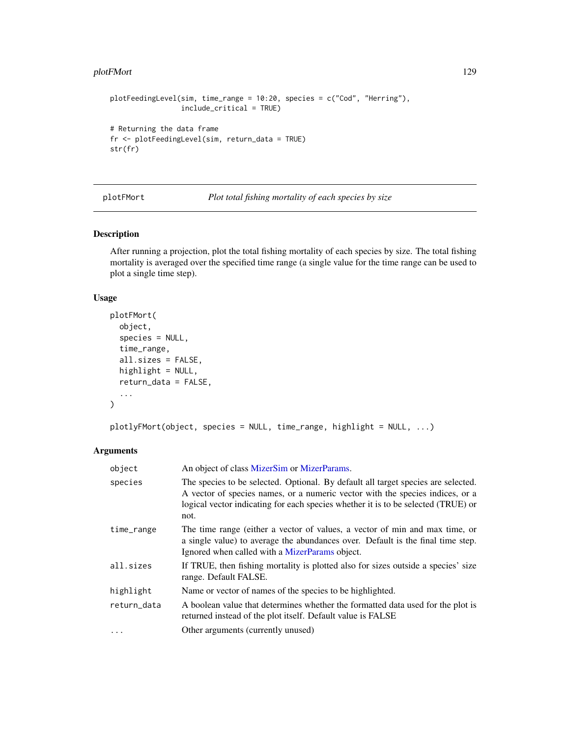## plotFMort 129

```
plotFeedingLevel(sim, time_range = 10:20, species = c("Cod", "Herring"),
                 include_critical = TRUE)
# Returning the data frame
fr <- plotFeedingLevel(sim, return_data = TRUE)
str(fr)
```
<span id="page-128-0"></span>plotFMort *Plot total fishing mortality of each species by size*

### Description

After running a projection, plot the total fishing mortality of each species by size. The total fishing mortality is averaged over the specified time range (a single value for the time range can be used to plot a single time step).

## Usage

```
plotFMort(
 object,
  species = NULL,
  time_range,
  all.sizes = FALSE,
  highlight = NULL,
  return_data = FALSE,
  ...
)
```
plotlyFMort(object, species = NULL, time\_range, highlight = NULL, ...)

# Arguments

| object      | An object of class MizerSim or MizerParams.                                                                                                                                                                                                                     |
|-------------|-----------------------------------------------------------------------------------------------------------------------------------------------------------------------------------------------------------------------------------------------------------------|
| species     | The species to be selected. Optional. By default all target species are selected.<br>A vector of species names, or a numeric vector with the species indices, or a<br>logical vector indicating for each species whether it is to be selected (TRUE) or<br>not. |
| time_range  | The time range (either a vector of values, a vector of min and max time, or<br>a single value) to average the abundances over. Default is the final time step.<br>Ignored when called with a MizerParams object.                                                |
| all.sizes   | If TRUE, then fishing mortality is plotted also for sizes outside a species' size<br>range. Default FALSE.                                                                                                                                                      |
| highlight   | Name or vector of names of the species to be highlighted.                                                                                                                                                                                                       |
| return_data | A boolean value that determines whether the formatted data used for the plot is<br>returned instead of the plot itself. Default value is FALSE                                                                                                                  |
| $\cdots$    | Other arguments (currently unused)                                                                                                                                                                                                                              |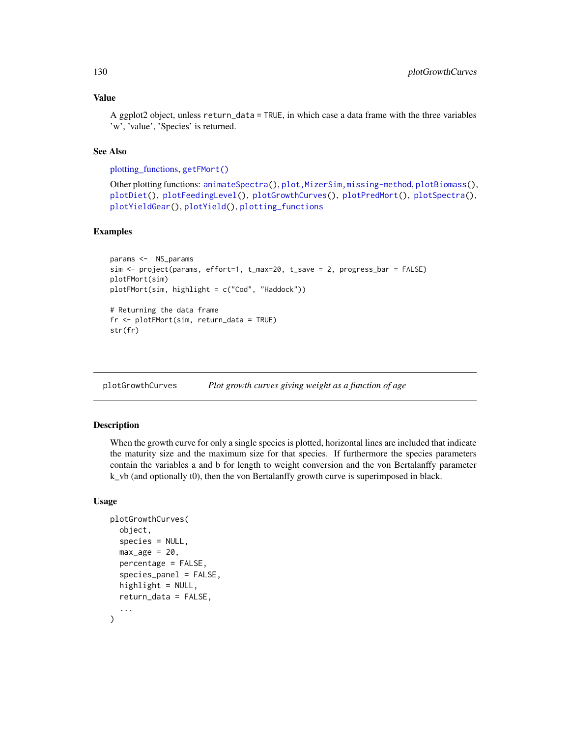## Value

A ggplot2 object, unless return\_data = TRUE, in which case a data frame with the three variables 'w', 'value', 'Species' is returned.

## See Also

[plotting\\_functions,](#page-136-0) [getFMort\(\)](#page-36-0)

```
animateSpectra(plotBiomass(),
plotDiet(plotFeedingLevel(plotGrowthCurves(plotPredMort(plotSpectra(),
plotYieldGear(), plotYield(), plotting_functions
```
## Examples

```
params <- NS_params
sim <- project(params, effort=1, t_max=20, t_save = 2, progress_bar = FALSE)
plotFMort(sim)
plotFMort(sim, highlight = c("Cod", "Haddock"))
# Returning the data frame
fr <- plotFMort(sim, return_data = TRUE)
str(fr)
```
<span id="page-129-0"></span>plotGrowthCurves *Plot growth curves giving weight as a function of age*

## Description

When the growth curve for only a single species is plotted, horizontal lines are included that indicate the maturity size and the maximum size for that species. If furthermore the species parameters contain the variables a and b for length to weight conversion and the von Bertalanffy parameter k\_vb (and optionally t0), then the von Bertalanffy growth curve is superimposed in black.

```
plotGrowthCurves(
  object,
  species = NULL,
  max\_age = 20,
 percentage = FALSE,
  species\_panel = FALSE,
  highlight = NULL,
  return_data = FALSE,
  ...
)
```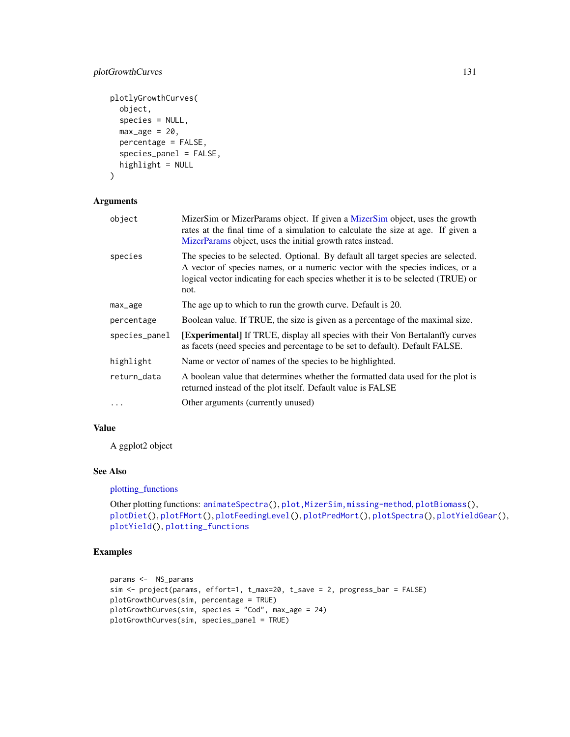## plotGrowthCurves 131

```
plotlyGrowthCurves(
 object,
  species = NULL,
 max\_age = 20,
 percentage = FALSE,
  species_panel = FALSE,
 highlight = NULL
\lambda
```
### Arguments

| object        | MizerSim or MizerParams object. If given a MizerSim object, uses the growth<br>rates at the final time of a simulation to calculate the size at age. If given a<br>MizerParams object, uses the initial growth rates instead.                                   |
|---------------|-----------------------------------------------------------------------------------------------------------------------------------------------------------------------------------------------------------------------------------------------------------------|
| species       | The species to be selected. Optional. By default all target species are selected.<br>A vector of species names, or a numeric vector with the species indices, or a<br>logical vector indicating for each species whether it is to be selected (TRUE) or<br>not. |
| max_age       | The age up to which to run the growth curve. Default is 20.                                                                                                                                                                                                     |
| percentage    | Boolean value. If TRUE, the size is given as a percentage of the maximal size.                                                                                                                                                                                  |
| species_panel | <b>[Experimental]</b> If TRUE, display all species with their Von Bertalanffy curves<br>as facets (need species and percentage to be set to default). Default FALSE.                                                                                            |
| highlight     | Name or vector of names of the species to be highlighted.                                                                                                                                                                                                       |
| return_data   | A boolean value that determines whether the formatted data used for the plot is<br>returned instead of the plot itself. Default value is FALSE                                                                                                                  |
| $\cdots$      | Other arguments (currently unused)                                                                                                                                                                                                                              |

## Value

A ggplot2 object

## See Also

[plotting\\_functions](#page-136-0)

```
animateSpectra(plotBiomass(),
plotDiet(), plotFMort(), plotFeedingLevel(), plotPredMort(), plotSpectra(), plotYieldGear(),
plotYield(), plotting_functions
```
# Examples

```
params <- NS_params
sim <- project(params, effort=1, t_max=20, t_save = 2, progress_bar = FALSE)
plotGrowthCurves(sim, percentage = TRUE)
plotGrowthCurves(sim, species = "Cod", max_age = 24)
plotGrowthCurves(sim, species_panel = TRUE)
```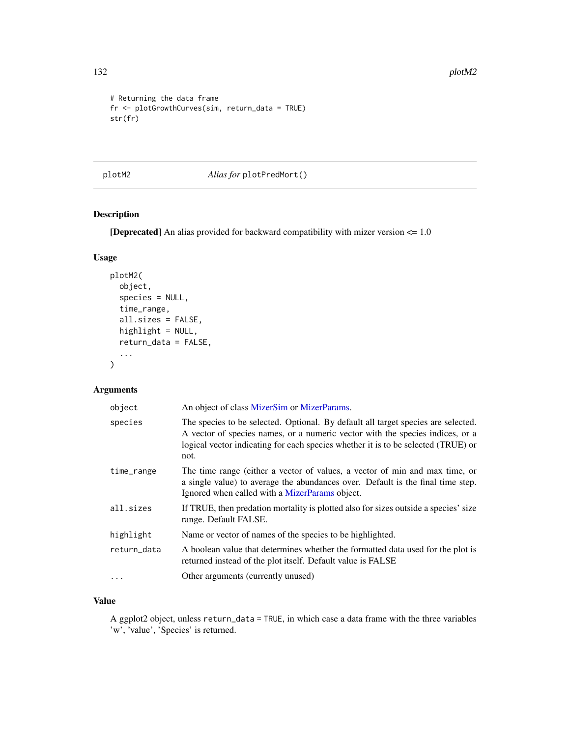```
# Returning the data frame
fr <- plotGrowthCurves(sim, return_data = TRUE)
str(fr)
```
plotM2 *Alias for* plotPredMort()

## Description

[Deprecated] An alias provided for backward compatibility with mizer version <= 1.0

## Usage

```
plotM2(
  object,
  species = NULL,
  time_range,
  all.sizes = FALSE,
  highlight = NULL,
  return_data = FALSE,
  ...
\mathcal{L}
```
## Arguments

| object      | An object of class MizerSim or MizerParams.                                                                                                                                                                                                                     |
|-------------|-----------------------------------------------------------------------------------------------------------------------------------------------------------------------------------------------------------------------------------------------------------------|
| species     | The species to be selected. Optional. By default all target species are selected.<br>A vector of species names, or a numeric vector with the species indices, or a<br>logical vector indicating for each species whether it is to be selected (TRUE) or<br>not. |
| time_range  | The time range (either a vector of values, a vector of min and max time, or<br>a single value) to average the abundances over. Default is the final time step.<br>Ignored when called with a MizerParams object.                                                |
| all.sizes   | If TRUE, then predation mortality is plotted also for sizes outside a species' size<br>range. Default FALSE.                                                                                                                                                    |
| highlight   | Name or vector of names of the species to be highlighted.                                                                                                                                                                                                       |
| return_data | A boolean value that determines whether the formatted data used for the plot is<br>returned instead of the plot itself. Default value is FALSE                                                                                                                  |
| .           | Other arguments (currently unused)                                                                                                                                                                                                                              |
|             |                                                                                                                                                                                                                                                                 |

## Value

A ggplot2 object, unless return\_data = TRUE, in which case a data frame with the three variables 'w', 'value', 'Species' is returned.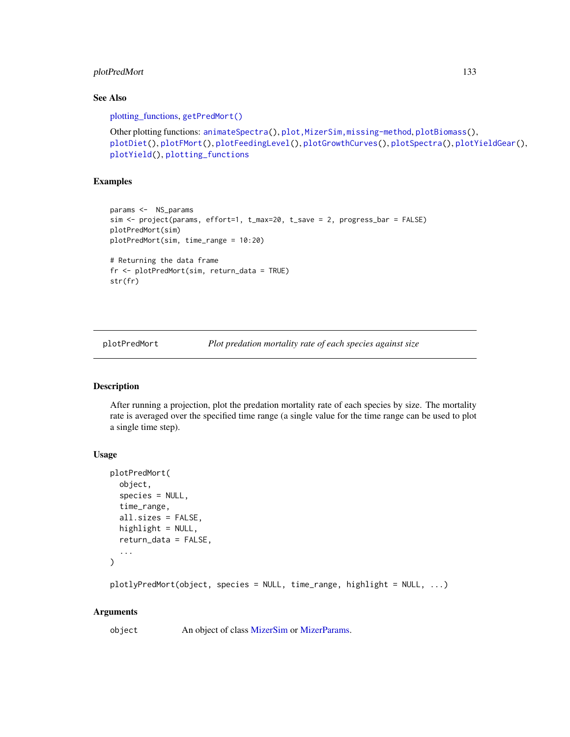## plotPredMort 133

### See Also

[plotting\\_functions,](#page-136-0) [getPredMort\(\)](#page-49-0)

```
animateSpectra(plotBiomass(),
plotDiet(), plotFMort(), plotFeedingLevel(), plotGrowthCurves(), plotSpectra(), plotYieldGear(),
plotYield(), plotting_functions
```
## Examples

```
params <- NS_params
sim <- project(params, effort=1, t_max=20, t_save = 2, progress_bar = FALSE)
plotPredMort(sim)
plotPredMort(sim, time_range = 10:20)
# Returning the data frame
fr <- plotPredMort(sim, return_data = TRUE)
str(fr)
```
<span id="page-132-0"></span>plotPredMort *Plot predation mortality rate of each species against size*

#### Description

After running a projection, plot the predation mortality rate of each species by size. The mortality rate is averaged over the specified time range (a single value for the time range can be used to plot a single time step).

## Usage

```
plotPredMort(
 object,
  species = NULL,
  time_range,
  all.sizes = FALSE,
 highlight = NULL,
  return_data = FALSE,
  ...
)
plotlyPredMort(object, species = NULL, time_range, highlight = NULL, ...)
```
#### Arguments

object An object of class [MizerSim](#page-96-0) or [MizerParams.](#page-87-0)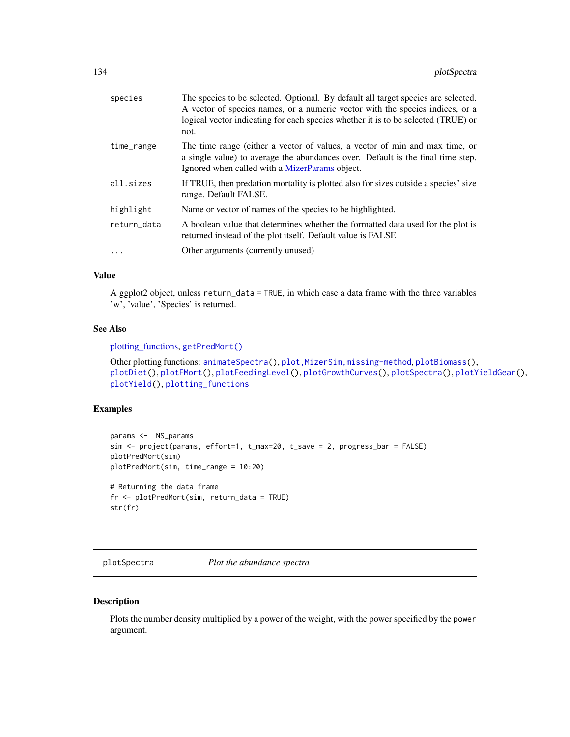| species     | The species to be selected. Optional. By default all target species are selected.<br>A vector of species names, or a numeric vector with the species indices, or a<br>logical vector indicating for each species whether it is to be selected (TRUE) or<br>not. |
|-------------|-----------------------------------------------------------------------------------------------------------------------------------------------------------------------------------------------------------------------------------------------------------------|
| time_range  | The time range (either a vector of values, a vector of min and max time, or<br>a single value) to average the abundances over. Default is the final time step.<br>Ignored when called with a MizerParams object.                                                |
| all.sizes   | If TRUE, then predation mortality is plotted also for sizes outside a species' size<br>range. Default FALSE.                                                                                                                                                    |
| highlight   | Name or vector of names of the species to be highlighted.                                                                                                                                                                                                       |
| return_data | A boolean value that determines whether the formatted data used for the plot is<br>returned instead of the plot itself. Default value is FALSE                                                                                                                  |
| $\cdot$     | Other arguments (currently unused)                                                                                                                                                                                                                              |

## Value

A ggplot2 object, unless return\_data = TRUE, in which case a data frame with the three variables 'w', 'value', 'Species' is returned.

### See Also

```
plotting_functions, getPredMort()
```

```
animateSpectra(plotBiomass(),
plotDiet(), plotFMort(), plotFeedingLevel(), plotGrowthCurves(), plotSpectra(), plotYieldGear(),
plotYield(), plotting_functions
```
## Examples

```
params <- NS_params
sim <- project(params, effort=1, t_max=20, t_save = 2, progress_bar = FALSE)
plotPredMort(sim)
plotPredMort(sim, time_range = 10:20)
# Returning the data frame
fr <- plotPredMort(sim, return_data = TRUE)
str(fr)
```
<span id="page-133-0"></span>plotSpectra *Plot the abundance spectra*

### Description

Plots the number density multiplied by a power of the weight, with the power specified by the power argument.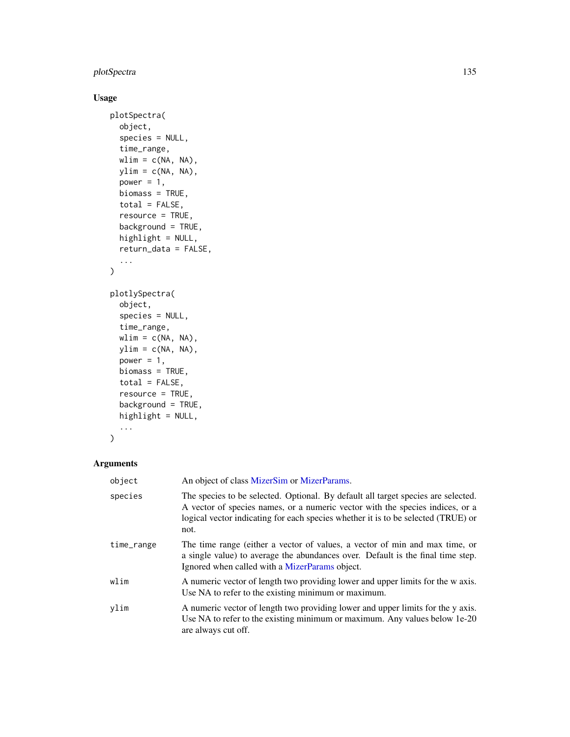## plotSpectra 135

# Usage

```
plotSpectra(
 object,
  species = NULL,
 time_range,
 wlim = c(NA, NA),
 ylim = c(NA, NA),
 power = 1,
 biomass = TRUE,
 total = FALSE,resource = TRUE,
 background = TRUE,
 highlight = NULL,
 return_data = FALSE,
  ...
)
plotlySpectra(
 object,
 species = NULL,
 time_range,
 wlim = c(NA, NA),
 ylim = c(NA, NA),
 power = 1,
 biomass = TRUE,
  total = FALSE,resource = TRUE,
 background = TRUE,
 highlight = NULL,
```

```
)
```
...

# Arguments

| object     | An object of class MizerSim or MizerParams.                                                                                                                                                                                                                     |
|------------|-----------------------------------------------------------------------------------------------------------------------------------------------------------------------------------------------------------------------------------------------------------------|
| species    | The species to be selected. Optional. By default all target species are selected.<br>A vector of species names, or a numeric vector with the species indices, or a<br>logical vector indicating for each species whether it is to be selected (TRUE) or<br>not. |
| time_range | The time range (either a vector of values, a vector of min and max time, or<br>a single value) to average the abundances over. Default is the final time step.<br>Ignored when called with a MizerParams object.                                                |
| wlim       | A numeric vector of length two providing lower and upper limits for the w axis.<br>Use NA to refer to the existing minimum or maximum.                                                                                                                          |
| ylim       | A numeric vector of length two providing lower and upper limits for the y axis.<br>Use NA to refer to the existing minimum or maximum. Any values below 1e-20<br>are always cut off.                                                                            |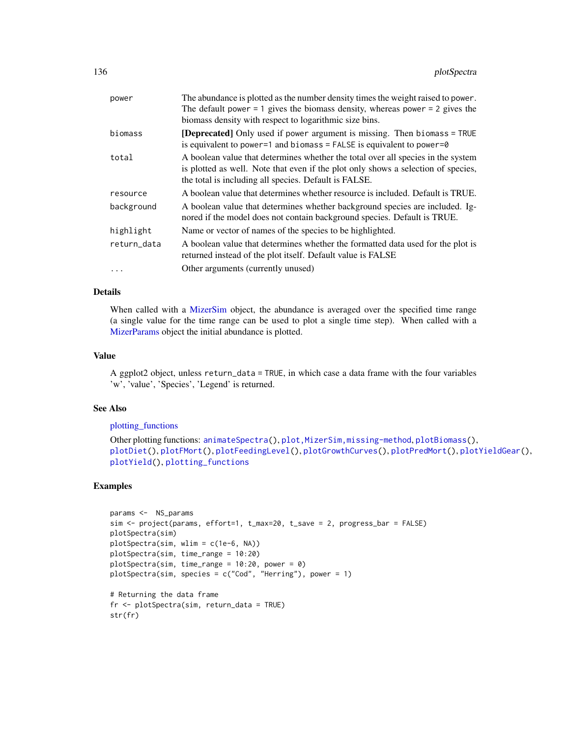| power       | The abundance is plotted as the number density times the weight raised to power.<br>The default power = 1 gives the biomass density, whereas power = 2 gives the<br>biomass density with respect to logarithmic size bins.     |
|-------------|--------------------------------------------------------------------------------------------------------------------------------------------------------------------------------------------------------------------------------|
| biomass     | <b>[Deprecated]</b> Only used if power argument is missing. Then biomass = TRUE<br>is equivalent to power=1 and biomass = FALSE is equivalent to power=0                                                                       |
| total       | A boolean value that determines whether the total over all species in the system<br>is plotted as well. Note that even if the plot only shows a selection of species,<br>the total is including all species. Default is FALSE. |
| resource    | A boolean value that determines whether resource is included. Default is TRUE.                                                                                                                                                 |
| background  | A boolean value that determines whether background species are included. Ig-<br>nored if the model does not contain background species. Default is TRUE.                                                                       |
| highlight   | Name or vector of names of the species to be highlighted.                                                                                                                                                                      |
| return data | A boolean value that determines whether the formatted data used for the plot is<br>returned instead of the plot itself. Default value is FALSE                                                                                 |
| $\cdots$    | Other arguments (currently unused)                                                                                                                                                                                             |

## Details

When called with a [MizerSim](#page-96-0) object, the abundance is averaged over the specified time range (a single value for the time range can be used to plot a single time step). When called with a [MizerParams](#page-87-0) object the initial abundance is plotted.

### Value

A ggplot2 object, unless return\_data = TRUE, in which case a data frame with the four variables 'w', 'value', 'Species', 'Legend' is returned.

#### See Also

#### [plotting\\_functions](#page-136-0)

```
animateSpectra(plotBiomass(),
plotDiet(plotFMort(plotFeedingLevel(plotGrowthCurves(plotPredMort(plotYieldGear(),
plotYield(), plotting_functions
```
### Examples

```
params <- NS_params
sim <- project(params, effort=1, t_max=20, t_save = 2, progress_bar = FALSE)
plotSpectra(sim)
plotSpectra(sim, wlim = c(1e-6, NA))
plotSpectra(sim, time_range = 10:20)
plotSpectra(sim, time_range = 10:20, power = 0)
plotSpectra(sim, species = c("Cod", "Herring"), power = 1)
# Returning the data frame
fr <- plotSpectra(sim, return_data = TRUE)
str(fr)
```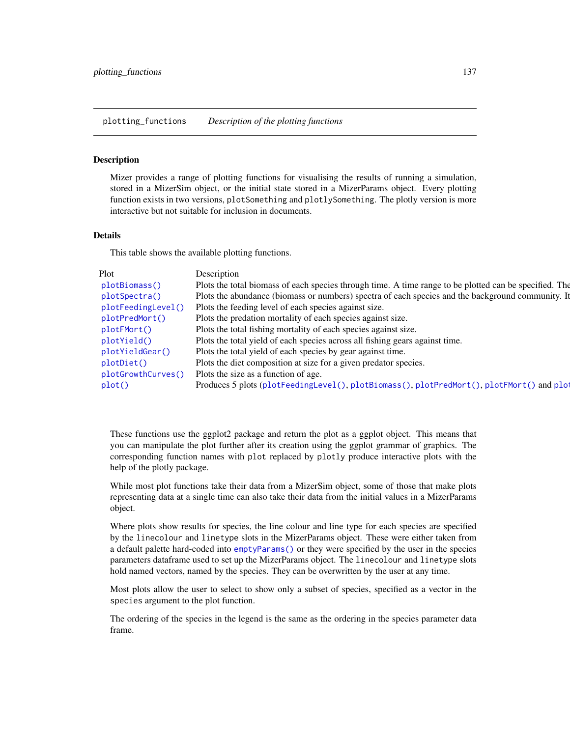<span id="page-136-0"></span>plotting\_functions *Description of the plotting functions*

#### Description

Mizer provides a range of plotting functions for visualising the results of running a simulation, stored in a MizerSim object, or the initial state stored in a MizerParams object. Every plotting function exists in two versions, plotSomething and plotlySomething. The plotly version is more interactive but not suitable for inclusion in documents.

## Details

This table shows the available plotting functions.

| Plot               | Description                                                                                            |
|--------------------|--------------------------------------------------------------------------------------------------------|
| plotBiomass()      | Plots the total biomass of each species through time. A time range to be plotted can be specified. The |
| plotSpectra()      | Plots the abundance (biomass or numbers) spectra of each species and the background community. It      |
| plotFeedingLevel() | Plots the feeding level of each species against size.                                                  |
| plotPredMort()     | Plots the predation mortality of each species against size.                                            |
| plotFMort()        | Plots the total fishing mortality of each species against size.                                        |
| plotYield()        | Plots the total yield of each species across all fishing gears against time.                           |
| plotYieldGear()    | Plots the total yield of each species by gear against time.                                            |
| plotDiet()         | Plots the diet composition at size for a given predator species.                                       |
| plotGrowthCurves() | Plots the size as a function of age.                                                                   |
| plot()             | Produces 5 plots (plotFeedingLevel(), plotBiomass(), plotPredMort(), plotFMort() and plot              |

These functions use the ggplot2 package and return the plot as a ggplot object. This means that you can manipulate the plot further after its creation using the ggplot grammar of graphics. The corresponding function names with plot replaced by plotly produce interactive plots with the help of the plotly package.

While most plot functions take their data from a MizerSim object, some of those that make plots representing data at a single time can also take their data from the initial values in a MizerParams object.

Where plots show results for species, the line colour and line type for each species are specified by the linecolour and linetype slots in the MizerParams object. These were either taken from a default palette hard-coded into [emptyParams\(\)](#page-18-0) or they were specified by the user in the species parameters dataframe used to set up the MizerParams object. The linecolour and linetype slots hold named vectors, named by the species. They can be overwritten by the user at any time.

Most plots allow the user to select to show only a subset of species, specified as a vector in the species argument to the plot function.

The ordering of the species in the legend is the same as the ordering in the species parameter data frame.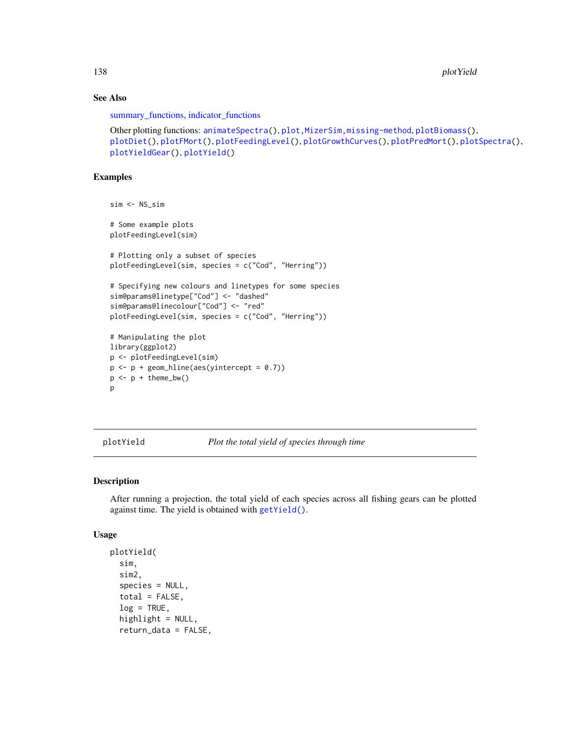# See Also

[summary\\_functions,](#page-204-0) [indicator\\_functions](#page-69-0)

```
animateSpectra(plotBiomass(),
plotDiet(), plotFMort(), plotFeedingLevel(), plotGrowthCurves(), plotPredMort(), plotSpectra(),
plotYieldGear(), plotYield()
```
## Examples

```
sim <- NS_sim
# Some example plots
plotFeedingLevel(sim)
# Plotting only a subset of species
plotFeedingLevel(sim, species = c("Cod", "Herring"))
# Specifying new colours and linetypes for some species
sim@params@linetype["Cod"] <- "dashed"
sim@params@linecolour["Cod"] <- "red"
plotFeedingLevel(sim, species = c("Cod", "Herring"))
# Manipulating the plot
library(ggplot2)
p <- plotFeedingLevel(sim)
p \leftarrow p + \text{geom\_hline(} \text{aes}(\text{yintercept} = 0.7))p \leq -p + \text{ theme_bw}()
```
<span id="page-137-0"></span>

p

plotYield *Plot the total yield of species through time*

## **Description**

After running a projection, the total yield of each species across all fishing gears can be plotted against time. The yield is obtained with [getYield\(\)](#page-60-0).

```
plotYield(
  sim,
  sim2,
  species = NULL,
  total = FALSE,log = TRUE,highlight = NULL,
  return_data = FALSE,
```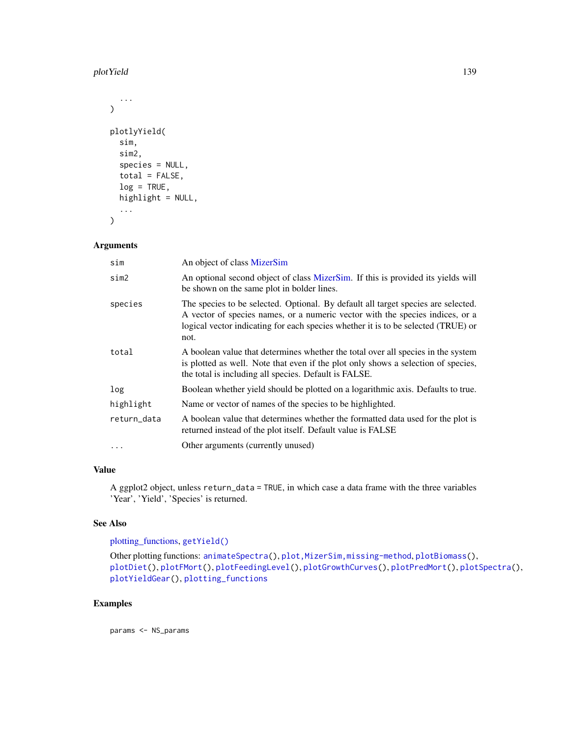### plotYield 139

```
...
\mathcal{L}plotlyYield(
  sim,
  sim2,
  species = NULL,
  total = FALSE,log = TRUE,highlight = NULL,
  ...
\mathcal{L}
```
## Arguments

| sim         | An object of class MizerSim                                                                                                                                                                                                                                     |
|-------------|-----------------------------------------------------------------------------------------------------------------------------------------------------------------------------------------------------------------------------------------------------------------|
| sim2        | An optional second object of class MizerSim. If this is provided its yields will<br>be shown on the same plot in bolder lines.                                                                                                                                  |
| species     | The species to be selected. Optional. By default all target species are selected.<br>A vector of species names, or a numeric vector with the species indices, or a<br>logical vector indicating for each species whether it is to be selected (TRUE) or<br>not. |
| total       | A boolean value that determines whether the total over all species in the system<br>is plotted as well. Note that even if the plot only shows a selection of species,<br>the total is including all species. Default is FALSE.                                  |
| log         | Boolean whether yield should be plotted on a logarithmic axis. Defaults to true.                                                                                                                                                                                |
| highlight   | Name or vector of names of the species to be highlighted.                                                                                                                                                                                                       |
| return_data | A boolean value that determines whether the formatted data used for the plot is<br>returned instead of the plot itself. Default value is FALSE                                                                                                                  |
|             | Other arguments (currently unused)                                                                                                                                                                                                                              |

## Value

A ggplot2 object, unless return\_data = TRUE, in which case a data frame with the three variables 'Year', 'Yield', 'Species' is returned.

## See Also

# [plotting\\_functions,](#page-136-0) [getYield\(\)](#page-60-0)

```
animateSpectra(plotBiomass(),
plotDiet(), plotFMort(), plotFeedingLevel(), plotGrowthCurves(), plotPredMort(), plotSpectra(),
plotYieldGear(), plotting_functions
```
## Examples

params <- NS\_params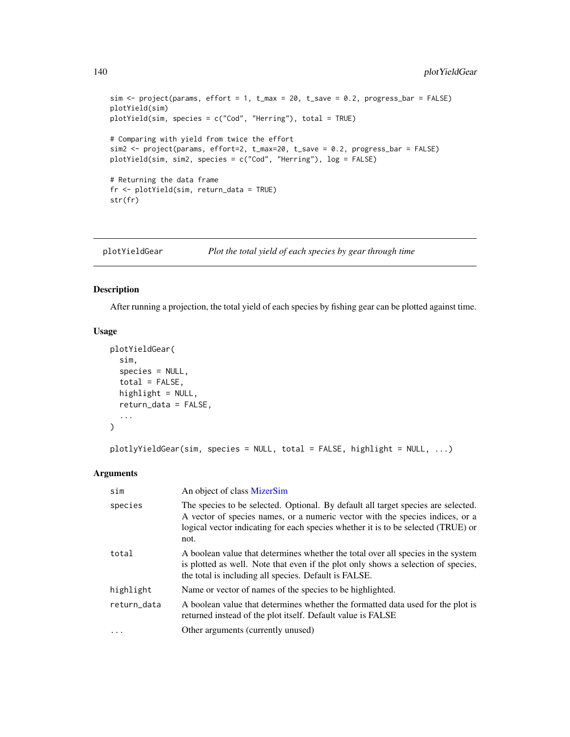```
sim \le- project(params, effort = 1, t_max = 20, t_save = 0.2, progress_bar = FALSE)
plotYield(sim)
plotYield(sim, species = c("Cod", "Herring"), total = TRUE)
# Comparing with yield from twice the effort
sim2 <- project(params, effort=2, t_max=20, t_save = 0.2, progress_bar = FALSE)
plotYield(sim, sim2, species = c("Cod", "Herring"), log = FALSE)
# Returning the data frame
fr <- plotYield(sim, return_data = TRUE)
str(fr)
```
<span id="page-139-0"></span>plotYieldGear *Plot the total yield of each species by gear through time*

### Description

After running a projection, the total yield of each species by fishing gear can be plotted against time.

#### Usage

```
plotYieldGear(
  sim,
  species = NULL,
  total = FALSE,highlight = NULL,
  return_data = FALSE,
  ...
\mathcal{L}
```
plotlyYieldGear(sim, species = NULL, total = FALSE, highlight = NULL, ...)

## Arguments

| sim         | An object of class MizerSim                                                                                                                                                                                                                                     |
|-------------|-----------------------------------------------------------------------------------------------------------------------------------------------------------------------------------------------------------------------------------------------------------------|
| species     | The species to be selected. Optional. By default all target species are selected.<br>A vector of species names, or a numeric vector with the species indices, or a<br>logical vector indicating for each species whether it is to be selected (TRUE) or<br>not. |
| total       | A boolean value that determines whether the total over all species in the system<br>is plotted as well. Note that even if the plot only shows a selection of species,<br>the total is including all species. Default is FALSE.                                  |
| highlight   | Name or vector of names of the species to be highlighted.                                                                                                                                                                                                       |
| return_data | A boolean value that determines whether the formatted data used for the plot is<br>returned instead of the plot itself. Default value is FALSE                                                                                                                  |
| .           | Other arguments (currently unused)                                                                                                                                                                                                                              |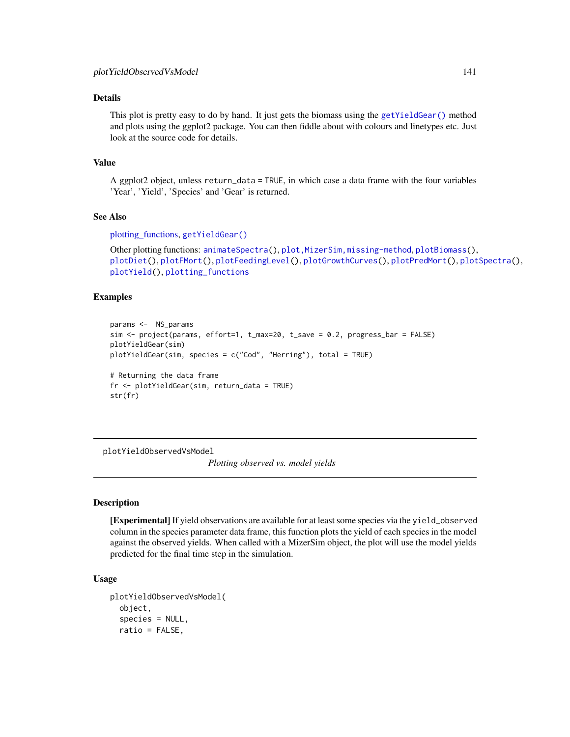## Details

This plot is pretty easy to do by hand. It just gets the biomass using the [getYieldGear\(\)](#page-61-0) method and plots using the ggplot2 package. You can then fiddle about with colours and linetypes etc. Just look at the source code for details.

## Value

A ggplot2 object, unless return\_data = TRUE, in which case a data frame with the four variables 'Year', 'Yield', 'Species' and 'Gear' is returned.

### See Also

```
plotting_functions, getYieldGear()
```

```
animateSpectra(plotBiomass(),
plotDiet(), plotFMort(), plotFeedingLevel(), plotGrowthCurves(), plotPredMort(), plotSpectra(),
plotYield(), plotting_functions
```
## Examples

```
params <- NS_params
sim <- project(params, effort=1, t_max=20, t_save = 0.2, progress_bar = FALSE)
plotYieldGear(sim)
plotYieldGear(sim, species = c("Cod", "Herring"), total = TRUE)
# Returning the data frame
fr <- plotYieldGear(sim, return_data = TRUE)
str(fr)
```
plotYieldObservedVsModel

*Plotting observed vs. model yields*

#### **Description**

[Experimental] If yield observations are available for at least some species via the yield\_observed column in the species parameter data frame, this function plots the yield of each species in the model against the observed yields. When called with a MizerSim object, the plot will use the model yields predicted for the final time step in the simulation.

```
plotYieldObservedVsModel(
  object,
  species = NULL,
  ratio = FALSE,
```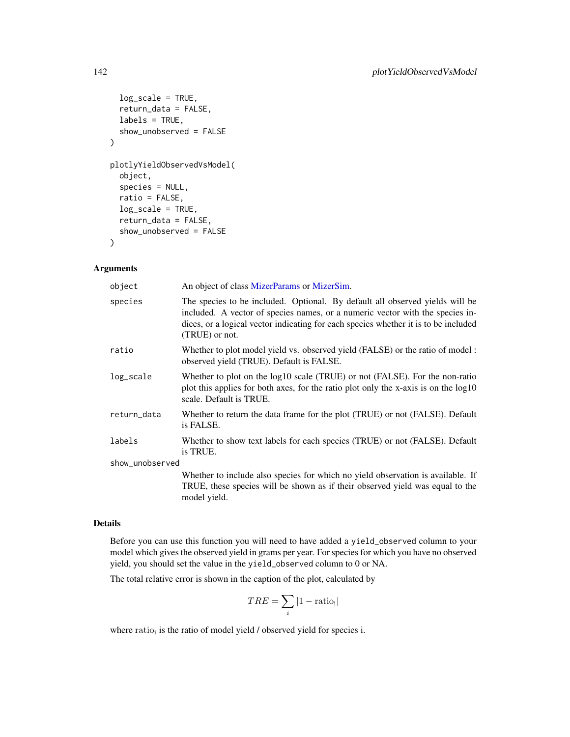```
log_scale = TRUE,
  return_data = FALSE,
  labels = TRUE,show_unobserved = FALSE
\lambdaplotlyYieldObservedVsModel(
  object,
  species = NULL,
 ratio = FALSE,
 log_scale = TRUE,
  return_data = FALSE,
  show_unobserved = FALSE
)
```
## Arguments

| object          | An object of class MizerParams or MizerSim.                                                                                                                                                                                                                            |
|-----------------|------------------------------------------------------------------------------------------------------------------------------------------------------------------------------------------------------------------------------------------------------------------------|
| species         | The species to be included. Optional. By default all observed yields will be<br>included. A vector of species names, or a numeric vector with the species in-<br>dices, or a logical vector indicating for each species whether it is to be included<br>(TRUE) or not. |
| ratio           | Whether to plot model yield vs. observed yield (FALSE) or the ratio of model:<br>observed yield (TRUE). Default is FALSE.                                                                                                                                              |
| log_scale       | Whether to plot on the log10 scale (TRUE) or not (FALSE). For the non-ratio<br>plot this applies for both axes, for the ratio plot only the x-axis is on the log10<br>scale. Default is TRUE.                                                                          |
| return_data     | Whether to return the data frame for the plot (TRUE) or not (FALSE). Default<br>is FALSE.                                                                                                                                                                              |
| labels          | Whether to show text labels for each species (TRUE) or not (FALSE). Default<br>is TRUE.                                                                                                                                                                                |
| show_unobserved |                                                                                                                                                                                                                                                                        |
|                 | Whether to include also species for which no yield observation is available. If<br>TRUE, these species will be shown as if their observed yield was equal to the<br>model yield.                                                                                       |

## Details

Before you can use this function you will need to have added a yield\_observed column to your model which gives the observed yield in grams per year. For species for which you have no observed yield, you should set the value in the yield\_observed column to 0 or NA.

The total relative error is shown in the caption of the plot, calculated by

$$
TRE = \sum_{i} |1 - \text{ratio}_{i}|
$$

where ratio<sub>i</sub> is the ratio of model yield / observed yield for species i.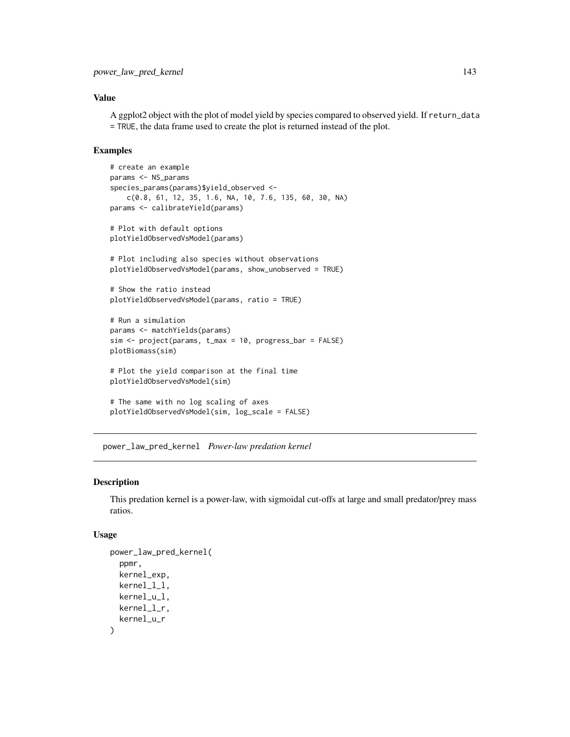## Value

A ggplot2 object with the plot of model yield by species compared to observed yield. If return\_data = TRUE, the data frame used to create the plot is returned instead of the plot.

### Examples

```
# create an example
params <- NS_params
species_params(params)$yield_observed <-
   c(0.8, 61, 12, 35, 1.6, NA, 10, 7.6, 135, 60, 30, NA)
params <- calibrateYield(params)
# Plot with default options
plotYieldObservedVsModel(params)
# Plot including also species without observations
plotYieldObservedVsModel(params, show_unobserved = TRUE)
# Show the ratio instead
plotYieldObservedVsModel(params, ratio = TRUE)
# Run a simulation
params <- matchYields(params)
sim <- project(params, t_max = 10, progress_bar = FALSE)
plotBiomass(sim)
# Plot the yield comparison at the final time
plotYieldObservedVsModel(sim)
# The same with no log scaling of axes
plotYieldObservedVsModel(sim, log_scale = FALSE)
```
power\_law\_pred\_kernel *Power-law predation kernel*

## Description

This predation kernel is a power-law, with sigmoidal cut-offs at large and small predator/prey mass ratios.

```
power_law_pred_kernel(
  ppmr,
  kernel_exp,
 kernel_l_l,
 kernel_u_l,
 kernel_l_r,
  kernel_u_r
)
```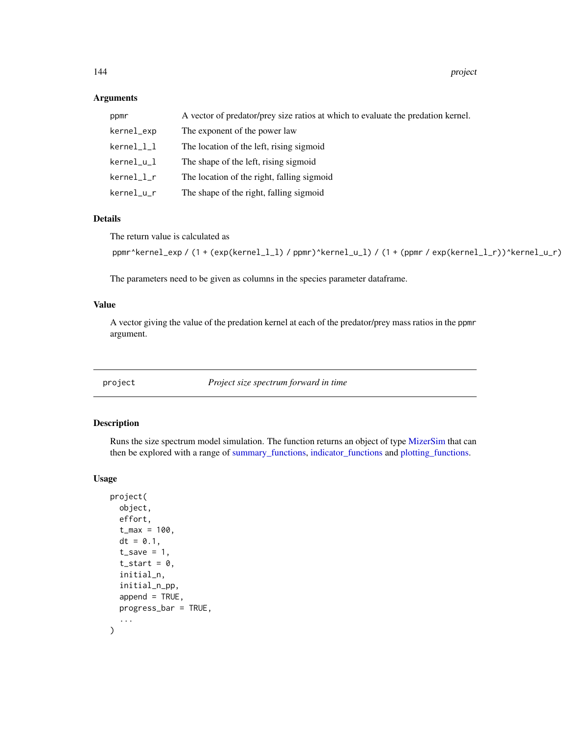144 project that the contract of the contract of the contract of the contract of the project of the contract of the contract of the contract of the contract of the contract of the contract of the contract of the contract o

### Arguments

| ppmr       | A vector of predator/prey size ratios at which to evaluate the predation kernel. |
|------------|----------------------------------------------------------------------------------|
| kernel_exp | The exponent of the power law                                                    |
| kernel_l_l | The location of the left, rising sigmoid                                         |
| kernel_u_l | The shape of the left, rising sigmoid                                            |
| kernel_l_r | The location of the right, falling sigmoid                                       |
| kernel_u_r | The shape of the right, falling sigmoid                                          |

### Details

The return value is calculated as

ppmr^kernel\_exp / (1 + (exp(kernel\_l\_l) / ppmr)^kernel\_u\_l) / (1 + (ppmr / exp(kernel\_l\_r))^kernel\_u\_r)

The parameters need to be given as columns in the species parameter dataframe.

## Value

A vector giving the value of the predation kernel at each of the predator/prey mass ratios in the ppmr argument.

project *Project size spectrum forward in time*

## Description

Runs the size spectrum model simulation. The function returns an object of type [MizerSim](#page-96-0) that can then be explored with a range of [summary\\_functions,](#page-204-0) [indicator\\_functions](#page-69-0) and [plotting\\_functions.](#page-136-0)

```
project(
  object,
  effort,
  t_{max} = 100,
  dt = 0.1,
  t_save = 1,
  t<sub>-</sub>start = 0,
  initial_n,
  initial_n_pp,
  append = TRUE,progress_bar = TRUE,
  ...
\mathcal{L}
```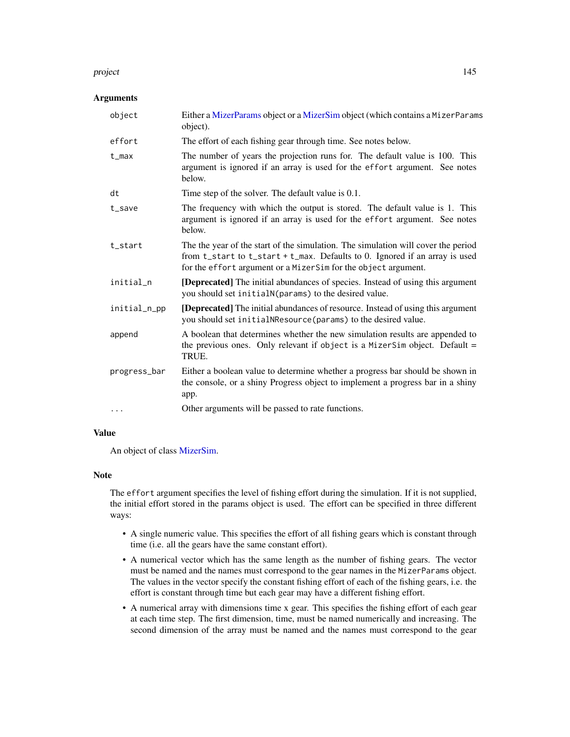#### project that the contract of the contract of the contract of the contract of the contract of the contract of the contract of the contract of the contract of the contract of the contract of the contract of the contract of t

## Arguments

| object       | Either a MizerParams object or a MizerSim object (which contains a MizerParams                                                                                                                                                     |
|--------------|------------------------------------------------------------------------------------------------------------------------------------------------------------------------------------------------------------------------------------|
|              | object).                                                                                                                                                                                                                           |
| effort       | The effort of each fishing gear through time. See notes below.                                                                                                                                                                     |
| $t_{max}$    | The number of years the projection runs for. The default value is 100. This<br>argument is ignored if an array is used for the effort argument. See notes<br>below.                                                                |
| dt           | Time step of the solver. The default value is 0.1.                                                                                                                                                                                 |
| $t$ _save    | The frequency with which the output is stored. The default value is 1. This<br>argument is ignored if an array is used for the effort argument. See notes<br>below.                                                                |
| t_start      | The the year of the start of the simulation. The simulation will cover the period<br>from t_start to t_start + t_max. Defaults to 0. Ignored if an array is used<br>for the effort argument or a MizerSim for the object argument. |
| initial_n    | [Deprecated] The initial abundances of species. Instead of using this argument<br>you should set initialN(params) to the desired value.                                                                                            |
| initial_n_pp | [Deprecated] The initial abundances of resource. Instead of using this argument<br>you should set initialNResource(params) to the desired value.                                                                                   |
| append       | A boolean that determines whether the new simulation results are appended to<br>the previous ones. Only relevant if object is a MizerSim object. Default =<br>TRUE.                                                                |
| progress_bar | Either a boolean value to determine whether a progress bar should be shown in<br>the console, or a shiny Progress object to implement a progress bar in a shiny<br>app.                                                            |
| $\cdots$     | Other arguments will be passed to rate functions.                                                                                                                                                                                  |

# Value

An object of class [MizerSim.](#page-96-0)

# Note

The effort argument specifies the level of fishing effort during the simulation. If it is not supplied, the initial effort stored in the params object is used. The effort can be specified in three different ways:

- A single numeric value. This specifies the effort of all fishing gears which is constant through time (i.e. all the gears have the same constant effort).
- A numerical vector which has the same length as the number of fishing gears. The vector must be named and the names must correspond to the gear names in the MizerParams object. The values in the vector specify the constant fishing effort of each of the fishing gears, i.e. the effort is constant through time but each gear may have a different fishing effort.
- A numerical array with dimensions time x gear. This specifies the fishing effort of each gear at each time step. The first dimension, time, must be named numerically and increasing. The second dimension of the array must be named and the names must correspond to the gear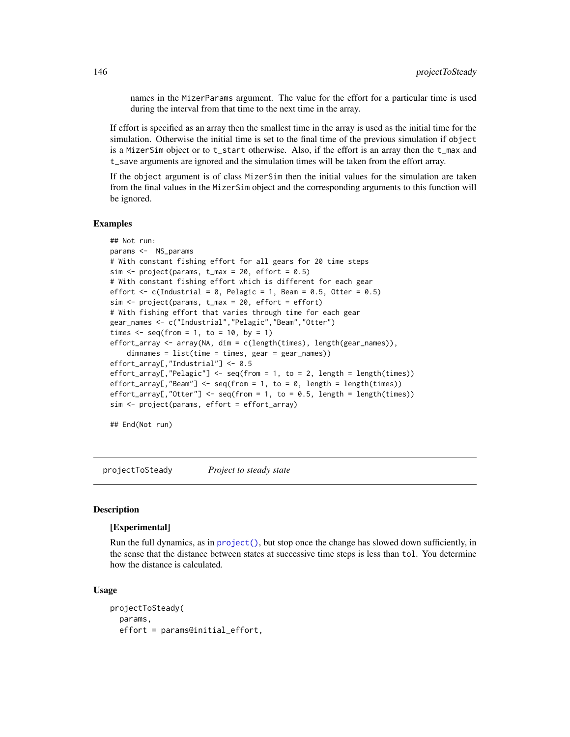names in the MizerParams argument. The value for the effort for a particular time is used during the interval from that time to the next time in the array.

If effort is specified as an array then the smallest time in the array is used as the initial time for the simulation. Otherwise the initial time is set to the final time of the previous simulation if object is a MizerSim object or to t\_start otherwise. Also, if the effort is an array then the t\_max and t\_save arguments are ignored and the simulation times will be taken from the effort array.

If the object argument is of class MizerSim then the initial values for the simulation are taken from the final values in the MizerSim object and the corresponding arguments to this function will be ignored.

#### Examples

```
## Not run:
params <- NS_params
# With constant fishing effort for all gears for 20 time steps
sim < project(params, t_max = 20, effort = 0.5)
# With constant fishing effort which is different for each gear
effort \leq c(Industrial = 0, Pelagic = 1, Beam = 0.5, Otter = 0.5)
sim <- project(params, t_max = 20, effort = effort)
# With fishing effort that varies through time for each gear
gear_names <- c("Industrial","Pelagic","Beam","Otter")
times \leq seq(from = 1, to = 10, by = 1)
effort_array <- array(NA, dim = c(length(times), length(gear_names)),
    dimnames = list(time = times, gear = gear_names))
effort_array[,"Industrial"] <- 0.5
effort_array[, "Pelagic"] \leftarrow seq(from = 1, to = 2, length = length(times))effort_array[, "Beam" ] < - seq(from = 1, to = 0, length = length(times))effort_array[, "Other"] \leftarrow seq(from = 1, to = 0.5, length = length(times))sim <- project(params, effort = effort_array)
```
## End(Not run)

projectToSteady *Project to steady state*

### Description

## [Experimental]

Run the full dynamics, as in [project\(\)](#page-143-0), but stop once the change has slowed down sufficiently, in the sense that the distance between states at successive time steps is less than tol. You determine how the distance is calculated.

### Usage

```
projectToSteady(
  params,
  effort = params@initial_effort,
```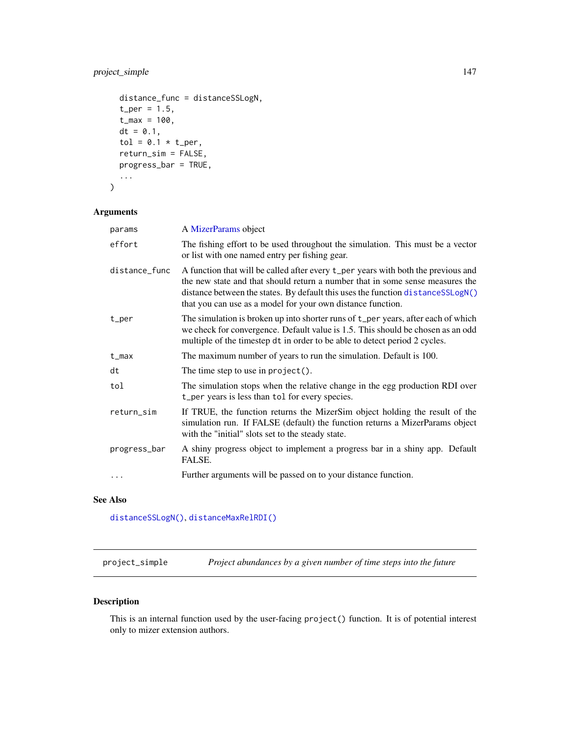# project\_simple 147

```
distance_func = distanceSSLogN,
t_{per} = 1.5,
t_{max} = 100,
dt = 0.1,
tol = 0.1 * t_{per},
return_sim = FALSE,
progress_bar = TRUE,
...
```

```
)
```
# Arguments

| params        | A MizerParams object                                                                                                                                                                                                                                                                                                 |
|---------------|----------------------------------------------------------------------------------------------------------------------------------------------------------------------------------------------------------------------------------------------------------------------------------------------------------------------|
| effort        | The fishing effort to be used throughout the simulation. This must be a vector<br>or list with one named entry per fishing gear.                                                                                                                                                                                     |
| distance_func | A function that will be called after every t_per years with both the previous and<br>the new state and that should return a number that in some sense measures the<br>distance between the states. By default this uses the function distanceSSLogN()<br>that you can use as a model for your own distance function. |
| t_per         | The simulation is broken up into shorter runs of t_per years, after each of which<br>we check for convergence. Default value is 1.5. This should be chosen as an odd<br>multiple of the timestep dt in order to be able to detect period 2 cycles.                                                                   |
| $t_{max}$     | The maximum number of years to run the simulation. Default is 100.                                                                                                                                                                                                                                                   |
| dt            | The time step to use in $project()$ .                                                                                                                                                                                                                                                                                |
| tol           | The simulation stops when the relative change in the egg production RDI over<br>t_per years is less than tol for every species.                                                                                                                                                                                      |
| return_sim    | If TRUE, the function returns the MizerSim object holding the result of the<br>simulation run. If FALSE (default) the function returns a MizerParams object<br>with the "initial" slots set to the steady state.                                                                                                     |
| progress_bar  | A shiny progress object to implement a progress bar in a shiny app. Default<br>FALSE.                                                                                                                                                                                                                                |
| $\ddots$ .    | Further arguments will be passed on to your distance function.                                                                                                                                                                                                                                                       |

# See Also

[distanceSSLogN\(\)](#page-17-0), [distanceMaxRelRDI\(\)](#page-16-0)

project\_simple *Project abundances by a given number of time steps into the future*

# Description

This is an internal function used by the user-facing project() function. It is of potential interest only to mizer extension authors.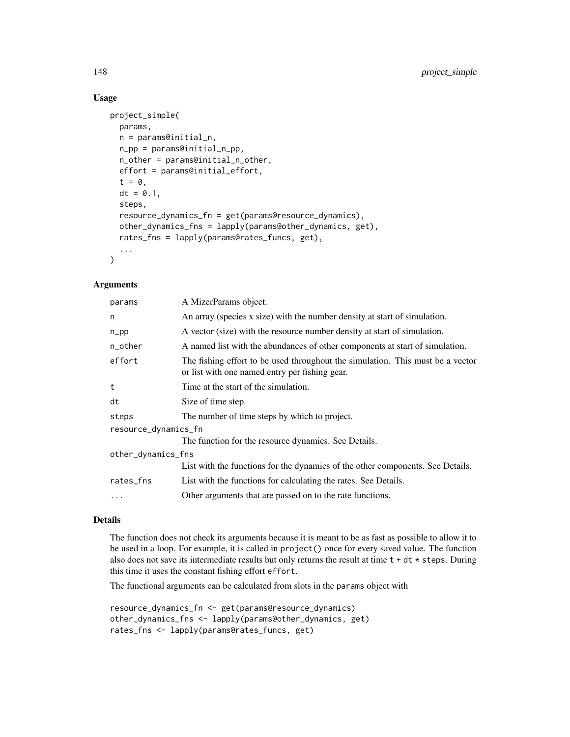# Usage

```
project_simple(
 params,
  n = params@initial_n,
  n_pp = params@initial_n_pp,
  n_other = params@initial_n_other,
  effort = params@initial_effort,
  t = 0.
  dt = 0.1,
  steps,
  resource_dynamics_fn = get(params@resource_dynamics),
  other_dynamics_fns = lapply(params@other_dynamics, get),
  rates_fns = lapply(params@rates_funcs, get),
  ...
)
```
# Arguments

| params               | A MizerParams object.                                                                                                            |  |
|----------------------|----------------------------------------------------------------------------------------------------------------------------------|--|
| n                    | An array (species x size) with the number density at start of simulation.                                                        |  |
| $n$ _pp              | A vector (size) with the resource number density at start of simulation.                                                         |  |
| n_other              | A named list with the abundances of other components at start of simulation.                                                     |  |
| effort               | The fishing effort to be used throughout the simulation. This must be a vector<br>or list with one named entry per fishing gear. |  |
| t                    | Time at the start of the simulation.                                                                                             |  |
| dt                   | Size of time step.                                                                                                               |  |
| steps                | The number of time steps by which to project.                                                                                    |  |
| resource_dynamics_fn |                                                                                                                                  |  |
|                      | The function for the resource dynamics. See Details.                                                                             |  |
| other_dynamics_fns   |                                                                                                                                  |  |
|                      | List with the functions for the dynamics of the other components. See Details.                                                   |  |
| rates_fns            | List with the functions for calculating the rates. See Details.                                                                  |  |
| $\cdots$             | Other arguments that are passed on to the rate functions.                                                                        |  |

## Details

The function does not check its arguments because it is meant to be as fast as possible to allow it to be used in a loop. For example, it is called in project() once for every saved value. The function also does not save its intermediate results but only returns the result at time  $t + dt *$  steps. During this time it uses the constant fishing effort effort.

The functional arguments can be calculated from slots in the params object with

```
resource_dynamics_fn <- get(params@resource_dynamics)
other_dynamics_fns <- lapply(params@other_dynamics, get)
rates_fns <- lapply(params@rates_funcs, get)
```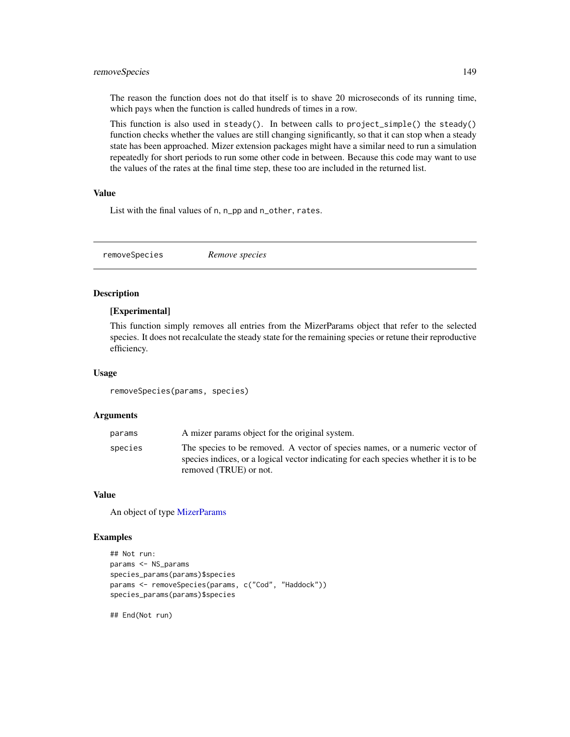# removeSpecies 149

The reason the function does not do that itself is to shave 20 microseconds of its running time, which pays when the function is called hundreds of times in a row.

This function is also used in steady(). In between calls to project\_simple() the steady() function checks whether the values are still changing significantly, so that it can stop when a steady state has been approached. Mizer extension packages might have a similar need to run a simulation repeatedly for short periods to run some other code in between. Because this code may want to use the values of the rates at the final time step, these too are included in the returned list.

### Value

List with the final values of n, n\_pp and n\_other, rates.

removeSpecies *Remove species*

## Description

# [Experimental]

This function simply removes all entries from the MizerParams object that refer to the selected species. It does not recalculate the steady state for the remaining species or retune their reproductive efficiency.

## Usage

removeSpecies(params, species)

#### Arguments

| params  | A mizer params object for the original system.                                                                                                                                                 |
|---------|------------------------------------------------------------------------------------------------------------------------------------------------------------------------------------------------|
| species | The species to be removed. A vector of species names, or a numeric vector of<br>species indices, or a logical vector indicating for each species whether it is to be<br>removed (TRUE) or not. |

# Value

An object of type [MizerParams](#page-87-0)

# Examples

```
## Not run:
params <- NS_params
species_params(params)$species
params <- removeSpecies(params, c("Cod", "Haddock"))
species_params(params)$species
```
## End(Not run)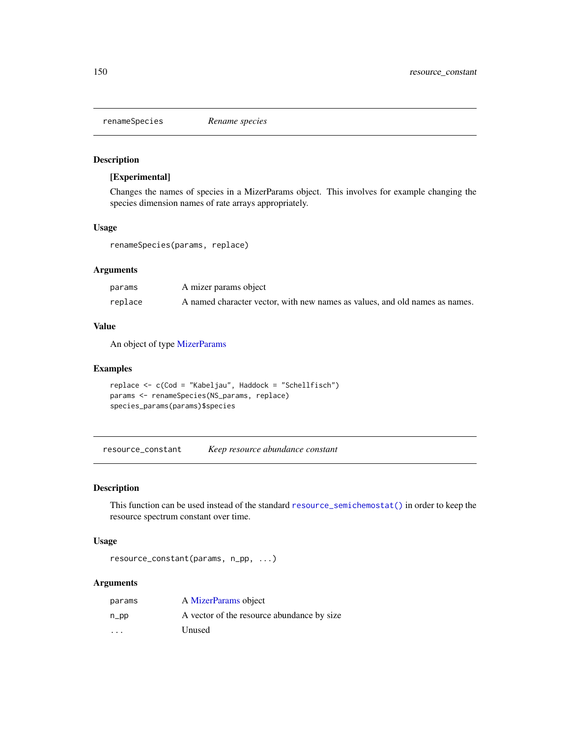# Description

## [Experimental]

Changes the names of species in a MizerParams object. This involves for example changing the species dimension names of rate arrays appropriately.

## Usage

renameSpecies(params, replace)

# Arguments

| params  | A mizer params object                                                       |
|---------|-----------------------------------------------------------------------------|
| replace | A named character vector, with new names as values, and old names as names. |

## Value

An object of type [MizerParams](#page-87-0)

# Examples

```
replace <- c(Cod = "Kabeljau", Haddock = "Schellfisch")
params <- renameSpecies(NS_params, replace)
species_params(params)$species
```
resource\_constant *Keep resource abundance constant*

## Description

This function can be used instead of the standard [resource\\_semichemostat\(\)](#page-151-0) in order to keep the resource spectrum constant over time.

## Usage

```
resource_constant(params, n_pp, ...)
```
# Arguments

| params                  | A MizerParams object                       |
|-------------------------|--------------------------------------------|
| $n$ _pp                 | A vector of the resource abundance by size |
| $\cdot$ $\cdot$ $\cdot$ | Unused                                     |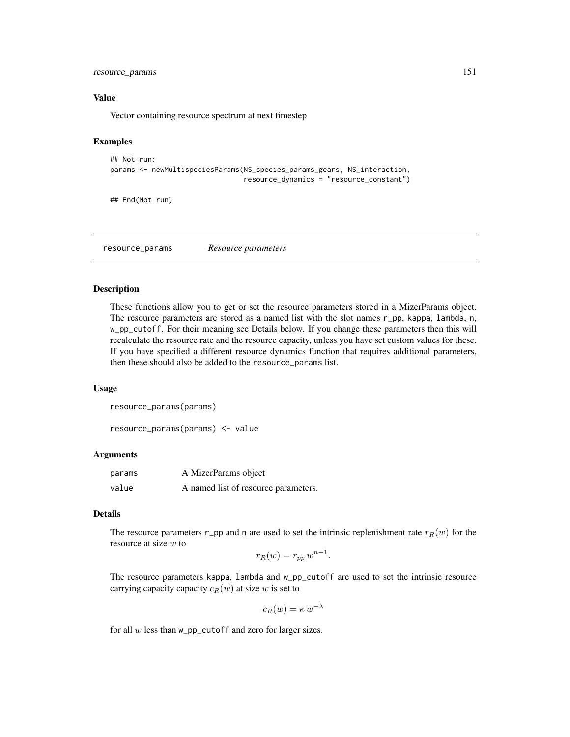# resource\_params 151

# Value

Vector containing resource spectrum at next timestep

## Examples

```
## Not run:
params <- newMultispeciesParams(NS_species_params_gears, NS_interaction,
                                resource_dynamics = "resource_constant")
```
## End(Not run)

<span id="page-150-0"></span>resource\_params *Resource parameters*

#### Description

These functions allow you to get or set the resource parameters stored in a MizerParams object. The resource parameters are stored as a named list with the slot names  $r$ <sub>-pp</sub>, kappa, lambda, n, w\_pp\_cutoff. For their meaning see Details below. If you change these parameters then this will recalculate the resource rate and the resource capacity, unless you have set custom values for these. If you have specified a different resource dynamics function that requires additional parameters, then these should also be added to the resource\_params list.

## Usage

```
resource_params(params)
```
resource\_params(params) <- value

# Arguments

| params | A MizerParams object                 |
|--------|--------------------------------------|
| value  | A named list of resource parameters. |

# Details

The resource parameters  $r$ -pp and n are used to set the intrinsic replenishment rate  $r_R(w)$  for the resource at size w to

$$
r_R(w) = r_{pp} w^{n-1}.
$$

The resource parameters kappa, lambda and w\_pp\_cutoff are used to set the intrinsic resource carrying capacity capacity  $c_R(w)$  at size w is set to

$$
c_R(w) = \kappa w^{-\lambda}
$$

for all  $w$  less than  $w$ \_pp\_cutoff and zero for larger sizes.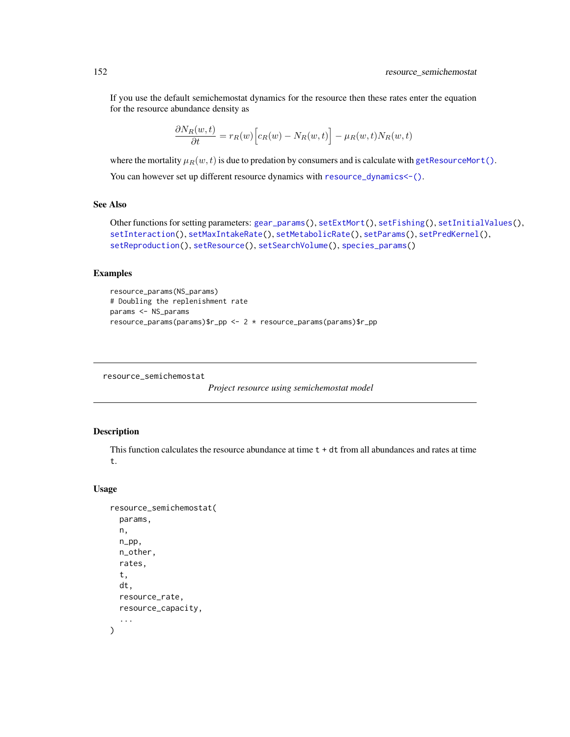If you use the default semichemostat dynamics for the resource then these rates enter the equation for the resource abundance density as

$$
\frac{\partial N_R(w,t)}{\partial t} = r_R(w) \Big[ c_R(w) - N_R(w,t) \Big] - \mu_R(w,t) N_R(w,t)
$$

where the mortality  $\mu_R(w, t)$  is due to predation by consumers and is calculate with [getResourceMort\(\)](#page-58-0).

You can however set up different resource dynamics with [resource\\_dynamics<-\(\)](#page-186-0).

# See Also

```
Other functions for setting parameters: gear_params(), setExtMort(), setFishing(), setInitialValues(),
setInteraction(), setMaxIntakeRate(), setMetabolicRate(), setParams(), setPredKernel(),
setReproduction(), setResource(), setSearchVolume(), species_params()
```
## Examples

```
resource_params(NS_params)
# Doubling the replenishment rate
params <- NS_params
resource_params(params)$r_pp <- 2 * resource_params(params)$r_pp
```
<span id="page-151-0"></span>resource\_semichemostat

*Project resource using semichemostat model*

## Description

This function calculates the resource abundance at time  $t + dt$  from all abundances and rates at time t.

## Usage

```
resource_semichemostat(
 params,
 n,
 n_pp,
  n_other,
  rates,
  t,
  dt,
  resource_rate,
  resource_capacity,
  ...
)
```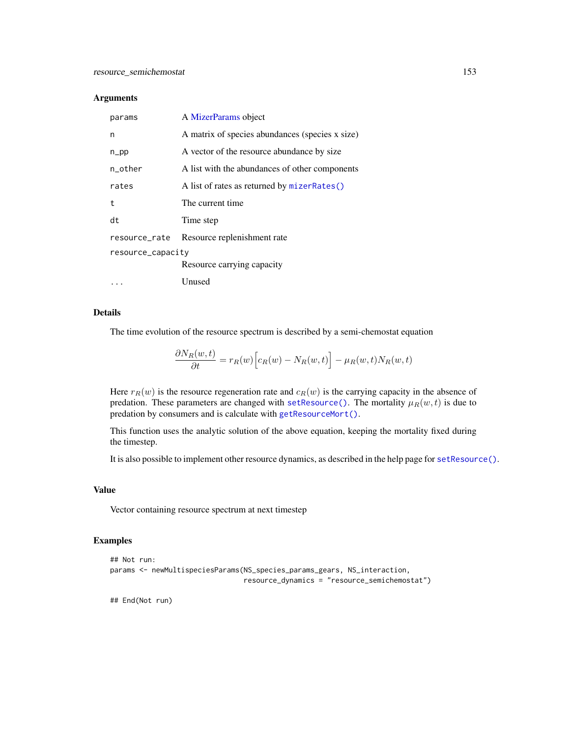## Arguments

| params            | A MizerParams object                            |  |
|-------------------|-------------------------------------------------|--|
| n                 | A matrix of species abundances (species x size) |  |
| $n$ _pp           | A vector of the resource abundance by size      |  |
| n other           | A list with the abundances of other components  |  |
| rates             | A list of rates as returned by mizerRates()     |  |
| t                 | The current time                                |  |
| dt                | Time step                                       |  |
| resource_rate     | Resource replenishment rate                     |  |
| resource_capacity |                                                 |  |
|                   | Resource carrying capacity                      |  |
|                   | Unused                                          |  |

# Details

The time evolution of the resource spectrum is described by a semi-chemostat equation

$$
\frac{\partial N_R(w,t)}{\partial t} = r_R(w) \Big[ c_R(w) - N_R(w,t) \Big] - \mu_R(w,t) N_R(w,t)
$$

Here  $r_R(w)$  is the resource regeneration rate and  $c_R(w)$  is the carrying capacity in the absence of predation. These parameters are changed with [setResource\(\)](#page-186-1). The mortality  $\mu_R(w, t)$  is due to predation by consumers and is calculate with [getResourceMort\(\)](#page-58-0).

This function uses the analytic solution of the above equation, keeping the mortality fixed during the timestep.

It is also possible to implement other resource dynamics, as described in the help page for [setResource\(\)](#page-186-1).

# Value

Vector containing resource spectrum at next timestep

# Examples

```
## Not run:
params <- newMultispeciesParams(NS_species_params_gears, NS_interaction,
                                resource_dynamics = "resource_semichemostat")
```
## End(Not run)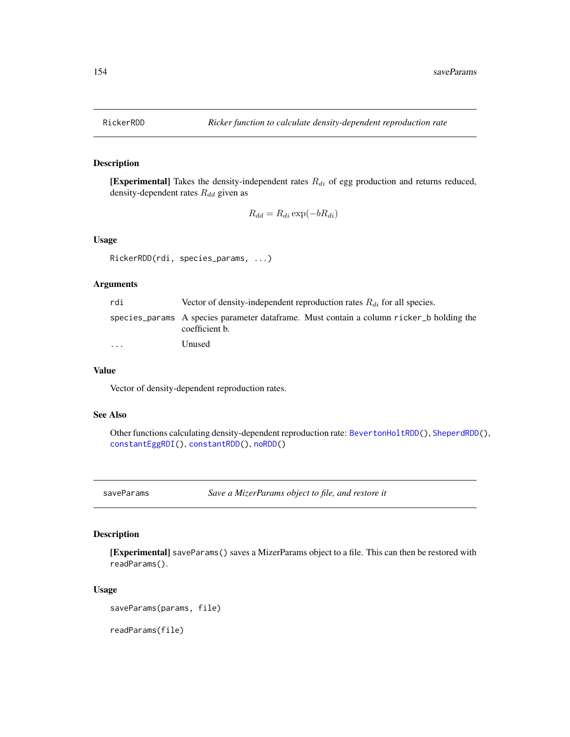<span id="page-153-0"></span>

# Description

[Experimental] Takes the density-independent rates  $R_{di}$  of egg production and returns reduced, density-dependent rates  $R_{dd}$  given as

$$
R_{dd} = R_{di} \exp(-bR_{di})
$$

# Usage

```
RickerRDD(rdi, species_params, ...)
```
# Arguments

| rdi     | Vector of density-independent reproduction rates $R_{di}$ for all species.                                 |
|---------|------------------------------------------------------------------------------------------------------------|
|         | species params A species parameter dataframe. Must contain a column ricker b holding the<br>coefficient b. |
| $\cdot$ | Unused                                                                                                     |

## Value

Vector of density-dependent reproduction rates.

## See Also

Other functions calculating density-dependent reproduction rate: [BevertonHoltRDD\(](#page-8-0)), [SheperdRDD\(](#page-198-0)), [constantEggRDI\(](#page-12-0)), [constantRDD\(](#page-13-0)), [noRDD\(](#page-115-0))

saveParams *Save a MizerParams object to file, and restore it*

# Description

[Experimental] saveParams() saves a MizerParams object to a file. This can then be restored with readParams().

#### Usage

```
saveParams(params, file)
```
readParams(file)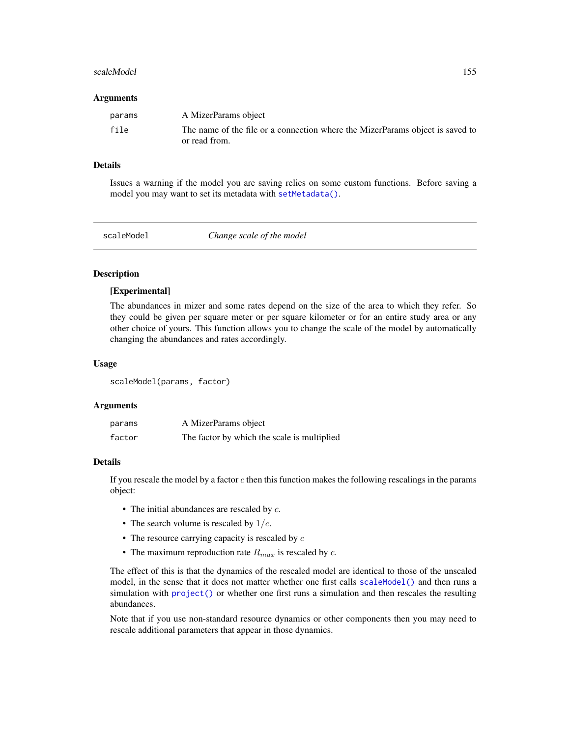#### scaleModel **155**

#### Arguments

| params | A MizerParams object                                                                           |
|--------|------------------------------------------------------------------------------------------------|
| file   | The name of the file or a connection where the MizerParams object is saved to<br>or read from. |

# Details

Issues a warning if the model you are saving relies on some custom functions. Before saving a model you may want to set its metadata with [setMetadata\(\)](#page-169-0).

<span id="page-154-0"></span>

scaleModel *Change scale of the model*

# Description

# [Experimental]

The abundances in mizer and some rates depend on the size of the area to which they refer. So they could be given per square meter or per square kilometer or for an entire study area or any other choice of yours. This function allows you to change the scale of the model by automatically changing the abundances and rates accordingly.

## Usage

scaleModel(params, factor)

### Arguments

| params | A MizerParams object                        |
|--------|---------------------------------------------|
| factor | The factor by which the scale is multiplied |

# Details

If you rescale the model by a factor  $c$  then this function makes the following rescalings in the params object:

- The initial abundances are rescaled by  $c$ .
- The search volume is rescaled by  $1/c$ .
- The resource carrying capacity is rescaled by  $c$
- The maximum reproduction rate  $R_{max}$  is rescaled by  $c$ .

The effect of this is that the dynamics of the rescaled model are identical to those of the unscaled model, in the sense that it does not matter whether one first calls [scaleModel\(\)](#page-154-0) and then runs a simulation with [project\(\)](#page-143-0) or whether one first runs a simulation and then rescales the resulting abundances.

Note that if you use non-standard resource dynamics or other components then you may need to rescale additional parameters that appear in those dynamics.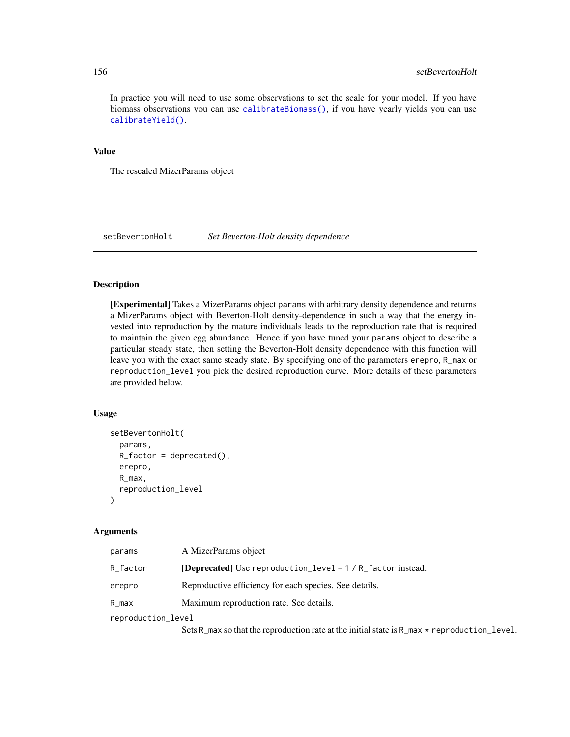# 156 setBevertonHolt

In practice you will need to use some observations to set the scale for your model. If you have biomass observations you can use [calibrateBiomass\(\)](#page-10-0), if you have yearly yields you can use [calibrateYield\(\)](#page-11-0).

# Value

The rescaled MizerParams object

setBevertonHolt *Set Beverton-Holt density dependence*

# Description

[Experimental] Takes a MizerParams object params with arbitrary density dependence and returns a MizerParams object with Beverton-Holt density-dependence in such a way that the energy invested into reproduction by the mature individuals leads to the reproduction rate that is required to maintain the given egg abundance. Hence if you have tuned your params object to describe a particular steady state, then setting the Beverton-Holt density dependence with this function will leave you with the exact same steady state. By specifying one of the parameters erepro, R\_max or reproduction\_level you pick the desired reproduction curve. More details of these parameters are provided below.

# Usage

```
setBevertonHolt(
  params,
 R_factor = deprecated(),
  erepro,
 R_max,
  reproduction_level
)
```
# Arguments

| params             | A MizerParams object                                           |
|--------------------|----------------------------------------------------------------|
| R_factor           | [Deprecated] Use reproduction_level = $1 / R$ _factor instead. |
| erepro             | Reproductive efficiency for each species. See details.         |
| R max              | Maximum reproduction rate. See details.                        |
| reproduction_level |                                                                |

Sets R\_max so that the reproduction rate at the initial state is R\_max \* reproduction\_level.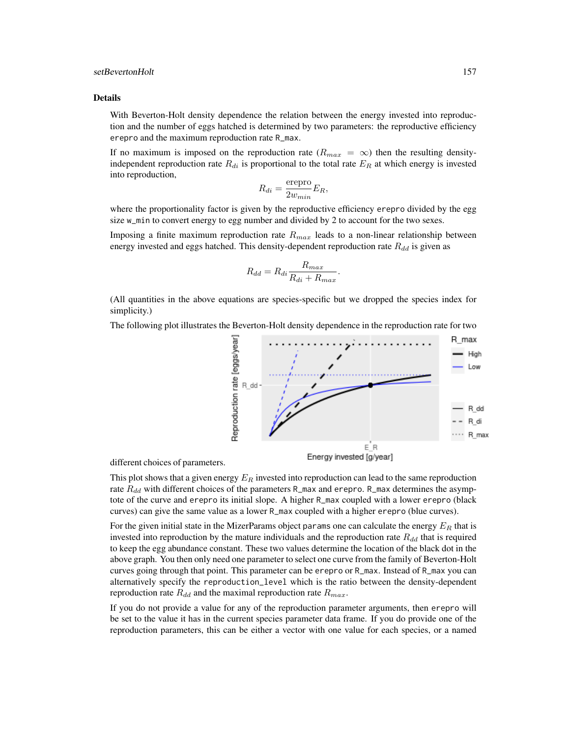## setBevertonHolt 157

#### Details

With Beverton-Holt density dependence the relation between the energy invested into reproduction and the number of eggs hatched is determined by two parameters: the reproductive efficiency erepro and the maximum reproduction rate R\_max.

If no maximum is imposed on the reproduction rate ( $R_{max} = \infty$ ) then the resulting densityindependent reproduction rate  $R_{di}$  is proportional to the total rate  $E_R$  at which energy is invested into reproduction,

$$
R_{di} = \frac{\text{erepro}}{2w_{min}} E_R,
$$

where the proportionality factor is given by the reproductive efficiency erepro divided by the egg size w\_min to convert energy to egg number and divided by 2 to account for the two sexes.

Imposing a finite maximum reproduction rate  $R_{max}$  leads to a non-linear relationship between energy invested and eggs hatched. This density-dependent reproduction rate  $R_{dd}$  is given as

$$
R_{dd} = R_{di} \frac{R_{max}}{R_{di} + R_{max}}.
$$

(All quantities in the above equations are species-specific but we dropped the species index for simplicity.)

The following plot illustrates the Beverton-Holt density dependence in the reproduction rate for two



different choices of parameters.

This plot shows that a given energy  $E_R$  invested into reproduction can lead to the same reproduction rate  $R_{dd}$  with different choices of the parameters R\_max and erepro. R\_max determines the asymptote of the curve and erepro its initial slope. A higher R\_max coupled with a lower erepro (black curves) can give the same value as a lower R\_max coupled with a higher erepro (blue curves).

For the given initial state in the MizerParams object params one can calculate the energy  $E_R$  that is invested into reproduction by the mature individuals and the reproduction rate  $R_{dd}$  that is required to keep the egg abundance constant. These two values determine the location of the black dot in the above graph. You then only need one parameter to select one curve from the family of Beverton-Holt curves going through that point. This parameter can be erepro or R\_max. Instead of R\_max you can alternatively specify the reproduction\_level which is the ratio between the density-dependent reproduction rate  $R_{dd}$  and the maximal reproduction rate  $R_{max}$ .

If you do not provide a value for any of the reproduction parameter arguments, then erepro will be set to the value it has in the current species parameter data frame. If you do provide one of the reproduction parameters, this can be either a vector with one value for each species, or a named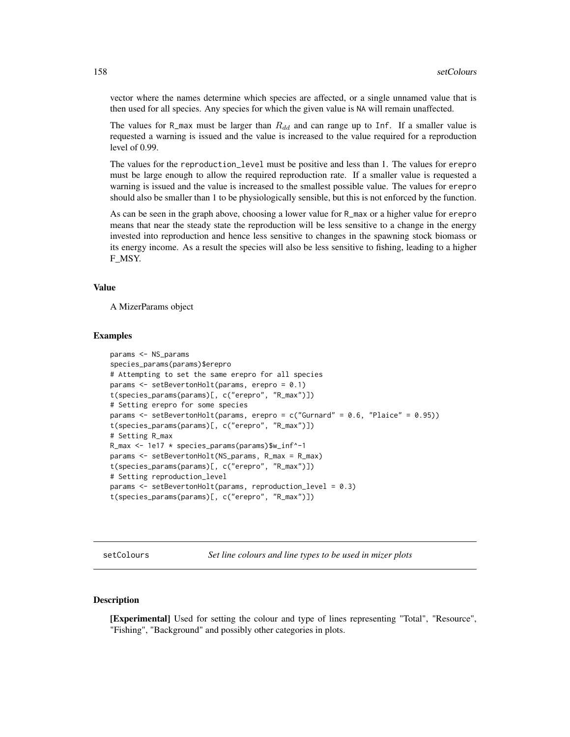vector where the names determine which species are affected, or a single unnamed value that is then used for all species. Any species for which the given value is NA will remain unaffected.

The values for R\_max must be larger than  $R_{dd}$  and can range up to Inf. If a smaller value is requested a warning is issued and the value is increased to the value required for a reproduction level of 0.99.

The values for the reproduction\_level must be positive and less than 1. The values for erepro must be large enough to allow the required reproduction rate. If a smaller value is requested a warning is issued and the value is increased to the smallest possible value. The values for erepro should also be smaller than 1 to be physiologically sensible, but this is not enforced by the function.

As can be seen in the graph above, choosing a lower value for R\_max or a higher value for erepro means that near the steady state the reproduction will be less sensitive to a change in the energy invested into reproduction and hence less sensitive to changes in the spawning stock biomass or its energy income. As a result the species will also be less sensitive to fishing, leading to a higher F\_MSY.

## Value

A MizerParams object

#### Examples

```
params <- NS_params
species_params(params)$erepro
# Attempting to set the same erepro for all species
params <- setBevertonHolt(params, erepro = 0.1)
t(species_params(params)[, c("erepro", "R_max")])
# Setting erepro for some species
params <- setBevertonHolt(params, erepro = c("Gurnard" = 0.6, "Plaice" = 0.95))
t(species_params(params)[, c("erepro", "R_max")])
# Setting R_max
R_max <- 1e17 * species_params(params)$w_inf^-1
params <- setBevertonHolt(NS_params, R_max = R_max)
t(species_params(params)[, c("erepro", "R_max")])
# Setting reproduction_level
params <- setBevertonHolt(params, reproduction_level = 0.3)
t(species_params(params)[, c("erepro", "R_max")])
```
setColours *Set line colours and line types to be used in mizer plots*

## **Description**

[Experimental] Used for setting the colour and type of lines representing "Total", "Resource", "Fishing", "Background" and possibly other categories in plots.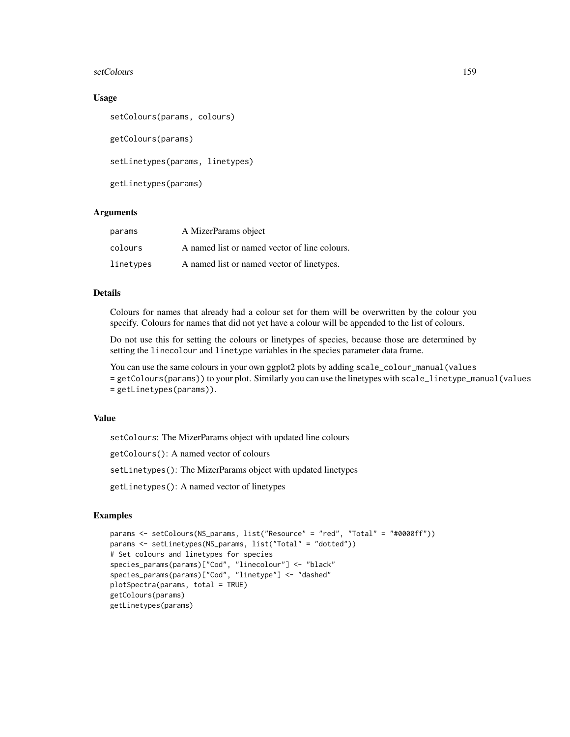#### setColours and the setColours of the setColours and the setColours and the setColours of the setColours and the setColours of the setColours and the setColours of the setColours and the setColours of the setColours of the

# Usage

```
setColours(params, colours)
getColours(params)
setLinetypes(params, linetypes)
getLinetypes(params)
```
## Arguments

| params    | A MizerParams object                          |
|-----------|-----------------------------------------------|
| colours   | A named list or named vector of line colours. |
| linetypes | A named list or named vector of linetypes.    |

# Details

Colours for names that already had a colour set for them will be overwritten by the colour you specify. Colours for names that did not yet have a colour will be appended to the list of colours.

Do not use this for setting the colours or linetypes of species, because those are determined by setting the linecolour and linetype variables in the species parameter data frame.

You can use the same colours in your own ggplot2 plots by adding scale\_colour\_manual(values = getColours(params)) to your plot. Similarly you can use the linetypes with scale\_linetype\_manual(values = getLinetypes(params)).

# Value

setColours: The MizerParams object with updated line colours

getColours(): A named vector of colours

setLinetypes(): The MizerParams object with updated linetypes

getLinetypes(): A named vector of linetypes

# Examples

```
params <- setColours(NS_params, list("Resource" = "red", "Total" = "#0000ff"))
params <- setLinetypes(NS_params, list("Total" = "dotted"))
# Set colours and linetypes for species
species_params(params)["Cod", "linecolour"] <- "black"
species_params(params)["Cod", "linetype"] <- "dashed"
plotSpectra(params, total = TRUE)
getColours(params)
getLinetypes(params)
```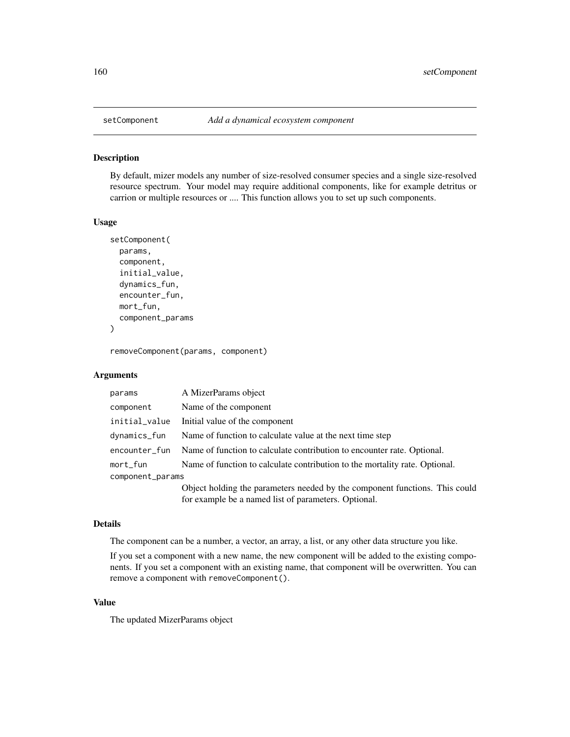# Description

By default, mizer models any number of size-resolved consumer species and a single size-resolved resource spectrum. Your model may require additional components, like for example detritus or carrion or multiple resources or .... This function allows you to set up such components.

#### Usage

```
setComponent(
  params,
  component,
  initial_value,
  dynamics_fun,
  encounter_fun,
 mort_fun,
  component_params
)
```
removeComponent(params, component)

## Arguments

| params           | A MizerParams object                                                        |
|------------------|-----------------------------------------------------------------------------|
| component        | Name of the component                                                       |
| initial_value    | Initial value of the component                                              |
| dynamics_fun     | Name of function to calculate value at the next time step                   |
| encounter_fun    | Name of function to calculate contribution to encounter rate. Optional.     |
| mort_fun         | Name of function to calculate contribution to the mortality rate. Optional. |
| component_params |                                                                             |
|                  | Object holding the parameters needed by the component functions. This could |
|                  | for example be a named list of parameters. Optional.                        |

## Details

The component can be a number, a vector, an array, a list, or any other data structure you like.

If you set a component with a new name, the new component will be added to the existing components. If you set a component with an existing name, that component will be overwritten. You can remove a component with removeComponent().

## Value

The updated MizerParams object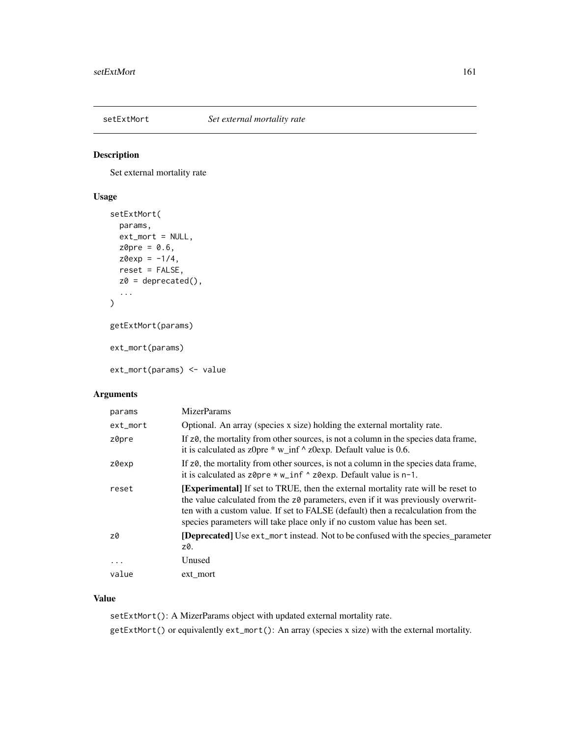<span id="page-160-0"></span>

# Description

Set external mortality rate

# Usage

```
setExtMort(
 params,
 ext_mort = NULL,z0pre = 0.6,
 z0exp = -1/4,
 reset = FALSE,
 z0 = deprecated(),
  ...
)
getExtMort(params)
ext_mort(params)
```
ext\_mort(params) <- value

# Arguments

| params   | <b>MizerParams</b>                                                                                                                                                                                                                                                                                                                        |
|----------|-------------------------------------------------------------------------------------------------------------------------------------------------------------------------------------------------------------------------------------------------------------------------------------------------------------------------------------------|
| ext_mort | Optional. An array (species x size) holding the external mortality rate.                                                                                                                                                                                                                                                                  |
| z0pre    | If z0, the mortality from other sources, is not a column in the species data frame,<br>it is calculated as z0pre $*$ w_inf $\land$ z0exp. Default value is 0.6.                                                                                                                                                                           |
| z0exp    | If z0, the mortality from other sources, is not a column in the species data frame,<br>it is calculated as $z^{\theta}$ pre * w_inf ^ z0exp. Default value is n-1.                                                                                                                                                                        |
| reset    | <b>Experimental</b> If set to TRUE, then the external mortality rate will be reset to<br>the value calculated from the z0 parameters, even if it was previously overwrit-<br>ten with a custom value. If set to FALSE (default) then a recalculation from the<br>species parameters will take place only if no custom value has been set. |
| z0       | <b>[Deprecated]</b> Use ext_mort instead. Not to be confused with the species_parameter<br>z0.                                                                                                                                                                                                                                            |
| $\cdots$ | Unused                                                                                                                                                                                                                                                                                                                                    |
| value    | ext mort                                                                                                                                                                                                                                                                                                                                  |

# Value

setExtMort(): A MizerParams object with updated external mortality rate. getExtMort() or equivalently ext\_mort(): An array (species x size) with the external mortality.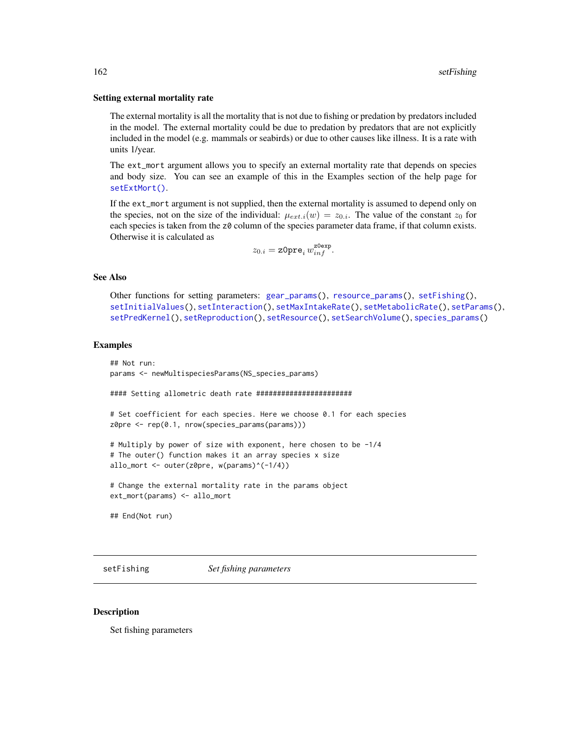#### Setting external mortality rate

The external mortality is all the mortality that is not due to fishing or predation by predators included in the model. The external mortality could be due to predation by predators that are not explicitly included in the model (e.g. mammals or seabirds) or due to other causes like illness. It is a rate with units 1/year.

The ext\_mort argument allows you to specify an external mortality rate that depends on species and body size. You can see an example of this in the Examples section of the help page for [setExtMort\(\)](#page-160-0).

If the ext\_mort argument is not supplied, then the external mortality is assumed to depend only on the species, not on the size of the individual:  $\mu_{ext,i}(w) = z_{0,i}$ . The value of the constant  $z_0$  for each species is taken from the z0 column of the species parameter data frame, if that column exists. Otherwise it is calculated as

$$
z_{0.i} = \texttt{z0pre}_i\, w_{inf}^{\texttt{z0exp}}.
$$

#### See Also

Other functions for setting parameters: [gear\\_params\(](#page-21-0)), [resource\\_params\(](#page-150-0)), [setFishing\(](#page-161-0)), [setInitialValues\(](#page-164-0)), [setInteraction\(](#page-165-0)), [setMaxIntakeRate\(](#page-167-0)), [setMetabolicRate\(](#page-168-0)), [setParams\(](#page-170-0)), [setPredKernel\(](#page-179-0)), [setReproduction\(](#page-183-0)), [setResource\(](#page-186-1)), [setSearchVolume\(](#page-190-0)), [species\\_params\(](#page-200-0))

## Examples

```
## Not run:
params <- newMultispeciesParams(NS_species_params)
#### Setting allometric death rate #######################
# Set coefficient for each species. Here we choose 0.1 for each species
z0pre <- rep(0.1, nrow(species_params(params)))
# Multiply by power of size with exponent, here chosen to be -1/4
# The outer() function makes it an array species x size
allo_mort <- outer(z0pre, w(params)^(-1/4))
# Change the external mortality rate in the params object
ext_mort(params) <- allo_mort
## End(Not run)
```
<span id="page-161-0"></span>setFishing *Set fishing parameters*

#### **Description**

Set fishing parameters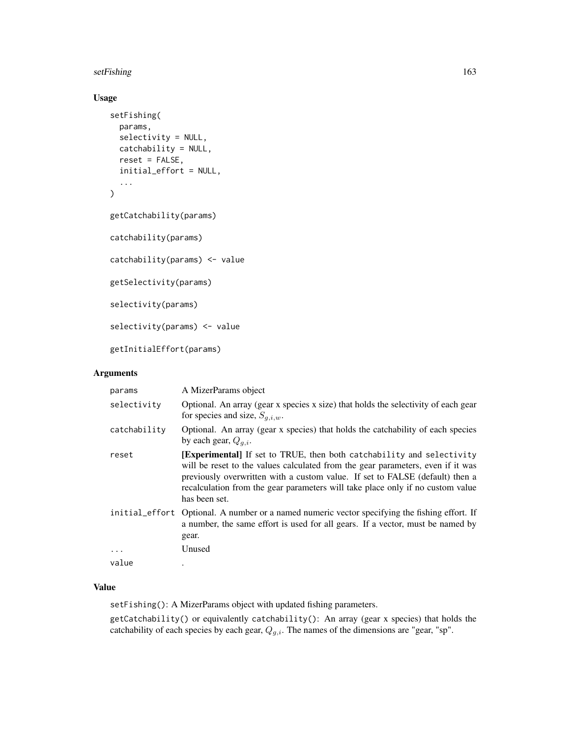# setFishing 163

# Usage

```
setFishing(
 params,
  selectivity = NULL,
 catchability = NULL,
  reset = FALSE,initial_effort = NULL,
  ...
)
getCatchability(params)
catchability(params)
catchability(params) <- value
getSelectivity(params)
selectivity(params)
selectivity(params) <- value
getInitialEffort(params)
```
# Arguments

| params       | A MizerParams object                                                                                                                                                                                                                                                                                                                               |
|--------------|----------------------------------------------------------------------------------------------------------------------------------------------------------------------------------------------------------------------------------------------------------------------------------------------------------------------------------------------------|
| selectivity  | Optional. An array (gear x species x size) that holds the selectivity of each gear<br>for species and size, $S_{a,i,w}$ .                                                                                                                                                                                                                          |
| catchability | Optional. An array (gear x species) that holds the catchability of each species<br>by each gear, $Q_{a,i}$ .                                                                                                                                                                                                                                       |
| reset        | <b>[Experimental]</b> If set to TRUE, then both catchability and selectivity<br>will be reset to the values calculated from the gear parameters, even if it was<br>previously overwritten with a custom value. If set to FALSE (default) then a<br>recalculation from the gear parameters will take place only if no custom value<br>has been set. |
|              | initial_effort Optional. A number or a named numeric vector specifying the fishing effort. If<br>a number, the same effort is used for all gears. If a vector, must be named by<br>gear.                                                                                                                                                           |
| $\ddots$ .   | Unused                                                                                                                                                                                                                                                                                                                                             |
| value        |                                                                                                                                                                                                                                                                                                                                                    |

## Value

setFishing(): A MizerParams object with updated fishing parameters.

getCatchability() or equivalently catchability(): An array (gear x species) that holds the catchability of each species by each gear,  $Q_{g,i}$ . The names of the dimensions are "gear, "sp".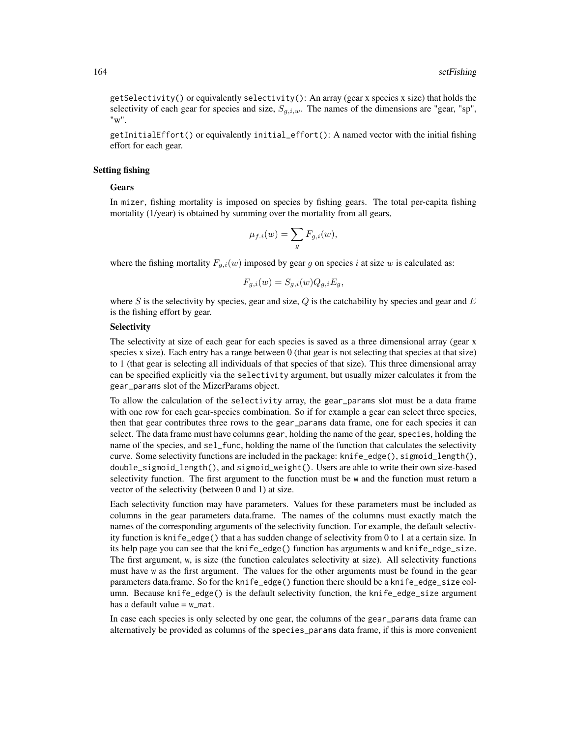$getSelectivity()$  or equivalently selectivity(): An array (gear x species x size) that holds the selectivity of each gear for species and size,  $S_{q,i,w}$ . The names of the dimensions are "gear, "sp", "w".

getInitialEffort() or equivalently initial\_effort(): A named vector with the initial fishing effort for each gear.

## Setting fishing

## Gears

In mizer, fishing mortality is imposed on species by fishing gears. The total per-capita fishing mortality (1/year) is obtained by summing over the mortality from all gears,

$$
\mu_{f.i}(w) = \sum_g F_{g,i}(w),
$$

where the fishing mortality  $F_{g,i}(w)$  imposed by gear g on species i at size w is calculated as:

$$
F_{g,i}(w) = S_{g,i}(w) Q_{g,i} E_g,
$$

where S is the selectivity by species, gear and size,  $Q$  is the catchability by species and gear and  $E$ is the fishing effort by gear.

## **Selectivity**

The selectivity at size of each gear for each species is saved as a three dimensional array (gear x species x size). Each entry has a range between 0 (that gear is not selecting that species at that size) to 1 (that gear is selecting all individuals of that species of that size). This three dimensional array can be specified explicitly via the selectivity argument, but usually mizer calculates it from the gear\_params slot of the MizerParams object.

To allow the calculation of the selectivity array, the gear\_params slot must be a data frame with one row for each gear-species combination. So if for example a gear can select three species, then that gear contributes three rows to the gear\_params data frame, one for each species it can select. The data frame must have columns gear, holding the name of the gear, species, holding the name of the species, and sel\_func, holding the name of the function that calculates the selectivity curve. Some selectivity functions are included in the package: knife\_edge(), sigmoid\_length(), double\_sigmoid\_length(), and sigmoid\_weight(). Users are able to write their own size-based selectivity function. The first argument to the function must be w and the function must return a vector of the selectivity (between 0 and 1) at size.

Each selectivity function may have parameters. Values for these parameters must be included as columns in the gear parameters data.frame. The names of the columns must exactly match the names of the corresponding arguments of the selectivity function. For example, the default selectivity function is knife\_edge() that a has sudden change of selectivity from 0 to 1 at a certain size. In its help page you can see that the knife\_edge() function has arguments w and knife\_edge\_size. The first argument, w, is size (the function calculates selectivity at size). All selectivity functions must have w as the first argument. The values for the other arguments must be found in the gear parameters data.frame. So for the knife\_edge() function there should be a knife\_edge\_size column. Because knife\_edge() is the default selectivity function, the knife\_edge\_size argument has a default value = w\_mat.

In case each species is only selected by one gear, the columns of the gear\_params data frame can alternatively be provided as columns of the species\_params data frame, if this is more convenient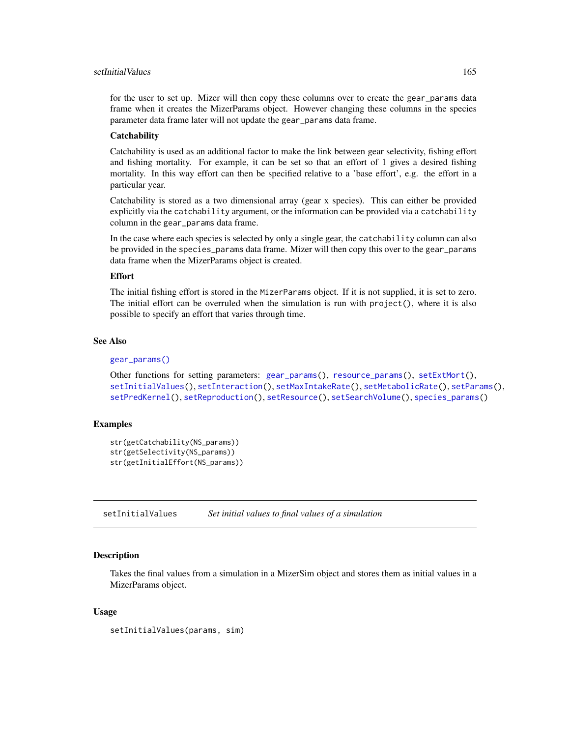# setInitialValues 165

for the user to set up. Mizer will then copy these columns over to create the gear\_params data frame when it creates the MizerParams object. However changing these columns in the species parameter data frame later will not update the gear\_params data frame.

# **Catchability**

Catchability is used as an additional factor to make the link between gear selectivity, fishing effort and fishing mortality. For example, it can be set so that an effort of 1 gives a desired fishing mortality. In this way effort can then be specified relative to a 'base effort', e.g. the effort in a particular year.

Catchability is stored as a two dimensional array (gear x species). This can either be provided explicitly via the catchability argument, or the information can be provided via a catchability column in the gear\_params data frame.

In the case where each species is selected by only a single gear, the catchability column can also be provided in the species\_params data frame. Mizer will then copy this over to the gear\_params data frame when the MizerParams object is created.

# **Effort**

The initial fishing effort is stored in the MizerParams object. If it is not supplied, it is set to zero. The initial effort can be overruled when the simulation is run with  $project()$ , where it is also possible to specify an effort that varies through time.

## See Also

## [gear\\_params\(\)](#page-21-0)

```
Other functions for setting parameters: gear_params(), resource_params(), setExtMort(),
setInitialValues(), setInteraction(), setMaxIntakeRate(), setMetabolicRate(), setParams(),
setPredKernel(), setReproduction(), setResource(), setSearchVolume(), species_params()
```
#### Examples

```
str(getCatchability(NS_params))
str(getSelectivity(NS_params))
str(getInitialEffort(NS_params))
```
<span id="page-164-0"></span>setInitialValues *Set initial values to final values of a simulation*

# **Description**

Takes the final values from a simulation in a MizerSim object and stores them as initial values in a MizerParams object.

# Usage

```
setInitialValues(params, sim)
```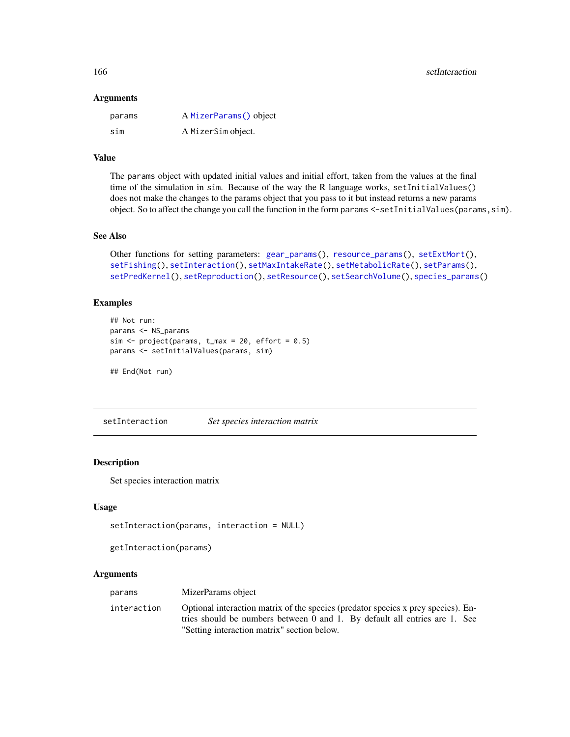## **Arguments**

| params | A MizerParams () object |
|--------|-------------------------|
| sim    | A MizerSim object.      |

# Value

The params object with updated initial values and initial effort, taken from the values at the final time of the simulation in sim. Because of the way the R language works, setInitialValues() does not make the changes to the params object that you pass to it but instead returns a new params object. So to affect the change you call the function in the form params <-setInitialValues(params, sim).

# See Also

```
Other functions for setting parameters: gear_params(), resource_params(), setExtMort(),
setFishing(), setInteraction(), setMaxIntakeRate(), setMetabolicRate(), setParams(),
setPredKernel(), setReproduction(), setResource(), setSearchVolume(), species_params()
```
# Examples

```
## Not run:
params <- NS_params
sim < project(params, t_{max} = 20, effort = 0.5)
params <- setInitialValues(params, sim)
```
## End(Not run)

<span id="page-165-0"></span>setInteraction *Set species interaction matrix*

# Description

Set species interaction matrix

## Usage

```
setInteraction(params, interaction = NULL)
```

```
getInteraction(params)
```
# Arguments

| params      | MizerParams object                                                                                                                                                                                             |
|-------------|----------------------------------------------------------------------------------------------------------------------------------------------------------------------------------------------------------------|
| interaction | Optional interaction matrix of the species (predator species x prey species). En-<br>tries should be numbers between 0 and 1. By default all entries are 1. See<br>"Setting interaction matrix" section below. |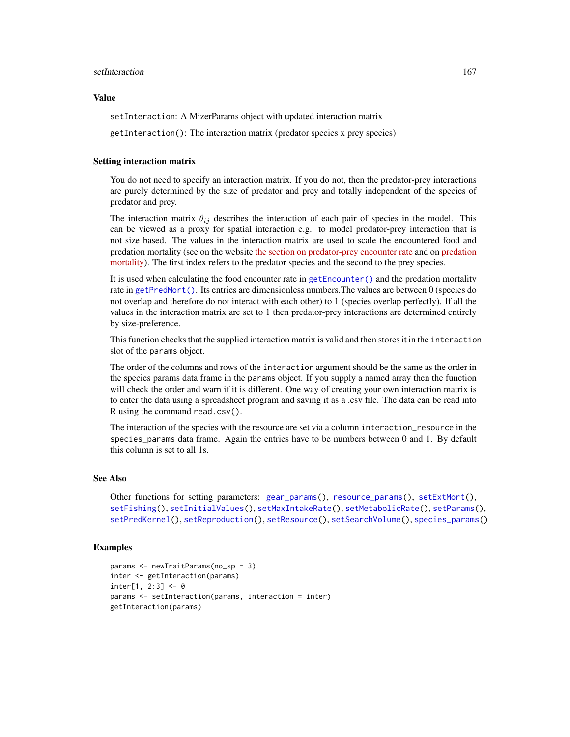#### setInteraction 167

#### Value

setInteraction: A MizerParams object with updated interaction matrix

getInteraction(): The interaction matrix (predator species x prey species)

#### Setting interaction matrix

You do not need to specify an interaction matrix. If you do not, then the predator-prey interactions are purely determined by the size of predator and prey and totally independent of the species of predator and prey.

The interaction matrix  $\theta_{ij}$  describes the interaction of each pair of species in the model. This can be viewed as a proxy for spatial interaction e.g. to model predator-prey interaction that is not size based. The values in the interaction matrix are used to scale the encountered food and predation mortality (see on the website [the section on predator-prey encounter rate](https://sizespectrum.org/mizer/articles/model_description.html#sec:pref) and on [predation](https://sizespectrum.org/mizer/articles/model_description.html#mortality) [mortality\)](https://sizespectrum.org/mizer/articles/model_description.html#mortality). The first index refers to the predator species and the second to the prey species.

It is used when calculating the food encounter rate in [getEncounter\(\)](#page-28-0) and the predation mortality rate in [getPredMort\(\)](#page-49-0). Its entries are dimensionless numbers.The values are between 0 (species do not overlap and therefore do not interact with each other) to 1 (species overlap perfectly). If all the values in the interaction matrix are set to 1 then predator-prey interactions are determined entirely by size-preference.

This function checks that the supplied interaction matrix is valid and then stores it in the interaction slot of the params object.

The order of the columns and rows of the interaction argument should be the same as the order in the species params data frame in the params object. If you supply a named array then the function will check the order and warn if it is different. One way of creating your own interaction matrix is to enter the data using a spreadsheet program and saving it as a .csv file. The data can be read into R using the command read.csv().

The interaction of the species with the resource are set via a column interaction\_resource in the species\_params data frame. Again the entries have to be numbers between 0 and 1. By default this column is set to all 1s.

## See Also

```
Other functions for setting parameters: gear_params(), resource_params(), setExtMort(),
setFishing(), setInitialValues(), setMaxIntakeRate(), setMetabolicRate(), setParams(),
setPredKernel(), setReproduction(), setResource(), setSearchVolume(), species_params()
```
## Examples

```
params <- newTraitParams(no_sp = 3)
inter <- getInteraction(params)
inter[1, 2:3] < -0params <- setInteraction(params, interaction = inter)
getInteraction(params)
```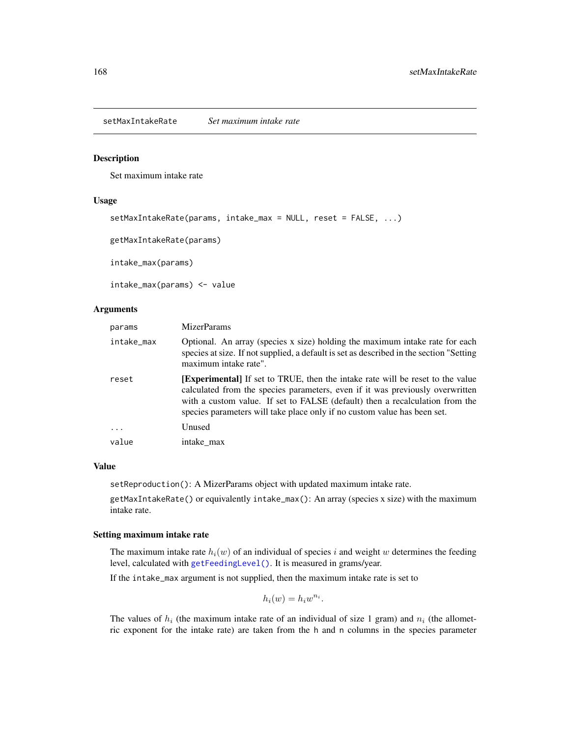<span id="page-167-0"></span>setMaxIntakeRate *Set maximum intake rate*

# Description

Set maximum intake rate

## Usage

```
setMaxIntakeRate(params, intake_max = NULL, reset = FALSE, ...)
```
getMaxIntakeRate(params)

intake\_max(params)

intake\_max(params) <- value

## Arguments

| params     | <b>MizerParams</b>                                                                                                                                                                                                                                                                                                                 |
|------------|------------------------------------------------------------------------------------------------------------------------------------------------------------------------------------------------------------------------------------------------------------------------------------------------------------------------------------|
| intake_max | Optional. An array (species x size) holding the maximum intake rate for each<br>species at size. If not supplied, a default is set as described in the section "Setting"<br>maximum intake rate".                                                                                                                                  |
| reset      | <b>[Experimental]</b> If set to TRUE, then the intake rate will be reset to the value<br>calculated from the species parameters, even if it was previously overwritten<br>with a custom value. If set to FALSE (default) then a recalculation from the<br>species parameters will take place only if no custom value has been set. |
|            | Unused                                                                                                                                                                                                                                                                                                                             |
| value      | intake max                                                                                                                                                                                                                                                                                                                         |

## Value

setReproduction(): A MizerParams object with updated maximum intake rate.

getMaxIntakeRate() or equivalently intake\_max(): An array (species x size) with the maximum intake rate.

#### Setting maximum intake rate

The maximum intake rate  $h_i(w)$  of an individual of species i and weight w determines the feeding level, calculated with [getFeedingLevel\(\)](#page-34-0). It is measured in grams/year.

If the intake\_max argument is not supplied, then the maximum intake rate is set to

$$
h_i(w) = h_i w^{n_i}.
$$

The values of  $h_i$  (the maximum intake rate of an individual of size 1 gram) and  $n_i$  (the allometric exponent for the intake rate) are taken from the h and n columns in the species parameter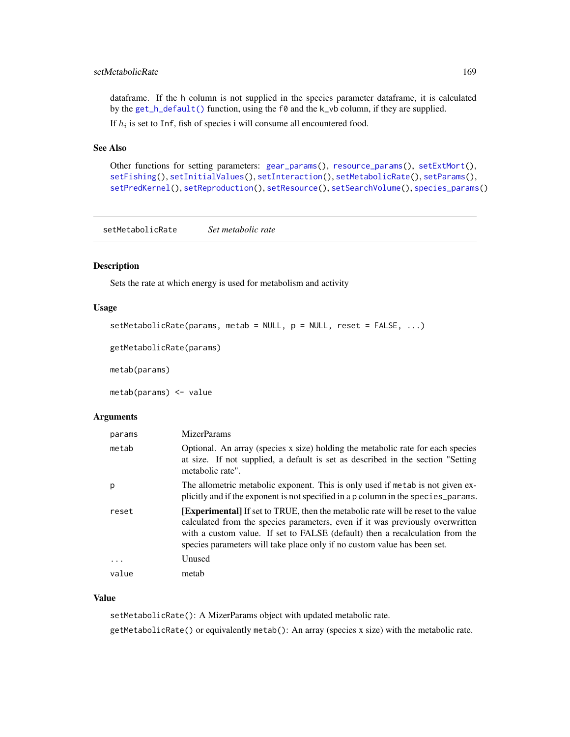# setMetabolicRate 169

dataframe. If the h column is not supplied in the species parameter dataframe, it is calculated by the [get\\_h\\_default\(\)](#page-0-0) function, using the  $f\emptyset$  and the k\_vb column, if they are supplied. If  $h_i$  is set to Inf, fish of species i will consume all encountered food.

# See Also

```
Other functions for setting parameters: gear_params(), resource_params(), setExtMort(),
setFishing(), setInitialValues(), setInteraction(), setMetabolicRate(), setParams(),
setPredKernel(setReproduction(setResource(setSearchVolume(species_params()
```
<span id="page-168-0"></span>setMetabolicRate *Set metabolic rate*

# Description

Sets the rate at which energy is used for metabolism and activity

## Usage

```
setMethodlicRate(params, metal = NULL, p = NULL, reset = FALSE, ...)
```

```
getMetabolicRate(params)
```
metab(params)

metab(params) <- value

## Arguments

| params    | <b>MizerParams</b>                                                                                                                                                                                                                                                                                                                  |
|-----------|-------------------------------------------------------------------------------------------------------------------------------------------------------------------------------------------------------------------------------------------------------------------------------------------------------------------------------------|
| metab     | Optional. An array (species x size) holding the metabolic rate for each species<br>at size. If not supplied, a default is set as described in the section "Setting"<br>metabolic rate".                                                                                                                                             |
| p         | The allometric metabolic exponent. This is only used if metab is not given ex-<br>plicitly and if the exponent is not specified in a p column in the species_params.                                                                                                                                                                |
| reset     | <b>Experimental</b> If set to TRUE, then the metabolic rate will be reset to the value<br>calculated from the species parameters, even if it was previously overwritten<br>with a custom value. If set to FALSE (default) then a recalculation from the<br>species parameters will take place only if no custom value has been set. |
| $\ddotsc$ | Unused                                                                                                                                                                                                                                                                                                                              |
| value     | metab                                                                                                                                                                                                                                                                                                                               |

# Value

setMetabolicRate(): A MizerParams object with updated metabolic rate. getMetabolicRate() or equivalently metab(): An array (species x size) with the metabolic rate.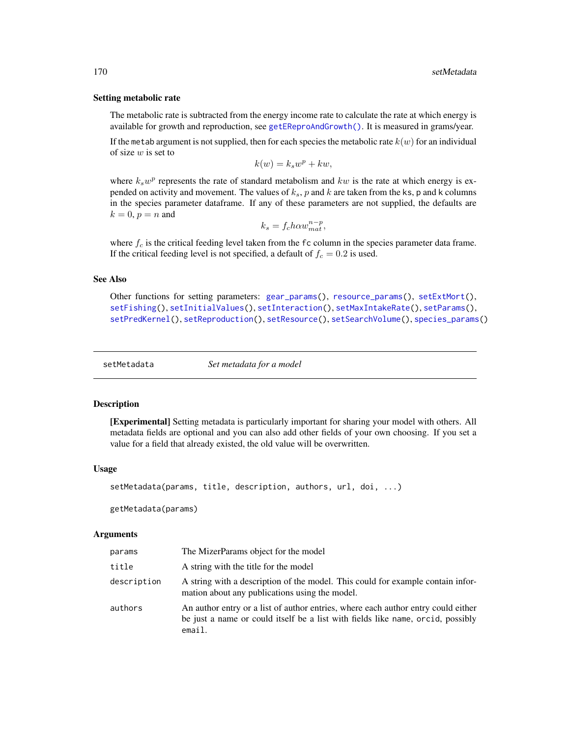## Setting metabolic rate

The metabolic rate is subtracted from the energy income rate to calculate the rate at which energy is available for growth and reproduction, see [getEReproAndGrowth\(\)](#page-31-0). It is measured in grams/year.

If the metab argument is not supplied, then for each species the metabolic rate  $k(w)$  for an individual of size  $w$  is set to

 $k(w) = k_s w^p + kw,$ 

where  $k_s w^p$  represents the rate of standard metabolism and  $kw$  is the rate at which energy is expended on activity and movement. The values of  $k_s$ , p and k are taken from the ks, p and k columns in the species parameter dataframe. If any of these parameters are not supplied, the defaults are  $k = 0$ ,  $p = n$  and

 $k_s = f_c h \alpha w_{mat}^{n-p},$ 

where  $f_c$  is the critical feeding level taken from the fc column in the species parameter data frame. If the critical feeding level is not specified, a default of  $f_c = 0.2$  is used.

## See Also

Other functions for setting parameters: [gear\\_params\(](#page-21-0)), [resource\\_params\(](#page-150-0)), [setExtMort\(](#page-160-0)), [setFishing\(](#page-161-0)), [setInitialValues\(](#page-164-0)), [setInteraction\(](#page-165-0)), [setMaxIntakeRate\(](#page-167-0)), [setParams\(](#page-170-0)), [setPredKernel\(](#page-179-0)), [setReproduction\(](#page-183-0)), [setResource\(](#page-186-1)), [setSearchVolume\(](#page-190-0)), [species\\_params\(](#page-200-0))

<span id="page-169-0"></span>setMetadata *Set metadata for a model*

# Description

[Experimental] Setting metadata is particularly important for sharing your model with others. All metadata fields are optional and you can also add other fields of your own choosing. If you set a value for a field that already existed, the old value will be overwritten.

#### Usage

```
setMetadata(params, title, description, authors, url, doi, ...)
```
getMetadata(params)

#### Arguments

| params      | The MizerParams object for the model                                                                                                                                            |
|-------------|---------------------------------------------------------------------------------------------------------------------------------------------------------------------------------|
| title       | A string with the title for the model                                                                                                                                           |
| description | A string with a description of the model. This could for example contain infor-<br>mation about any publications using the model.                                               |
| authors     | An author entry or a list of author entries, where each author entry could either<br>be just a name or could itself be a list with fields like name, or cid, possibly<br>email. |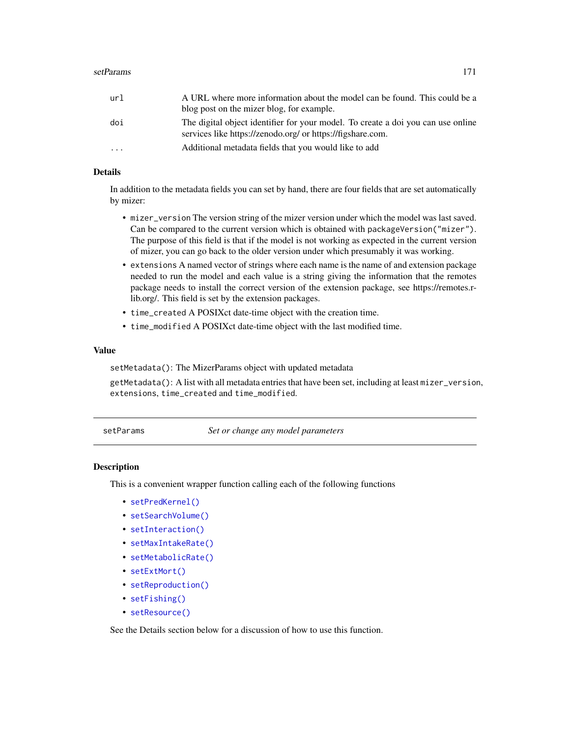| url                     | A URL where more information about the model can be found. This could be a<br>blog post on the mizer blog, for example.                        |
|-------------------------|------------------------------------------------------------------------------------------------------------------------------------------------|
| doi                     | The digital object identifier for your model. To create a doi you can use online<br>services like https://zenodo.org/ or https://figshare.com. |
| $\cdot$ $\cdot$ $\cdot$ | Additional metadata fields that you would like to add                                                                                          |

# Details

In addition to the metadata fields you can set by hand, there are four fields that are set automatically by mizer:

- mizer\_version The version string of the mizer version under which the model was last saved. Can be compared to the current version which is obtained with packageVersion("mizer"). The purpose of this field is that if the model is not working as expected in the current version of mizer, you can go back to the older version under which presumably it was working.
- extensions A named vector of strings where each name is the name of and extension package needed to run the model and each value is a string giving the information that the remotes package needs to install the correct version of the extension package, see https://remotes.rlib.org/. This field is set by the extension packages.
- time\_created A POSIXct date-time object with the creation time.
- time\_modified A POSIXct date-time object with the last modified time.

#### Value

setMetadata(): The MizerParams object with updated metadata

getMetadata(): A list with all metadata entries that have been set, including at least mizer\_version, extensions, time\_created and time\_modified.

<span id="page-170-0"></span>setParams *Set or change any model parameters*

## **Description**

This is a convenient wrapper function calling each of the following functions

- [setPredKernel\(\)](#page-179-0)
- [setSearchVolume\(\)](#page-190-0)
- [setInteraction\(\)](#page-165-0)
- [setMaxIntakeRate\(\)](#page-167-0)
- [setMetabolicRate\(\)](#page-168-0)
- [setExtMort\(\)](#page-160-0)
- [setReproduction\(\)](#page-183-0)
- [setFishing\(\)](#page-161-0)
- [setResource\(\)](#page-186-1)

See the Details section below for a discussion of how to use this function.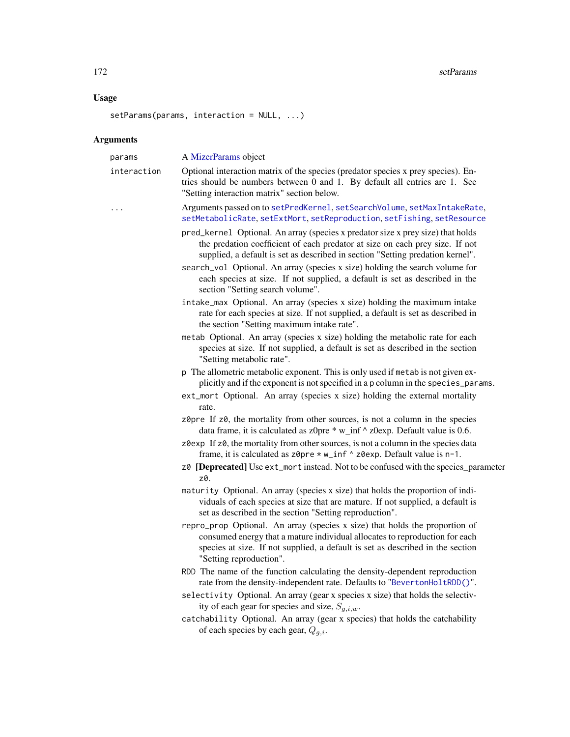# Usage

setParams(params, interaction = NULL, ...)

# Arguments

| params      | A MizerParams object                                                                                                                                                                                                                                                    |
|-------------|-------------------------------------------------------------------------------------------------------------------------------------------------------------------------------------------------------------------------------------------------------------------------|
| interaction | Optional interaction matrix of the species (predator species x prey species). En-<br>tries should be numbers between 0 and 1. By default all entries are 1. See<br>"Setting interaction matrix" section below.                                                          |
| .           | Arguments passed on to setPredKernel, setSearchVolume, setMaxIntakeRate,<br>setMetabolicRate, setExtMort, setReproduction, setFishing, setResource                                                                                                                      |
|             | pred_kernel Optional. An array (species x predator size x prey size) that holds<br>the predation coefficient of each predator at size on each prey size. If not<br>supplied, a default is set as described in section "Setting predation kernel".                       |
|             | search_vol Optional. An array (species x size) holding the search volume for<br>each species at size. If not supplied, a default is set as described in the<br>section "Setting search volume".                                                                         |
|             | intake_max Optional. An array (species x size) holding the maximum intake<br>rate for each species at size. If not supplied, a default is set as described in<br>the section "Setting maximum intake rate".                                                             |
|             | metab Optional. An array (species x size) holding the metabolic rate for each<br>species at size. If not supplied, a default is set as described in the section<br>"Setting metabolic rate".                                                                            |
|             | p The allometric metabolic exponent. This is only used if metab is not given ex-<br>plicitly and if the exponent is not specified in a p column in the species_params.                                                                                                  |
|             | ext_mort Optional. An array (species x size) holding the external mortality<br>rate.                                                                                                                                                                                    |
|             | z0pre If z0, the mortality from other sources, is not a column in the species<br>data frame, it is calculated as z0pre $*$ w_inf $\wedge$ z0exp. Default value is 0.6.                                                                                                  |
|             | z0exp If z0, the mortality from other sources, is not a column in the species data<br>frame, it is calculated as z0pre * w_inf ^ z0exp. Default value is n-1.                                                                                                           |
|             | z0 [Deprecated] Use ext_mort instead. Not to be confused with the species_parameter<br>z0.                                                                                                                                                                              |
|             | maturity Optional. An array (species x size) that holds the proportion of indi-<br>viduals of each species at size that are mature. If not supplied, a default is<br>set as described in the section "Setting reproduction".                                            |
|             | repro_prop Optional. An array (species x size) that holds the proportion of<br>consumed energy that a mature individual allocates to reproduction for each<br>species at size. If not supplied, a default is set as described in the section<br>"Setting reproduction". |
|             | RDD The name of the function calculating the density-dependent reproduction<br>rate from the density-independent rate. Defaults to "BevertonHoltRDD()".                                                                                                                 |
|             | selectivity Optional. An array (gear x species x size) that holds the selectiv-<br>ity of each gear for species and size, $S_{q,i,w}$ .                                                                                                                                 |
|             | catchability Optional. An array (gear x species) that holds the catchability<br>of each species by each gear, $Q_{q,i}$ .                                                                                                                                               |
|             |                                                                                                                                                                                                                                                                         |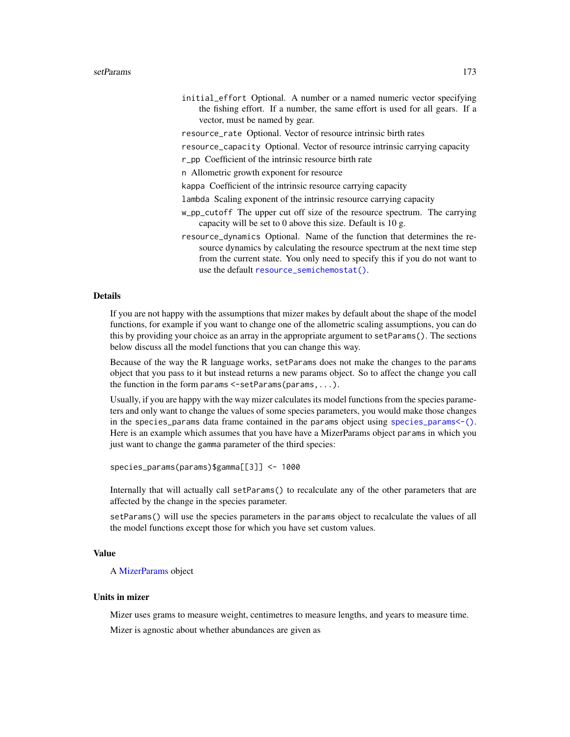- initial\_effort Optional. A number or a named numeric vector specifying the fishing effort. If a number, the same effort is used for all gears. If a vector, must be named by gear.
- resource\_rate Optional. Vector of resource intrinsic birth rates
- resource\_capacity Optional. Vector of resource intrinsic carrying capacity
- r\_pp Coefficient of the intrinsic resource birth rate
- n Allometric growth exponent for resource
- kappa Coefficient of the intrinsic resource carrying capacity
- lambda Scaling exponent of the intrinsic resource carrying capacity
- w\_pp\_cutoff The upper cut off size of the resource spectrum. The carrying capacity will be set to 0 above this size. Default is 10 g.
- resource\_dynamics Optional. Name of the function that determines the resource dynamics by calculating the resource spectrum at the next time step from the current state. You only need to specify this if you do not want to use the default [resource\\_semichemostat\(\)](#page-151-0).

#### Details

If you are not happy with the assumptions that mizer makes by default about the shape of the model functions, for example if you want to change one of the allometric scaling assumptions, you can do this by providing your choice as an array in the appropriate argument to setParams(). The sections below discuss all the model functions that you can change this way.

Because of the way the R language works, setParams does not make the changes to the params object that you pass to it but instead returns a new params object. So to affect the change you call the function in the form params  $\leq$ -setParams(params,...).

Usually, if you are happy with the way mizer calculates its model functions from the species parameters and only want to change the values of some species parameters, you would make those changes in the species\_params data frame contained in the params object using species\_params $\leq$  (). Here is an example which assumes that you have have a MizerParams object params in which you just want to change the gamma parameter of the third species:

```
species_params(params)$gamma[[3]] <- 1000
```
Internally that will actually call setParams() to recalculate any of the other parameters that are affected by the change in the species parameter.

setParams() will use the species parameters in the params object to recalculate the values of all the model functions except those for which you have set custom values.

# Value

A [MizerParams](#page-87-0) object

#### Units in mizer

Mizer uses grams to measure weight, centimetres to measure lengths, and years to measure time.

Mizer is agnostic about whether abundances are given as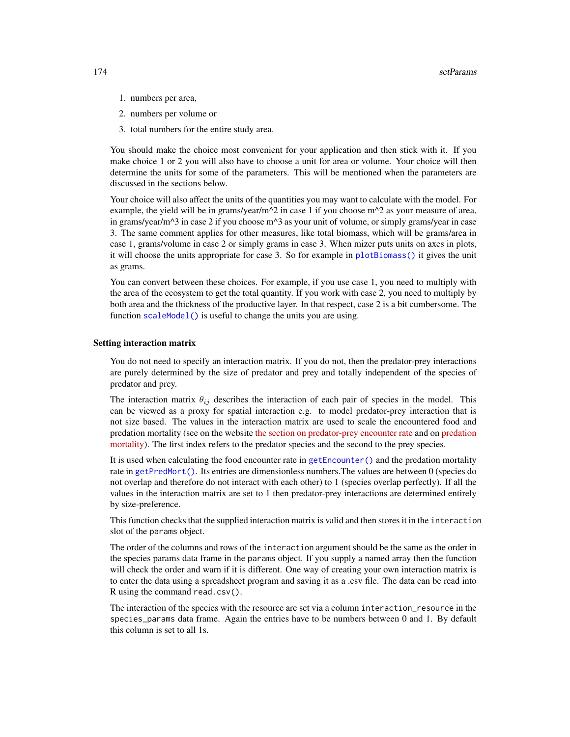- 1. numbers per area,
- 2. numbers per volume or
- 3. total numbers for the entire study area.

You should make the choice most convenient for your application and then stick with it. If you make choice 1 or 2 you will also have to choose a unit for area or volume. Your choice will then determine the units for some of the parameters. This will be mentioned when the parameters are discussed in the sections below.

Your choice will also affect the units of the quantities you may want to calculate with the model. For example, the yield will be in grams/year/m^2 in case 1 if you choose m^2 as your measure of area, in grams/year/m<sup> $\gamma$ 3</sup> in case 2 if you choose m<sup> $\gamma$ </sup> as your unit of volume, or simply grams/year in case 3. The same comment applies for other measures, like total biomass, which will be grams/area in case 1, grams/volume in case 2 or simply grams in case 3. When mizer puts units on axes in plots, it will choose the units appropriate for case 3. So for example in [plotBiomass\(\)](#page-121-0) it gives the unit as grams.

You can convert between these choices. For example, if you use case 1, you need to multiply with the area of the ecosystem to get the total quantity. If you work with case 2, you need to multiply by both area and the thickness of the productive layer. In that respect, case 2 is a bit cumbersome. The function [scaleModel\(\)](#page-154-0) is useful to change the units you are using.

## Setting interaction matrix

You do not need to specify an interaction matrix. If you do not, then the predator-prey interactions are purely determined by the size of predator and prey and totally independent of the species of predator and prey.

The interaction matrix  $\theta_{ij}$  describes the interaction of each pair of species in the model. This can be viewed as a proxy for spatial interaction e.g. to model predator-prey interaction that is not size based. The values in the interaction matrix are used to scale the encountered food and predation mortality (see on the website [the section on predator-prey encounter rate](https://sizespectrum.org/mizer/articles/model_description.html#sec:pref) and on [predation](https://sizespectrum.org/mizer/articles/model_description.html#mortality) [mortality\)](https://sizespectrum.org/mizer/articles/model_description.html#mortality). The first index refers to the predator species and the second to the prey species.

It is used when calculating the food encounter rate in [getEncounter\(\)](#page-28-0) and the predation mortality rate in [getPredMort\(\)](#page-49-0). Its entries are dimensionless numbers.The values are between 0 (species do not overlap and therefore do not interact with each other) to 1 (species overlap perfectly). If all the values in the interaction matrix are set to 1 then predator-prey interactions are determined entirely by size-preference.

This function checks that the supplied interaction matrix is valid and then stores it in the interaction slot of the params object.

The order of the columns and rows of the interaction argument should be the same as the order in the species params data frame in the params object. If you supply a named array then the function will check the order and warn if it is different. One way of creating your own interaction matrix is to enter the data using a spreadsheet program and saving it as a .csv file. The data can be read into R using the command read.csv().

The interaction of the species with the resource are set via a column interaction\_resource in the species\_params data frame. Again the entries have to be numbers between 0 and 1. By default this column is set to all 1s.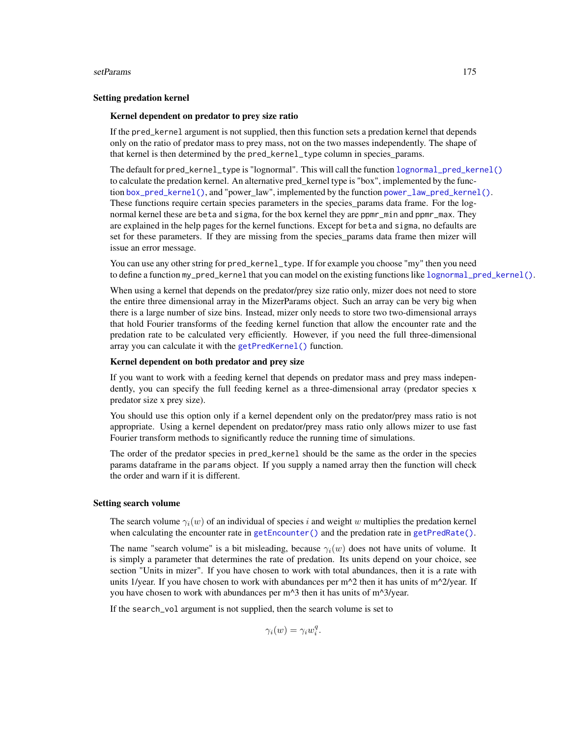## Setting predation kernel

## Kernel dependent on predator to prey size ratio

If the pred\_kernel argument is not supplied, then this function sets a predation kernel that depends only on the ratio of predator mass to prey mass, not on the two masses independently. The shape of that kernel is then determined by the pred\_kernel\_type column in species\_params.

The default for pred\_kernel\_type is "lognormal". This will call the function [lognormal\\_pred\\_kernel\(\)](#page-73-0) to calculate the predation kernel. An alternative pred\_kernel type is "box", implemented by the function [box\\_pred\\_kernel\(\)](#page-9-0), and "power\_law", implemented by the function [power\\_law\\_pred\\_kernel\(\)](#page-142-0). These functions require certain species parameters in the species\_params data frame. For the lognormal kernel these are beta and sigma, for the box kernel they are ppmr\_min and ppmr\_max. They are explained in the help pages for the kernel functions. Except for beta and sigma, no defaults are set for these parameters. If they are missing from the species params data frame then mizer will issue an error message.

You can use any other string for pred\_kernel\_type. If for example you choose "my" then you need to define a function my\_pred\_kernel that you can model on the existing functions like [lognormal\\_pred\\_kernel\(\)](#page-73-0).

When using a kernel that depends on the predator/prey size ratio only, mizer does not need to store the entire three dimensional array in the MizerParams object. Such an array can be very big when there is a large number of size bins. Instead, mizer only needs to store two two-dimensional arrays that hold Fourier transforms of the feeding kernel function that allow the encounter rate and the predation rate to be calculated very efficiently. However, if you need the full three-dimensional array you can calculate it with the [getPredKernel\(\)](#page-179-1) function.

## Kernel dependent on both predator and prey size

If you want to work with a feeding kernel that depends on predator mass and prey mass independently, you can specify the full feeding kernel as a three-dimensional array (predator species x predator size x prey size).

You should use this option only if a kernel dependent only on the predator/prey mass ratio is not appropriate. Using a kernel dependent on predator/prey mass ratio only allows mizer to use fast Fourier transform methods to significantly reduce the running time of simulations.

The order of the predator species in pred\_kernel should be the same as the order in the species params dataframe in the params object. If you supply a named array then the function will check the order and warn if it is different.

#### Setting search volume

The search volume  $\gamma_i(w)$  of an individual of species i and weight w multiplies the predation kernel when calculating the encounter rate in [getEncounter\(\)](#page-28-0) and the predation rate in [getPredRate\(\)](#page-50-0).

The name "search volume" is a bit misleading, because  $\gamma_i(w)$  does not have units of volume. It is simply a parameter that determines the rate of predation. Its units depend on your choice, see section "Units in mizer". If you have chosen to work with total abundances, then it is a rate with units 1/year. If you have chosen to work with abundances per  $m^2$  then it has units of  $m^2$ /year. If you have chosen to work with abundances per m^3 then it has units of m^3/year.

If the search\_vol argument is not supplied, then the search volume is set to

$$
\gamma_i(w) = \gamma_i w_i^q.
$$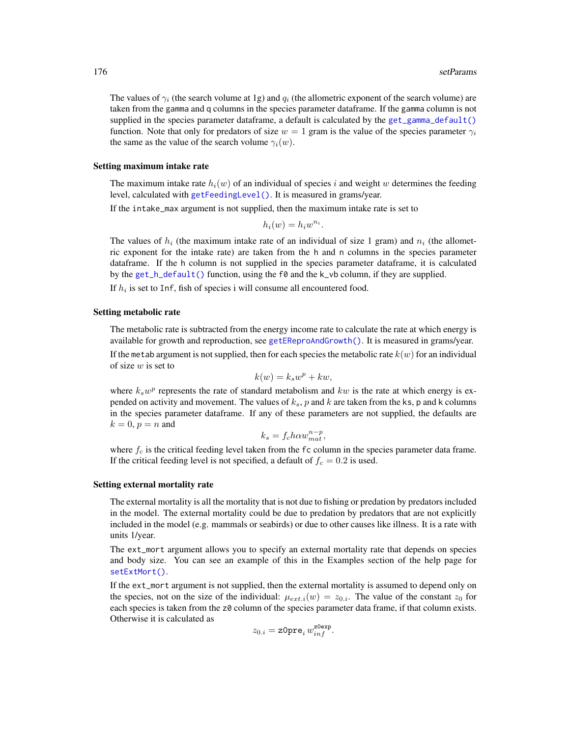The values of  $\gamma_i$  (the search volume at 1g) and  $q_i$  (the allometric exponent of the search volume) are taken from the gamma and q columns in the species parameter dataframe. If the gamma column is not supplied in the species parameter dataframe, a default is calculated by the [get\\_gamma\\_default\(\)](#page-64-0) function. Note that only for predators of size  $w = 1$  gram is the value of the species parameter  $\gamma_i$ the same as the value of the search volume  $\gamma_i(w)$ .

#### Setting maximum intake rate

The maximum intake rate  $h_i(w)$  of an individual of species i and weight w determines the feeding level, calculated with [getFeedingLevel\(\)](#page-34-0). It is measured in grams/year.

If the intake\_max argument is not supplied, then the maximum intake rate is set to

$$
h_i(w) = h_i w^{n_i}.
$$

The values of  $h_i$  (the maximum intake rate of an individual of size 1 gram) and  $n_i$  (the allometric exponent for the intake rate) are taken from the h and n columns in the species parameter dataframe. If the h column is not supplied in the species parameter dataframe, it is calculated by the [get\\_h\\_default\(\)](#page-0-0) function, using the  $f\theta$  and the k\_vb column, if they are supplied.

If  $h_i$  is set to Inf, fish of species i will consume all encountered food.

## Setting metabolic rate

The metabolic rate is subtracted from the energy income rate to calculate the rate at which energy is available for growth and reproduction, see [getEReproAndGrowth\(\)](#page-31-0). It is measured in grams/year.

If the metab argument is not supplied, then for each species the metabolic rate  $k(w)$  for an individual of size  $w$  is set to

$$
k(w) = k_s w^p + kw,
$$

where  $k_s w^p$  represents the rate of standard metabolism and  $kw$  is the rate at which energy is expended on activity and movement. The values of  $k_s$ , p and k are taken from the ks, p and k columns in the species parameter dataframe. If any of these parameters are not supplied, the defaults are  $k = 0$ ,  $p = n$  and

$$
k_s = f_c h \alpha w_{mat}^{n-p},
$$

where  $f_c$  is the critical feeding level taken from the fc column in the species parameter data frame. If the critical feeding level is not specified, a default of  $f_c = 0.2$  is used.

#### Setting external mortality rate

The external mortality is all the mortality that is not due to fishing or predation by predators included in the model. The external mortality could be due to predation by predators that are not explicitly included in the model (e.g. mammals or seabirds) or due to other causes like illness. It is a rate with units 1/year.

The ext\_mort argument allows you to specify an external mortality rate that depends on species and body size. You can see an example of this in the Examples section of the help page for [setExtMort\(\)](#page-160-0).

If the ext\_mort argument is not supplied, then the external mortality is assumed to depend only on the species, not on the size of the individual:  $\mu_{ext,i}(w) = z_{0,i}$ . The value of the constant  $z_0$  for each species is taken from the z0 column of the species parameter data frame, if that column exists. Otherwise it is calculated as

$$
z_{0.i} = \texttt{z0pre}_i\, w_{inf}^{\texttt{z0exp}}.
$$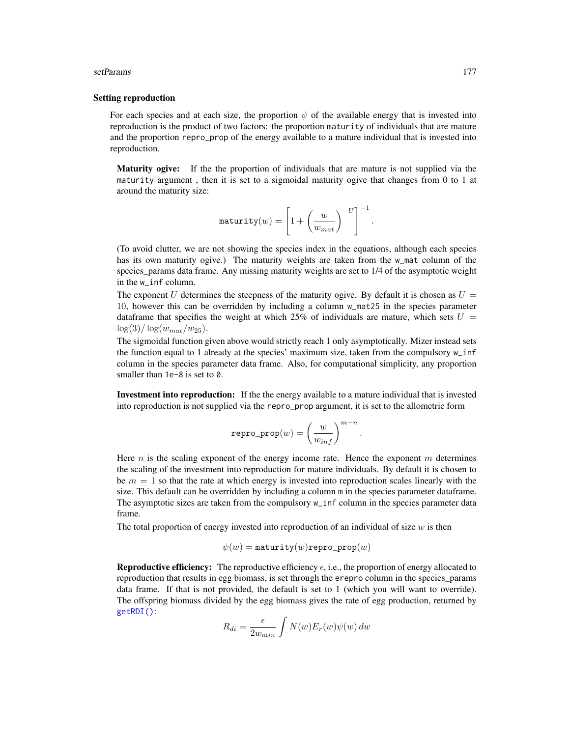## Setting reproduction

For each species and at each size, the proportion  $\psi$  of the available energy that is invested into reproduction is the product of two factors: the proportion maturity of individuals that are mature and the proportion repro\_prop of the energy available to a mature individual that is invested into reproduction.

Maturity ogive: If the the proportion of individuals that are mature is not supplied via the maturity argument , then it is set to a sigmoidal maturity ogive that changes from 0 to 1 at around the maturity size:

$$
\texttt{maturity}(w) = \left[1 + \left(\frac{w}{w_{mat}}\right)^{-U}\right]^{-1}.
$$

(To avoid clutter, we are not showing the species index in the equations, although each species has its own maturity ogive.) The maturity weights are taken from the w\_mat column of the species\_params data frame. Any missing maturity weights are set to 1/4 of the asymptotic weight in the w\_inf column.

The exponent U determines the steepness of the maturity ogive. By default it is chosen as  $U =$ 10, however this can be overridden by including a column w\_mat25 in the species parameter dataframe that specifies the weight at which 25% of individuals are mature, which sets  $U =$  $\log(3)/\log(w_{mat}/w_{25}).$ 

The sigmoidal function given above would strictly reach 1 only asymptotically. Mizer instead sets the function equal to 1 already at the species' maximum size, taken from the compulsory w\_inf column in the species parameter data frame. Also, for computational simplicity, any proportion smaller than 1e-8 is set to 0.

Investment into reproduction: If the the energy available to a mature individual that is invested into reproduction is not supplied via the repro\_prop argument, it is set to the allometric form

$$
\texttt{repro\_prop}(w) = \left(\frac{w}{w_{inf}}\right)^{m-n}
$$

.

Here  $n$  is the scaling exponent of the energy income rate. Hence the exponent  $m$  determines the scaling of the investment into reproduction for mature individuals. By default it is chosen to be  $m = 1$  so that the rate at which energy is invested into reproduction scales linearly with the size. This default can be overridden by including a column m in the species parameter dataframe. The asymptotic sizes are taken from the compulsory w\_inf column in the species parameter data frame.

The total proportion of energy invested into reproduction of an individual of size  $w$  is then

$$
\psi(w) = \mathtt{maturity}(w) \mathtt{repro\_prop}(w)
$$

**Reproductive efficiency:** The reproductive efficiency  $\epsilon$ , i.e., the proportion of energy allocated to reproduction that results in egg biomass, is set through the erepro column in the species\_params data frame. If that is not provided, the default is set to 1 (which you will want to override). The offspring biomass divided by the egg biomass gives the rate of egg production, returned by [getRDI\(\)](#page-56-0):

$$
R_{di} = \frac{\epsilon}{2w_{min}} \int N(w) E_r(w) \psi(w) \, dw
$$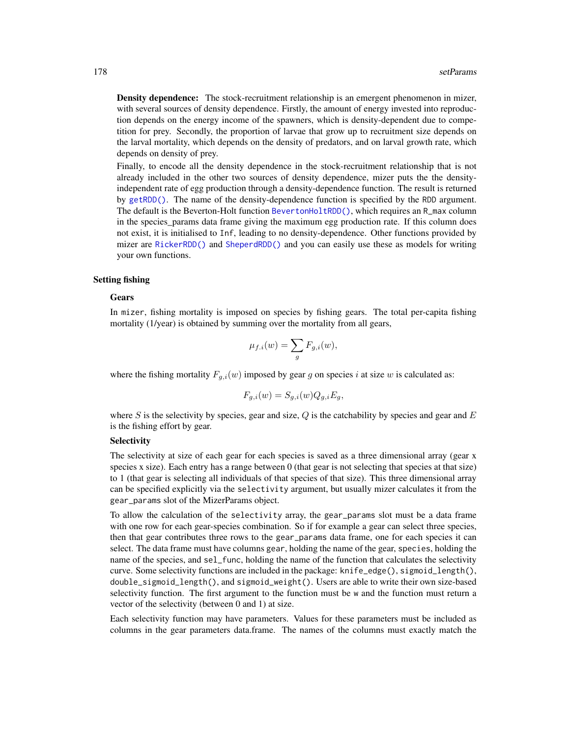Density dependence: The stock-recruitment relationship is an emergent phenomenon in mizer, with several sources of density dependence. Firstly, the amount of energy invested into reproduction depends on the energy income of the spawners, which is density-dependent due to competition for prey. Secondly, the proportion of larvae that grow up to recruitment size depends on the larval mortality, which depends on the density of predators, and on larval growth rate, which depends on density of prey.

Finally, to encode all the density dependence in the stock-recruitment relationship that is not already included in the other two sources of density dependence, mizer puts the the densityindependent rate of egg production through a density-dependence function. The result is returned by [getRDD\(\)](#page-54-0). The name of the density-dependence function is specified by the RDD argument. The default is the Beverton-Holt function [BevertonHoltRDD\(\)](#page-8-0), which requires an R\_max column in the species\_params data frame giving the maximum egg production rate. If this column does not exist, it is initialised to Inf, leading to no density-dependence. Other functions provided by mizer are [RickerRDD\(\)](#page-153-0) and [SheperdRDD\(\)](#page-198-0) and you can easily use these as models for writing your own functions.

## Setting fishing

## **Gears**

In mizer, fishing mortality is imposed on species by fishing gears. The total per-capita fishing mortality (1/year) is obtained by summing over the mortality from all gears,

$$
\mu_{f.i}(w) = \sum_g F_{g,i}(w),
$$

where the fishing mortality  $F_{q,i}(w)$  imposed by gear g on species i at size w is calculated as:

$$
F_{g,i}(w) = S_{g,i}(w)Q_{g,i}E_g,
$$

where S is the selectivity by species, gear and size,  $Q$  is the catchability by species and gear and E is the fishing effort by gear.

# **Selectivity**

The selectivity at size of each gear for each species is saved as a three dimensional array (gear x species x size). Each entry has a range between 0 (that gear is not selecting that species at that size) to 1 (that gear is selecting all individuals of that species of that size). This three dimensional array can be specified explicitly via the selectivity argument, but usually mizer calculates it from the gear\_params slot of the MizerParams object.

To allow the calculation of the selectivity array, the gear\_params slot must be a data frame with one row for each gear-species combination. So if for example a gear can select three species, then that gear contributes three rows to the gear\_params data frame, one for each species it can select. The data frame must have columns gear, holding the name of the gear, species, holding the name of the species, and sel\_func, holding the name of the function that calculates the selectivity curve. Some selectivity functions are included in the package: knife\_edge(), sigmoid\_length(), double\_sigmoid\_length(), and sigmoid\_weight(). Users are able to write their own size-based selectivity function. The first argument to the function must be w and the function must return a vector of the selectivity (between 0 and 1) at size.

Each selectivity function may have parameters. Values for these parameters must be included as columns in the gear parameters data.frame. The names of the columns must exactly match the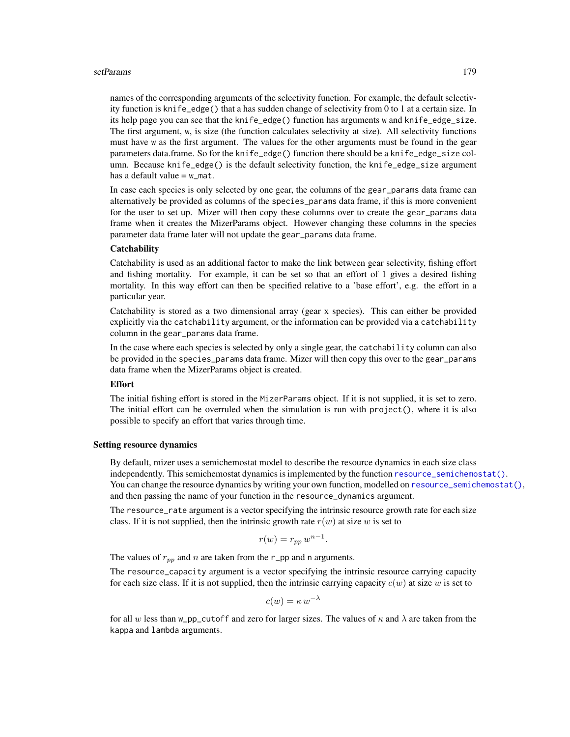## setParams and the setParams of the setParams of the setParams of the setParams of the setParams of the setParams of the setParams of the setParams of the setParams of the setParams of the setParams of the setParams of the

names of the corresponding arguments of the selectivity function. For example, the default selectivity function is knife\_edge() that a has sudden change of selectivity from 0 to 1 at a certain size. In its help page you can see that the knife\_edge() function has arguments w and knife\_edge\_size. The first argument, w, is size (the function calculates selectivity at size). All selectivity functions must have w as the first argument. The values for the other arguments must be found in the gear parameters data.frame. So for the knife\_edge() function there should be a knife\_edge\_size column. Because knife\_edge() is the default selectivity function, the knife\_edge\_size argument has a default value  $=$  w\_mat.

In case each species is only selected by one gear, the columns of the gear\_params data frame can alternatively be provided as columns of the species\_params data frame, if this is more convenient for the user to set up. Mizer will then copy these columns over to create the gear\_params data frame when it creates the MizerParams object. However changing these columns in the species parameter data frame later will not update the gear\_params data frame.

## **Catchability**

Catchability is used as an additional factor to make the link between gear selectivity, fishing effort and fishing mortality. For example, it can be set so that an effort of 1 gives a desired fishing mortality. In this way effort can then be specified relative to a 'base effort', e.g. the effort in a particular year.

Catchability is stored as a two dimensional array (gear x species). This can either be provided explicitly via the catchability argument, or the information can be provided via a catchability column in the gear\_params data frame.

In the case where each species is selected by only a single gear, the catchability column can also be provided in the species\_params data frame. Mizer will then copy this over to the gear\_params data frame when the MizerParams object is created.

# Effort

The initial fishing effort is stored in the MizerParams object. If it is not supplied, it is set to zero. The initial effort can be overruled when the simulation is run with project(), where it is also possible to specify an effort that varies through time.

# Setting resource dynamics

By default, mizer uses a semichemostat model to describe the resource dynamics in each size class independently. This semichemostat dynamics is implemented by the function [resource\\_semichemostat\(\)](#page-151-0). You can change the resource dynamics by writing your own function, modelled on [resource\\_semichemostat\(\)](#page-151-0), and then passing the name of your function in the resource\_dynamics argument.

The resource\_rate argument is a vector specifying the intrinsic resource growth rate for each size class. If it is not supplied, then the intrinsic growth rate  $r(w)$  at size w is set to

$$
r(w) = r_{pp} w^{n-1}.
$$

The values of  $r_{pp}$  and n are taken from the r\_pp and n arguments.

The resource\_capacity argument is a vector specifying the intrinsic resource carrying capacity for each size class. If it is not supplied, then the intrinsic carrying capacity  $c(w)$  at size w is set to

$$
c(w) = \kappa w^{-1}
$$

for all w less than w\_pp\_cutoff and zero for larger sizes. The values of  $\kappa$  and  $\lambda$  are taken from the kappa and lambda arguments.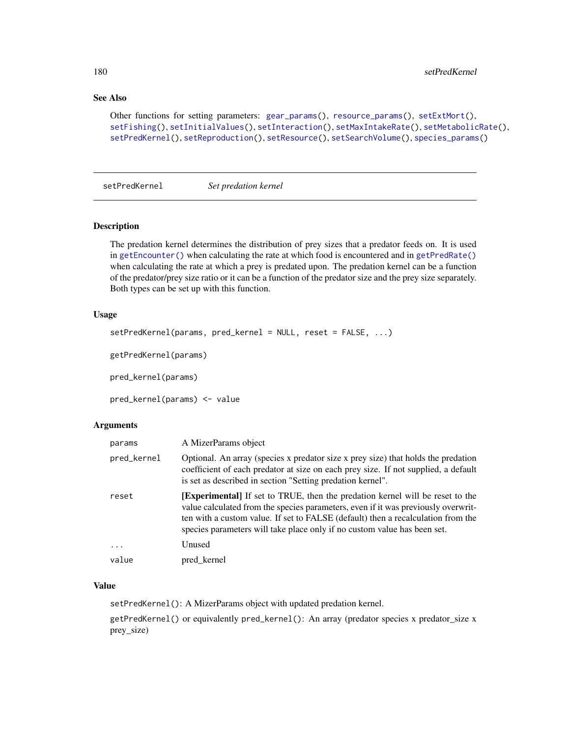# See Also

```
gear_params(resource_params(setExtMort(),
setFishing(), setInitialValues(), setInteraction(), setMaxIntakeRate(), setMetabolicRate(),
setPredKernel(), setReproduction(), setResource(), setSearchVolume(), species_params()
```
<span id="page-179-0"></span>setPredKernel *Set predation kernel*

# <span id="page-179-1"></span>Description

The predation kernel determines the distribution of prey sizes that a predator feeds on. It is used in [getEncounter\(\)](#page-28-0) when calculating the rate at which food is encountered and in [getPredRate\(\)](#page-50-0) when calculating the rate at which a prey is predated upon. The predation kernel can be a function of the predator/prey size ratio or it can be a function of the predator size and the prey size separately. Both types can be set up with this function.

## Usage

```
setPredKernel(params, pred_kernel = NULL, reset = FALSE, ...)
```

```
getPredKernel(params)
```
pred\_kernel(params)

pred\_kernel(params) <- value

# Arguments

| params      | A MizerParams object                                                                                                                                                                                                                                                                                                               |
|-------------|------------------------------------------------------------------------------------------------------------------------------------------------------------------------------------------------------------------------------------------------------------------------------------------------------------------------------------|
| pred_kernel | Optional. An array (species x predator size x prey size) that holds the predation<br>coefficient of each predator at size on each prey size. If not supplied, a default<br>is set as described in section "Setting predation kernel".                                                                                              |
| reset       | [Experimental] If set to TRUE, then the predation kernel will be reset to the<br>value calculated from the species parameters, even if it was previously overwrit-<br>ten with a custom value. If set to FALSE (default) then a recalculation from the<br>species parameters will take place only if no custom value has been set. |
| $\ddots$ .  | Unused                                                                                                                                                                                                                                                                                                                             |
| value       | pred kernel                                                                                                                                                                                                                                                                                                                        |

## Value

setPredKernel(): A MizerParams object with updated predation kernel.

getPredKernel() or equivalently pred\_kernel(): An array (predator species x predator\_size x prey\_size)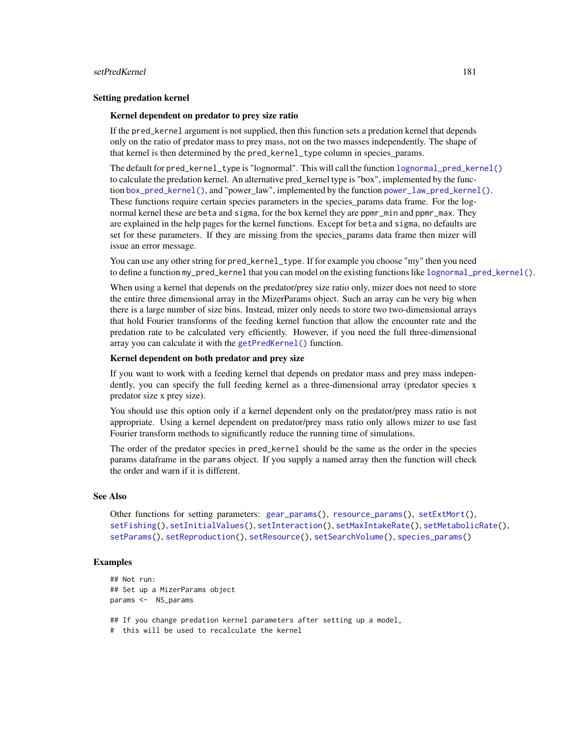#### <span id="page-180-0"></span>setPredKernel 181

#### Setting predation kernel

#### Kernel dependent on predator to prey size ratio

If the pred\_kernel argument is not supplied, then this function sets a predation kernel that depends only on the ratio of predator mass to prey mass, not on the two masses independently. The shape of that kernel is then determined by the pred\_kernel\_type column in species\_params.

The default for pred\_kernel\_type is "lognormal". This will call the function [lognormal\\_pred\\_kernel\(\)](#page-73-0) to calculate the predation kernel. An alternative pred\_kernel type is "box", implemented by the function [box\\_pred\\_kernel\(\)](#page-9-0), and "power\_law", implemented by the function [power\\_law\\_pred\\_kernel\(\)](#page-142-0). These functions require certain species parameters in the species\_params data frame. For the lognormal kernel these are beta and sigma, for the box kernel they are ppmr\_min and ppmr\_max. They are explained in the help pages for the kernel functions. Except for beta and sigma, no defaults are set for these parameters. If they are missing from the species\_params data frame then mizer will issue an error message.

You can use any other string for pred\_kernel\_type. If for example you choose "my" then you need to define a function my\_pred\_kernel that you can model on the existing functions like [lognormal\\_pred\\_kernel\(\)](#page-73-0).

When using a kernel that depends on the predator/prey size ratio only, mizer does not need to store the entire three dimensional array in the MizerParams object. Such an array can be very big when there is a large number of size bins. Instead, mizer only needs to store two two-dimensional arrays that hold Fourier transforms of the feeding kernel function that allow the encounter rate and the predation rate to be calculated very efficiently. However, if you need the full three-dimensional array you can calculate it with the [getPredKernel\(\)](#page-179-0) function.

#### Kernel dependent on both predator and prey size

If you want to work with a feeding kernel that depends on predator mass and prey mass independently, you can specify the full feeding kernel as a three-dimensional array (predator species x predator size x prey size).

You should use this option only if a kernel dependent only on the predator/prey mass ratio is not appropriate. Using a kernel dependent on predator/prey mass ratio only allows mizer to use fast Fourier transform methods to significantly reduce the running time of simulations.

The order of the predator species in pred\_kernel should be the same as the order in the species params dataframe in the params object. If you supply a named array then the function will check the order and warn if it is different.

# See Also

Other functions for setting parameters: [gear\\_params\(](#page-21-0)), [resource\\_params\(](#page-150-0)), [setExtMort\(](#page-160-0)), [setFishing\(](#page-161-0)), [setInitialValues\(](#page-164-0)), [setInteraction\(](#page-165-0)), [setMaxIntakeRate\(](#page-167-0)), [setMetabolicRate\(](#page-168-0)), [setParams\(](#page-170-0)), [setReproduction\(](#page-183-0)), [setResource\(](#page-186-0)), [setSearchVolume\(](#page-190-0)), [species\\_params\(](#page-200-0))

#### Examples

## Not run: ## Set up a MizerParams object params <- NS\_params

## If you change predation kernel parameters after setting up a model,

# this will be used to recalculate the kernel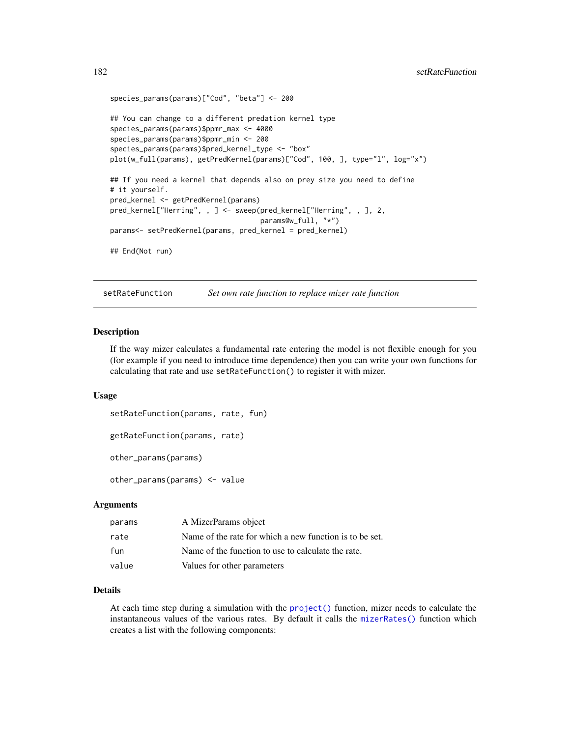```
species_params(params)["Cod", "beta"] <- 200
## You can change to a different predation kernel type
species_params(params)$ppmr_max <- 4000
species_params(params)$ppmr_min <- 200
species_params(params)$pred_kernel_type <- "box"
plot(w_full(params), getPredKernel(params)["Cod", 100, ], type="l", log="x")
## If you need a kernel that depends also on prey size you need to define
# it yourself.
pred_kernel <- getPredKernel(params)
pred_kernel["Herring", , ] <- sweep(pred_kernel["Herring", , ], 2,
                                    params@w_full, "*")
params<- setPredKernel(params, pred_kernel = pred_kernel)
## End(Not run)
```
setRateFunction *Set own rate function to replace mizer rate function*

#### Description

If the way mizer calculates a fundamental rate entering the model is not flexible enough for you (for example if you need to introduce time dependence) then you can write your own functions for calculating that rate and use setRateFunction() to register it with mizer.

#### Usage

```
setRateFunction(params, rate, fun)
getRateFunction(params, rate)
other_params(params)
other_params(params) <- value
```
# Arguments

| params | A MizerParams object                                    |
|--------|---------------------------------------------------------|
| rate   | Name of the rate for which a new function is to be set. |
| fun    | Name of the function to use to calculate the rate.      |
| value  | Values for other parameters                             |

# Details

At each time step during a simulation with the [project\(\)](#page-143-0) function, mizer needs to calculate the instantaneous values of the various rates. By default it calls the [mizerRates\(\)](#page-91-0) function which creates a list with the following components: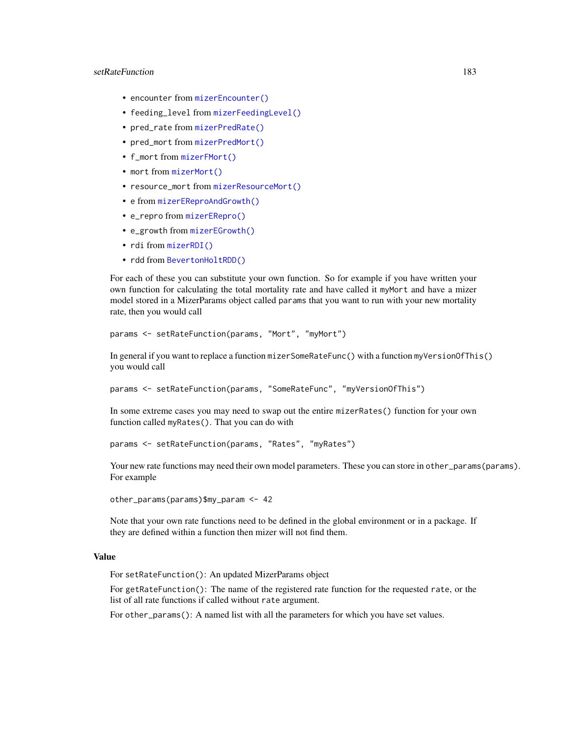# <span id="page-182-0"></span>setRateFunction 183

- encounter from [mizerEncounter\(\)](#page-77-0)
- feeding\_level from [mizerFeedingLevel\(\)](#page-81-0)
- pred\_rate from [mizerPredRate\(\)](#page-90-0)
- pred\_mort from [mizerPredMort\(\)](#page-89-0)
- f\_mort from [mizerFMort\(\)](#page-83-0)
- mort from [mizerMort\(\)](#page-85-0)
- resource\_mort from [mizerResourceMort\(\)](#page-94-0)
- e from [mizerEReproAndGrowth\(\)](#page-80-0)
- e\_repro from [mizerERepro\(\)](#page-79-0)
- e\_growth from [mizerEGrowth\(\)](#page-76-0)
- rdi from [mizerRDI\(\)](#page-93-0)
- rdd from [BevertonHoltRDD\(\)](#page-8-0)

For each of these you can substitute your own function. So for example if you have written your own function for calculating the total mortality rate and have called it myMort and have a mizer model stored in a MizerParams object called params that you want to run with your new mortality rate, then you would call

```
params <- setRateFunction(params, "Mort", "myMort")
```
In general if you want to replace a function mizerSomeRateFunc() with a function myVersionOfThis() you would call

```
params <- setRateFunction(params, "SomeRateFunc", "myVersionOfThis")
```
In some extreme cases you may need to swap out the entire mizerRates() function for your own function called myRates(). That you can do with

```
params <- setRateFunction(params, "Rates", "myRates")
```
Your new rate functions may need their own model parameters. These you can store in other\_params(params). For example

```
other_params(params)$my_param <- 42
```
Note that your own rate functions need to be defined in the global environment or in a package. If they are defined within a function then mizer will not find them.

#### Value

For setRateFunction(): An updated MizerParams object

For getRateFunction(): The name of the registered rate function for the requested rate, or the list of all rate functions if called without rate argument.

For other\_params(): A named list with all the parameters for which you have set values.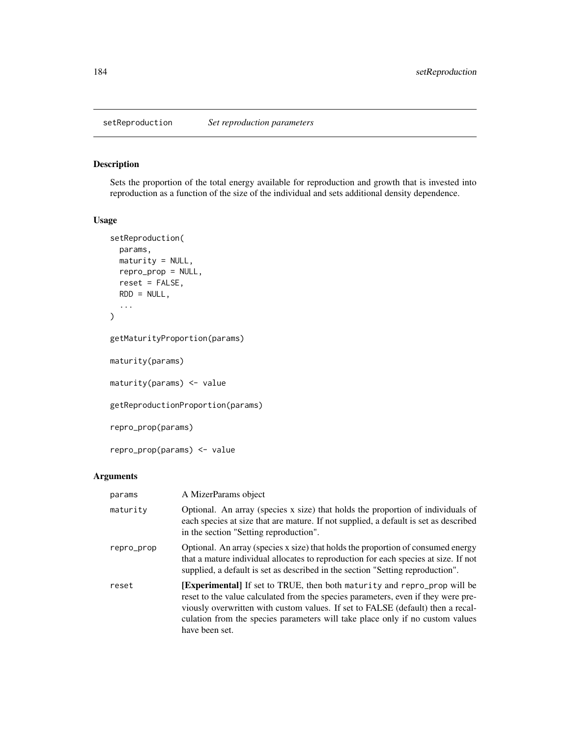<span id="page-183-1"></span><span id="page-183-0"></span>

# Description

Sets the proportion of the total energy available for reproduction and growth that is invested into reproduction as a function of the size of the individual and sets additional density dependence.

# Usage

```
setReproduction(
  params,
 maturity = NULL,
 repro_prop = NULL,
  reset = FALSE,
 RDD = NULL,...
\mathcal{L}getMaturityProportion(params)
maturity(params)
maturity(params) <- value
getReproductionProportion(params)
repro_prop(params)
repro_prop(params) <- value
```
# Arguments

| params     | A MizerParams object                                                                                                                                                                                                                                                                                                                                       |
|------------|------------------------------------------------------------------------------------------------------------------------------------------------------------------------------------------------------------------------------------------------------------------------------------------------------------------------------------------------------------|
| maturity   | Optional. An array (species x size) that holds the proportion of individuals of<br>each species at size that are mature. If not supplied, a default is set as described<br>in the section "Setting reproduction".                                                                                                                                          |
| repro_prop | Optional. An array (species x size) that holds the proportion of consumed energy<br>that a mature individual allocates to reproduction for each species at size. If not<br>supplied, a default is set as described in the section "Setting reproduction".                                                                                                  |
| reset      | <b>[Experimental]</b> If set to TRUE, then both maturity and repro_prop will be<br>reset to the value calculated from the species parameters, even if they were pre-<br>viously overwritten with custom values. If set to FALSE (default) then a recal-<br>culation from the species parameters will take place only if no custom values<br>have been set. |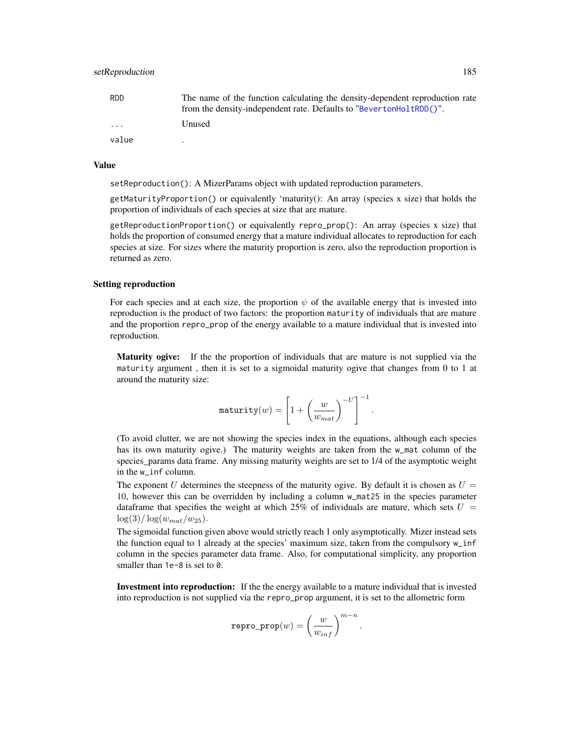<span id="page-184-0"></span>

| RDD.                    | The name of the function calculating the density-dependent reproduction rate<br>from the density-independent rate. Defaults to "BevertonHoltRDD()". |
|-------------------------|-----------------------------------------------------------------------------------------------------------------------------------------------------|
| $\cdot$ $\cdot$ $\cdot$ | Unused                                                                                                                                              |
| value                   |                                                                                                                                                     |

# Value

setReproduction(): A MizerParams object with updated reproduction parameters.

getMaturityProportion() or equivalently 'maturity(): An array (species x size) that holds the proportion of individuals of each species at size that are mature.

getReproductionProportion() or equivalently repro\_prop(): An array (species x size) that holds the proportion of consumed energy that a mature individual allocates to reproduction for each species at size. For sizes where the maturity proportion is zero, also the reproduction proportion is returned as zero.

#### Setting reproduction

For each species and at each size, the proportion  $\psi$  of the available energy that is invested into reproduction is the product of two factors: the proportion maturity of individuals that are mature and the proportion repro\_prop of the energy available to a mature individual that is invested into reproduction.

Maturity ogive: If the the proportion of individuals that are mature is not supplied via the maturity argument , then it is set to a sigmoidal maturity ogive that changes from 0 to 1 at around the maturity size:

$$
\texttt{maturity}(w) = \left[1 + \left(\frac{w}{w_{mat}}\right)^{-U}\right]^{-1}
$$

.

.

(To avoid clutter, we are not showing the species index in the equations, although each species has its own maturity ogive.) The maturity weights are taken from the w\_mat column of the species\_params data frame. Any missing maturity weights are set to 1/4 of the asymptotic weight in the w\_inf column.

The exponent U determines the steepness of the maturity ogive. By default it is chosen as  $U =$ 10, however this can be overridden by including a column w\_mat25 in the species parameter dataframe that specifies the weight at which 25% of individuals are mature, which sets  $U =$  $\log(3)/\log(w_{mat}/w_{25}).$ 

The sigmoidal function given above would strictly reach 1 only asymptotically. Mizer instead sets the function equal to 1 already at the species' maximum size, taken from the compulsory w\_inf column in the species parameter data frame. Also, for computational simplicity, any proportion smaller than 1e-8 is set to 0.

Investment into reproduction: If the the energy available to a mature individual that is invested into reproduction is not supplied via the repro\_prop argument, it is set to the allometric form

$$
\texttt{repro\_prop}(w) = \left(\frac{w}{w_{inf}}\right)^{m-n}
$$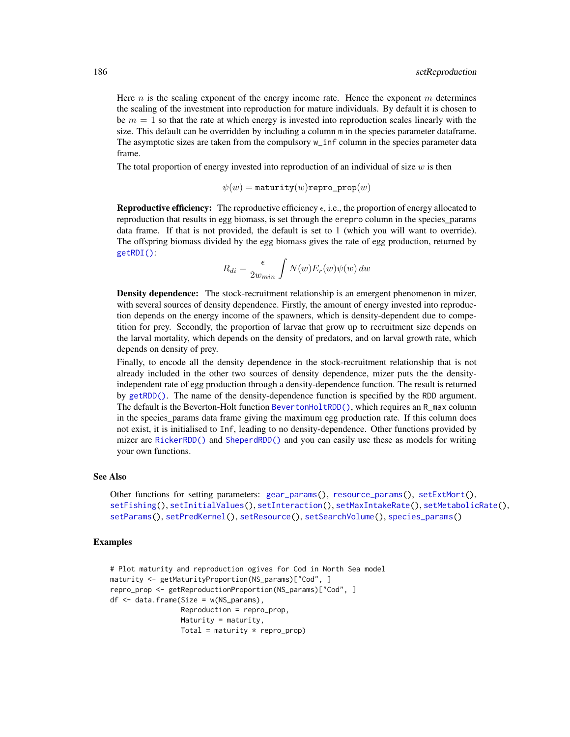<span id="page-185-0"></span>Here  $n$  is the scaling exponent of the energy income rate. Hence the exponent  $m$  determines the scaling of the investment into reproduction for mature individuals. By default it is chosen to be  $m = 1$  so that the rate at which energy is invested into reproduction scales linearly with the size. This default can be overridden by including a column m in the species parameter dataframe. The asymptotic sizes are taken from the compulsory w\_inf column in the species parameter data frame.

The total proportion of energy invested into reproduction of an individual of size  $w$  is then

 $\psi(w) =$  maturity $(w)$ repro\_prop $(w)$ 

**Reproductive efficiency:** The reproductive efficiency  $\epsilon$ , i.e., the proportion of energy allocated to reproduction that results in egg biomass, is set through the erepro column in the species\_params data frame. If that is not provided, the default is set to 1 (which you will want to override). The offspring biomass divided by the egg biomass gives the rate of egg production, returned by [getRDI\(\)](#page-56-0):

$$
R_{di} = \frac{\epsilon}{2w_{min}} \int N(w) E_r(w) \psi(w) \, dw
$$

Density dependence: The stock-recruitment relationship is an emergent phenomenon in mizer, with several sources of density dependence. Firstly, the amount of energy invested into reproduction depends on the energy income of the spawners, which is density-dependent due to competition for prey. Secondly, the proportion of larvae that grow up to recruitment size depends on the larval mortality, which depends on the density of predators, and on larval growth rate, which depends on density of prey.

Finally, to encode all the density dependence in the stock-recruitment relationship that is not already included in the other two sources of density dependence, mizer puts the the densityindependent rate of egg production through a density-dependence function. The result is returned by [getRDD\(\)](#page-54-0). The name of the density-dependence function is specified by the RDD argument. The default is the Beverton-Holt function [BevertonHoltRDD\(\)](#page-8-0), which requires an R\_max column in the species params data frame giving the maximum egg production rate. If this column does not exist, it is initialised to Inf, leading to no density-dependence. Other functions provided by mizer are [RickerRDD\(\)](#page-153-0) and [SheperdRDD\(\)](#page-198-0) and you can easily use these as models for writing your own functions.

#### See Also

Other functions for setting parameters: [gear\\_params\(](#page-21-0)), [resource\\_params\(](#page-150-0)), [setExtMort\(](#page-160-0)), [setFishing\(](#page-161-0)), [setInitialValues\(](#page-164-0)), [setInteraction\(](#page-165-0)), [setMaxIntakeRate\(](#page-167-0)), [setMetabolicRate\(](#page-168-0)), [setParams\(](#page-170-0)), [setPredKernel\(](#page-179-1)), [setResource\(](#page-186-0)), [setSearchVolume\(](#page-190-0)), [species\\_params\(](#page-200-0))

#### Examples

```
# Plot maturity and reproduction ogives for Cod in North Sea model
maturity <- getMaturityProportion(NS_params)["Cod", ]
repro_prop <- getReproductionProportion(NS_params)["Cod", ]
df <- data.frame(Size = w(NS_params),
                 Reproduction = repro_prop,
                 Maturity = maturity,
                 Total = maturity * repro_prop)
```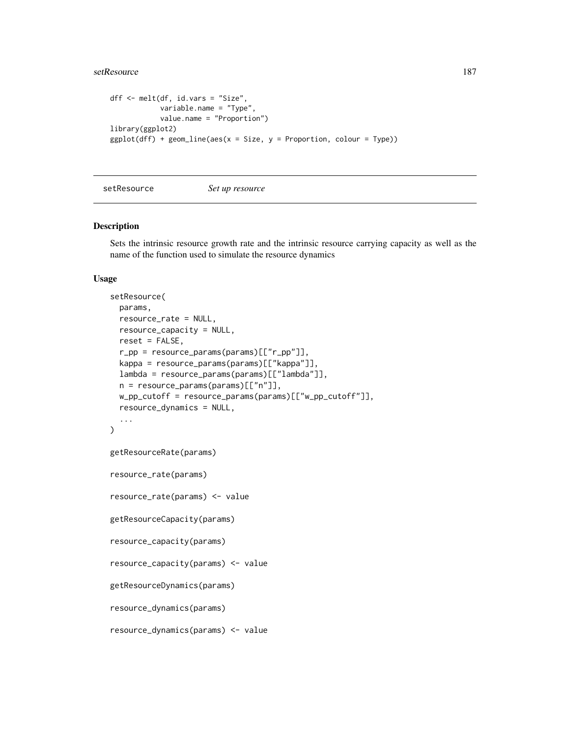#### <span id="page-186-1"></span>setResource 187

```
dff <- melt(df, id.vars = "Size",
            variable.name = "Type",
            value.name = "Proportion")
library(ggplot2)
ggplot(dff) + geom\_line(aes(x = Size, y = Proportion, colour = Type))
```
<span id="page-186-0"></span>setResource *Set up resource*

# Description

Sets the intrinsic resource growth rate and the intrinsic resource carrying capacity as well as the name of the function used to simulate the resource dynamics

#### Usage

```
setResource(
 params,
 resource_rate = NULL,
 resource_capacity = NULL,
  reset = FALSE,r_pp = resource_params(params)[["r_pp"]],
 kappa = resource_params(params)[["kappa"]],
 lambda = resource_params(params)[["lambda"]],
 n = resource_params(params)[["n"]],
 w_pp_cutoff = resource_params(params)[["w_pp_cutoff"]],
  resource_dynamics = NULL,
  ...
)
getResourceRate(params)
resource_rate(params)
resource_rate(params) <- value
getResourceCapacity(params)
resource_capacity(params)
resource_capacity(params) <- value
getResourceDynamics(params)
resource_dynamics(params)
resource_dynamics(params) <- value
```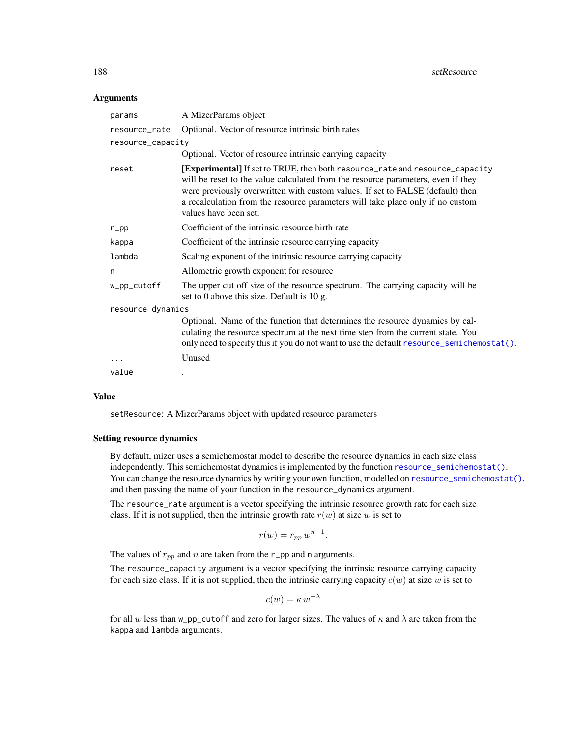#### **Arguments**

| A MizerParams object                                                                                                                                                                                                                                                                                                                                          |
|---------------------------------------------------------------------------------------------------------------------------------------------------------------------------------------------------------------------------------------------------------------------------------------------------------------------------------------------------------------|
| Optional. Vector of resource intrinsic birth rates                                                                                                                                                                                                                                                                                                            |
| resource_capacity                                                                                                                                                                                                                                                                                                                                             |
| Optional. Vector of resource intrinsic carrying capacity                                                                                                                                                                                                                                                                                                      |
| [Experimental] If set to TRUE, then both resource_rate and resource_capacity<br>will be reset to the value calculated from the resource parameters, even if they<br>were previously overwritten with custom values. If set to FALSE (default) then<br>a recalculation from the resource parameters will take place only if no custom<br>values have been set. |
| Coefficient of the intrinsic resource birth rate                                                                                                                                                                                                                                                                                                              |
| Coefficient of the intrinsic resource carrying capacity                                                                                                                                                                                                                                                                                                       |
| Scaling exponent of the intrinsic resource carrying capacity                                                                                                                                                                                                                                                                                                  |
| Allometric growth exponent for resource                                                                                                                                                                                                                                                                                                                       |
| The upper cut off size of the resource spectrum. The carrying capacity will be<br>set to 0 above this size. Default is 10 g.                                                                                                                                                                                                                                  |
| resource_dynamics                                                                                                                                                                                                                                                                                                                                             |
| Optional. Name of the function that determines the resource dynamics by cal-<br>culating the resource spectrum at the next time step from the current state. You<br>only need to specify this if you do not want to use the default resource_semichemostat().                                                                                                 |
| Unused                                                                                                                                                                                                                                                                                                                                                        |
|                                                                                                                                                                                                                                                                                                                                                               |
|                                                                                                                                                                                                                                                                                                                                                               |

#### Value

setResource: A MizerParams object with updated resource parameters

#### Setting resource dynamics

By default, mizer uses a semichemostat model to describe the resource dynamics in each size class independently. This semichemostat dynamics is implemented by the function [resource\\_semichemostat\(\)](#page-151-0). You can change the resource dynamics by writing your own function, modelled on [resource\\_semichemostat\(\)](#page-151-0), and then passing the name of your function in the resource\_dynamics argument.

The resource\_rate argument is a vector specifying the intrinsic resource growth rate for each size class. If it is not supplied, then the intrinsic growth rate  $r(w)$  at size w is set to

$$
r(w) = r_{pp} w^{n-1}.
$$

The values of  $r_{pp}$  and n are taken from the r\_pp and n arguments.

The resource\_capacity argument is a vector specifying the intrinsic resource carrying capacity for each size class. If it is not supplied, then the intrinsic carrying capacity  $c(w)$  at size w is set to

$$
c(w) = \kappa w^{-\lambda}
$$

for all w less than w\_pp\_cutoff and zero for larger sizes. The values of  $\kappa$  and  $\lambda$  are taken from the kappa and lambda arguments.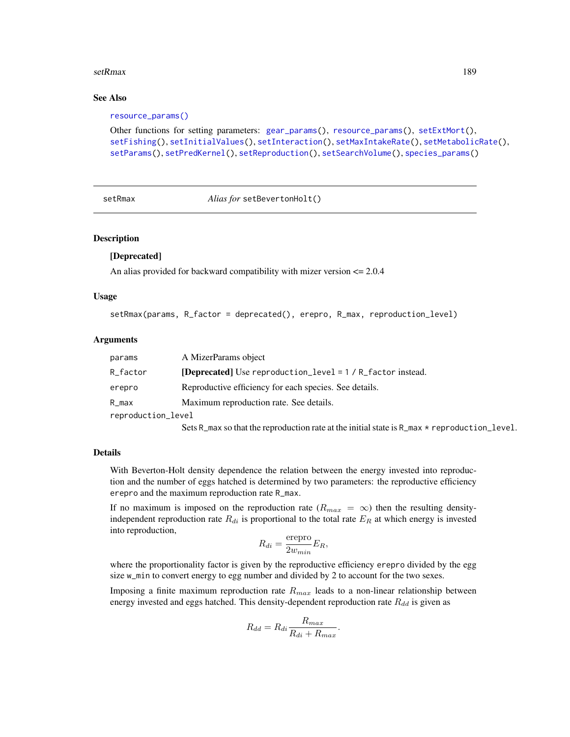#### <span id="page-188-0"></span>setRmax 189

#### See Also

```
resource_params()
```

```
gear_params(resource_params(setExtMort(),
setFishing(), setInitialValues(), setInteraction(), setMaxIntakeRate(), setMetabolicRate(),
setParams(), setPredKernel(), setReproduction(), setSearchVolume(), species_params()
```
setRmax *Alias for* setBevertonHolt()

## Description

# [Deprecated]

An alias provided for backward compatibility with mizer version <= 2.0.4

#### Usage

```
setRmax(params, R_factor = deprecated(), erepro, R_max, reproduction_level)
```
# Arguments

| params             | A MizerParams object                                           |
|--------------------|----------------------------------------------------------------|
| R_factor           | [Deprecated] Use reproduction_level = $1 / R$ _factor instead. |
| erepro             | Reproductive efficiency for each species. See details.         |
| $R_{max}$          | Maximum reproduction rate. See details.                        |
| reproduction_level |                                                                |
|                    |                                                                |

Sets R\_max so that the reproduction rate at the initial state is  $R$ \_max  $*$  reproduction\_level.

#### Details

With Beverton-Holt density dependence the relation between the energy invested into reproduction and the number of eggs hatched is determined by two parameters: the reproductive efficiency erepro and the maximum reproduction rate R\_max.

If no maximum is imposed on the reproduction rate  $(R_{max} = \infty)$  then the resulting densityindependent reproduction rate  $R_{di}$  is proportional to the total rate  $E_R$  at which energy is invested into reproduction,

$$
R_{di} = \frac{\text{erepro}}{2w_{min}} E_R,
$$

where the proportionality factor is given by the reproductive efficiency erepro divided by the egg size w\_min to convert energy to egg number and divided by 2 to account for the two sexes.

Imposing a finite maximum reproduction rate  $R_{max}$  leads to a non-linear relationship between energy invested and eggs hatched. This density-dependent reproduction rate  $R_{dd}$  is given as

$$
R_{dd} = R_{di} \frac{R_{max}}{R_{di} + R_{max}}.
$$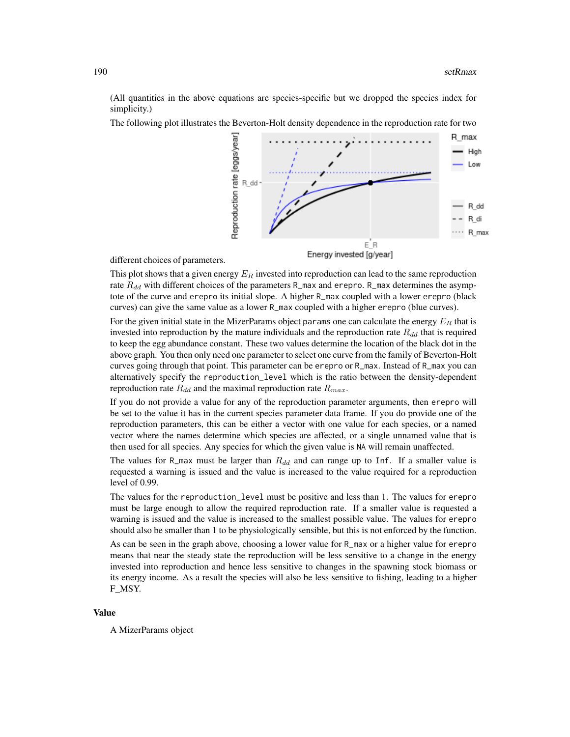(All quantities in the above equations are species-specific but we dropped the species index for simplicity.)

The following plot illustrates the Beverton-Holt density dependence in the reproduction rate for two



different choices of parameters.

This plot shows that a given energy  $E_R$  invested into reproduction can lead to the same reproduction rate  $R_{dd}$  with different choices of the parameters R\_max and erepro. R\_max determines the asymptote of the curve and erepro its initial slope. A higher R\_max coupled with a lower erepro (black curves) can give the same value as a lower R\_max coupled with a higher erepro (blue curves).

For the given initial state in the MizerParams object params one can calculate the energy  $E_R$  that is invested into reproduction by the mature individuals and the reproduction rate  $R_{dd}$  that is required to keep the egg abundance constant. These two values determine the location of the black dot in the above graph. You then only need one parameter to select one curve from the family of Beverton-Holt curves going through that point. This parameter can be erepro or R\_max. Instead of R\_max you can alternatively specify the reproduction\_level which is the ratio between the density-dependent reproduction rate  $R_{dd}$  and the maximal reproduction rate  $R_{max}$ .

If you do not provide a value for any of the reproduction parameter arguments, then erepro will be set to the value it has in the current species parameter data frame. If you do provide one of the reproduction parameters, this can be either a vector with one value for each species, or a named vector where the names determine which species are affected, or a single unnamed value that is then used for all species. Any species for which the given value is NA will remain unaffected.

The values for R\_max must be larger than  $R_{dd}$  and can range up to Inf. If a smaller value is requested a warning is issued and the value is increased to the value required for a reproduction level of 0.99.

The values for the reproduction\_level must be positive and less than 1. The values for erepro must be large enough to allow the required reproduction rate. If a smaller value is requested a warning is issued and the value is increased to the smallest possible value. The values for erepro should also be smaller than 1 to be physiologically sensible, but this is not enforced by the function.

As can be seen in the graph above, choosing a lower value for R\_max or a higher value for erepro means that near the steady state the reproduction will be less sensitive to a change in the energy invested into reproduction and hence less sensitive to changes in the spawning stock biomass or its energy income. As a result the species will also be less sensitive to fishing, leading to a higher F\_MSY.

#### Value

A MizerParams object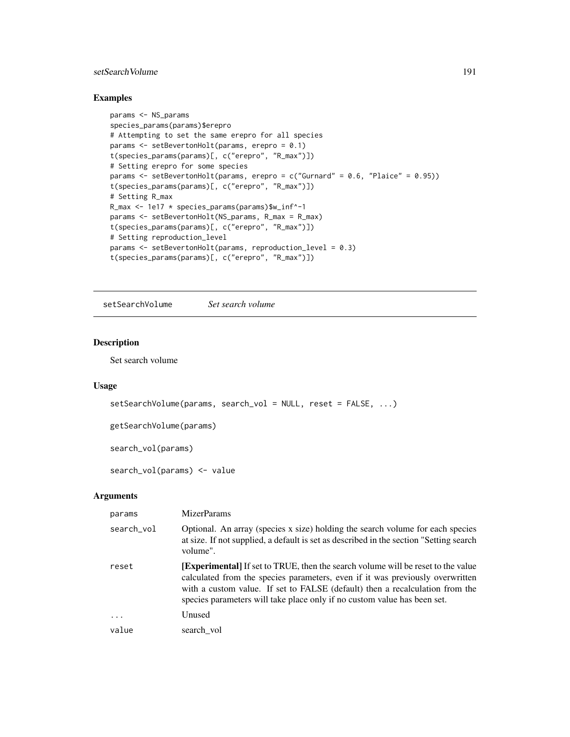# <span id="page-190-1"></span>setSearchVolume 191

# Examples

```
params <- NS_params
species_params(params)$erepro
# Attempting to set the same erepro for all species
params <- setBevertonHolt(params, erepro = 0.1)
t(species_params(params)[, c("erepro", "R_max")])
# Setting erepro for some species
params <- setBevertonHolt(params, erepro = c("Gurnard" = 0.6, "Plaice" = 0.95))
t(species_params(params)[, c("erepro", "R_max")])
# Setting R_max
R_max <- 1e17 * species_params(params)$w_inf^-1
params <- setBevertonHolt(NS_params, R_max = R_max)
t(species_params(params)[, c("erepro", "R_max")])
# Setting reproduction_level
params <- setBevertonHolt(params, reproduction_level = 0.3)
t(species_params(params)[, c("erepro", "R_max")])
```
<span id="page-190-0"></span>setSearchVolume *Set search volume*

# Description

Set search volume

#### Usage

```
setSearchVolume(params, search_vol = NULL, reset = FALSE, ...)
getSearchVolume(params)
search_vol(params)
```
search\_vol(params) <- value

#### Arguments

| params     | <b>MizerParams</b>                                                                                                                                                                                                                                                                                                                   |
|------------|--------------------------------------------------------------------------------------------------------------------------------------------------------------------------------------------------------------------------------------------------------------------------------------------------------------------------------------|
| search_vol | Optional. An array (species x size) holding the search volume for each species<br>at size. If not supplied, a default is set as described in the section "Setting search"<br>volume".                                                                                                                                                |
| reset      | <b>[Experimental]</b> If set to TRUE, then the search volume will be reset to the value<br>calculated from the species parameters, even if it was previously overwritten<br>with a custom value. If set to FALSE (default) then a recalculation from the<br>species parameters will take place only if no custom value has been set. |
| $\cdots$   | Unused                                                                                                                                                                                                                                                                                                                               |
| value      | search vol                                                                                                                                                                                                                                                                                                                           |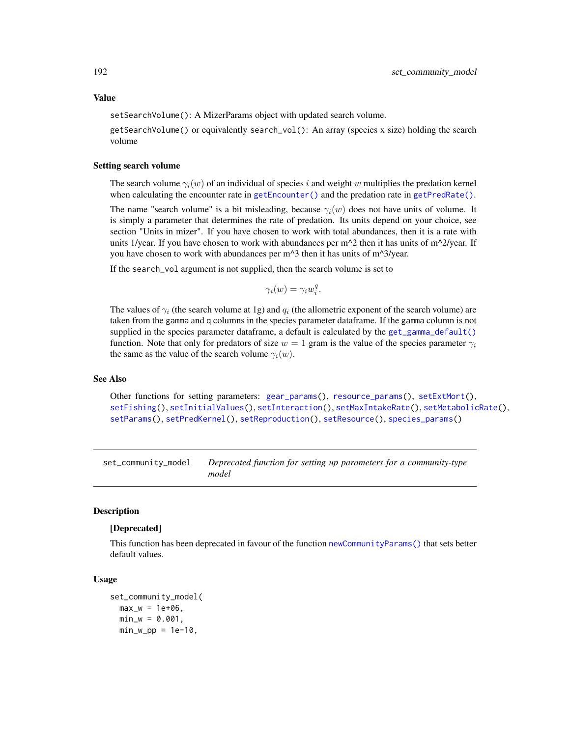<span id="page-191-0"></span>setSearchVolume(): A MizerParams object with updated search volume.

getSearchVolume() or equivalently search\_vol(): An array (species x size) holding the search volume

# Setting search volume

The search volume  $\gamma_i(w)$  of an individual of species i and weight w multiplies the predation kernel when calculating the encounter rate in [getEncounter\(\)](#page-28-0) and the predation rate in [getPredRate\(\)](#page-50-0).

The name "search volume" is a bit misleading, because  $\gamma_i(w)$  does not have units of volume. It is simply a parameter that determines the rate of predation. Its units depend on your choice, see section "Units in mizer". If you have chosen to work with total abundances, then it is a rate with units 1/year. If you have chosen to work with abundances per  $m^2$  then it has units of  $m^2$ /year. If you have chosen to work with abundances per m^3 then it has units of m^3/year.

If the search\_vol argument is not supplied, then the search volume is set to

$$
\gamma_i(w) = \gamma_i w_i^q.
$$

The values of  $\gamma_i$  (the search volume at 1g) and  $q_i$  (the allometric exponent of the search volume) are taken from the gamma and q columns in the species parameter dataframe. If the gamma column is not supplied in the species parameter dataframe, a default is calculated by the [get\\_gamma\\_default\(\)](#page-64-0) function. Note that only for predators of size  $w = 1$  gram is the value of the species parameter  $\gamma_i$ the same as the value of the search volume  $\gamma_i(w)$ .

# See Also

Other functions for setting parameters: [gear\\_params\(](#page-21-0)), [resource\\_params\(](#page-150-0)), [setExtMort\(](#page-160-0)), [setFishing\(](#page-161-0)), [setInitialValues\(](#page-164-0)), [setInteraction\(](#page-165-0)), [setMaxIntakeRate\(](#page-167-0)), [setMetabolicRate\(](#page-168-0)), [setParams\(](#page-170-0)), [setPredKernel\(](#page-179-1)), [setReproduction\(](#page-183-0)), [setResource\(](#page-186-0)), [species\\_params\(](#page-200-0))

set\_community\_model *Deprecated function for setting up parameters for a community-type model*

# Description

#### [Deprecated]

This function has been deprecated in favour of the function [newCommunityParams\(\)](#page-97-0) that sets better default values.

#### Usage

```
set_community_model(
 max_w = 1e+06,
  min_w = 0.001,
 min_w\_pp = 1e-10,
```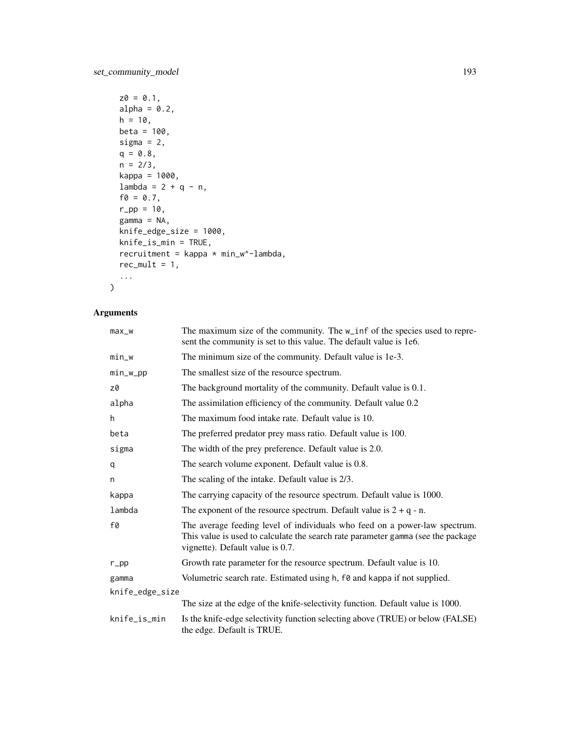```
z0 = 0.1,
alpha = 0.2,
h = 10,
beta = 100,
sigma = 2,
q = 0.8,
n = 2/3,
kappa = 1000,
lambda = 2 + q - n,
f0 = 0.7,
r_{p} = 10,
gamma = NA,
knife_edge_size = 1000,
knife_is_min = TRUE,
recruitment = kappa * min_w^-lambda,
rec\_mult = 1,...
```
# Arguments

 $\mathcal{L}$ 

| $max_w$         | The maximum size of the community. The w_inf of the species used to repre-<br>sent the community is set to this value. The default value is 1e6.                                                   |  |
|-----------------|----------------------------------------------------------------------------------------------------------------------------------------------------------------------------------------------------|--|
| $min_w$         | The minimum size of the community. Default value is 1e-3.                                                                                                                                          |  |
| $min_w$         | The smallest size of the resource spectrum.                                                                                                                                                        |  |
| z0              | The background mortality of the community. Default value is 0.1.                                                                                                                                   |  |
| alpha           | The assimilation efficiency of the community. Default value 0.2                                                                                                                                    |  |
| h.              | The maximum food intake rate. Default value is 10.                                                                                                                                                 |  |
| beta            | The preferred predator prey mass ratio. Default value is 100.                                                                                                                                      |  |
| sigma           | The width of the prey preference. Default value is 2.0.                                                                                                                                            |  |
| q               | The search volume exponent. Default value is 0.8.                                                                                                                                                  |  |
| n               | The scaling of the intake. Default value is 2/3.                                                                                                                                                   |  |
| kappa           | The carrying capacity of the resource spectrum. Default value is 1000.                                                                                                                             |  |
| lambda          | The exponent of the resource spectrum. Default value is $2 + q - n$ .                                                                                                                              |  |
| f0              | The average feeding level of individuals who feed on a power-law spectrum.<br>This value is used to calculate the search rate parameter gamma (see the package<br>vignette). Default value is 0.7. |  |
| $r$ _pp         | Growth rate parameter for the resource spectrum. Default value is 10.                                                                                                                              |  |
| gamma           | Volumetric search rate. Estimated using h, fo and kappa if not supplied.                                                                                                                           |  |
| knife_edge_size |                                                                                                                                                                                                    |  |
|                 | The size at the edge of the knife-selectivity function. Default value is 1000.                                                                                                                     |  |
| knife_is_min    | Is the knife-edge selectivity function selecting above (TRUE) or below (FALSE)<br>the edge. Default is TRUE.                                                                                       |  |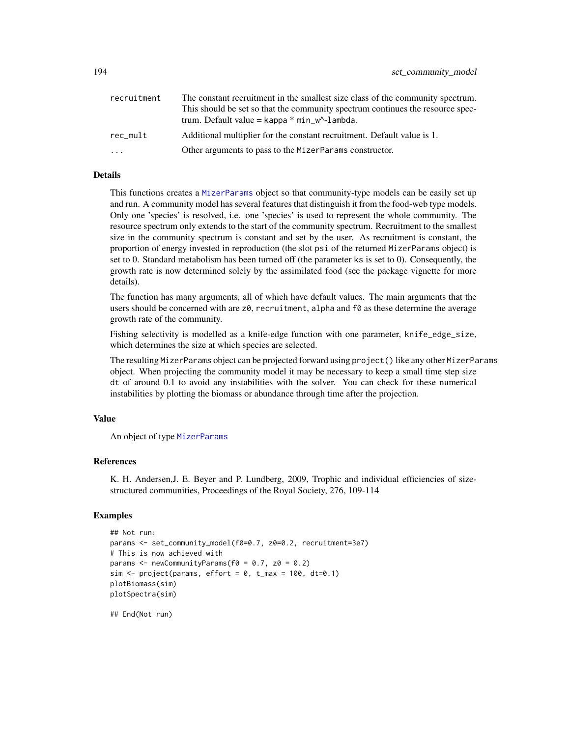| recruitment             | The constant recruitment in the smallest size class of the community spectrum.<br>This should be set so that the community spectrum continues the resource spec-<br>trum. Default value = $kappa * min_w^{\Lambda}$ -lambda. |
|-------------------------|------------------------------------------------------------------------------------------------------------------------------------------------------------------------------------------------------------------------------|
| rec mult                | Additional multiplier for the constant recruitment. Default value is 1.                                                                                                                                                      |
| $\cdot$ $\cdot$ $\cdot$ | Other arguments to pass to the MizerParams constructor.                                                                                                                                                                      |

# Details

This functions creates a [MizerParams](#page-87-0) object so that community-type models can be easily set up and run. A community model has several features that distinguish it from the food-web type models. Only one 'species' is resolved, i.e. one 'species' is used to represent the whole community. The resource spectrum only extends to the start of the community spectrum. Recruitment to the smallest size in the community spectrum is constant and set by the user. As recruitment is constant, the proportion of energy invested in reproduction (the slot psi of the returned MizerParams object) is set to 0. Standard metabolism has been turned off (the parameter ks is set to 0). Consequently, the growth rate is now determined solely by the assimilated food (see the package vignette for more details).

The function has many arguments, all of which have default values. The main arguments that the users should be concerned with are  $z\theta$ , recruitment, alpha and f0 as these determine the average growth rate of the community.

Fishing selectivity is modelled as a knife-edge function with one parameter, knife\_edge\_size, which determines the size at which species are selected.

The resulting MizerParams object can be projected forward using project() like any other MizerParams object. When projecting the community model it may be necessary to keep a small time step size dt of around 0.1 to avoid any instabilities with the solver. You can check for these numerical instabilities by plotting the biomass or abundance through time after the projection.

#### Value

An object of type [MizerParams](#page-87-0)

#### References

K. H. Andersen,J. E. Beyer and P. Lundberg, 2009, Trophic and individual efficiencies of sizestructured communities, Proceedings of the Royal Society, 276, 109-114

# Examples

```
## Not run:
params <- set_community_model(f0=0.7, z0=0.2, recruitment=3e7)
# This is now achieved with
params \leq newCommunityParams(f0 = 0.7, z0 = 0.2)
sim < project(params, effort = 0, t_max = 100, dt=0.1)
plotBiomass(sim)
plotSpectra(sim)
```
## End(Not run)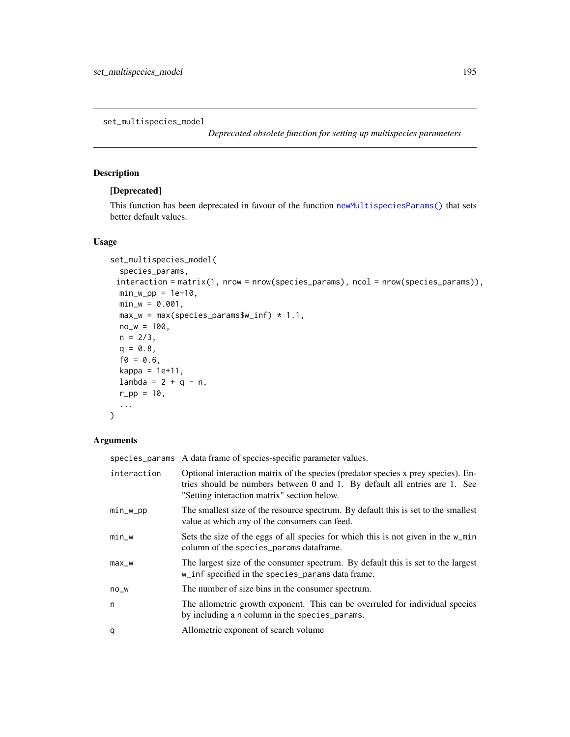<span id="page-194-0"></span>set\_multispecies\_model

*Deprecated obsolete function for setting up multispecies parameters*

# Description

# [Deprecated]

This function has been deprecated in favour of the function [newMultispeciesParams\(\)](#page-99-0) that sets better default values.

# Usage

```
set_multispecies_model(
  species_params,
 interaction = matrix(1, nrow = nrow(species_params), ncol = nrow(species_params)),
 min_w\_pp = 1e-10,
 min_w = 0.001,max_w = max(species\_params\{w_info}) * 1.1,
 no_w = 100,n = 2/3,
 q = 0.8,
 f0 = 0.6,
 kappa = 1e+11,
 lambda = 2 + q - n,
 r_{p} = 10,
  ...
\mathcal{L}
```
# Arguments

|             | species_params A data frame of species-specific parameter values.                                                                                                                                              |
|-------------|----------------------------------------------------------------------------------------------------------------------------------------------------------------------------------------------------------------|
| interaction | Optional interaction matrix of the species (predator species x prey species). En-<br>tries should be numbers between 0 and 1. By default all entries are 1. See<br>"Setting interaction matrix" section below. |
| min_w_pp    | The smallest size of the resource spectrum. By default this is set to the smallest<br>value at which any of the consumers can feed.                                                                            |
| $min_w$     | Sets the size of the eggs of all species for which this is not given in the w_min<br>column of the species_params dataframe.                                                                                   |
| $max_w$     | The largest size of the consumer spectrum. By default this is set to the largest<br>w_inf specified in the species_params data frame.                                                                          |
| $no_w$      | The number of size bins in the consumer spectrum.                                                                                                                                                              |
| n           | The allometric growth exponent. This can be overruled for individual species<br>by including a n column in the species_params.                                                                                 |
| q           | Allometric exponent of search volume.                                                                                                                                                                          |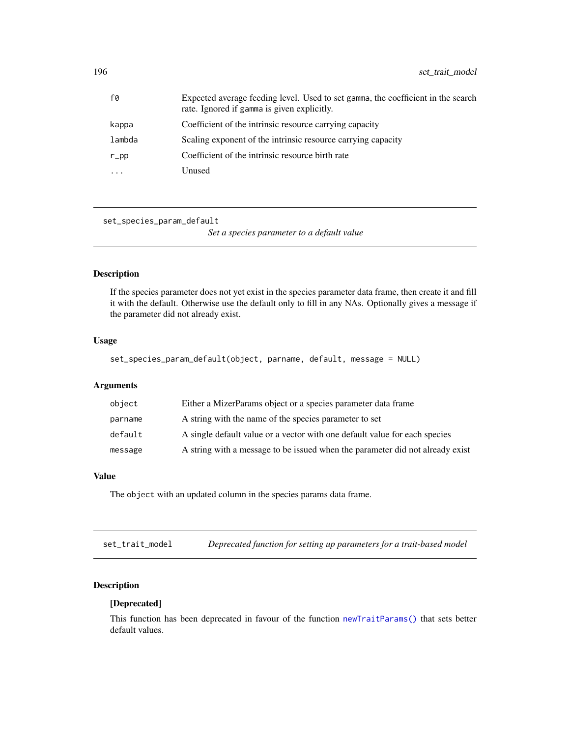<span id="page-195-0"></span>

| f0     | Expected average feeding level. Used to set gamma, the coefficient in the search<br>rate. Ignored if gamma is given explicitly. |
|--------|---------------------------------------------------------------------------------------------------------------------------------|
| kappa  | Coefficient of the intrinsic resource carrying capacity                                                                         |
| lambda | Scaling exponent of the intrinsic resource carrying capacity                                                                    |
| r_pp   | Coefficient of the intrinsic resource birth rate                                                                                |
| .      | Unused                                                                                                                          |

set\_species\_param\_default

*Set a species parameter to a default value*

# Description

If the species parameter does not yet exist in the species parameter data frame, then create it and fill it with the default. Otherwise use the default only to fill in any NAs. Optionally gives a message if the parameter did not already exist.

#### Usage

```
set_species_param_default(object, parname, default, message = NULL)
```
# Arguments

| object  | Either a MizerParams object or a species parameter data frame                 |
|---------|-------------------------------------------------------------------------------|
| parname | A string with the name of the species parameter to set                        |
| default | A single default value or a vector with one default value for each species    |
| message | A string with a message to be issued when the parameter did not already exist |

# Value

The object with an updated column in the species params data frame.

set\_trait\_model *Deprecated function for setting up parameters for a trait-based model*

# Description

# [Deprecated]

This function has been deprecated in favour of the function [newTraitParams\(\)](#page-111-0) that sets better default values.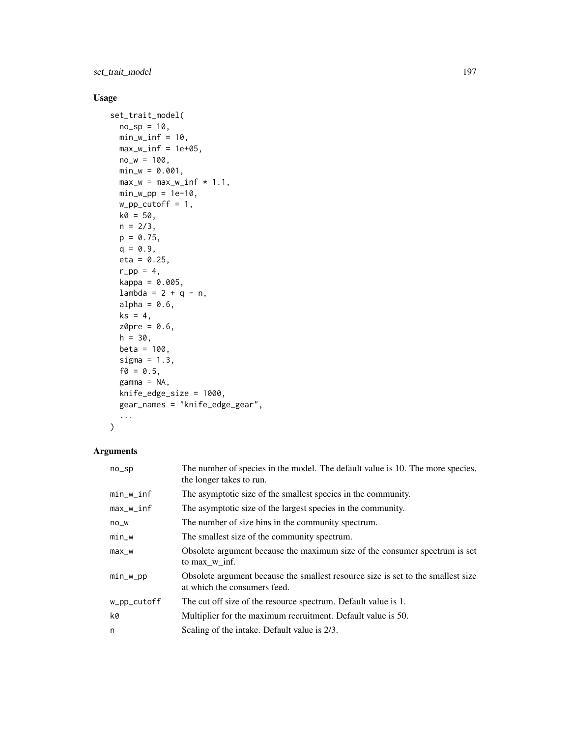set\_trait\_model 197

# Usage

```
set_trait_model(
 no_sp = 10,min_w\_inf = 10,
 max_w_inf = 1e+05,
 no_w = 100,min_w = 0.001,max_w = max_w\_inf \times 1.1,
 min_w\_pp = 1e-10,
 w\_pp\_cutoff = 1,k0 = 50,
 n = 2/3,
 p = 0.75,
 q = 0.9,
 eta = 0.25,
 r<sub>-pp</sub> = 4,
 kappa = 0.005,
 lambda = 2 + q - n,
  alpha = 0.6,
 ks = 4,
 z0pre = 0.6,
 h = 30,beta = 100,
  sigma = 1.3,
  f0 = 0.5,
  gamma = NA,
 knife_edge_size = 1000,
  gear_names = "knife_edge_gear",
  ...
\mathcal{L}
```
# Arguments

| $no$ _sp     | The number of species in the model. The default value is 10. The more species,<br>the longer takes to run.       |
|--------------|------------------------------------------------------------------------------------------------------------------|
| $min_w$ _inf | The asymptotic size of the smallest species in the community.                                                    |
| max_w_inf    | The asymptotic size of the largest species in the community.                                                     |
| $no_w$       | The number of size bins in the community spectrum.                                                               |
| $min_w$      | The smallest size of the community spectrum.                                                                     |
| $max_w$      | Obsolete argument because the maximum size of the consumer spectrum is set<br>to max w inf.                      |
| $min_w$      | Obsolete argument because the smallest resource size is set to the smallest size<br>at which the consumers feed. |
| w_pp_cutoff  | The cut off size of the resource spectrum. Default value is 1.                                                   |
| k0           | Multiplier for the maximum recruitment. Default value is 50.                                                     |
| n            | Scaling of the intake. Default value is 2/3.                                                                     |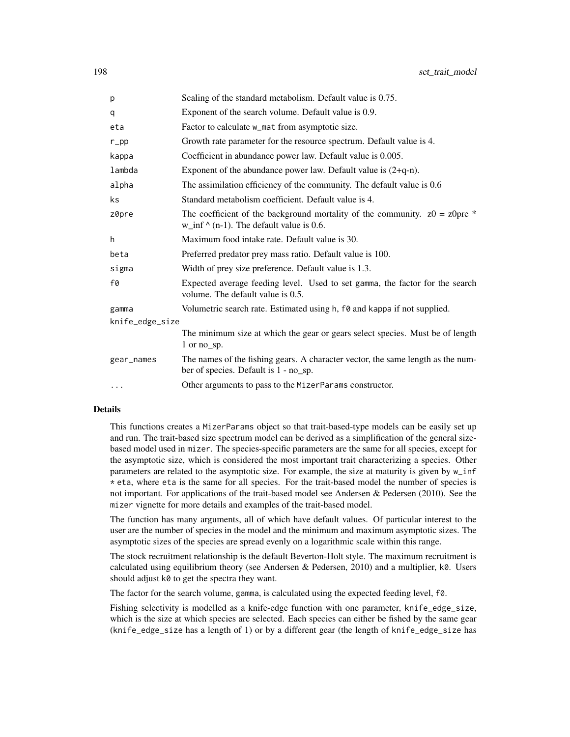| p               | Scaling of the standard metabolism. Default value is 0.75.                                                                       |  |
|-----------------|----------------------------------------------------------------------------------------------------------------------------------|--|
| q               | Exponent of the search volume. Default value is 0.9.                                                                             |  |
| eta             | Factor to calculate w_mat from asymptotic size.                                                                                  |  |
| $r$ _pp         | Growth rate parameter for the resource spectrum. Default value is 4.                                                             |  |
| kappa           | Coefficient in abundance power law. Default value is 0.005.                                                                      |  |
| lambda          | Exponent of the abundance power law. Default value is $(2+q-n)$ .                                                                |  |
| alpha           | The assimilation efficiency of the community. The default value is 0.6                                                           |  |
| ks              | Standard metabolism coefficient. Default value is 4.                                                                             |  |
| z0pre           | The coefficient of the background mortality of the community. $z0 = z0$ pre *<br>w_inf $\wedge$ (n-1). The default value is 0.6. |  |
| h               | Maximum food intake rate. Default value is 30.                                                                                   |  |
| beta            | Preferred predator prey mass ratio. Default value is 100.                                                                        |  |
| sigma           | Width of prey size preference. Default value is 1.3.                                                                             |  |
| f0              | Expected average feeding level. Used to set gamma, the factor for the search<br>volume. The default value is 0.5.                |  |
| gamma           | Volumetric search rate. Estimated using h, f0 and kappa if not supplied.                                                         |  |
| knife_edge_size |                                                                                                                                  |  |
|                 | The minimum size at which the gear or gears select species. Must be of length<br>1 or no sp.                                     |  |
| gear_names      | The names of the fishing gears. A character vector, the same length as the num-<br>ber of species. Default is 1 - no_sp.         |  |
| $\ddotsc$       | Other arguments to pass to the MizerParams constructor.                                                                          |  |

# Details

This functions creates a MizerParams object so that trait-based-type models can be easily set up and run. The trait-based size spectrum model can be derived as a simplification of the general sizebased model used in mizer. The species-specific parameters are the same for all species, except for the asymptotic size, which is considered the most important trait characterizing a species. Other parameters are related to the asymptotic size. For example, the size at maturity is given by w\_inf \* eta, where eta is the same for all species. For the trait-based model the number of species is not important. For applications of the trait-based model see Andersen & Pedersen (2010). See the mizer vignette for more details and examples of the trait-based model.

The function has many arguments, all of which have default values. Of particular interest to the user are the number of species in the model and the minimum and maximum asymptotic sizes. The asymptotic sizes of the species are spread evenly on a logarithmic scale within this range.

The stock recruitment relationship is the default Beverton-Holt style. The maximum recruitment is calculated using equilibrium theory (see Andersen & Pedersen, 2010) and a multiplier,  $k\theta$ . Users should adjust k0 to get the spectra they want.

The factor for the search volume, gamma, is calculated using the expected feeding level, f0.

Fishing selectivity is modelled as a knife-edge function with one parameter, knife\_edge\_size, which is the size at which species are selected. Each species can either be fished by the same gear (knife\_edge\_size has a length of 1) or by a different gear (the length of knife\_edge\_size has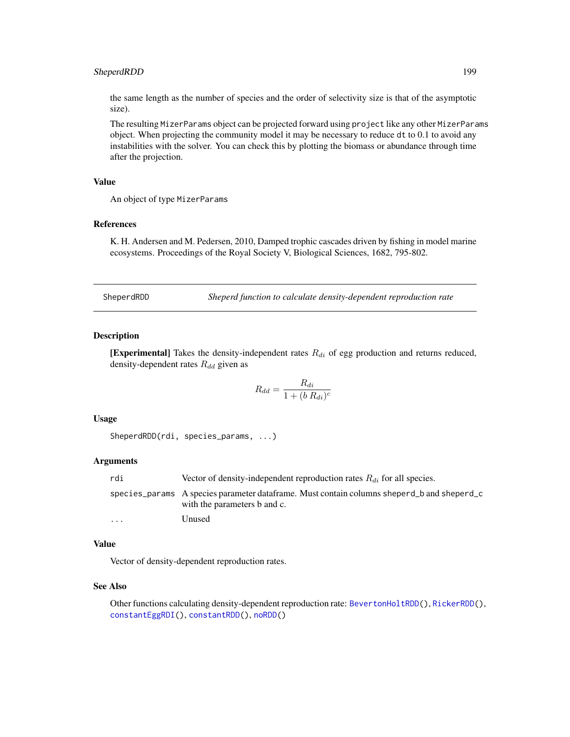# <span id="page-198-1"></span>SheperdRDD 199

the same length as the number of species and the order of selectivity size is that of the asymptotic size).

The resulting MizerParams object can be projected forward using project like any other MizerParams object. When projecting the community model it may be necessary to reduce dt to 0.1 to avoid any instabilities with the solver. You can check this by plotting the biomass or abundance through time after the projection.

#### Value

An object of type MizerParams

#### References

K. H. Andersen and M. Pedersen, 2010, Damped trophic cascades driven by fishing in model marine ecosystems. Proceedings of the Royal Society V, Biological Sciences, 1682, 795-802.

<span id="page-198-0"></span>

SheperdRDD *Sheperd function to calculate density-dependent reproduction rate*

#### Description

[Experimental] Takes the density-independent rates  $R_{di}$  of egg production and returns reduced, density-dependent rates  $R_{dd}$  given as

$$
R_{dd} = \frac{R_{di}}{1 + (b R_{di})^c}
$$

#### Usage

```
SheperdRDD(rdi, species_params, ...)
```
#### Arguments

| rdi     | Vector of density-independent reproduction rates $R_{di}$ for all species.                                                 |
|---------|----------------------------------------------------------------------------------------------------------------------------|
|         | species_params A species parameter dataframe. Must contain columns sheperd b and sheperd c<br>with the parameters b and c. |
| $\cdot$ | Unused                                                                                                                     |

#### Value

Vector of density-dependent reproduction rates.

#### See Also

Other functions calculating density-dependent reproduction rate: [BevertonHoltRDD\(](#page-8-0)), [RickerRDD\(](#page-153-0)), [constantEggRDI\(](#page-12-0)), [constantRDD\(](#page-13-0)), [noRDD\(](#page-115-0))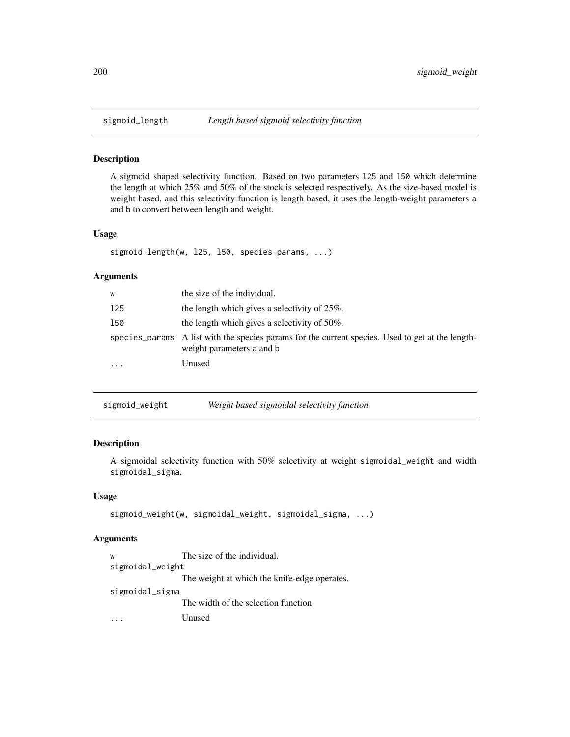# Description

A sigmoid shaped selectivity function. Based on two parameters l25 and l50 which determine the length at which 25% and 50% of the stock is selected respectively. As the size-based model is weight based, and this selectivity function is length based, it uses the length-weight parameters a and b to convert between length and weight.

#### Usage

sigmoid\_length(w, l25, l50, species\_params, ...)

# Arguments

| W         | the size of the individual.                                                                                                    |
|-----------|--------------------------------------------------------------------------------------------------------------------------------|
| 125       | the length which gives a selectivity of $25\%$ .                                                                               |
| 150       | the length which gives a selectivity of $50\%$ .                                                                               |
|           | species_params A list with the species params for the current species. Used to get at the length-<br>weight parameters a and b |
| $\ddotsc$ | Unused                                                                                                                         |

| sigmoid_weight | Weight based sigmoidal selectivity function |
|----------------|---------------------------------------------|
|                |                                             |

# Description

A sigmoidal selectivity function with 50% selectivity at weight sigmoidal\_weight and width sigmoidal\_sigma.

# Usage

```
sigmoid_weight(w, sigmoidal_weight, sigmoidal_sigma, ...)
```
# Arguments

| W                | The size of the individual. |  |
|------------------|-----------------------------|--|
| sigmoidal_weight |                             |  |

The weight at which the knife-edge operates.

sigmoidal\_sigma

The width of the selection function

... Unused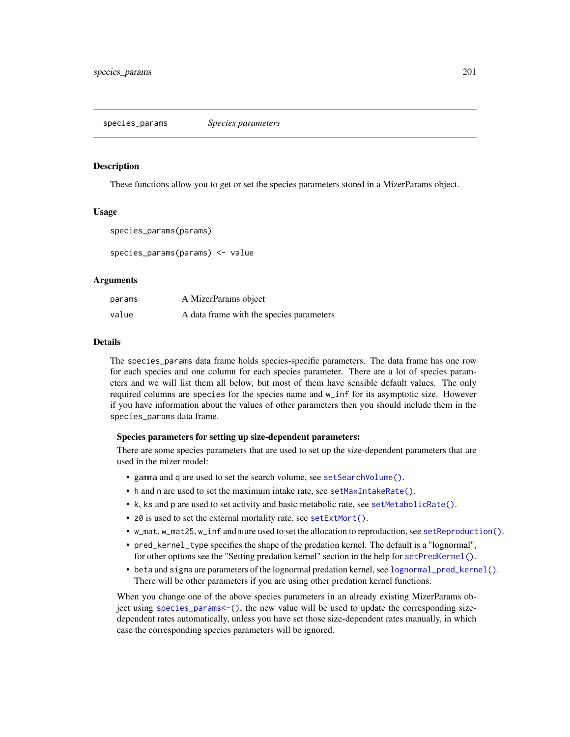#### <span id="page-200-2"></span><span id="page-200-1"></span><span id="page-200-0"></span>Description

These functions allow you to get or set the species parameters stored in a MizerParams object.

#### Usage

```
species_params(params)
```
species\_params(params) <- value

# Arguments

| params | A MizerParams object                     |
|--------|------------------------------------------|
| value  | A data frame with the species parameters |

# Details

The species\_params data frame holds species-specific parameters. The data frame has one row for each species and one column for each species parameter. There are a lot of species parameters and we will list them all below, but most of them have sensible default values. The only required columns are species for the species name and w\_inf for its asymptotic size. However if you have information about the values of other parameters then you should include them in the species\_params data frame.

#### Species parameters for setting up size-dependent parameters:

There are some species parameters that are used to set up the size-dependent parameters that are used in the mizer model:

- gamma and q are used to set the search volume, see [setSearchVolume\(\)](#page-190-0).
- h and n are used to set the maximum intake rate, see [setMaxIntakeRate\(\)](#page-167-0).
- k, ks and p are used to set activity and basic metabolic rate, see [setMetabolicRate\(\)](#page-168-0).
- z0 is used to set the external mortality rate, see [setExtMort\(\)](#page-160-0).
- w\_mat, w\_mat25, w\_inf and m are used to set the allocation to reproduction, see [setReproduction\(\)](#page-183-0).
- pred\_kernel\_type specifies the shape of the predation kernel. The default is a "lognormal", for other options see the "Setting predation kernel" section in the help for [setPredKernel\(\)](#page-179-1).
- beta and sigma are parameters of the lognormal predation kernel, see [lognormal\\_pred\\_kernel\(\)](#page-73-0). There will be other parameters if you are using other predation kernel functions.

When you change one of the above species parameters in an already existing MizerParams object using [species\\_params<-\(\)](#page-200-1), the new value will be used to update the corresponding sizedependent rates automatically, unless you have set those size-dependent rates manually, in which case the corresponding species parameters will be ignored.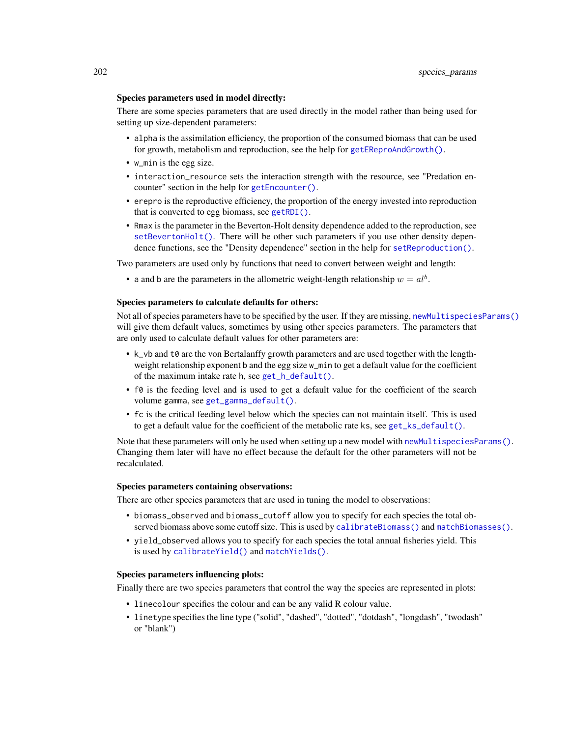#### <span id="page-201-0"></span>Species parameters used in model directly:

There are some species parameters that are used directly in the model rather than being used for setting up size-dependent parameters:

- alpha is the assimilation efficiency, the proportion of the consumed biomass that can be used for growth, metabolism and reproduction, see the help for [getEReproAndGrowth\(\)](#page-31-0).
- w\_min is the egg size.
- interaction\_resource sets the interaction strength with the resource, see "Predation encounter" section in the help for [getEncounter\(\)](#page-28-0).
- erepro is the reproductive efficiency, the proportion of the energy invested into reproduction that is converted to egg biomass, see [getRDI\(\)](#page-56-0).
- Rmax is the parameter in the Beverton-Holt density dependence added to the reproduction, see  $set$ Beverton $H$ olt $()$ . There will be other such parameters if you use other density dependence functions, see the "Density dependence" section in the help for [setReproduction\(\)](#page-183-0).

Two parameters are used only by functions that need to convert between weight and length:

• a and b are the parameters in the allometric weight-length relationship  $w = a l^{b}$ .

#### Species parameters to calculate defaults for others:

Not all of species parameters have to be specified by the user. If they are missing, [newMultispeciesParams\(\)](#page-99-0) will give them default values, sometimes by using other species parameters. The parameters that are only used to calculate default values for other parameters are:

- k\_vb and t0 are the von Bertalanffy growth parameters and are used together with the lengthweight relationship exponent b and the egg size w\_min to get a default value for the coefficient of the maximum intake rate h, see  $get_h\det(A).$
- f0 is the feeding level and is used to get a default value for the coefficient of the search volume gamma, see [get\\_gamma\\_default\(\)](#page-64-0).
- fc is the critical feeding level below which the species can not maintain itself. This is used to get a default value for the coefficient of the metabolic rate ks, see [get\\_ks\\_default\(\)](#page-65-0).

Note that these parameters will only be used when setting up a new model with [newMultispeciesParams\(\)](#page-99-0). Changing them later will have no effect because the default for the other parameters will not be recalculated.

#### Species parameters containing observations:

There are other species parameters that are used in tuning the model to observations:

- biomass\_observed and biomass\_cutoff allow you to specify for each species the total observed biomass above some cutoff size. This is used by [calibrateBiomass\(\)](#page-10-0) and [matchBiomasses\(\)](#page-74-0).
- yield\_observed allows you to specify for each species the total annual fisheries yield. This is used by [calibrateYield\(\)](#page-11-0) and [matchYields\(\)](#page-75-0).

#### Species parameters influencing plots:

Finally there are two species parameters that control the way the species are represented in plots:

- linecolour specifies the colour and can be any valid R colour value.
- linetype specifies the line type ("solid", "dashed", "dotted", "dotdash", "longdash", "twodash" or "blank")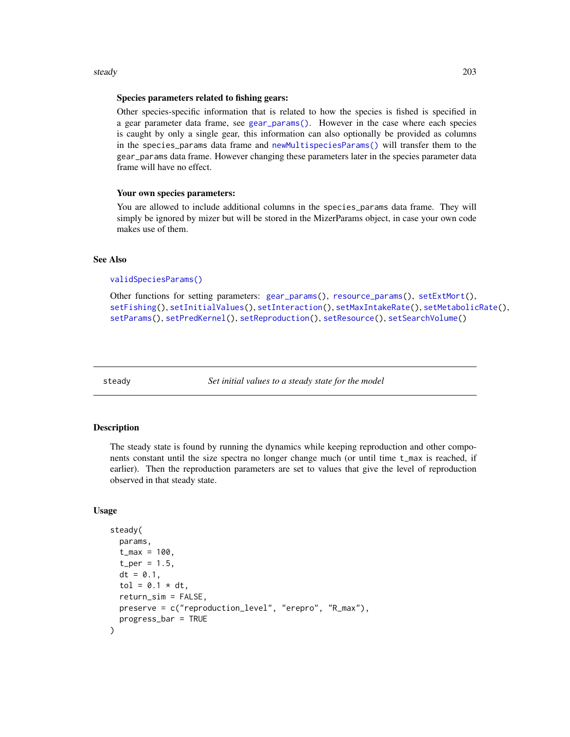#### <span id="page-202-0"></span>steady 203

#### Species parameters related to fishing gears:

Other species-specific information that is related to how the species is fished is specified in a gear parameter data frame, see [gear\\_params\(\)](#page-21-0). However in the case where each species is caught by only a single gear, this information can also optionally be provided as columns in the species\_params data frame and [newMultispeciesParams\(\)](#page-99-0) will transfer them to the gear\_params data frame. However changing these parameters later in the species parameter data frame will have no effect.

#### Your own species parameters:

You are allowed to include additional columns in the species\_params data frame. They will simply be ignored by mizer but will be stored in the MizerParams object, in case your own code makes use of them.

# See Also

#### [validSpeciesParams\(\)](#page-209-0)

Other functions for setting parameters: [gear\\_params\(](#page-21-0)), [resource\\_params\(](#page-150-0)), [setExtMort\(](#page-160-0)), [setFishing\(](#page-161-0)), [setInitialValues\(](#page-164-0)), [setInteraction\(](#page-165-0)), [setMaxIntakeRate\(](#page-167-0)), [setMetabolicRate\(](#page-168-0)), [setParams\(](#page-170-0)), [setPredKernel\(](#page-179-1)), [setReproduction\(](#page-183-0)), [setResource\(](#page-186-0)), [setSearchVolume\(](#page-190-0))

steady *Set initial values to a steady state for the model*

#### Description

The steady state is found by running the dynamics while keeping reproduction and other components constant until the size spectra no longer change much (or until time t\_max is reached, if earlier). Then the reproduction parameters are set to values that give the level of reproduction observed in that steady state.

#### Usage

```
steady(
  params,
  t_{max} = 100,
  t_{per} = 1.5,
  dt = 0.1,
  tol = 0.1 * dt,
  return_sim = FALSE,
 preserve = c("reproduction_level", "erepro", "R_max"),
 progress_bar = TRUE
)
```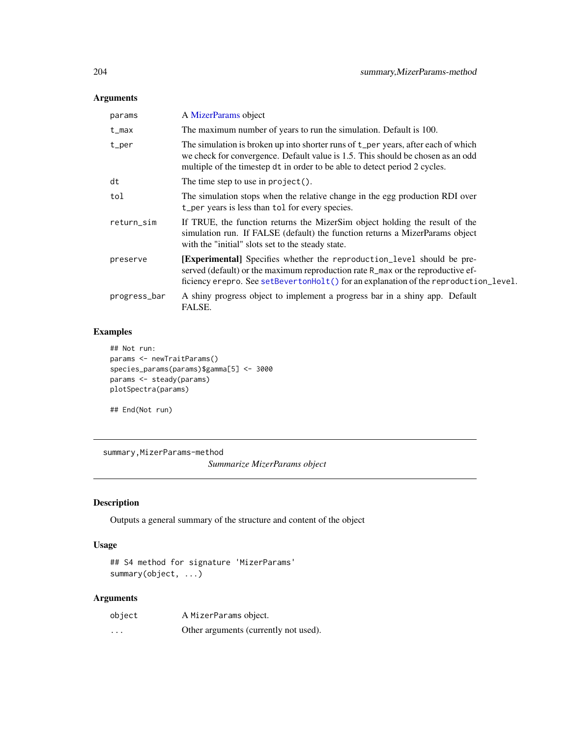# <span id="page-203-0"></span>Arguments

| params       | A MizerParams object                                                                                                                                                                                                                               |
|--------------|----------------------------------------------------------------------------------------------------------------------------------------------------------------------------------------------------------------------------------------------------|
| t_max        | The maximum number of years to run the simulation. Default is 100.                                                                                                                                                                                 |
| t_per        | The simulation is broken up into shorter runs of t_per years, after each of which<br>we check for convergence. Default value is 1.5. This should be chosen as an odd<br>multiple of the timestep dt in order to be able to detect period 2 cycles. |
| dt           | The time step to use in $project()$ .                                                                                                                                                                                                              |
| tol          | The simulation stops when the relative change in the egg production RDI over<br>t <u>per</u> years is less than tol for every species.                                                                                                             |
| return_sim   | If TRUE, the function returns the MizerSim object holding the result of the<br>simulation run. If FALSE (default) the function returns a MizerParams object<br>with the "initial" slots set to the steady state.                                   |
| preserve     | [Experimental] Specifies whether the reproduction_level should be pre-<br>served (default) or the maximum reproduction rate R_max or the reproductive ef-<br>ficiency erepro. See setBevertonHolt() for an explanation of the reproduction_level.  |
| progress_bar | A shiny progress object to implement a progress bar in a shiny app. Default<br>FALSE.                                                                                                                                                              |

# Examples

## Not run: params <- newTraitParams() species\_params(params)\$gamma[5] <- 3000 params <- steady(params) plotSpectra(params)

## End(Not run)

summary,MizerParams-method

*Summarize MizerParams object*

# Description

Outputs a general summary of the structure and content of the object

# Usage

## S4 method for signature 'MizerParams' summary(object, ...)

# Arguments

| object                  | A MizerParams object.                 |
|-------------------------|---------------------------------------|
| $\cdot$ $\cdot$ $\cdot$ | Other arguments (currently not used). |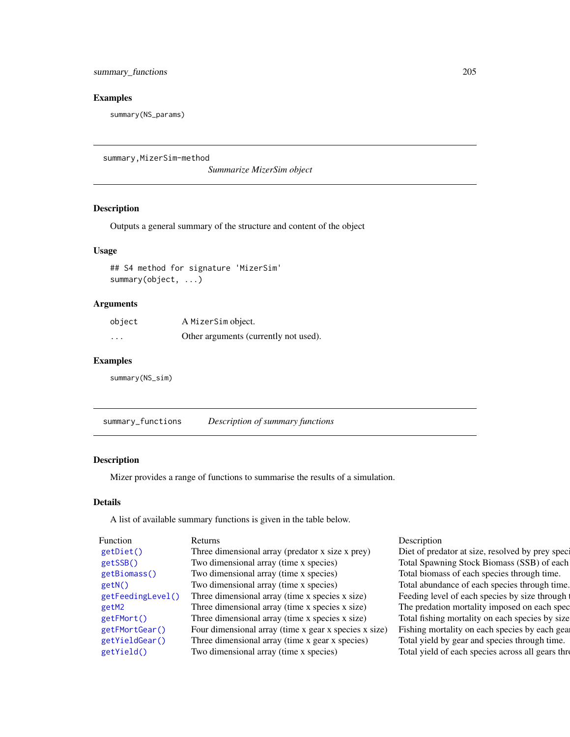<span id="page-204-0"></span>summary\_functions 205

#### Examples

summary(NS\_params)

summary, MizerSim-method

*Summarize MizerSim object*

#### Description

Outputs a general summary of the structure and content of the object

# Usage

## S4 method for signature 'MizerSim' summary(object, ...)

#### Arguments

| object            | A MizerSim object.                    |
|-------------------|---------------------------------------|
| $\cdot\cdot\cdot$ | Other arguments (currently not used). |

#### Examples

summary(NS\_sim)

summary\_functions *Description of summary functions*

# Description

Mizer provides a range of functions to summarise the results of a simulation.

#### Details

A list of available summary functions is given in the table below.

| Function          | Returns                                               |       |
|-------------------|-------------------------------------------------------|-------|
| getDiet()         | Three dimensional array (predator x size x prey)      | D     |
| getSSB()          | Two dimensional array (time x species)                | Τ     |
| getBiomass()      | Two dimensional array (time x species)                | T     |
| getN()            | Two dimensional array (time x species)                | т     |
| getFeedingLevel() | Three dimensional array (time x species x size)       | $F_1$ |
| getM2             | Three dimensional array (time x species x size)       | т     |
| getFMort()        | Three dimensional array (time x species x size)       | T     |
| getFMortGear()    | Four dimensional array (time x gear x species x size) | F     |
| getYieldGear()    | Three dimensional array (time x gear x species)       | т     |
| getYield()        | Two dimensional array (time x species)                | т     |
|                   |                                                       |       |

escription

biet of predator at size, resolved by prey spec otal Spawning Stock Biomass (SSB) of each otal biomass of each species through time. otal abundance of each species through time. eeding level of each species by size through he predation mortality imposed on each species otal fishing mortality on each species by size ishing mortality on each species by each gea otal yield by gear and species through time. otal yield of each species across all gears through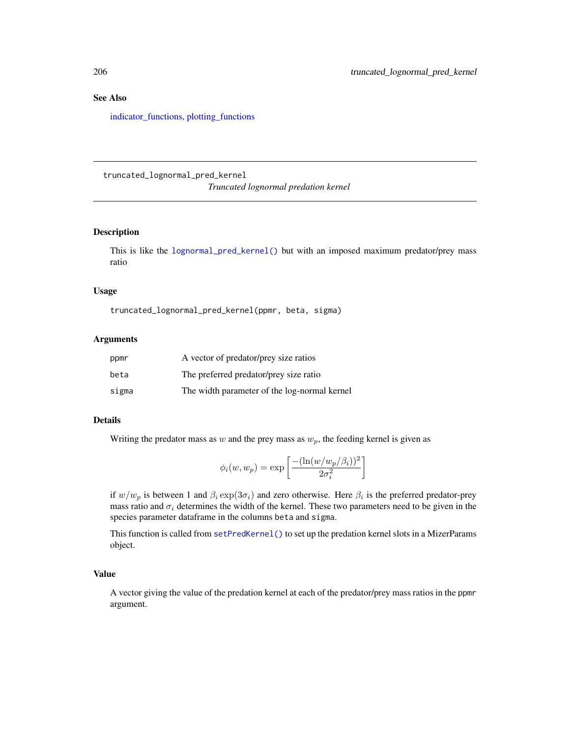# See Also

[indicator\\_functions,](#page-69-0) [plotting\\_functions](#page-136-0)

truncated\_lognormal\_pred\_kernel *Truncated lognormal predation kernel*

# Description

This is like the [lognormal\\_pred\\_kernel\(\)](#page-73-0) but with an imposed maximum predator/prey mass ratio

# Usage

truncated\_lognormal\_pred\_kernel(ppmr, beta, sigma)

#### Arguments

| ppmr  | A vector of predator/prey size ratios        |
|-------|----------------------------------------------|
| beta  | The preferred predator/prey size ratio       |
| sigma | The width parameter of the log-normal kernel |

# Details

Writing the predator mass as w and the prey mass as  $w_p$ , the feeding kernel is given as

$$
\phi_i(w, w_p) = \exp\left[\frac{-(\ln(w/w_p/\beta_i))^2}{2\sigma_i^2}\right]
$$

if  $w/w_p$  is between 1 and  $\beta_i \exp(3\sigma_i)$  and zero otherwise. Here  $\beta_i$  is the preferred predator-prey mass ratio and  $\sigma_i$  determines the width of the kernel. These two parameters need to be given in the species parameter dataframe in the columns beta and sigma.

This function is called from [setPredKernel\(\)](#page-179-1) to set up the predation kernel slots in a MizerParams object.

# Value

A vector giving the value of the predation kernel at each of the predator/prey mass ratios in the ppmr argument.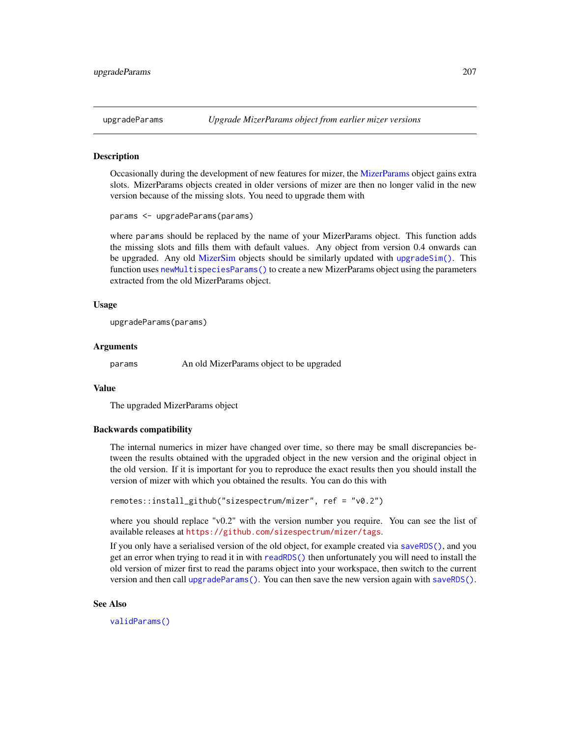<span id="page-206-0"></span>

#### Description

Occasionally during the development of new features for mizer, the [MizerParams](#page-87-0) object gains extra slots. MizerParams objects created in older versions of mizer are then no longer valid in the new version because of the missing slots. You need to upgrade them with

```
params <- upgradeParams(params)
```
where params should be replaced by the name of your MizerParams object. This function adds the missing slots and fills them with default values. Any object from version 0.4 onwards can be upgraded. Any old [MizerSim](#page-96-0) objects should be similarly updated with [upgradeSim\(\)](#page-207-0). This function uses [newMultispeciesParams\(\)](#page-99-0) to create a new MizerParams object using the parameters extracted from the old MizerParams object.

# Usage

upgradeParams(params)

#### Arguments

params An old MizerParams object to be upgraded

#### Value

The upgraded MizerParams object

#### Backwards compatibility

The internal numerics in mizer have changed over time, so there may be small discrepancies between the results obtained with the upgraded object in the new version and the original object in the old version. If it is important for you to reproduce the exact results then you should install the version of mizer with which you obtained the results. You can do this with

```
remotes::install_github("sizespectrum/mizer", ref = "v0.2")
```
where you should replace "v0.2" with the version number you require. You can see the list of available releases at <https://github.com/sizespectrum/mizer/tags>.

If you only have a serialised version of the old object, for example created via [saveRDS\(\)](#page-0-0), and you get an error when trying to read it in with [readRDS\(\)](#page-0-0) then unfortunately you will need to install the old version of mizer first to read the params object into your workspace, then switch to the current version and then call [upgradeParams\(\)](#page-206-0). You can then save the new version again with [saveRDS\(\)](#page-0-0).

#### See Also

[validParams\(\)](#page-209-1)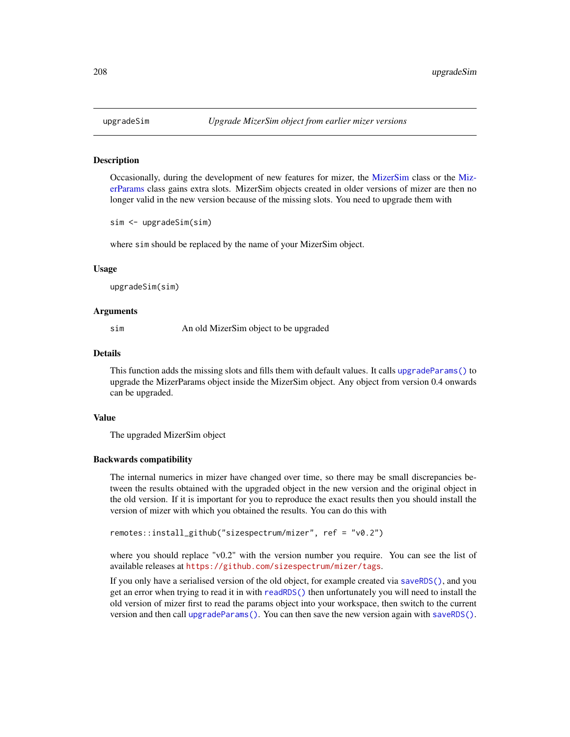<span id="page-207-0"></span>

#### Description

Occasionally, during the development of new features for mizer, the [MizerSim](#page-96-0) class or the [Miz](#page-87-0)[erParams](#page-87-0) class gains extra slots. MizerSim objects created in older versions of mizer are then no longer valid in the new version because of the missing slots. You need to upgrade them with

```
sim <- upgradeSim(sim)
```
where sim should be replaced by the name of your MizerSim object.

#### Usage

upgradeSim(sim)

#### Arguments

sim An old MizerSim object to be upgraded

#### Details

This function adds the missing slots and fills them with default values. It calls [upgradeParams\(\)](#page-206-0) to upgrade the MizerParams object inside the MizerSim object. Any object from version 0.4 onwards can be upgraded.

#### Value

The upgraded MizerSim object

#### Backwards compatibility

The internal numerics in mizer have changed over time, so there may be small discrepancies between the results obtained with the upgraded object in the new version and the original object in the old version. If it is important for you to reproduce the exact results then you should install the version of mizer with which you obtained the results. You can do this with

```
remotes::install_github("sizespectrum/mizer", ref = "v0.2")
```
where you should replace "v0.2" with the version number you require. You can see the list of available releases at <https://github.com/sizespectrum/mizer/tags>.

If you only have a serialised version of the old object, for example created via [saveRDS\(\)](#page-0-0), and you get an error when trying to read it in with [readRDS\(\)](#page-0-0) then unfortunately you will need to install the old version of mizer first to read the params object into your workspace, then switch to the current version and then call [upgradeParams\(\)](#page-206-0). You can then save the new version again with [saveRDS\(\)](#page-0-0).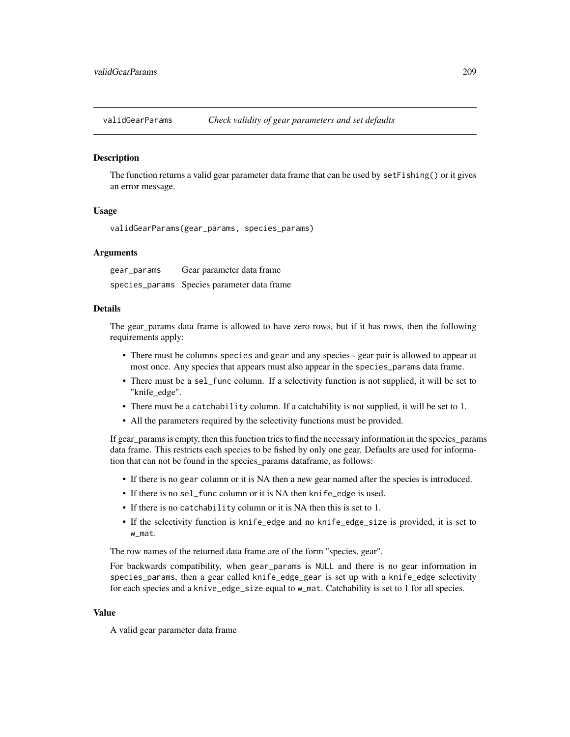<span id="page-208-0"></span>validGearParams *Check validity of gear parameters and set defaults*

#### Description

The function returns a valid gear parameter data frame that can be used by setFishing() or it gives an error message.

# Usage

```
validGearParams(gear_params, species_params)
```
#### Arguments

| gear_params | Gear parameter data frame                   |
|-------------|---------------------------------------------|
|             | species_params Species parameter data frame |

#### Details

The gear\_params data frame is allowed to have zero rows, but if it has rows, then the following requirements apply:

- There must be columns species and gear and any species gear pair is allowed to appear at most once. Any species that appears must also appear in the species\_params data frame.
- There must be a sel\_func column. If a selectivity function is not supplied, it will be set to "knife\_edge".
- There must be a catchability column. If a catchability is not supplied, it will be set to 1.
- All the parameters required by the selectivity functions must be provided.

If gear\_params is empty, then this function tries to find the necessary information in the species\_params data frame. This restricts each species to be fished by only one gear. Defaults are used for information that can not be found in the species\_params dataframe, as follows:

- If there is no gear column or it is NA then a new gear named after the species is introduced.
- If there is no sel\_func column or it is NA then knife\_edge is used.
- If there is no catchability column or it is NA then this is set to 1.
- If the selectivity function is knife\_edge and no knife\_edge\_size is provided, it is set to w\_mat.

The row names of the returned data frame are of the form "species, gear".

For backwards compatibility, when gear\_params is NULL and there is no gear information in species\_params, then a gear called knife\_edge\_gear is set up with a knife\_edge selectivity for each species and a knive\_edge\_size equal to w\_mat. Catchability is set to 1 for all species.

#### Value

A valid gear parameter data frame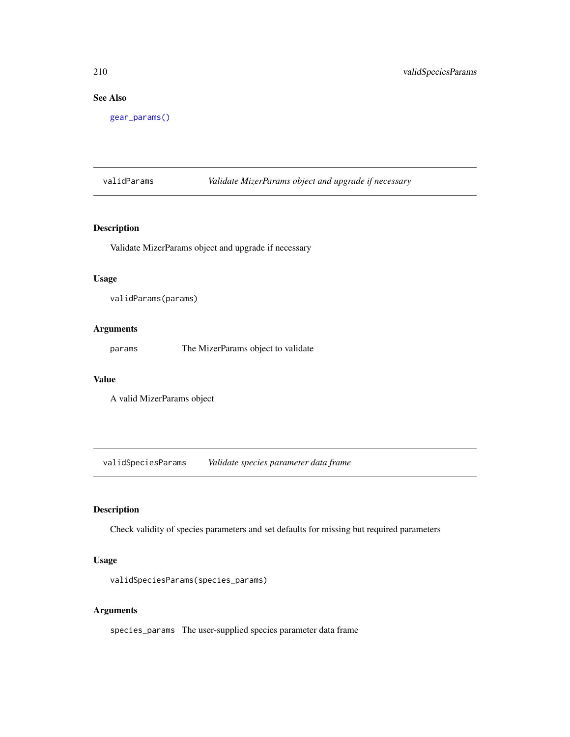# See Also

[gear\\_params\(\)](#page-21-0)

<span id="page-209-1"></span>validParams *Validate MizerParams object and upgrade if necessary*

# Description

Validate MizerParams object and upgrade if necessary

# Usage

validParams(params)

# Arguments

params The MizerParams object to validate

# Value

A valid MizerParams object

<span id="page-209-0"></span>validSpeciesParams *Validate species parameter data frame*

# Description

Check validity of species parameters and set defaults for missing but required parameters

# Usage

```
validSpeciesParams(species_params)
```
# Arguments

species\_params The user-supplied species parameter data frame

<span id="page-209-2"></span>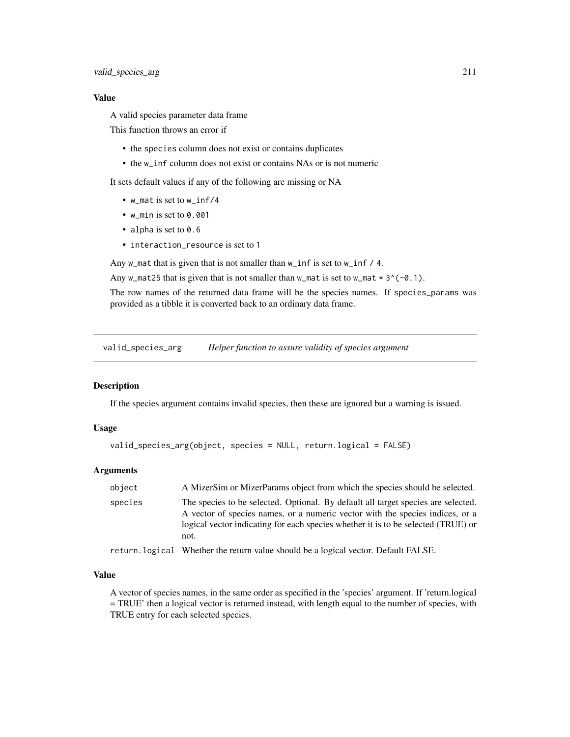# <span id="page-210-0"></span>Value

A valid species parameter data frame

This function throws an error if

- the species column does not exist or contains duplicates
- the w\_inf column does not exist or contains NAs or is not numeric

It sets default values if any of the following are missing or NA

- w\_mat is set to w\_inf/4
- w\_min is set to 0.001
- alpha is set to 0.6
- interaction\_resource is set to 1

Any w\_mat that is given that is not smaller than w\_inf is set to w\_inf / 4.

Any w\_mat25 that is given that is not smaller than w\_mat is set to w\_mat  $* 3^(0-0.1)$ .

The row names of the returned data frame will be the species names. If species\_params was provided as a tibble it is converted back to an ordinary data frame.

valid\_species\_arg *Helper function to assure validity of species argument*

#### Description

If the species argument contains invalid species, then these are ignored but a warning is issued.

#### Usage

```
valid_species_arg(object, species = NULL, return.logical = FALSE)
```
# Arguments

| object  | A MizerSim or MizerParams object from which the species should be selected.                                                                                                                                                                                     |
|---------|-----------------------------------------------------------------------------------------------------------------------------------------------------------------------------------------------------------------------------------------------------------------|
| species | The species to be selected. Optional. By default all target species are selected.<br>A vector of species names, or a numeric vector with the species indices, or a<br>logical vector indicating for each species whether it is to be selected (TRUE) or<br>not. |
|         | return. logical Whether the return value should be a logical vector. Default FALSE.                                                                                                                                                                             |

#### Value

A vector of species names, in the same order as specified in the 'species' argument. If 'return.logical = TRUE' then a logical vector is returned instead, with length equal to the number of species, with TRUE entry for each selected species.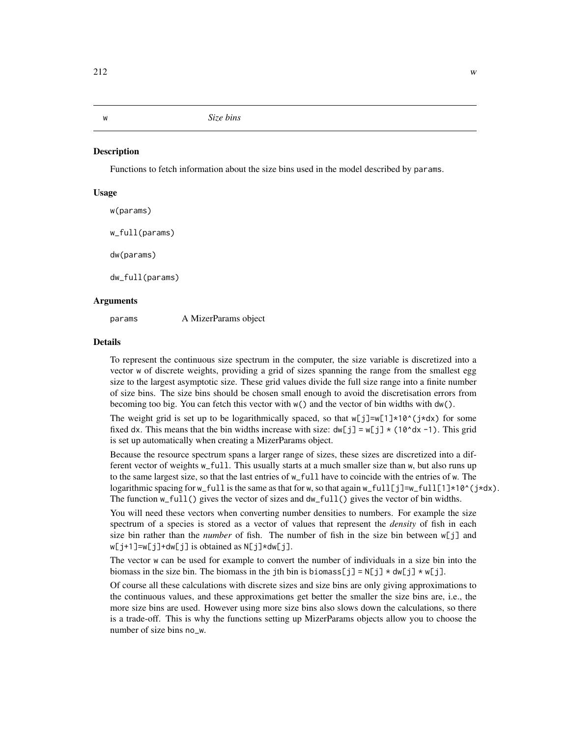<span id="page-211-0"></span>w *Size bins*

#### Description

Functions to fetch information about the size bins used in the model described by params.

# Usage

w(params)

w\_full(params)

dw(params)

dw\_full(params)

#### Arguments

params A MizerParams object

# Details

To represent the continuous size spectrum in the computer, the size variable is discretized into a vector w of discrete weights, providing a grid of sizes spanning the range from the smallest egg size to the largest asymptotic size. These grid values divide the full size range into a finite number of size bins. The size bins should be chosen small enough to avoid the discretisation errors from becoming too big. You can fetch this vector with  $w()$  and the vector of bin widths with  $dw()$ .

The weight grid is set up to be logarithmically spaced, so that  $w[j]=w[1]*10^{\lambda}(j*dx)$  for some fixed dx. This means that the bin widths increase with size:  $dw[j] = w[j] \star (10^d)x -1$ . This grid is set up automatically when creating a MizerParams object.

Because the resource spectrum spans a larger range of sizes, these sizes are discretized into a different vector of weights w\_full. This usually starts at a much smaller size than w, but also runs up to the same largest size, so that the last entries of w\_full have to coincide with the entries of w. The logarithmic spacing for w\_full is the same as that for w, so that again w\_full[j]=w\_full[1]\*10^(j\*dx). The function  $w_full()$  gives the vector of sizes and  $dw_full()$  gives the vector of bin widths.

You will need these vectors when converting number densities to numbers. For example the size spectrum of a species is stored as a vector of values that represent the *density* of fish in each size bin rather than the *number* of fish. The number of fish in the size bin between w[j] and w[j+1]=w[j]+dw[j] is obtained as N[j]\*dw[j].

The vector w can be used for example to convert the number of individuals in a size bin into the biomass in the size bin. The biomass in the jth bin is biomass[j] =  $N[j] \times dW[j] \times W[j]$ .

Of course all these calculations with discrete sizes and size bins are only giving approximations to the continuous values, and these approximations get better the smaller the size bins are, i.e., the more size bins are used. However using more size bins also slows down the calculations, so there is a trade-off. This is why the functions setting up MizerParams objects allow you to choose the number of size bins no\_w.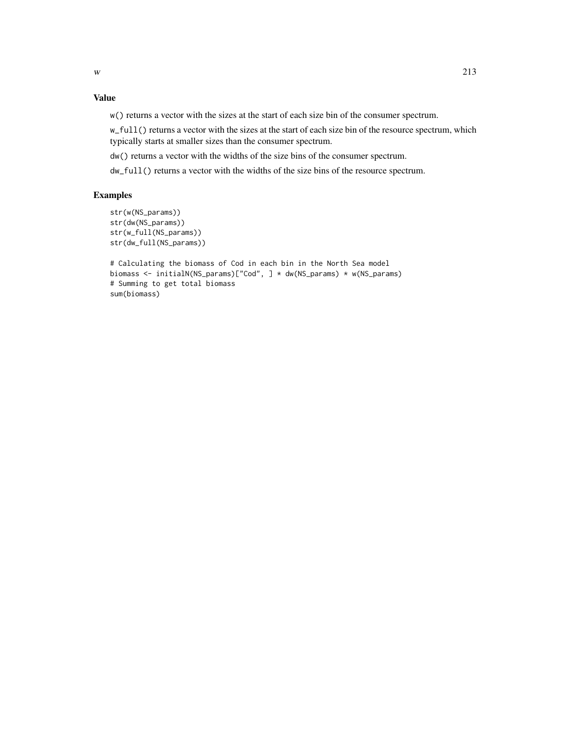# Value

w() returns a vector with the sizes at the start of each size bin of the consumer spectrum.

w\_full() returns a vector with the sizes at the start of each size bin of the resource spectrum, which typically starts at smaller sizes than the consumer spectrum.

dw() returns a vector with the widths of the size bins of the consumer spectrum.

dw\_full() returns a vector with the widths of the size bins of the resource spectrum.

# Examples

```
str(w(NS_params))
str(dw(NS_params))
str(w_full(NS_params))
str(dw_full(NS_params))
# Calculating the biomass of Cod in each bin in the North Sea model
biomass <- initialN(NS_params)["Cod", ] * dw(NS_params) * w(NS_params)
# Summing to get total biomass
sum(biomass)
```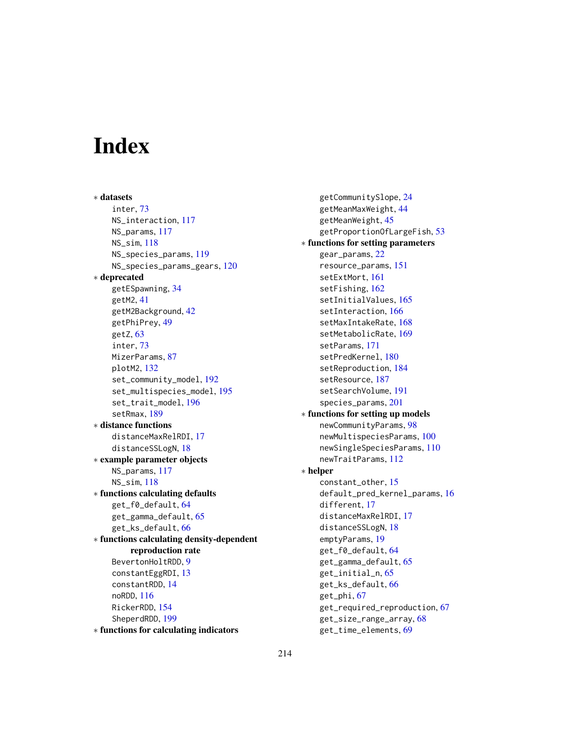# Index

∗ datasets inter, [73](#page-72-0) NS\_interaction, [117](#page-116-0) NS\_params, [117](#page-116-0) NS\_sim, [118](#page-117-0) NS\_species\_params, [119](#page-118-0) NS\_species\_params\_gears, [120](#page-119-0) ∗ deprecated getESpawning, [34](#page-33-0) getM2, [41](#page-40-1) getM2Background, [42](#page-41-0) getPhiPrey, [49](#page-48-0) getZ, [63](#page-62-0) inter, [73](#page-72-0) MizerParams, [87](#page-86-0) plotM2, [132](#page-131-0) set\_community\_model, [192](#page-191-0) set\_multispecies\_model, [195](#page-194-0) set\_trait\_model, [196](#page-195-0) setRmax, [189](#page-188-0) ∗ distance functions distanceMaxRelRDI, [17](#page-16-0) distanceSSLogN, [18](#page-17-0) ∗ example parameter objects NS\_params, [117](#page-116-0) NS\_sim, [118](#page-117-0) ∗ functions calculating defaults get\_f0\_default, [64](#page-63-0) get\_gamma\_default, [65](#page-64-1) get\_ks\_default, [66](#page-65-1) ∗ functions calculating density-dependent reproduction rate BevertonHoltRDD, [9](#page-8-1) constantEggRDI, [13](#page-12-1) constantRDD, [14](#page-13-1) noRDD, [116](#page-115-1) RickerRDD, [154](#page-153-1) SheperdRDD, [199](#page-198-1) ∗ functions for calculating indicators

getCommunitySlope, [24](#page-23-0) getMeanMaxWeight, [44](#page-43-0) getMeanWeight, [45](#page-44-0) getProportionOfLargeFish, [53](#page-52-0) ∗ functions for setting parameters gear\_params, [22](#page-21-1) resource\_params, [151](#page-150-1) setExtMort, [161](#page-160-1) setFishing, [162](#page-161-1) setInitialValues, [165](#page-164-1) setInteraction, [166](#page-165-1) setMaxIntakeRate, [168](#page-167-1) setMetabolicRate, [169](#page-168-1) setParams, [171](#page-170-1) setPredKernel, [180](#page-179-2) setReproduction, [184](#page-183-1) setResource, [187](#page-186-1) setSearchVolume, [191](#page-190-1) species\_params, [201](#page-200-2) ∗ functions for setting up models newCommunityParams, [98](#page-97-1) newMultispeciesParams, [100](#page-99-1) newSingleSpeciesParams, [110](#page-109-0) newTraitParams, [112](#page-111-1) ∗ helper constant\_other, [15](#page-14-0) default\_pred\_kernel\_params, [16](#page-15-0) different, [17](#page-16-0) distanceMaxRelRDI, [17](#page-16-0) distanceSSLogN, [18](#page-17-0) emptyParams, [19](#page-18-0) get\_f0\_default, [64](#page-63-0) get\_gamma\_default, [65](#page-64-1) get\_initial\_n, [65](#page-64-1) get\_ks\_default, [66](#page-65-1) get\_phi, [67](#page-66-0) get\_required\_reproduction, [67](#page-66-0) get\_size\_range\_array, [68](#page-67-0) get\_time\_elements, [69](#page-68-0)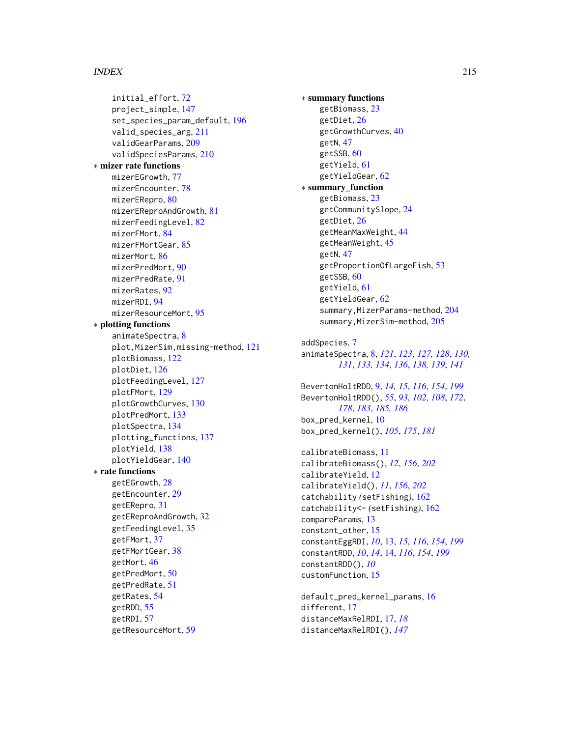# INDEX 215

initial\_effort, [72](#page-71-0) project\_simple, [147](#page-146-0) set\_species\_param\_default, [196](#page-195-0) valid\_species\_arg, [211](#page-210-0) validGearParams, [209](#page-208-0) validSpeciesParams, [210](#page-209-2) ∗ mizer rate functions mizerEGrowth, [77](#page-76-1) mizerEncounter, [78](#page-77-1) mizerERepro, [80](#page-79-1) mizerEReproAndGrowth, [81](#page-80-1) mizerFeedingLevel, [82](#page-81-1) mizerFMort, [84](#page-83-1) mizerFMortGear, [85](#page-84-0) mizerMort, [86](#page-85-1) mizerPredMort, [90](#page-89-1) mizerPredRate, [91](#page-90-1) mizerRates, [92](#page-91-1) mizerRDI, [94](#page-93-1) mizerResourceMort, [95](#page-94-1) ∗ plotting functions animateSpectra, [8](#page-7-0) plot,MizerSim,missing-method, [121](#page-120-0) plotBiomass, [122](#page-121-0) plotDiet, [126](#page-125-0) plotFeedingLevel, [127](#page-126-0) plotFMort, [129](#page-128-0) plotGrowthCurves, [130](#page-129-0) plotPredMort, [133](#page-132-0) plotSpectra, [134](#page-133-0) plotting\_functions, [137](#page-136-1) plotYield, [138](#page-137-0) plotYieldGear, [140](#page-139-0) ∗ rate functions getEGrowth, [28](#page-27-0) getEncounter, [29](#page-28-1) getERepro, [31](#page-30-0) getEReproAndGrowth, [32](#page-31-1) getFeedingLevel, [35](#page-34-1) getFMort, [37](#page-36-1) getFMortGear, [38](#page-37-1) getMort, [46](#page-45-0) getPredMort, [50](#page-49-0) getPredRate, [51](#page-50-1) getRates, [54](#page-53-0) getRDD, [55](#page-54-1) getRDI, [57](#page-56-1) getResourceMort, [59](#page-58-0)

∗ summary functions getBiomass, [23](#page-22-1) getDiet, [26](#page-25-1) getGrowthCurves, [40](#page-39-0) getN, [47](#page-46-1) getSSB, [60](#page-59-1) getYield, [61](#page-60-1) getYieldGear, [62](#page-61-1) ∗ summary\_function getBiomass, [23](#page-22-1) getCommunitySlope, [24](#page-23-0) getDiet, [26](#page-25-1) getMeanMaxWeight, [44](#page-43-0) getMeanWeight, [45](#page-44-0) getN, [47](#page-46-1) getProportionOfLargeFish, [53](#page-52-0) getSSB, [60](#page-59-1) getYield, [61](#page-60-1) getYieldGear, [62](#page-61-1) summary, MizerParams-method, [204](#page-203-0) summary, MizerSim-method, [205](#page-204-0) addSpecies, [7](#page-6-0) animateSpectra, [8,](#page-7-0) *[121](#page-120-0)*, *[123](#page-122-0)*, *[127,](#page-126-0) [128](#page-127-0)*, *[130,](#page-129-0) [131](#page-130-0)*, *[133,](#page-132-0) [134](#page-133-0)*, *[136](#page-135-0)*, *[138,](#page-137-0) [139](#page-138-0)*, *[141](#page-140-0)* BevertonHoltRDD, [9,](#page-8-1) *[14,](#page-13-1) [15](#page-14-0)*, *[116](#page-115-1)*, *[154](#page-153-1)*, *[199](#page-198-1)* BevertonHoltRDD(), *[55](#page-54-1)*, *[93](#page-92-0)*, *[102](#page-101-0)*, *[108](#page-107-0)*, *[172](#page-171-0)*, *[178](#page-177-0)*, *[183](#page-182-0)*, *[185,](#page-184-0) [186](#page-185-0)* box\_pred\_kernel, [10](#page-9-1) box\_pred\_kernel(), *[105](#page-104-0)*, *[175](#page-174-0)*, *[181](#page-180-0)* calibrateBiomass, [11](#page-10-1) calibrateBiomass(), *[12](#page-11-1)*, *[156](#page-155-1)*, *[202](#page-201-0)* calibrateYield, [12](#page-11-1) calibrateYield(), *[11](#page-10-1)*, *[156](#page-155-1)*, *[202](#page-201-0)* catchability *(*setFishing*)*, [162](#page-161-1) catchability<- *(*setFishing*)*, [162](#page-161-1) compareParams, [13](#page-12-1) constant\_other, [15](#page-14-0) constantEggRDI, *[10](#page-9-1)*, [13,](#page-12-1) *[15](#page-14-0)*, *[116](#page-115-1)*, *[154](#page-153-1)*, *[199](#page-198-1)* constantRDD, *[10](#page-9-1)*, *[14](#page-13-1)*, [14,](#page-13-1) *[116](#page-115-1)*, *[154](#page-153-1)*, *[199](#page-198-1)* constantRDD(), *[10](#page-9-1)* customFunction, [15](#page-14-0) default\_pred\_kernel\_params, [16](#page-15-0) different, [17](#page-16-0)

distanceMaxRelRDI, [17,](#page-16-0) *[18](#page-17-0)* distanceMaxRelRDI(), *[147](#page-146-0)*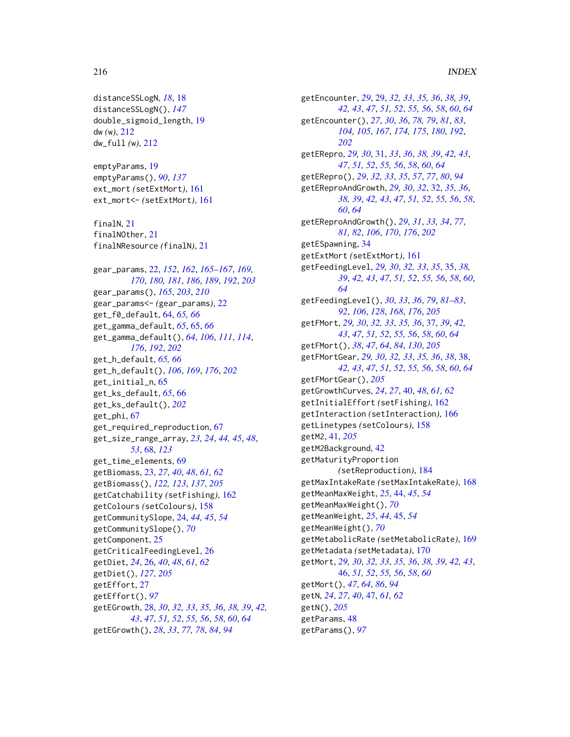# 216 **INDEX**

distanceSSLogN, *[18](#page-17-0)*, [18](#page-17-0) distanceSSLogN(), *[147](#page-146-0)* double\_sigmoid\_length, [19](#page-18-0) dw *(*w*)*, [212](#page-211-0) dw\_full *(*w*)*, [212](#page-211-0) emptyParams, [19](#page-18-0) emptyParams(), *[90](#page-89-1)*, *[137](#page-136-1)* ext\_mort *(*setExtMort*)*, [161](#page-160-1) ext\_mort<- *(*setExtMort*)*, [161](#page-160-1) finalN, [21](#page-20-0) finalNOther, [21](#page-20-0) finalNResource *(*finalN*)*, [21](#page-20-0) gear\_params, [22,](#page-21-1) *[152](#page-151-1)*, *[162](#page-161-1)*, *[165–](#page-164-1)[167](#page-166-0)*, *[169,](#page-168-1) [170](#page-169-0)*, *[180,](#page-179-2) [181](#page-180-0)*, *[186](#page-185-0)*, *[189](#page-188-0)*, *[192](#page-191-0)*, *[203](#page-202-0)* gear\_params(), *[165](#page-164-1)*, *[203](#page-202-0)*, *[210](#page-209-2)* gear\_params<- *(*gear\_params*)*, [22](#page-21-1) get\_f0\_default, [64,](#page-63-0) *[65,](#page-64-1) [66](#page-65-1)* get\_gamma\_default, *[65](#page-64-1)*, [65,](#page-64-1) *[66](#page-65-1)* get\_gamma\_default(), *[64](#page-63-0)*, *[106](#page-105-0)*, *[111](#page-110-0)*, *[114](#page-113-0)*, *[176](#page-175-0)*, *[192](#page-191-0)*, *[202](#page-201-0)* get\_h\_default, *[65,](#page-64-1) [66](#page-65-1)* get\_h\_default(), *[106](#page-105-0)*, *[169](#page-168-1)*, *[176](#page-175-0)*, *[202](#page-201-0)* get\_initial\_n, [65](#page-64-1) get\_ks\_default, *[65](#page-64-1)*, [66](#page-65-1) get\_ks\_default(), *[202](#page-201-0)* get\_phi, [67](#page-66-0) get\_required\_reproduction, [67](#page-66-0) get\_size\_range\_array, *[23,](#page-22-1) [24](#page-23-0)*, *[44,](#page-43-0) [45](#page-44-0)*, *[48](#page-47-0)*, *[53](#page-52-0)*, [68,](#page-67-0) *[123](#page-122-0)* get\_time\_elements, [69](#page-68-0) getBiomass, [23,](#page-22-1) *[27](#page-26-0)*, *[40](#page-39-0)*, *[48](#page-47-0)*, *[61,](#page-60-1) [62](#page-61-1)* getBiomass(), *[122,](#page-121-0) [123](#page-122-0)*, *[137](#page-136-1)*, *[205](#page-204-0)* getCatchability *(*setFishing*)*, [162](#page-161-1) getColours *(*setColours*)*, [158](#page-157-0) getCommunitySlope, [24,](#page-23-0) *[44,](#page-43-0) [45](#page-44-0)*, *[54](#page-53-0)* getCommunitySlope(), *[70](#page-69-1)* getComponent, [25](#page-24-0) getCriticalFeedingLevel, [26](#page-25-1) getDiet, *[24](#page-23-0)*, [26,](#page-25-1) *[40](#page-39-0)*, *[48](#page-47-0)*, *[61,](#page-60-1) [62](#page-61-1)* getDiet(), *[127](#page-126-0)*, *[205](#page-204-0)* getEffort, [27](#page-26-0) getEffort(), *[97](#page-96-1)* getEGrowth, [28,](#page-27-0) *[30](#page-29-0)*, *[32,](#page-31-1) [33](#page-32-0)*, *[35,](#page-34-1) [36](#page-35-0)*, *[38,](#page-37-1) [39](#page-38-0)*, *[42,](#page-41-0) [43](#page-42-0)*, *[47](#page-46-1)*, *[51,](#page-50-1) [52](#page-51-0)*, *[55,](#page-54-1) [56](#page-55-0)*, *[58](#page-57-0)*, *[60](#page-59-1)*, *[64](#page-63-0)* getEGrowth(), *[28](#page-27-0)*, *[33](#page-32-0)*, *[77,](#page-76-1) [78](#page-77-1)*, *[84](#page-83-1)*, *[94](#page-93-1)*

getEncounter, *[29](#page-28-1)*, [29,](#page-28-1) *[32,](#page-31-1) [33](#page-32-0)*, *[35,](#page-34-1) [36](#page-35-0)*, *[38,](#page-37-1) [39](#page-38-0)*, *[42,](#page-41-0) [43](#page-42-0)*, *[47](#page-46-1)*, *[51,](#page-50-1) [52](#page-51-0)*, *[55,](#page-54-1) [56](#page-55-0)*, *[58](#page-57-0)*, *[60](#page-59-1)*, *[64](#page-63-0)* getEncounter(), *[27](#page-26-0)*, *[30](#page-29-0)*, *[36](#page-35-0)*, *[78,](#page-77-1) [79](#page-78-0)*, *[81](#page-80-1)*, *[83](#page-82-0)*, *[104,](#page-103-0) [105](#page-104-0)*, *[167](#page-166-0)*, *[174,](#page-173-0) [175](#page-174-0)*, *[180](#page-179-2)*, *[192](#page-191-0)*, *[202](#page-201-0)* getERepro, *[29,](#page-28-1) [30](#page-29-0)*, [31,](#page-30-0) *[33](#page-32-0)*, *[36](#page-35-0)*, *[38,](#page-37-1) [39](#page-38-0)*, *[42,](#page-41-0) [43](#page-42-0)*, *[47](#page-46-1)*, *[51,](#page-50-1) [52](#page-51-0)*, *[55,](#page-54-1) [56](#page-55-0)*, *[58](#page-57-0)*, *[60](#page-59-1)*, *[64](#page-63-0)* getERepro(), *[29](#page-28-1)*, *[32,](#page-31-1) [33](#page-32-0)*, *[35](#page-34-1)*, *[57](#page-56-1)*, *[77](#page-76-1)*, *[80](#page-79-1)*, *[94](#page-93-1)* getEReproAndGrowth, *[29,](#page-28-1) [30](#page-29-0)*, *[32](#page-31-1)*, [32,](#page-31-1) *[35,](#page-34-1) [36](#page-35-0)*, *[38,](#page-37-1) [39](#page-38-0)*, *[42,](#page-41-0) [43](#page-42-0)*, *[47](#page-46-1)*, *[51,](#page-50-1) [52](#page-51-0)*, *[55,](#page-54-1) [56](#page-55-0)*, *[58](#page-57-0)*, *[60](#page-59-1)*, *[64](#page-63-0)* getEReproAndGrowth(), *[29](#page-28-1)*, *[31](#page-30-0)*, *[33,](#page-32-0) [34](#page-33-0)*, *[77](#page-76-1)*, *[81,](#page-80-1) [82](#page-81-1)*, *[106](#page-105-0)*, *[170](#page-169-0)*, *[176](#page-175-0)*, *[202](#page-201-0)* getESpawning, [34](#page-33-0) getExtMort *(*setExtMort*)*, [161](#page-160-1) getFeedingLevel, *[29,](#page-28-1) [30](#page-29-0)*, *[32,](#page-31-1) [33](#page-32-0)*, *[35](#page-34-1)*, [35,](#page-34-1) *[38,](#page-37-1) [39](#page-38-0)*, *[42,](#page-41-0) [43](#page-42-0)*, *[47](#page-46-1)*, *[51,](#page-50-1) [52](#page-51-0)*, *[55,](#page-54-1) [56](#page-55-0)*, *[58](#page-57-0)*, *[60](#page-59-1)*, *[64](#page-63-0)* getFeedingLevel(), *[30](#page-29-0)*, *[33](#page-32-0)*, *[36](#page-35-0)*, *[79](#page-78-0)*, *[81](#page-80-1)[–83](#page-82-0)*, *[92](#page-91-1)*, *[106](#page-105-0)*, *[128](#page-127-0)*, *[168](#page-167-1)*, *[176](#page-175-0)*, *[205](#page-204-0)* getFMort, *[29,](#page-28-1) [30](#page-29-0)*, *[32,](#page-31-1) [33](#page-32-0)*, *[35,](#page-34-1) [36](#page-35-0)*, [37,](#page-36-1) *[39](#page-38-0)*, *[42,](#page-41-0) [43](#page-42-0)*, *[47](#page-46-1)*, *[51,](#page-50-1) [52](#page-51-0)*, *[55,](#page-54-1) [56](#page-55-0)*, *[58](#page-57-0)*, *[60](#page-59-1)*, *[64](#page-63-0)* getFMort(), *[38](#page-37-1)*, *[47](#page-46-1)*, *[64](#page-63-0)*, *[84](#page-83-1)*, *[130](#page-129-0)*, *[205](#page-204-0)* getFMortGear, *[29,](#page-28-1) [30](#page-29-0)*, *[32,](#page-31-1) [33](#page-32-0)*, *[35,](#page-34-1) [36](#page-35-0)*, *[38](#page-37-1)*, [38,](#page-37-1) *[42,](#page-41-0) [43](#page-42-0)*, *[47](#page-46-1)*, *[51,](#page-50-1) [52](#page-51-0)*, *[55,](#page-54-1) [56](#page-55-0)*, *[58](#page-57-0)*, *[60](#page-59-1)*, *[64](#page-63-0)* getFMortGear(), *[205](#page-204-0)* getGrowthCurves, *[24](#page-23-0)*, *[27](#page-26-0)*, [40,](#page-39-0) *[48](#page-47-0)*, *[61,](#page-60-1) [62](#page-61-1)* getInitialEffort *(*setFishing*)*, [162](#page-161-1) getInteraction *(*setInteraction*)*, [166](#page-165-1) getLinetypes *(*setColours*)*, [158](#page-157-0) getM2, [41,](#page-40-1) *[205](#page-204-0)* getM2Background, [42](#page-41-0) getMaturityProportion *(*setReproduction*)*, [184](#page-183-1) getMaxIntakeRate *(*setMaxIntakeRate*)*, [168](#page-167-1) getMeanMaxWeight, *[25](#page-24-0)*, [44,](#page-43-0) *[45](#page-44-0)*, *[54](#page-53-0)* getMeanMaxWeight(), *[70](#page-69-1)* getMeanWeight, *[25](#page-24-0)*, *[44](#page-43-0)*, [45,](#page-44-0) *[54](#page-53-0)* getMeanWeight(), *[70](#page-69-1)* getMetabolicRate *(*setMetabolicRate*)*, [169](#page-168-1) getMetadata *(*setMetadata*)*, [170](#page-169-0) getMort, *[29,](#page-28-1) [30](#page-29-0)*, *[32,](#page-31-1) [33](#page-32-0)*, *[35,](#page-34-1) [36](#page-35-0)*, *[38,](#page-37-1) [39](#page-38-0)*, *[42,](#page-41-0) [43](#page-42-0)*, [46,](#page-45-0) *[51,](#page-50-1) [52](#page-51-0)*, *[55,](#page-54-1) [56](#page-55-0)*, *[58](#page-57-0)*, *[60](#page-59-1)* getMort(), *[47](#page-46-1)*, *[64](#page-63-0)*, *[86](#page-85-1)*, *[94](#page-93-1)* getN, *[24](#page-23-0)*, *[27](#page-26-0)*, *[40](#page-39-0)*, [47,](#page-46-1) *[61,](#page-60-1) [62](#page-61-1)* getN(), *[205](#page-204-0)* getParams, [48](#page-47-0) getParams(), *[97](#page-96-1)*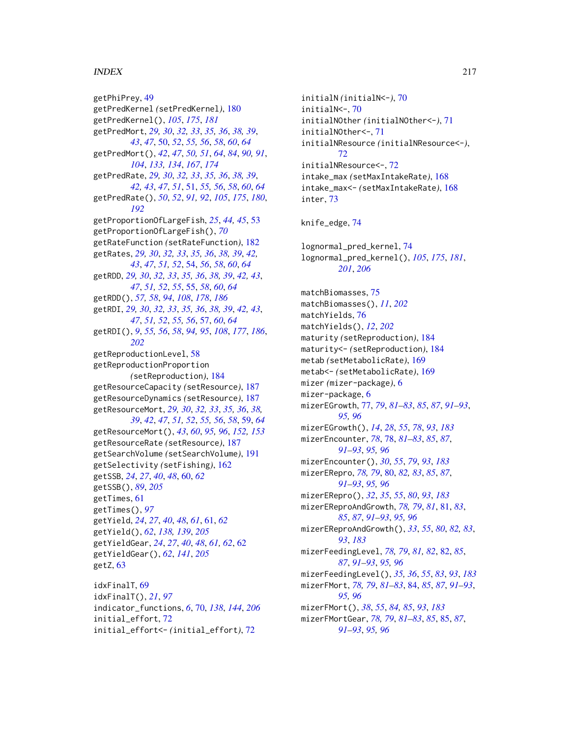## INDEX  $217$

getPhiPrey, [49](#page-48-0) getPredKernel *(*setPredKernel*)*, [180](#page-179-0) getPredKernel(), *[105](#page-104-0)*, *[175](#page-174-0)*, *[181](#page-180-0)* getPredMort, *[29,](#page-28-0) [30](#page-29-0)*, *[32,](#page-31-0) [33](#page-32-0)*, *[35,](#page-34-0) [36](#page-35-0)*, *[38,](#page-37-0) [39](#page-38-0)*, *[43](#page-42-0)*, *[47](#page-46-0)*, [50,](#page-49-0) *[52](#page-51-0)*, *[55,](#page-54-0) [56](#page-55-0)*, *[58](#page-57-0)*, *[60](#page-59-0)*, *[64](#page-63-0)* getPredMort(), *[42](#page-41-0)*, *[47](#page-46-0)*, *[50,](#page-49-0) [51](#page-50-0)*, *[64](#page-63-0)*, *[84](#page-83-0)*, *[90,](#page-89-0) [91](#page-90-0)*, *[104](#page-103-0)*, *[133,](#page-132-0) [134](#page-133-0)*, *[167](#page-166-0)*, *[174](#page-173-0)* getPredRate, *[29,](#page-28-0) [30](#page-29-0)*, *[32,](#page-31-0) [33](#page-32-0)*, *[35,](#page-34-0) [36](#page-35-0)*, *[38,](#page-37-0) [39](#page-38-0)*, *[42,](#page-41-0) [43](#page-42-0)*, *[47](#page-46-0)*, *[51](#page-50-0)*, [51,](#page-50-0) *[55,](#page-54-0) [56](#page-55-0)*, *[58](#page-57-0)*, *[60](#page-59-0)*, *[64](#page-63-0)* getPredRate(), *[50](#page-49-0)*, *[52](#page-51-0)*, *[91,](#page-90-0) [92](#page-91-0)*, *[105](#page-104-0)*, *[175](#page-174-0)*, *[180](#page-179-0)*, *[192](#page-191-0)* getProportionOfLargeFish, *[25](#page-24-0)*, *[44,](#page-43-0) [45](#page-44-0)*, [53](#page-52-0) getProportionOfLargeFish(), *[70](#page-69-0)* getRateFunction *(*setRateFunction*)*, [182](#page-181-0) getRates, *[29,](#page-28-0) [30](#page-29-0)*, *[32,](#page-31-0) [33](#page-32-0)*, *[35,](#page-34-0) [36](#page-35-0)*, *[38,](#page-37-0) [39](#page-38-0)*, *[42,](#page-41-0) [43](#page-42-0)*, *[47](#page-46-0)*, *[51,](#page-50-0) [52](#page-51-0)*, [54,](#page-53-0) *[56](#page-55-0)*, *[58](#page-57-0)*, *[60](#page-59-0)*, *[64](#page-63-0)* getRDD, *[29,](#page-28-0) [30](#page-29-0)*, *[32,](#page-31-0) [33](#page-32-0)*, *[35,](#page-34-0) [36](#page-35-0)*, *[38,](#page-37-0) [39](#page-38-0)*, *[42,](#page-41-0) [43](#page-42-0)*, *[47](#page-46-0)*, *[51,](#page-50-0) [52](#page-51-0)*, *[55](#page-54-0)*, [55,](#page-54-0) *[58](#page-57-0)*, *[60](#page-59-0)*, *[64](#page-63-0)* getRDD(), *[57,](#page-56-0) [58](#page-57-0)*, *[94](#page-93-0)*, *[108](#page-107-0)*, *[178](#page-177-0)*, *[186](#page-185-0)* getRDI, *[29,](#page-28-0) [30](#page-29-0)*, *[32,](#page-31-0) [33](#page-32-0)*, *[35,](#page-34-0) [36](#page-35-0)*, *[38,](#page-37-0) [39](#page-38-0)*, *[42,](#page-41-0) [43](#page-42-0)*, *[47](#page-46-0)*, *[51,](#page-50-0) [52](#page-51-0)*, *[55,](#page-54-0) [56](#page-55-0)*, [57,](#page-56-0) *[60](#page-59-0)*, *[64](#page-63-0)* getRDI(), *[9](#page-8-0)*, *[55,](#page-54-0) [56](#page-55-0)*, *[58](#page-57-0)*, *[94,](#page-93-0) [95](#page-94-0)*, *[108](#page-107-0)*, *[177](#page-176-0)*, *[186](#page-185-0)*, *[202](#page-201-0)* getReproductionLevel, [58](#page-57-0) getReproductionProportion *(*setReproduction*)*, [184](#page-183-0) getResourceCapacity *(*setResource*)*, [187](#page-186-0) getResourceDynamics *(*setResource*)*, [187](#page-186-0) getResourceMort, *[29,](#page-28-0) [30](#page-29-0)*, *[32,](#page-31-0) [33](#page-32-0)*, *[35,](#page-34-0) [36](#page-35-0)*, *[38,](#page-37-0) [39](#page-38-0)*, *[42](#page-41-0)*, *[47](#page-46-0)*, *[51,](#page-50-0) [52](#page-51-0)*, *[55,](#page-54-0) [56](#page-55-0)*, *[58](#page-57-0)*, [59,](#page-58-0) *[64](#page-63-0)* getResourceMort(), *[43](#page-42-0)*, *[60](#page-59-0)*, *[95,](#page-94-0) [96](#page-95-0)*, *[152,](#page-151-0) [153](#page-152-0)* getResourceRate *(*setResource*)*, [187](#page-186-0) getSearchVolume *(*setSearchVolume*)*, [191](#page-190-0) getSelectivity *(*setFishing*)*, [162](#page-161-0) getSSB, *[24](#page-23-0)*, *[27](#page-26-0)*, *[40](#page-39-0)*, *[48](#page-47-0)*, [60,](#page-59-0) *[62](#page-61-0)* getSSB(), *[89](#page-88-0)*, *[205](#page-204-0)* getTimes, [61](#page-60-0) getTimes(), *[97](#page-96-0)* getYield, *[24](#page-23-0)*, *[27](#page-26-0)*, *[40](#page-39-0)*, *[48](#page-47-0)*, *[61](#page-60-0)*, [61,](#page-60-0) *[62](#page-61-0)* getYield(), *[62](#page-61-0)*, *[138,](#page-137-0) [139](#page-138-0)*, *[205](#page-204-0)* getYieldGear, *[24](#page-23-0)*, *[27](#page-26-0)*, *[40](#page-39-0)*, *[48](#page-47-0)*, *[61,](#page-60-0) [62](#page-61-0)*, [62](#page-61-0) getYieldGear(), *[62](#page-61-0)*, *[141](#page-140-0)*, *[205](#page-204-0)* getZ, [63](#page-62-0)

idxFinalT, [69](#page-68-0) idxFinalT(), *[21](#page-20-0)*, *[97](#page-96-0)* indicator\_functions, *[6](#page-5-0)*, [70,](#page-69-0) *[138](#page-137-0)*, *[144](#page-143-0)*, *[206](#page-205-0)* initial\_effort, [72](#page-71-0) initial\_effort<- *(*initial\_effort*)*, [72](#page-71-0)

initialN *(*initialN<-*)*, [70](#page-69-0) initialN<-, [70](#page-69-0) initialNOther *(*initialNOther<-*)*, [71](#page-70-0) initialNOther<-, [71](#page-70-0) initialNResource *(*initialNResource<-*)*, [72](#page-71-0) initialNResource<-, [72](#page-71-0) intake\_max *(*setMaxIntakeRate*)*, [168](#page-167-0) intake\_max<- *(*setMaxIntakeRate*)*, [168](#page-167-0) inter, [73](#page-72-0) knife\_edge, [74](#page-73-0) lognormal\_pred\_kernel, [74](#page-73-0) lognormal\_pred\_kernel(), *[105](#page-104-0)*, *[175](#page-174-0)*, *[181](#page-180-0)*, *[201](#page-200-0)*, *[206](#page-205-0)* matchBiomasses, [75](#page-74-0) matchBiomasses(), *[11](#page-10-0)*, *[202](#page-201-0)* matchYields, [76](#page-75-0) matchYields(), *[12](#page-11-0)*, *[202](#page-201-0)* maturity *(*setReproduction*)*, [184](#page-183-0) maturity<- *(*setReproduction*)*, [184](#page-183-0) metab *(*setMetabolicRate*)*, [169](#page-168-0) metab<- *(*setMetabolicRate*)*, [169](#page-168-0) mizer *(*mizer-package*)*, [6](#page-5-0) mizer-package, [6](#page-5-0) mizerEGrowth, [77,](#page-76-0) *[79](#page-78-0)*, *[81](#page-80-0)[–83](#page-82-0)*, *[85](#page-84-0)*, *[87](#page-86-0)*, *[91](#page-90-0)[–93](#page-92-0)*, *[95,](#page-94-0) [96](#page-95-0)* mizerEGrowth(), *[14](#page-13-0)*, *[28](#page-27-0)*, *[55](#page-54-0)*, *[78](#page-77-0)*, *[93](#page-92-0)*, *[183](#page-182-0)* mizerEncounter, *[78](#page-77-0)*, [78,](#page-77-0) *[81](#page-80-0)[–83](#page-82-0)*, *[85](#page-84-0)*, *[87](#page-86-0)*, *[91](#page-90-0)[–93](#page-92-0)*, *[95,](#page-94-0) [96](#page-95-0)* mizerEncounter(), *[30](#page-29-0)*, *[55](#page-54-0)*, *[79](#page-78-0)*, *[93](#page-92-0)*, *[183](#page-182-0)* mizerERepro, *[78,](#page-77-0) [79](#page-78-0)*, [80,](#page-79-0) *[82,](#page-81-0) [83](#page-82-0)*, *[85](#page-84-0)*, *[87](#page-86-0)*, *[91](#page-90-0)[–93](#page-92-0)*, *[95,](#page-94-0) [96](#page-95-0)* mizerERepro(), *[32](#page-31-0)*, *[35](#page-34-0)*, *[55](#page-54-0)*, *[80](#page-79-0)*, *[93](#page-92-0)*, *[183](#page-182-0)* mizerEReproAndGrowth, *[78,](#page-77-0) [79](#page-78-0)*, *[81](#page-80-0)*, [81,](#page-80-0) *[83](#page-82-0)*, *[85](#page-84-0)*, *[87](#page-86-0)*, *[91](#page-90-0)[–93](#page-92-0)*, *[95,](#page-94-0) [96](#page-95-0)* mizerEReproAndGrowth(), *[33](#page-32-0)*, *[55](#page-54-0)*, *[80](#page-79-0)*, *[82,](#page-81-0) [83](#page-82-0)*, *[93](#page-92-0)*, *[183](#page-182-0)* mizerFeedingLevel, *[78,](#page-77-0) [79](#page-78-0)*, *[81,](#page-80-0) [82](#page-81-0)*, [82,](#page-81-0) *[85](#page-84-0)*, *[87](#page-86-0)*, *[91](#page-90-0)[–93](#page-92-0)*, *[95,](#page-94-0) [96](#page-95-0)* mizerFeedingLevel(), *[35,](#page-34-0) [36](#page-35-0)*, *[55](#page-54-0)*, *[83](#page-82-0)*, *[93](#page-92-0)*, *[183](#page-182-0)* mizerFMort, *[78,](#page-77-0) [79](#page-78-0)*, *[81](#page-80-0)[–83](#page-82-0)*, [84,](#page-83-0) *[85](#page-84-0)*, *[87](#page-86-0)*, *[91](#page-90-0)[–93](#page-92-0)*, *[95,](#page-94-0) [96](#page-95-0)* mizerFMort(), *[38](#page-37-0)*, *[55](#page-54-0)*, *[84,](#page-83-0) [85](#page-84-0)*, *[93](#page-92-0)*, *[183](#page-182-0)* mizerFMortGear, *[78,](#page-77-0) [79](#page-78-0)*, *[81](#page-80-0)[–83](#page-82-0)*, *[85](#page-84-0)*, [85,](#page-84-0) *[87](#page-86-0)*, *[91](#page-90-0)[–93](#page-92-0)*, *[95,](#page-94-0) [96](#page-95-0)*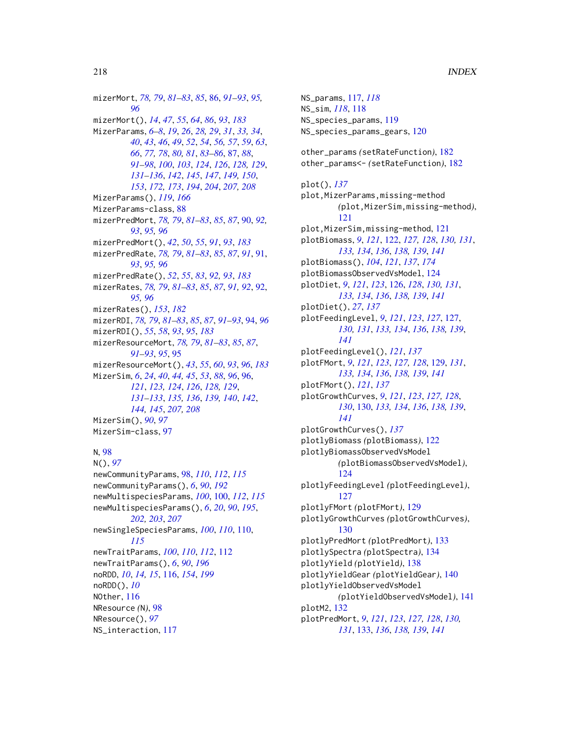mizerMort, *[78,](#page-77-0) [79](#page-78-0)*, *[81](#page-80-0)[–83](#page-82-0)*, *[85](#page-84-0)*, [86,](#page-85-0) *[91–](#page-90-0)[93](#page-92-0)*, *[95,](#page-94-0) [96](#page-95-0)* mizerMort(), *[14](#page-13-0)*, *[47](#page-46-0)*, *[55](#page-54-0)*, *[64](#page-63-0)*, *[86](#page-85-0)*, *[93](#page-92-0)*, *[183](#page-182-0)* MizerParams, *[6](#page-5-0)[–8](#page-7-0)*, *[19](#page-18-0)*, *[26](#page-25-0)*, *[28,](#page-27-0) [29](#page-28-0)*, *[31](#page-30-0)*, *[33,](#page-32-0) [34](#page-33-0)*, *[40](#page-39-0)*, *[43](#page-42-0)*, *[46](#page-45-0)*, *[49](#page-48-0)*, *[52](#page-51-0)*, *[54](#page-53-0)*, *[56,](#page-55-0) [57](#page-56-0)*, *[59](#page-58-0)*, *[63](#page-62-0)*, *[66](#page-65-0)*, *[77,](#page-76-0) [78](#page-77-0)*, *[80,](#page-79-0) [81](#page-80-0)*, *[83–](#page-82-0)[86](#page-85-0)*, [87,](#page-86-0) *[88](#page-87-0)*, *[91](#page-90-0)[–98](#page-97-0)*, *[100](#page-99-0)*, *[103](#page-102-0)*, *[124](#page-123-0)*, *[126](#page-125-0)*, *[128,](#page-127-0) [129](#page-128-0)*, *[131](#page-130-0)[–136](#page-135-0)*, *[142](#page-141-0)*, *[145](#page-144-0)*, *[147](#page-146-0)*, *[149,](#page-148-0) [150](#page-149-0)*, *[153](#page-152-0)*, *[172,](#page-171-0) [173](#page-172-0)*, *[194](#page-193-0)*, *[204](#page-203-0)*, *[207,](#page-206-0) [208](#page-207-0)* MizerParams(), *[119](#page-118-0)*, *[166](#page-165-0)* MizerParams-class, [88](#page-87-0) mizerPredMort, *[78,](#page-77-0) [79](#page-78-0)*, *[81–](#page-80-0)[83](#page-82-0)*, *[85](#page-84-0)*, *[87](#page-86-0)*, [90,](#page-89-0) *[92,](#page-91-0) [93](#page-92-0)*, *[95,](#page-94-0) [96](#page-95-0)* mizerPredMort(), *[42](#page-41-0)*, *[50](#page-49-0)*, *[55](#page-54-0)*, *[91](#page-90-0)*, *[93](#page-92-0)*, *[183](#page-182-0)* mizerPredRate, *[78,](#page-77-0) [79](#page-78-0)*, *[81–](#page-80-0)[83](#page-82-0)*, *[85](#page-84-0)*, *[87](#page-86-0)*, *[91](#page-90-0)*, [91,](#page-90-0) *[93](#page-92-0)*, *[95,](#page-94-0) [96](#page-95-0)* mizerPredRate(), *[52](#page-51-0)*, *[55](#page-54-0)*, *[83](#page-82-0)*, *[92,](#page-91-0) [93](#page-92-0)*, *[183](#page-182-0)* mizerRates, *[78,](#page-77-0) [79](#page-78-0)*, *[81–](#page-80-0)[83](#page-82-0)*, *[85](#page-84-0)*, *[87](#page-86-0)*, *[91,](#page-90-0) [92](#page-91-0)*, [92,](#page-91-0) *[95,](#page-94-0) [96](#page-95-0)* mizerRates(), *[153](#page-152-0)*, *[182](#page-181-0)* mizerRDI, *[78,](#page-77-0) [79](#page-78-0)*, *[81–](#page-80-0)[83](#page-82-0)*, *[85](#page-84-0)*, *[87](#page-86-0)*, *[91](#page-90-0)[–93](#page-92-0)*, [94,](#page-93-0) *[96](#page-95-0)* mizerRDI(), *[55](#page-54-0)*, *[58](#page-57-0)*, *[93](#page-92-0)*, *[95](#page-94-0)*, *[183](#page-182-0)* mizerResourceMort, *[78,](#page-77-0) [79](#page-78-0)*, *[81–](#page-80-0)[83](#page-82-0)*, *[85](#page-84-0)*, *[87](#page-86-0)*, *[91](#page-90-0)[–93](#page-92-0)*, *[95](#page-94-0)*, [95](#page-94-0) mizerResourceMort(), *[43](#page-42-0)*, *[55](#page-54-0)*, *[60](#page-59-0)*, *[93](#page-92-0)*, *[96](#page-95-0)*, *[183](#page-182-0)* MizerSim, *[6](#page-5-0)*, *[24](#page-23-0)*, *[40](#page-39-0)*, *[44,](#page-43-0) [45](#page-44-0)*, *[53](#page-52-0)*, *[88](#page-87-0)*, *[96](#page-95-0)*, [96,](#page-95-0) *[121](#page-120-0)*, *[123,](#page-122-0) [124](#page-123-0)*, *[126](#page-125-0)*, *[128,](#page-127-0) [129](#page-128-0)*, *[131](#page-130-0)[–133](#page-132-0)*, *[135,](#page-134-0) [136](#page-135-0)*, *[139,](#page-138-0) [140](#page-139-0)*, *[142](#page-141-0)*, *[144,](#page-143-0) [145](#page-144-0)*, *[207,](#page-206-0) [208](#page-207-0)* MizerSim(), *[90](#page-89-0)*, *[97](#page-96-0)* MizerSim-class, [97](#page-96-0)

## N, [98](#page-97-0)

N(), *[97](#page-96-0)* newCommunityParams, [98,](#page-97-0) *[110](#page-109-0)*, *[112](#page-111-0)*, *[115](#page-114-0)* newCommunityParams(), *[6](#page-5-0)*, *[90](#page-89-0)*, *[192](#page-191-0)* newMultispeciesParams, *[100](#page-99-0)*, [100,](#page-99-0) *[112](#page-111-0)*, *[115](#page-114-0)* newMultispeciesParams(), *[6](#page-5-0)*, *[20](#page-19-0)*, *[90](#page-89-0)*, *[195](#page-194-0)*, *[202,](#page-201-0) [203](#page-202-0)*, *[207](#page-206-0)* newSingleSpeciesParams, *[100](#page-99-0)*, *[110](#page-109-0)*, [110,](#page-109-0) *[115](#page-114-0)* newTraitParams, *[100](#page-99-0)*, *[110](#page-109-0)*, *[112](#page-111-0)*, [112](#page-111-0) newTraitParams(), *[6](#page-5-0)*, *[90](#page-89-0)*, *[196](#page-195-0)* noRDD, *[10](#page-9-0)*, *[14,](#page-13-0) [15](#page-14-0)*, [116,](#page-115-0) *[154](#page-153-0)*, *[199](#page-198-0)* noRDD(), *[10](#page-9-0)* NOther, [116](#page-115-0) NResource *(*N*)*, [98](#page-97-0) NResource(), *[97](#page-96-0)* NS\_interaction, [117](#page-116-0)

NS\_params, [117,](#page-116-0) *[118](#page-117-0)* NS\_sim, *[118](#page-117-0)*, [118](#page-117-0) NS\_species\_params, [119](#page-118-0) NS\_species\_params\_gears, [120](#page-119-0) other\_params *(*setRateFunction*)*, [182](#page-181-0) other\_params<- *(*setRateFunction*)*, [182](#page-181-0) plot(), *[137](#page-136-0)* plot,MizerParams,missing-method *(*plot,MizerSim,missing-method*)*, [121](#page-120-0) plot,MizerSim,missing-method, [121](#page-120-0) plotBiomass, *[9](#page-8-0)*, *[121](#page-120-0)*, [122,](#page-121-0) *[127,](#page-126-0) [128](#page-127-0)*, *[130,](#page-129-0) [131](#page-130-0)*, *[133,](#page-132-0) [134](#page-133-0)*, *[136](#page-135-0)*, *[138,](#page-137-0) [139](#page-138-0)*, *[141](#page-140-0)* plotBiomass(), *[104](#page-103-0)*, *[121](#page-120-0)*, *[137](#page-136-0)*, *[174](#page-173-0)* plotBiomassObservedVsModel, [124](#page-123-0) plotDiet, *[9](#page-8-0)*, *[121](#page-120-0)*, *[123](#page-122-0)*, [126,](#page-125-0) *[128](#page-127-0)*, *[130,](#page-129-0) [131](#page-130-0)*, *[133,](#page-132-0) [134](#page-133-0)*, *[136](#page-135-0)*, *[138,](#page-137-0) [139](#page-138-0)*, *[141](#page-140-0)* plotDiet(), *[27](#page-26-0)*, *[137](#page-136-0)* plotFeedingLevel, *[9](#page-8-0)*, *[121](#page-120-0)*, *[123](#page-122-0)*, *[127](#page-126-0)*, [127,](#page-126-0) *[130,](#page-129-0) [131](#page-130-0)*, *[133,](#page-132-0) [134](#page-133-0)*, *[136](#page-135-0)*, *[138,](#page-137-0) [139](#page-138-0)*, *[141](#page-140-0)* plotFeedingLevel(), *[121](#page-120-0)*, *[137](#page-136-0)* plotFMort, *[9](#page-8-0)*, *[121](#page-120-0)*, *[123](#page-122-0)*, *[127,](#page-126-0) [128](#page-127-0)*, [129,](#page-128-0) *[131](#page-130-0)*, *[133,](#page-132-0) [134](#page-133-0)*, *[136](#page-135-0)*, *[138,](#page-137-0) [139](#page-138-0)*, *[141](#page-140-0)* plotFMort(), *[121](#page-120-0)*, *[137](#page-136-0)* plotGrowthCurves, *[9](#page-8-0)*, *[121](#page-120-0)*, *[123](#page-122-0)*, *[127,](#page-126-0) [128](#page-127-0)*, *[130](#page-129-0)*, [130,](#page-129-0) *[133,](#page-132-0) [134](#page-133-0)*, *[136](#page-135-0)*, *[138,](#page-137-0) [139](#page-138-0)*, *[141](#page-140-0)* plotGrowthCurves(), *[137](#page-136-0)* plotlyBiomass *(*plotBiomass*)*, [122](#page-121-0) plotlyBiomassObservedVsModel *(*plotBiomassObservedVsModel*)*, [124](#page-123-0) plotlyFeedingLevel *(*plotFeedingLevel*)*, [127](#page-126-0) plotlyFMort *(*plotFMort*)*, [129](#page-128-0) plotlyGrowthCurves *(*plotGrowthCurves*)*, [130](#page-129-0) plotlyPredMort *(*plotPredMort*)*, [133](#page-132-0) plotlySpectra *(*plotSpectra*)*, [134](#page-133-0) plotlyYield *(*plotYield*)*, [138](#page-137-0) plotlyYieldGear *(*plotYieldGear*)*, [140](#page-139-0) plotlyYieldObservedVsModel *(*plotYieldObservedVsModel*)*, [141](#page-140-0) plotM2, [132](#page-131-0) plotPredMort, *[9](#page-8-0)*, *[121](#page-120-0)*, *[123](#page-122-0)*, *[127,](#page-126-0) [128](#page-127-0)*, *[130,](#page-129-0) [131](#page-130-0)*, [133,](#page-132-0) *[136](#page-135-0)*, *[138,](#page-137-0) [139](#page-138-0)*, *[141](#page-140-0)*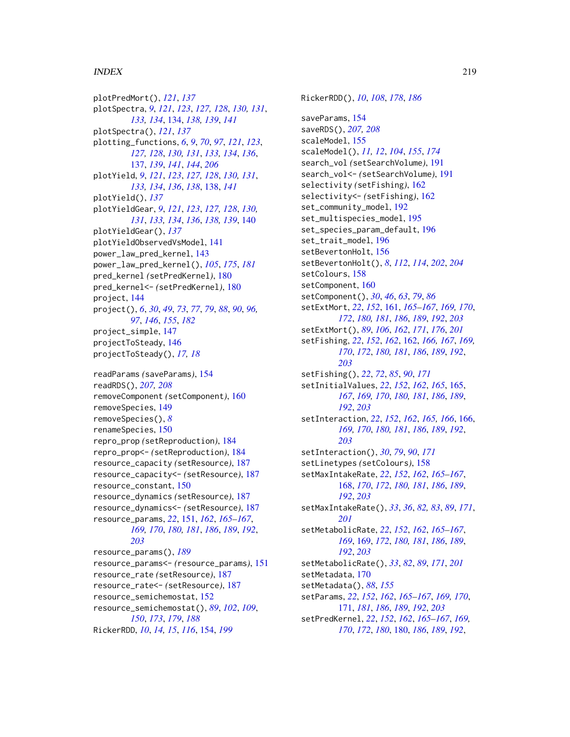## INDEX 219

plotPredMort(), *[121](#page-120-0)*, *[137](#page-136-0)* plotSpectra, *[9](#page-8-0)*, *[121](#page-120-0)*, *[123](#page-122-0)*, *[127,](#page-126-0) [128](#page-127-0)*, *[130,](#page-129-0) [131](#page-130-0)*, *[133,](#page-132-0) [134](#page-133-0)*, [134,](#page-133-0) *[138,](#page-137-0) [139](#page-138-0)*, *[141](#page-140-0)* plotSpectra(), *[121](#page-120-0)*, *[137](#page-136-0)* plotting\_functions, *[6](#page-5-0)*, *[9](#page-8-0)*, *[70](#page-69-0)*, *[97](#page-96-0)*, *[121](#page-120-0)*, *[123](#page-122-0)*, *[127,](#page-126-0) [128](#page-127-0)*, *[130,](#page-129-0) [131](#page-130-0)*, *[133,](#page-132-0) [134](#page-133-0)*, *[136](#page-135-0)*, [137,](#page-136-0) *[139](#page-138-0)*, *[141](#page-140-0)*, *[144](#page-143-0)*, *[206](#page-205-0)* plotYield, *[9](#page-8-0)*, *[121](#page-120-0)*, *[123](#page-122-0)*, *[127,](#page-126-0) [128](#page-127-0)*, *[130,](#page-129-0) [131](#page-130-0)*, *[133,](#page-132-0) [134](#page-133-0)*, *[136](#page-135-0)*, *[138](#page-137-0)*, [138,](#page-137-0) *[141](#page-140-0)* plotYield(), *[137](#page-136-0)* plotYieldGear, *[9](#page-8-0)*, *[121](#page-120-0)*, *[123](#page-122-0)*, *[127,](#page-126-0) [128](#page-127-0)*, *[130,](#page-129-0) [131](#page-130-0)*, *[133,](#page-132-0) [134](#page-133-0)*, *[136](#page-135-0)*, *[138,](#page-137-0) [139](#page-138-0)*, [140](#page-139-0) plotYieldGear(), *[137](#page-136-0)* plotYieldObservedVsModel, [141](#page-140-0) power\_law\_pred\_kernel, [143](#page-142-0) power\_law\_pred\_kernel(), *[105](#page-104-0)*, *[175](#page-174-0)*, *[181](#page-180-0)* pred\_kernel *(*setPredKernel*)*, [180](#page-179-0) pred\_kernel<- *(*setPredKernel*)*, [180](#page-179-0) project, [144](#page-143-0) project(), *[6](#page-5-0)*, *[30](#page-29-0)*, *[49](#page-48-0)*, *[73](#page-72-0)*, *[77](#page-76-0)*, *[79](#page-78-0)*, *[88](#page-87-0)*, *[90](#page-89-0)*, *[96,](#page-95-0) [97](#page-96-0)*, *[146](#page-145-0)*, *[155](#page-154-0)*, *[182](#page-181-0)* project\_simple, [147](#page-146-0) projectToSteady, [146](#page-145-0) projectToSteady(), *[17,](#page-16-0) [18](#page-17-0)* readParams *(*saveParams*)*, [154](#page-153-0) readRDS(), *[207,](#page-206-0) [208](#page-207-0)* removeComponent *(*setComponent*)*, [160](#page-159-0) removeSpecies, [149](#page-148-0) removeSpecies(), *[8](#page-7-0)* renameSpecies, [150](#page-149-0) repro\_prop *(*setReproduction*)*, [184](#page-183-0) repro\_prop<- *(*setReproduction*)*, [184](#page-183-0) resource\_capacity *(*setResource*)*, [187](#page-186-0) resource\_capacity<- *(*setResource*)*, [187](#page-186-0) resource\_constant, [150](#page-149-0) resource\_dynamics *(*setResource*)*, [187](#page-186-0) resource\_dynamics<- *(*setResource*)*, [187](#page-186-0) resource\_params, *[22](#page-21-0)*, [151,](#page-150-0) *[162](#page-161-0)*, *[165–](#page-164-0)[167](#page-166-0)*, *[169,](#page-168-0) [170](#page-169-0)*, *[180,](#page-179-0) [181](#page-180-0)*, *[186](#page-185-0)*, *[189](#page-188-0)*, *[192](#page-191-0)*, *[203](#page-202-0)* resource\_params(), *[189](#page-188-0)* resource\_params<- *(*resource\_params*)*, [151](#page-150-0) resource\_rate *(*setResource*)*, [187](#page-186-0) resource\_rate<- *(*setResource*)*, [187](#page-186-0) resource\_semichemostat, [152](#page-151-0) resource\_semichemostat(), *[89](#page-88-0)*, *[102](#page-101-0)*, *[109](#page-108-0)*, *[150](#page-149-0)*, *[173](#page-172-0)*, *[179](#page-178-0)*, *[188](#page-187-0)* RickerRDD, *[10](#page-9-0)*, *[14,](#page-13-0) [15](#page-14-0)*, *[116](#page-115-0)*, [154,](#page-153-0) *[199](#page-198-0)*

RickerRDD(), *[10](#page-9-0)*, *[108](#page-107-0)*, *[178](#page-177-0)*, *[186](#page-185-0)* saveParams, [154](#page-153-0) saveRDS(), *[207,](#page-206-0) [208](#page-207-0)* scaleModel, [155](#page-154-0) scaleModel(), *[11,](#page-10-0) [12](#page-11-0)*, *[104](#page-103-0)*, *[155](#page-154-0)*, *[174](#page-173-0)* search\_vol *(*setSearchVolume*)*, [191](#page-190-0) search\_vol<- *(*setSearchVolume*)*, [191](#page-190-0) selectivity *(*setFishing*)*, [162](#page-161-0) selectivity<- *(*setFishing*)*, [162](#page-161-0) set\_community\_model, [192](#page-191-0) set\_multispecies\_model, [195](#page-194-0) set\_species\_param\_default, [196](#page-195-0) set\_trait\_model, [196](#page-195-0) setBevertonHolt, [156](#page-155-0) setBevertonHolt(), *[8](#page-7-0)*, *[112](#page-111-0)*, *[114](#page-113-0)*, *[202](#page-201-0)*, *[204](#page-203-0)* setColours, [158](#page-157-0) setComponent, [160](#page-159-0) setComponent(), *[30](#page-29-0)*, *[46](#page-45-0)*, *[63](#page-62-0)*, *[79](#page-78-0)*, *[86](#page-85-0)* setExtMort, *[22](#page-21-0)*, *[152](#page-151-0)*, [161,](#page-160-0) *[165](#page-164-0)[–167](#page-166-0)*, *[169,](#page-168-0) [170](#page-169-0)*, *[172](#page-171-0)*, *[180,](#page-179-0) [181](#page-180-0)*, *[186](#page-185-0)*, *[189](#page-188-0)*, *[192](#page-191-0)*, *[203](#page-202-0)* setExtMort(), *[89](#page-88-0)*, *[106](#page-105-0)*, *[162](#page-161-0)*, *[171](#page-170-0)*, *[176](#page-175-0)*, *[201](#page-200-0)* setFishing, *[22](#page-21-0)*, *[152](#page-151-0)*, *[162](#page-161-0)*, [162,](#page-161-0) *[166,](#page-165-0) [167](#page-166-0)*, *[169,](#page-168-0) [170](#page-169-0)*, *[172](#page-171-0)*, *[180,](#page-179-0) [181](#page-180-0)*, *[186](#page-185-0)*, *[189](#page-188-0)*, *[192](#page-191-0)*, *[203](#page-202-0)* setFishing(), *[22](#page-21-0)*, *[72](#page-71-0)*, *[85](#page-84-0)*, *[90](#page-89-0)*, *[171](#page-170-0)* setInitialValues, *[22](#page-21-0)*, *[152](#page-151-0)*, *[162](#page-161-0)*, *[165](#page-164-0)*, [165,](#page-164-0) *[167](#page-166-0)*, *[169,](#page-168-0) [170](#page-169-0)*, *[180,](#page-179-0) [181](#page-180-0)*, *[186](#page-185-0)*, *[189](#page-188-0)*, *[192](#page-191-0)*, *[203](#page-202-0)* setInteraction, *[22](#page-21-0)*, *[152](#page-151-0)*, *[162](#page-161-0)*, *[165,](#page-164-0) [166](#page-165-0)*, [166,](#page-165-0) *[169,](#page-168-0) [170](#page-169-0)*, *[180,](#page-179-0) [181](#page-180-0)*, *[186](#page-185-0)*, *[189](#page-188-0)*, *[192](#page-191-0)*, *[203](#page-202-0)* setInteraction(), *[30](#page-29-0)*, *[79](#page-78-0)*, *[90](#page-89-0)*, *[171](#page-170-0)* setLinetypes *(*setColours*)*, [158](#page-157-0) setMaxIntakeRate, *[22](#page-21-0)*, *[152](#page-151-0)*, *[162](#page-161-0)*, *[165](#page-164-0)[–167](#page-166-0)*, [168,](#page-167-0) *[170](#page-169-0)*, *[172](#page-171-0)*, *[180,](#page-179-0) [181](#page-180-0)*, *[186](#page-185-0)*, *[189](#page-188-0)*, *[192](#page-191-0)*, *[203](#page-202-0)* setMaxIntakeRate(), *[33](#page-32-0)*, *[36](#page-35-0)*, *[82,](#page-81-0) [83](#page-82-0)*, *[89](#page-88-0)*, *[171](#page-170-0)*, *[201](#page-200-0)* setMetabolicRate, *[22](#page-21-0)*, *[152](#page-151-0)*, *[162](#page-161-0)*, *[165](#page-164-0)[–167](#page-166-0)*, *[169](#page-168-0)*, [169,](#page-168-0) *[172](#page-171-0)*, *[180,](#page-179-0) [181](#page-180-0)*, *[186](#page-185-0)*, *[189](#page-188-0)*, *[192](#page-191-0)*, *[203](#page-202-0)* setMetabolicRate(), *[33](#page-32-0)*, *[82](#page-81-0)*, *[89](#page-88-0)*, *[171](#page-170-0)*, *[201](#page-200-0)* setMetadata, [170](#page-169-0) setMetadata(), *[88](#page-87-0)*, *[155](#page-154-0)* setParams, *[22](#page-21-0)*, *[152](#page-151-0)*, *[162](#page-161-0)*, *[165](#page-164-0)[–167](#page-166-0)*, *[169,](#page-168-0) [170](#page-169-0)*, [171,](#page-170-0) *[181](#page-180-0)*, *[186](#page-185-0)*, *[189](#page-188-0)*, *[192](#page-191-0)*, *[203](#page-202-0)* setPredKernel, *[22](#page-21-0)*, *[152](#page-151-0)*, *[162](#page-161-0)*, *[165](#page-164-0)[–167](#page-166-0)*, *[169,](#page-168-0) [170](#page-169-0)*, *[172](#page-171-0)*, *[180](#page-179-0)*, [180,](#page-179-0) *[186](#page-185-0)*, *[189](#page-188-0)*, *[192](#page-191-0)*,